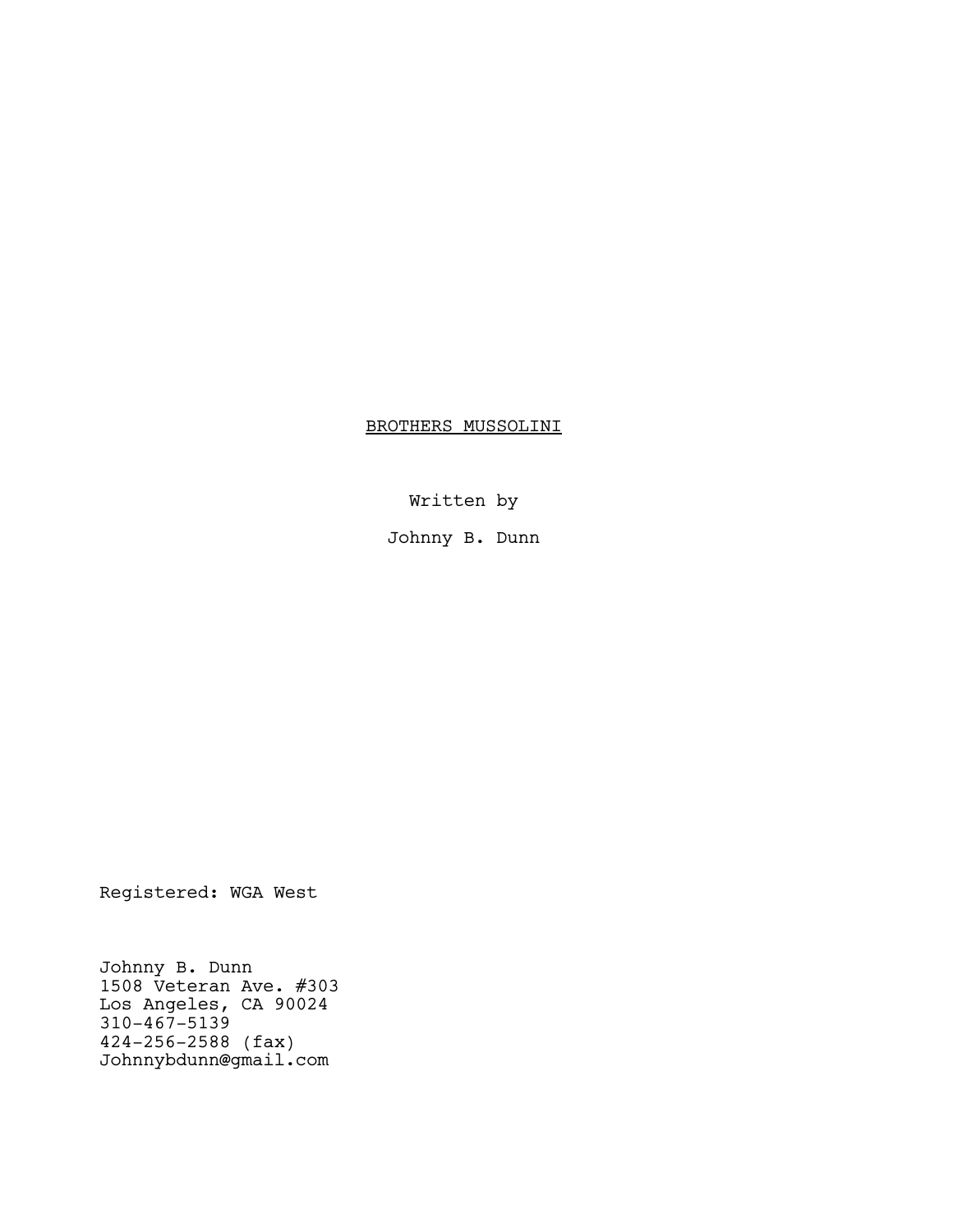BROTHERS MUSSOLINI

Written by

Johnny B. Dunn

Registered: WGA West

Johnny B. Dunn 1508 Veteran Ave. #303 Los Angeles, CA 90024 310-467-5139 424-256-2588 (fax) Johnnybdunn@gmail.com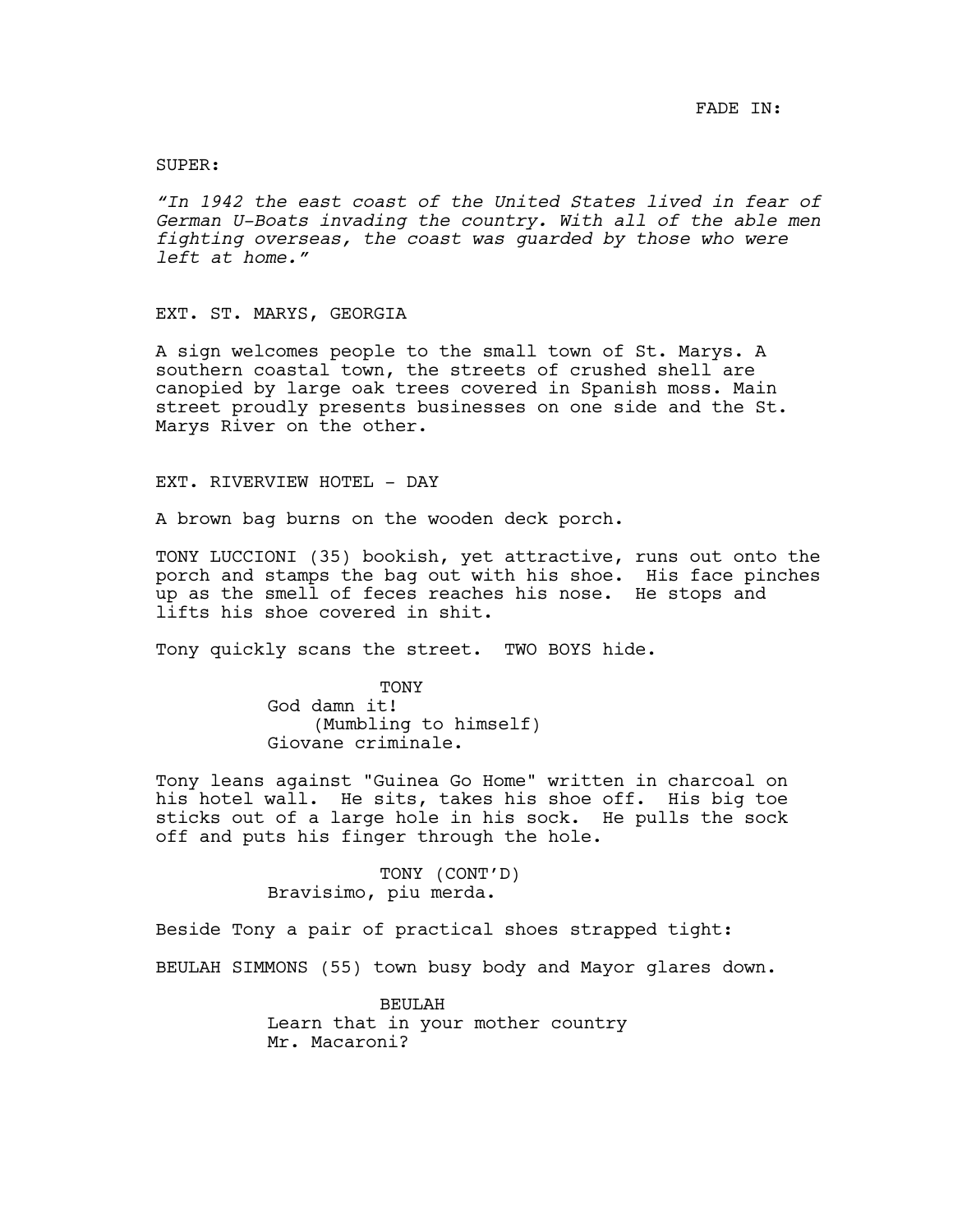### SUPER:

*"In 1942 the east coast of the United States lived in fear of German U-Boats invading the country. With all of the able men fighting overseas, the coast was guarded by those who were left at home."*

#### EXT. ST. MARYS, GEORGIA

A sign welcomes people to the small town of St. Marys. A southern coastal town, the streets of crushed shell are canopied by large oak trees covered in Spanish moss. Main street proudly presents businesses on one side and the St. Marys River on the other.

# EXT. RIVERVIEW HOTEL - DAY

A brown bag burns on the wooden deck porch.

TONY LUCCIONI (35) bookish, yet attractive, runs out onto the porch and stamps the bag out with his shoe. His face pinches up as the smell of feces reaches his nose. He stops and lifts his shoe covered in shit.

Tony quickly scans the street. TWO BOYS hide.

**TONY** God damn it! (Mumbling to himself) Giovane criminale.

Tony leans against "Guinea Go Home" written in charcoal on his hotel wall. He sits, takes his shoe off. His big toe sticks out of a large hole in his sock. He pulls the sock off and puts his finger through the hole.

> TONY (CONT'D) Bravisimo, piu merda.

Beside Tony a pair of practical shoes strapped tight:

BEULAH SIMMONS (55) town busy body and Mayor glares down.

BEULAH Learn that in your mother country Mr. Macaroni?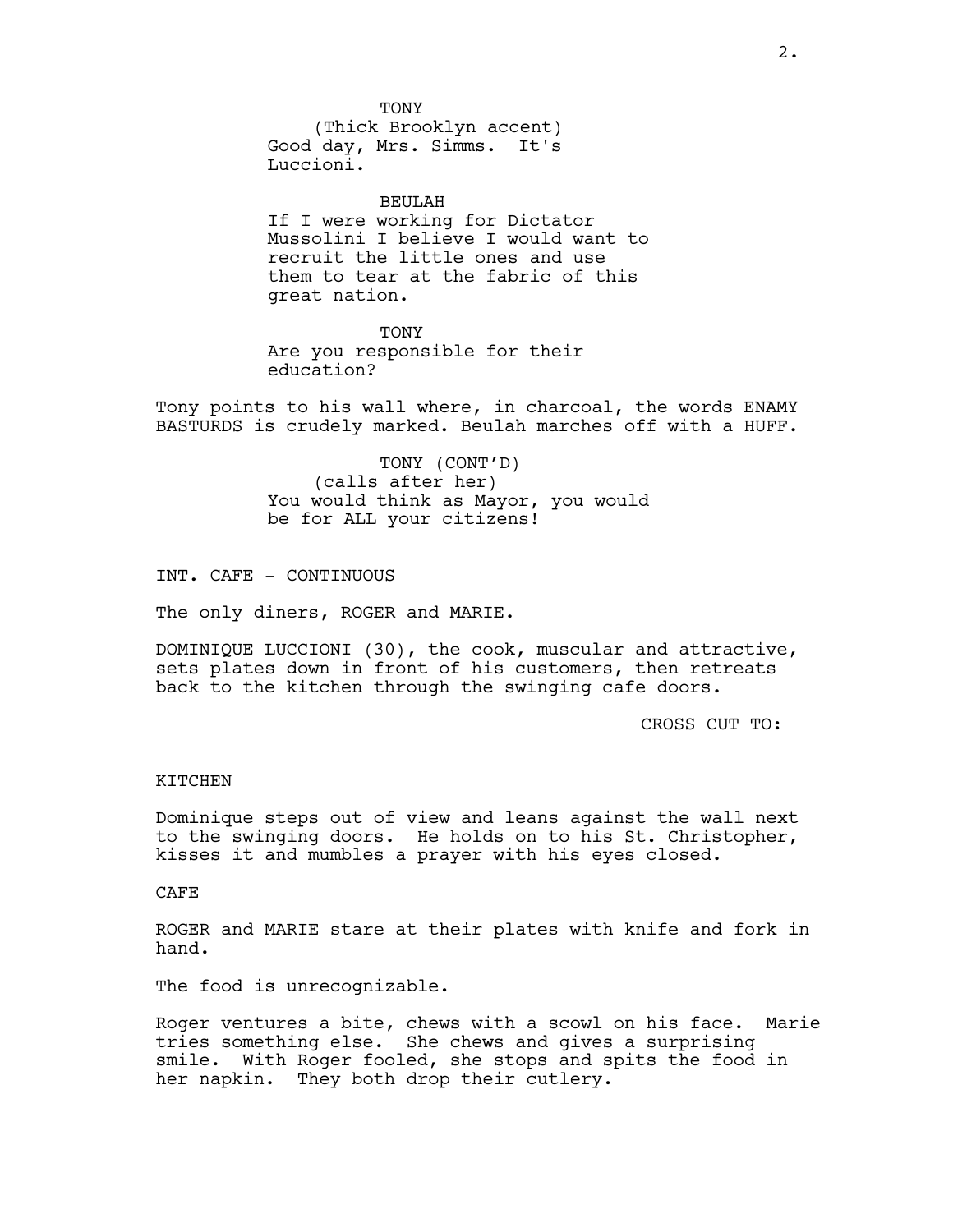TONY

(Thick Brooklyn accent) Good day, Mrs. Simms. It's Luccioni.

BEULAH If I were working for Dictator Mussolini I believe I would want to recruit the little ones and use them to tear at the fabric of this great nation.

#### TONY

Are you responsible for their education?

Tony points to his wall where, in charcoal, the words ENAMY BASTURDS is crudely marked. Beulah marches off with a HUFF.

> TONY (CONT'D) (calls after her) You would think as Mayor, you would be for ALL your citizens!

INT. CAFE - CONTINUOUS

The only diners, ROGER and MARIE.

DOMINIQUE LUCCIONI (30), the cook, muscular and attractive, sets plates down in front of his customers, then retreats back to the kitchen through the swinging cafe doors.

CROSS CUT TO:

# KITCHEN

Dominique steps out of view and leans against the wall next to the swinging doors. He holds on to his St. Christopher, kisses it and mumbles a prayer with his eyes closed.

# CAFE

ROGER and MARIE stare at their plates with knife and fork in hand.

The food is unrecognizable.

Roger ventures a bite, chews with a scowl on his face. Marie tries something else. She chews and gives a surprising smile. With Roger fooled, she stops and spits the food in her napkin. They both drop their cutlery.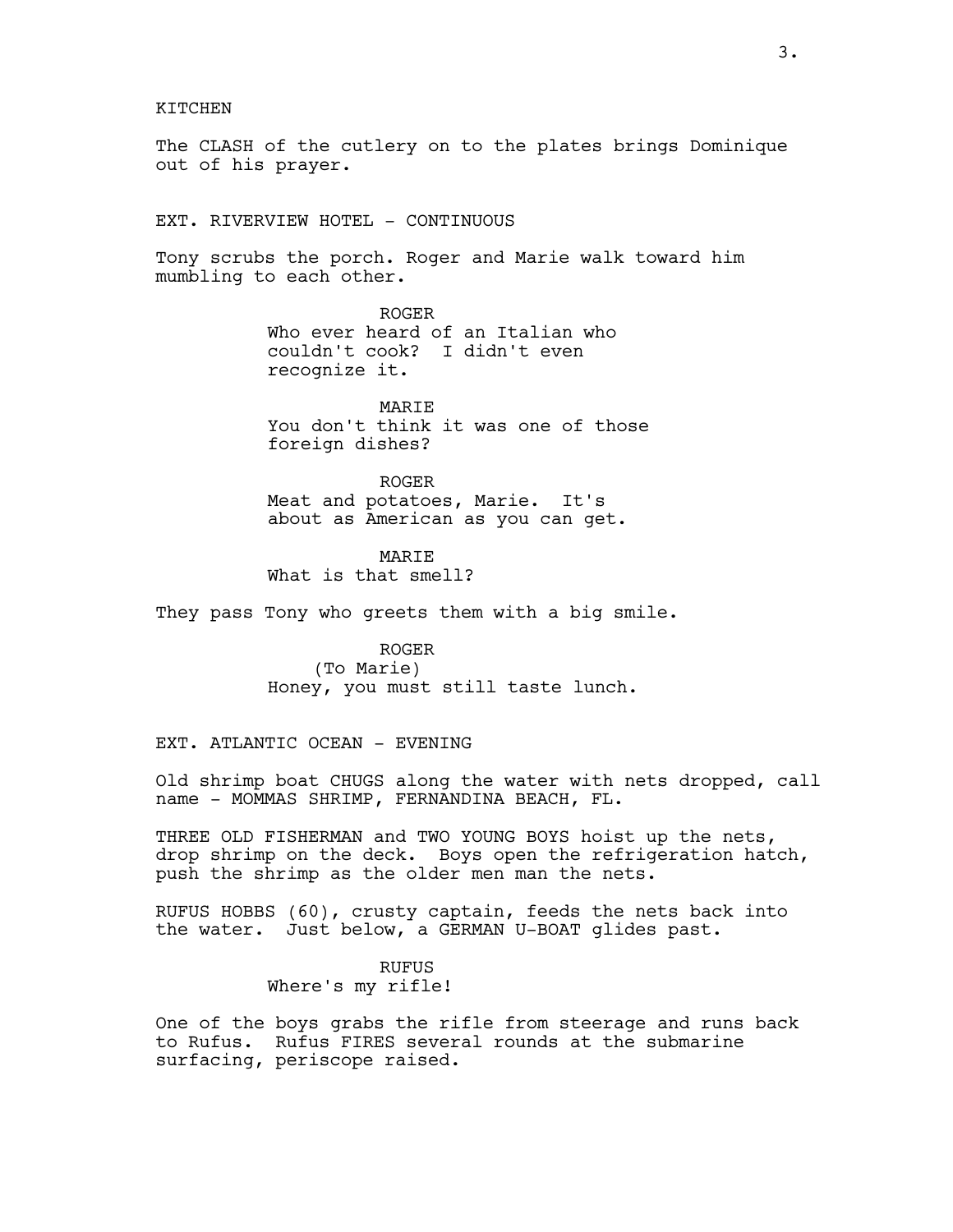KITCHEN

The CLASH of the cutlery on to the plates brings Dominique out of his prayer.

EXT. RIVERVIEW HOTEL - CONTINUOUS

Tony scrubs the porch. Roger and Marie walk toward him mumbling to each other.

> ROGER Who ever heard of an Italian who couldn't cook? I didn't even recognize it.

**MARTE** You don't think it was one of those foreign dishes?

ROGER Meat and potatoes, Marie. It's about as American as you can get.

MARIE What is that smell?

They pass Tony who greets them with a big smile.

ROGER (To Marie) Honey, you must still taste lunch.

EXT. ATLANTIC OCEAN - EVENING

Old shrimp boat CHUGS along the water with nets dropped, call name - MOMMAS SHRIMP, FERNANDINA BEACH, FL.

THREE OLD FISHERMAN and TWO YOUNG BOYS hoist up the nets, drop shrimp on the deck. Boys open the refrigeration hatch, push the shrimp as the older men man the nets.

RUFUS HOBBS (60), crusty captain, feeds the nets back into the water. Just below, a GERMAN U-BOAT glides past.

> RUFUS Where's my rifle!

One of the boys grabs the rifle from steerage and runs back to Rufus. Rufus FIRES several rounds at the submarine surfacing, periscope raised.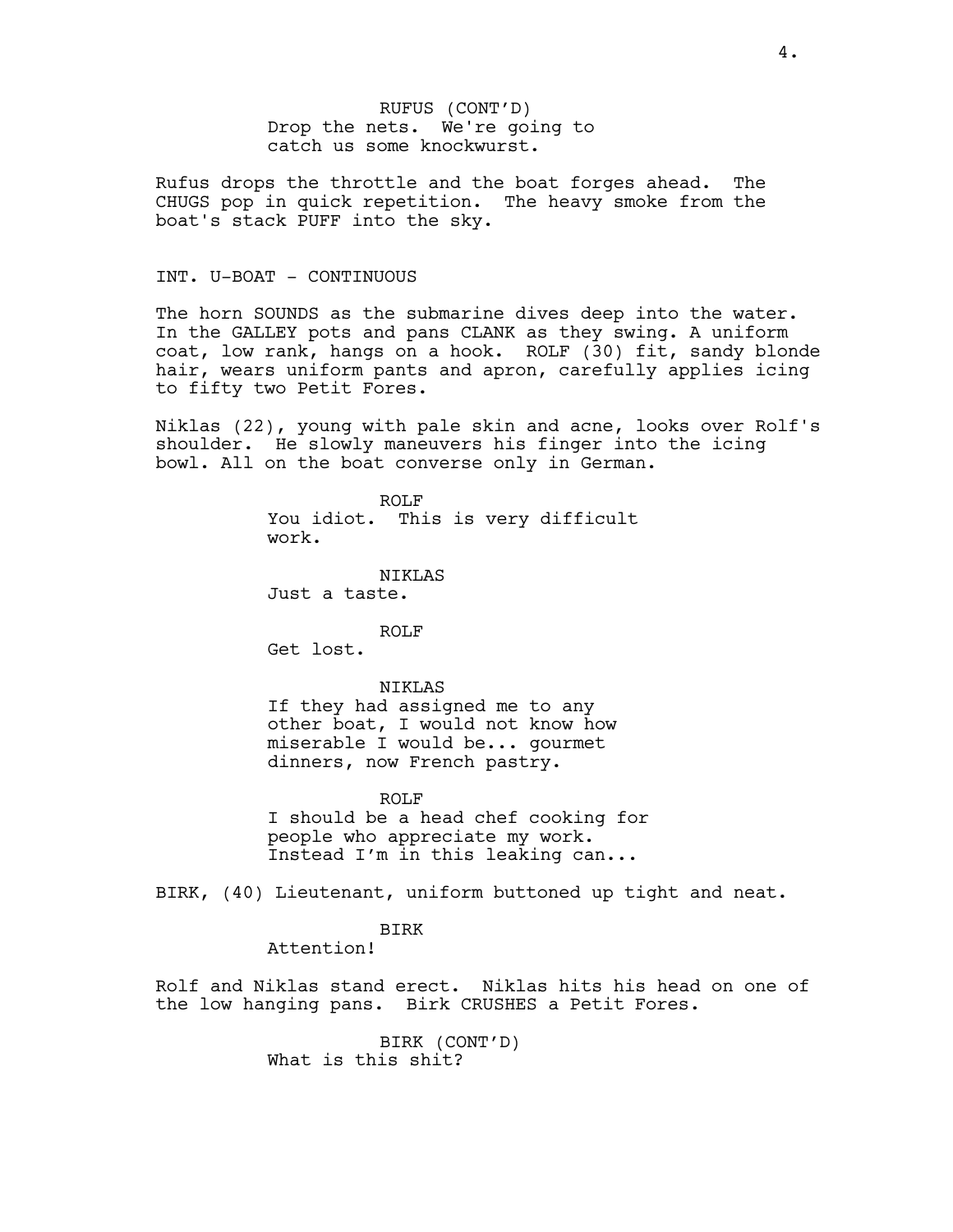RUFUS (CONT'D) Drop the nets. We're going to catch us some knockwurst.

Rufus drops the throttle and the boat forges ahead. The CHUGS pop in quick repetition. The heavy smoke from the boat's stack PUFF into the sky.

# INT. U-BOAT - CONTINUOUS

The horn SOUNDS as the submarine dives deep into the water. In the GALLEY pots and pans CLANK as they swing. A uniform coat, low rank, hangs on a hook. ROLF (30) fit, sandy blonde hair, wears uniform pants and apron, carefully applies icing to fifty two Petit Fores.

Niklas (22), young with pale skin and acne, looks over Rolf's shoulder. He slowly maneuvers his finger into the icing bowl. All on the boat converse only in German.

> ROLF You idiot. This is very difficult work.

NIKLAS Just a taste.

ROLF

Get lost.

# NIKLAS

If they had assigned me to any other boat, I would not know how miserable I would be... gourmet dinners, now French pastry.

ROLF

I should be a head chef cooking for people who appreciate my work. Instead I'm in this leaking can...

BIRK, (40) Lieutenant, uniform buttoned up tight and neat.

# BIRK

Attention!

Rolf and Niklas stand erect. Niklas hits his head on one of the low hanging pans. Birk CRUSHES a Petit Fores.

> BIRK (CONT'D) What is this shit?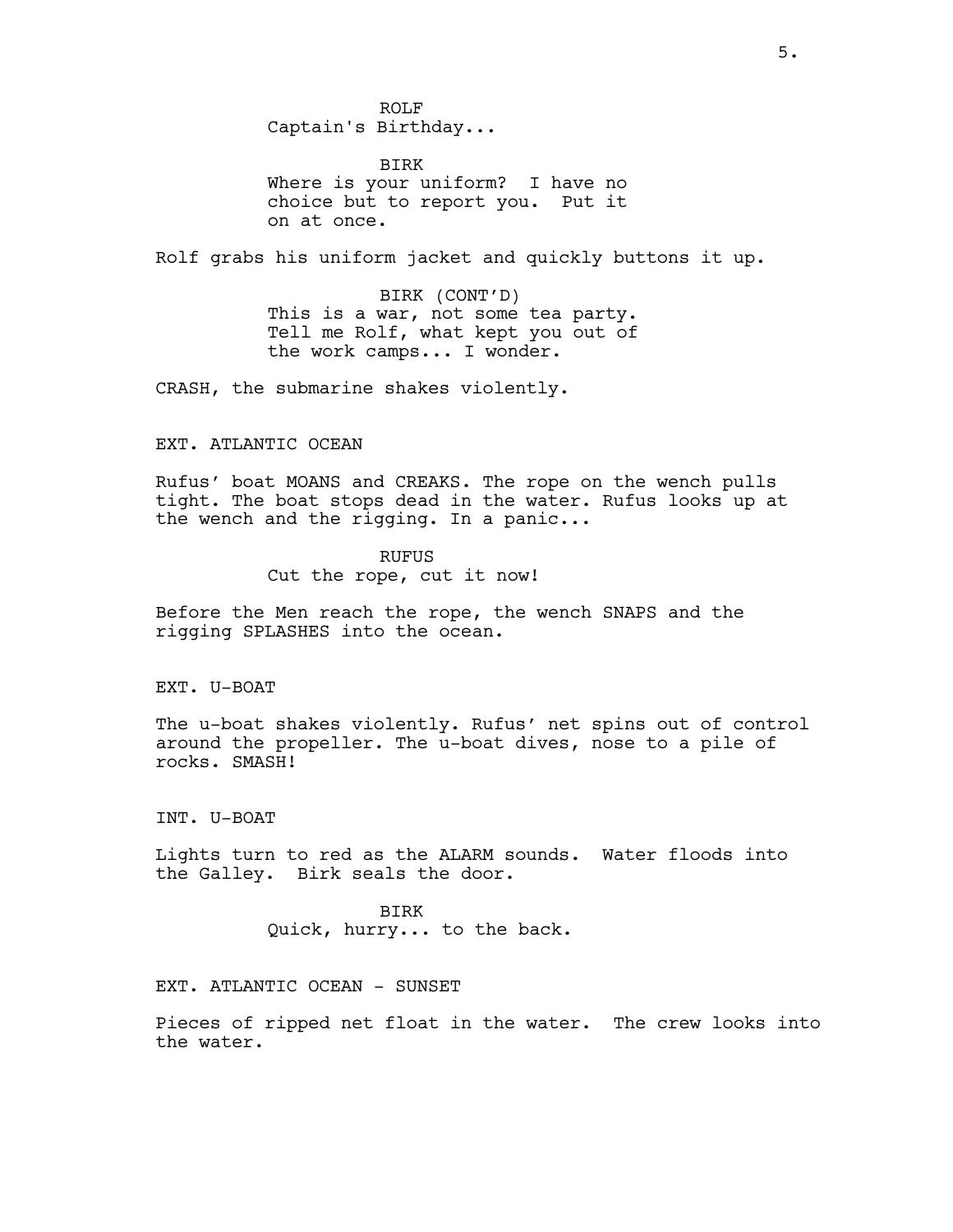ROLF Captain's Birthday...

BIRK Where is your uniform? I have no choice but to report you. Put it on at once.

Rolf grabs his uniform jacket and quickly buttons it up.

BIRK (CONT'D) This is a war, not some tea party. Tell me Rolf, what kept you out of the work camps... I wonder.

CRASH, the submarine shakes violently.

# EXT. ATLANTIC OCEAN

Rufus' boat MOANS and CREAKS. The rope on the wench pulls tight. The boat stops dead in the water. Rufus looks up at the wench and the rigging. In a panic...

# RUFUS

Cut the rope, cut it now!

Before the Men reach the rope, the wench SNAPS and the rigging SPLASHES into the ocean.

EXT. U-BOAT

The u-boat shakes violently. Rufus' net spins out of control around the propeller. The u-boat dives, nose to a pile of rocks. SMASH!

INT. U-BOAT

Lights turn to red as the ALARM sounds. Water floods into the Galley. Birk seals the door.

> BIRK Quick, hurry... to the back.

EXT. ATLANTIC OCEAN - SUNSET

Pieces of ripped net float in the water. The crew looks into the water.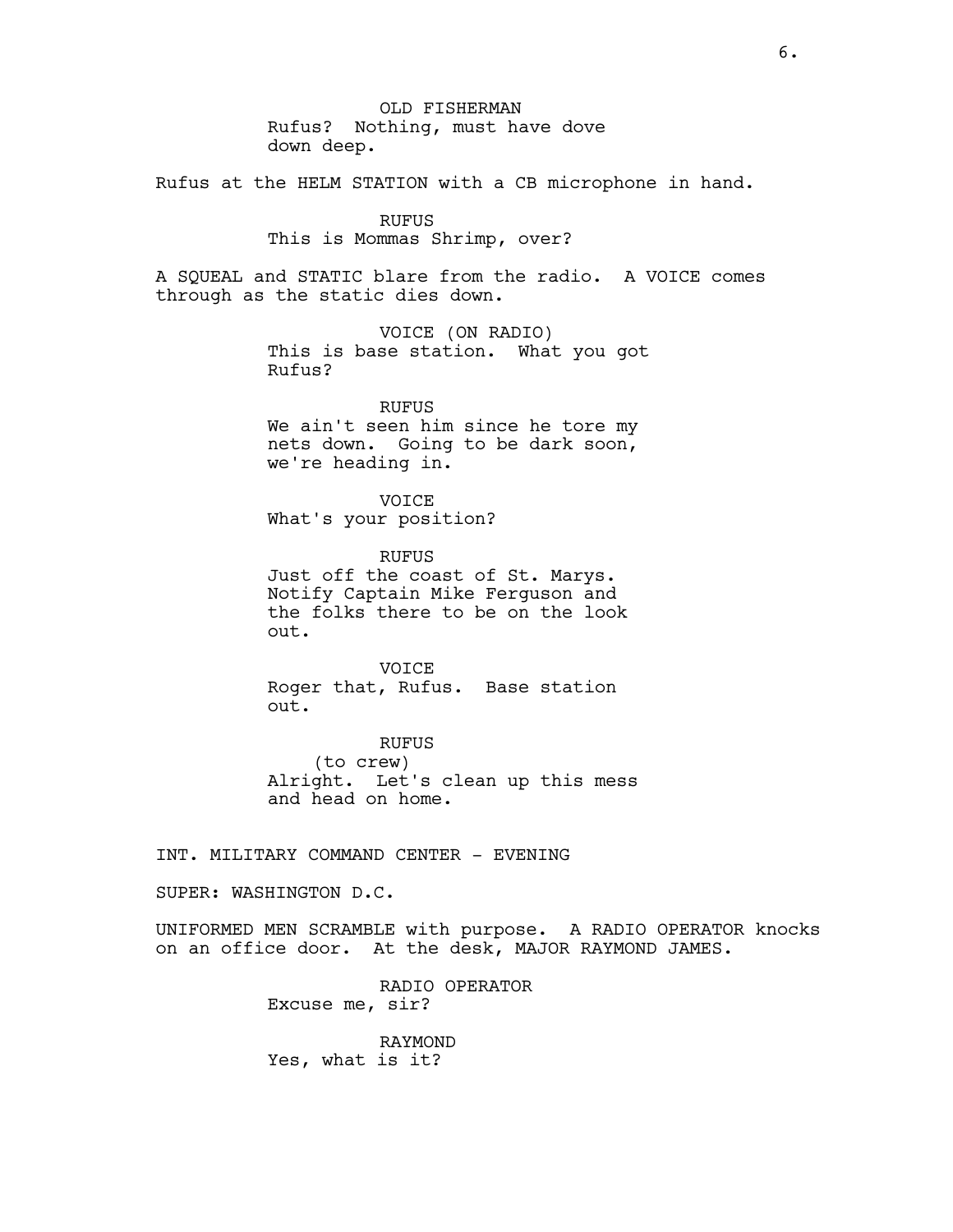OLD FISHERMAN Rufus? Nothing, must have dove down deep.

Rufus at the HELM STATION with a CB microphone in hand.

RUFUS

This is Mommas Shrimp, over?

A SQUEAL and STATIC blare from the radio. A VOICE comes through as the static dies down.

> VOICE (ON RADIO) This is base station. What you got Rufus?

RUFUS We ain't seen him since he tore my nets down. Going to be dark soon, we're heading in.

VOICE What's your position?

RUFUS Just off the coast of St. Marys. Notify Captain Mike Ferguson and the folks there to be on the look out.

VOICE Roger that, Rufus. Base station out.

RUFUS (to crew) Alright. Let's clean up this mess and head on home.

INT. MILITARY COMMAND CENTER - EVENING

SUPER: WASHINGTON D.C.

UNIFORMED MEN SCRAMBLE with purpose. A RADIO OPERATOR knocks on an office door. At the desk, MAJOR RAYMOND JAMES.

> RADIO OPERATOR Excuse me, sir?

RAYMOND Yes, what is it?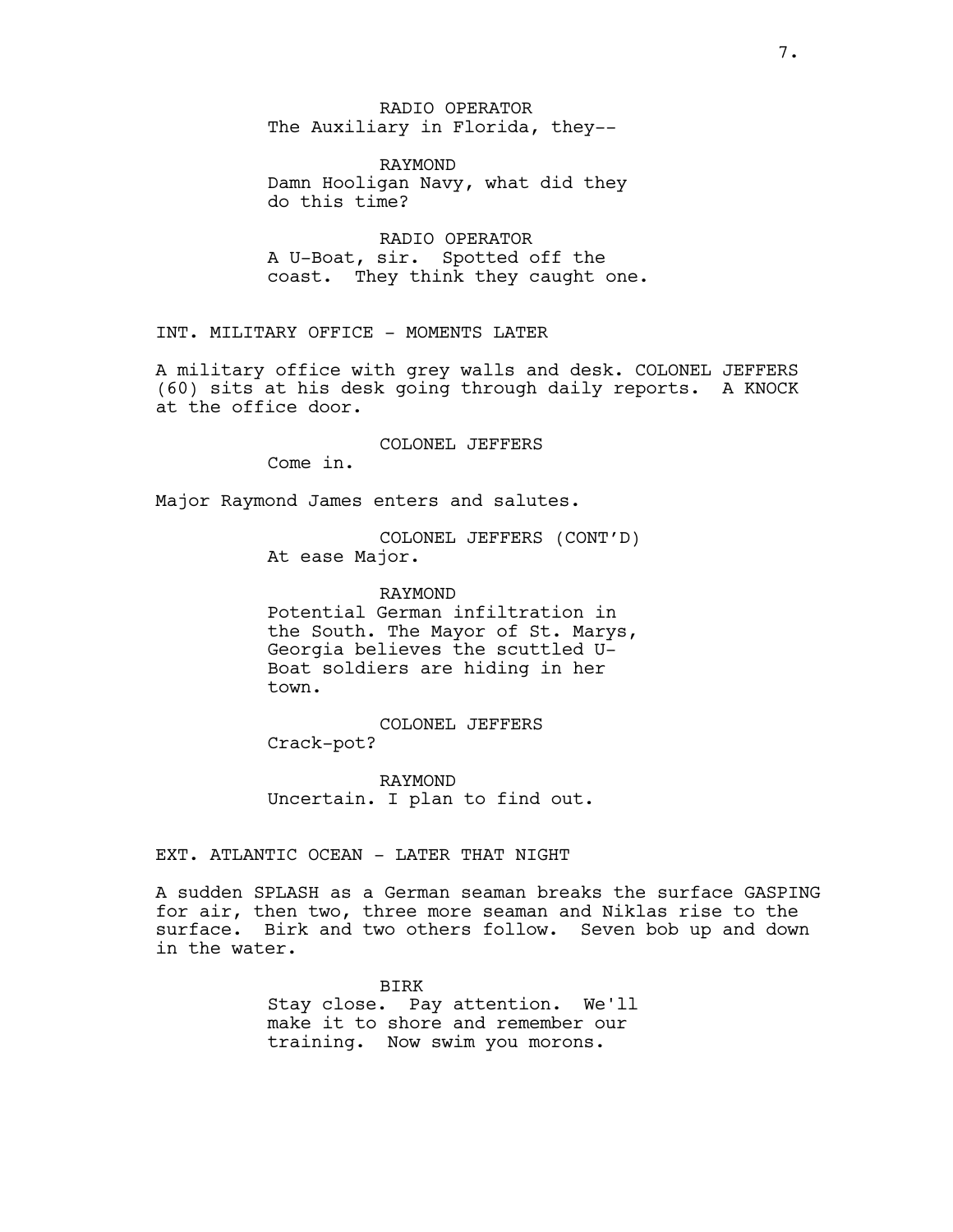RADIO OPERATOR The Auxiliary in Florida, they--

RAYMOND Damn Hooligan Navy, what did they do this time?

RADIO OPERATOR A U-Boat, sir. Spotted off the coast. They think they caught one.

INT. MILITARY OFFICE - MOMENTS LATER

A military office with grey walls and desk. COLONEL JEFFERS (60) sits at his desk going through daily reports. A KNOCK at the office door.

COLONEL JEFFERS

Come in.

Major Raymond James enters and salutes.

COLONEL JEFFERS (CONT'D) At ease Major.

RAYMOND Potential German infiltration in the South. The Mayor of St. Marys, Georgia believes the scuttled U-Boat soldiers are hiding in her town.

COLONEL JEFFERS Crack-pot?

RAYMOND Uncertain. I plan to find out.

EXT. ATLANTIC OCEAN - LATER THAT NIGHT

A sudden SPLASH as a German seaman breaks the surface GASPING for air, then two, three more seaman and Niklas rise to the surface. Birk and two others follow. Seven bob up and down in the water.

> BIRK Stay close. Pay attention. We'll make it to shore and remember our training. Now swim you morons.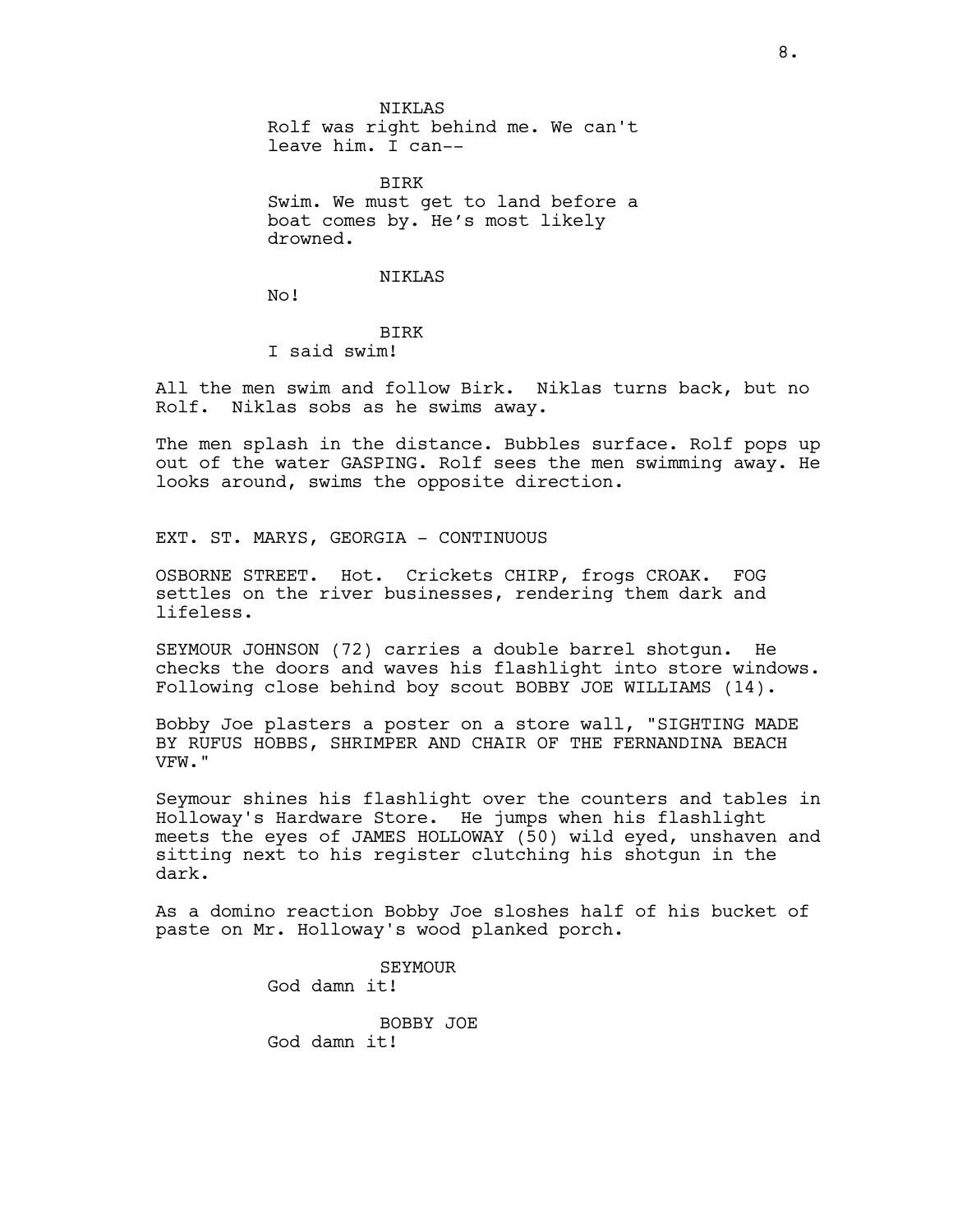NIKLAS Rolf was right behind me. We can't leave him. I can--

BIRK Swim. We must get to land before a boat comes by. He's most likely drowned.

### NIKLAS

No!

# BIRK I said swim!

All the men swim and follow Birk. Niklas turns back, but no Rolf. Niklas sobs as he swims away.

The men splash in the distance. Bubbles surface. Rolf pops up out of the water GASPING. Rolf sees the men swimming away. He looks around, swims the opposite direction.

EXT. ST. MARYS, GEORGIA - CONTINUOUS

OSBORNE STREET. Hot. Crickets CHIRP, frogs CROAK. FOG settles on the river businesses, rendering them dark and lifeless.

SEYMOUR JOHNSON (72) carries a double barrel shotgun. He checks the doors and waves his flashlight into store windows. Following close behind boy scout BOBBY JOE WILLIAMS (14).

Bobby Joe plasters a poster on a store wall, "SIGHTING MADE BY RUFUS HOBBS, SHRIMPER AND CHAIR OF THE FERNANDINA BEACH VFW."

Seymour shines his flashlight over the counters and tables in Holloway's Hardware Store. He jumps when his flashlight meets the eyes of JAMES HOLLOWAY (50) wild eyed, unshaven and sitting next to his register clutching his shotgun in the dark.

As a domino reaction Bobby Joe sloshes half of his bucket of paste on Mr. Holloway's wood planked porch.

> SEYMOUR God damn it! BOBBY JOE God damn it!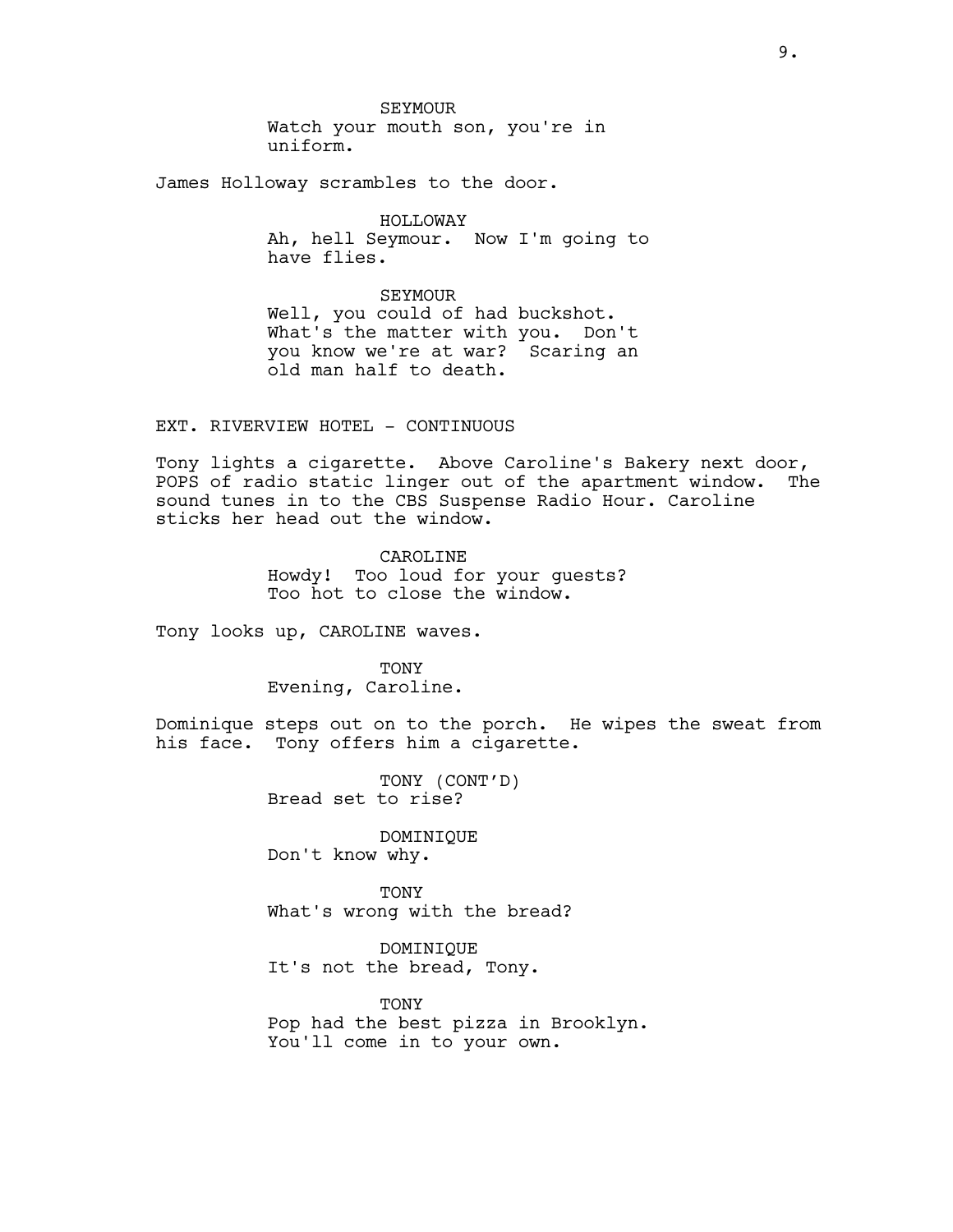SEYMOUR Watch your mouth son, you're in uniform.

James Holloway scrambles to the door.

HOLLOWAY Ah, hell Seymour. Now I'm going to have flies.

SEYMOUR Well, you could of had buckshot. What's the matter with you. Don't you know we're at war? Scaring an old man half to death.

EXT. RIVERVIEW HOTEL - CONTINUOUS

Tony lights a cigarette. Above Caroline's Bakery next door, POPS of radio static linger out of the apartment window. The sound tunes in to the CBS Suspense Radio Hour. Caroline sticks her head out the window.

> CAROLINE Howdy! Too loud for your guests? Too hot to close the window.

Tony looks up, CAROLINE waves.

TONY Evening, Caroline.

Dominique steps out on to the porch. He wipes the sweat from his face. Tony offers him a cigarette.

> TONY (CONT'D) Bread set to rise?

DOMINIQUE Don't know why.

**TONY** What's wrong with the bread?

DOMINIQUE It's not the bread, Tony.

TONY Pop had the best pizza in Brooklyn. You'll come in to your own.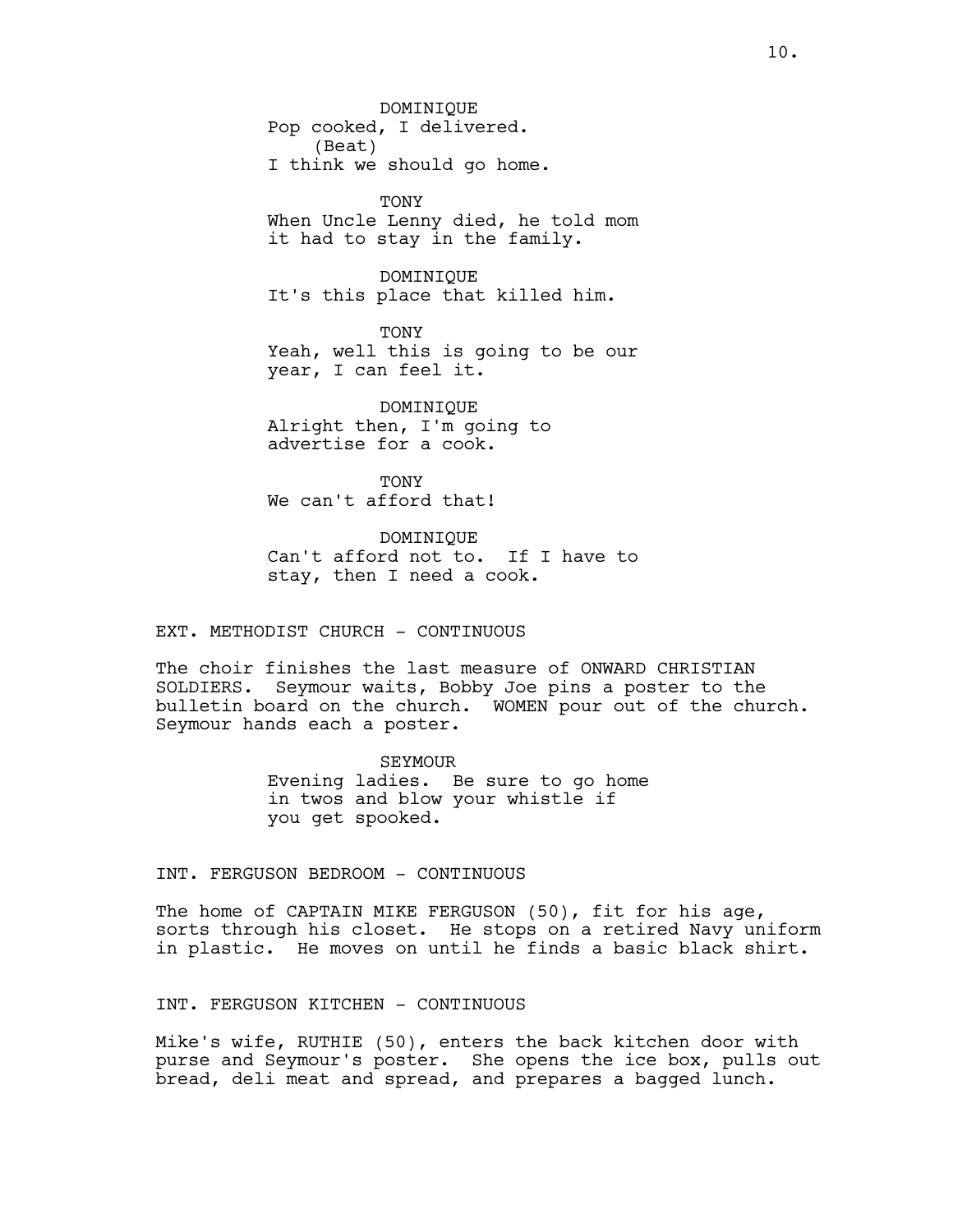DOMINIQUE Pop cooked, I delivered. (Beat) I think we should go home.

**TONY** When Uncle Lenny died, he told mom it had to stay in the family.

DOMINIQUE It's this place that killed him.

**TONY** Yeah, well this is going to be our year, I can feel it.

DOMINIQUE Alright then, I'm going to advertise for a cook.

**TONY** We can't afford that!

DOMINIQUE Can't afford not to. If I have to stay, then I need a cook.

EXT. METHODIST CHURCH - CONTINUOUS

The choir finishes the last measure of ONWARD CHRISTIAN SOLDIERS. Seymour waits, Bobby Joe pins a poster to the bulletin board on the church. WOMEN pour out of the church. Seymour hands each a poster.

> SEYMOUR Evening ladies. Be sure to go home in twos and blow your whistle if you get spooked.

INT. FERGUSON BEDROOM - CONTINUOUS

The home of CAPTAIN MIKE FERGUSON (50), fit for his age, sorts through his closet. He stops on a retired Navy uniform in plastic. He moves on until he finds a basic black shirt.

INT. FERGUSON KITCHEN - CONTINUOUS

Mike's wife, RUTHIE (50), enters the back kitchen door with purse and Seymour's poster. She opens the ice box, pulls out bread, deli meat and spread, and prepares a bagged lunch.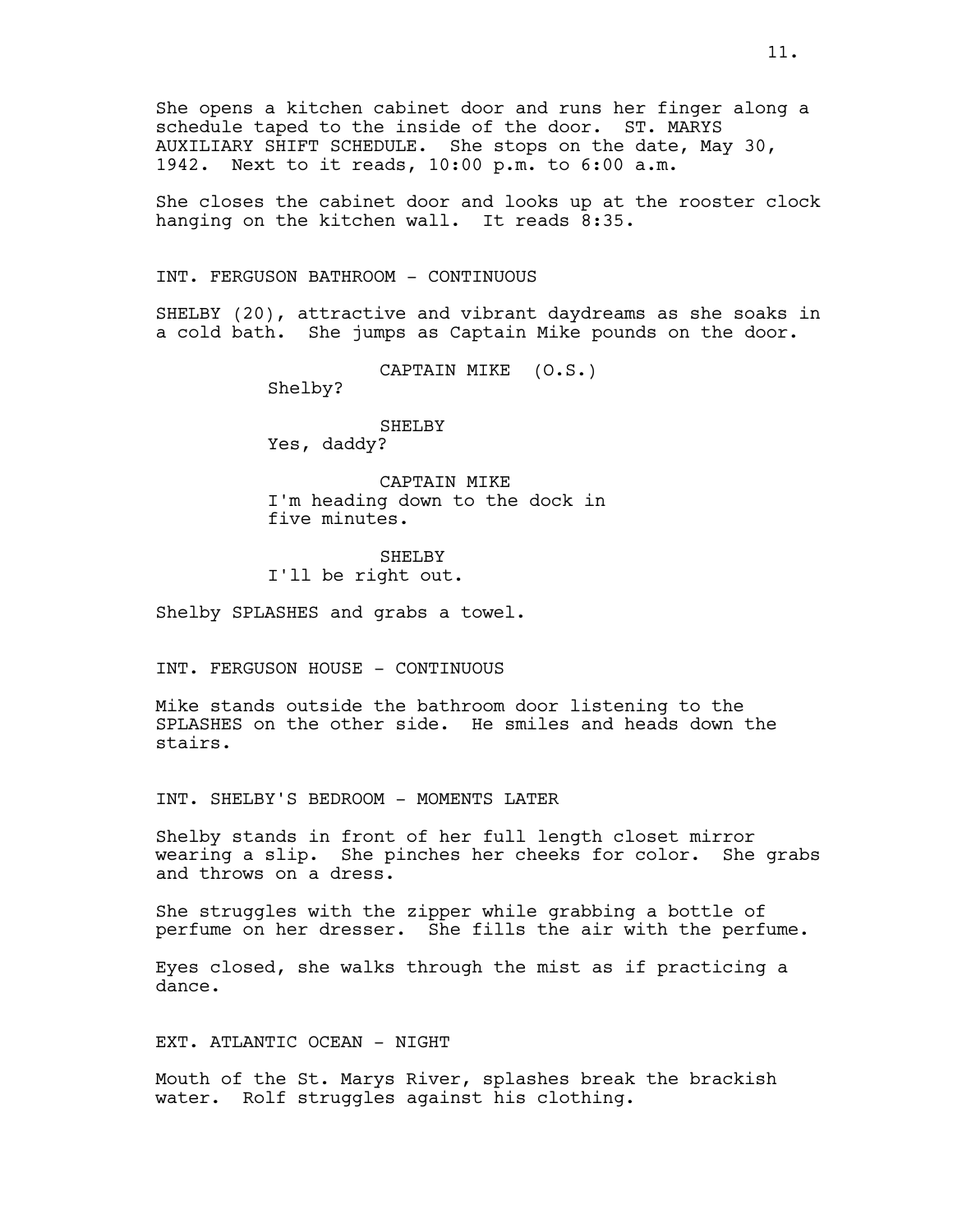She opens a kitchen cabinet door and runs her finger along a schedule taped to the inside of the door. ST. MARYS AUXILIARY SHIFT SCHEDULE. She stops on the date, May 30, 1942. Next to it reads, 10:00 p.m. to 6:00 a.m.

She closes the cabinet door and looks up at the rooster clock hanging on the kitchen wall. It reads 8:35.

INT. FERGUSON BATHROOM - CONTINUOUS

SHELBY (20), attractive and vibrant daydreams as she soaks in a cold bath. She jumps as Captain Mike pounds on the door.

CAPTAIN MIKE (O.S.)

Shelby?

SHELBY Yes, daddy?

CAPTAIN MIKE I'm heading down to the dock in five minutes.

SHELBY I'll be right out.

Shelby SPLASHES and grabs a towel.

INT. FERGUSON HOUSE - CONTINUOUS

Mike stands outside the bathroom door listening to the SPLASHES on the other side. He smiles and heads down the stairs.

INT. SHELBY'S BEDROOM - MOMENTS LATER

Shelby stands in front of her full length closet mirror wearing a slip. She pinches her cheeks for color. She grabs and throws on a dress.

She struggles with the zipper while grabbing a bottle of perfume on her dresser. She fills the air with the perfume.

Eyes closed, she walks through the mist as if practicing a dance.

EXT. ATLANTIC OCEAN - NIGHT

Mouth of the St. Marys River, splashes break the brackish water. Rolf struggles against his clothing.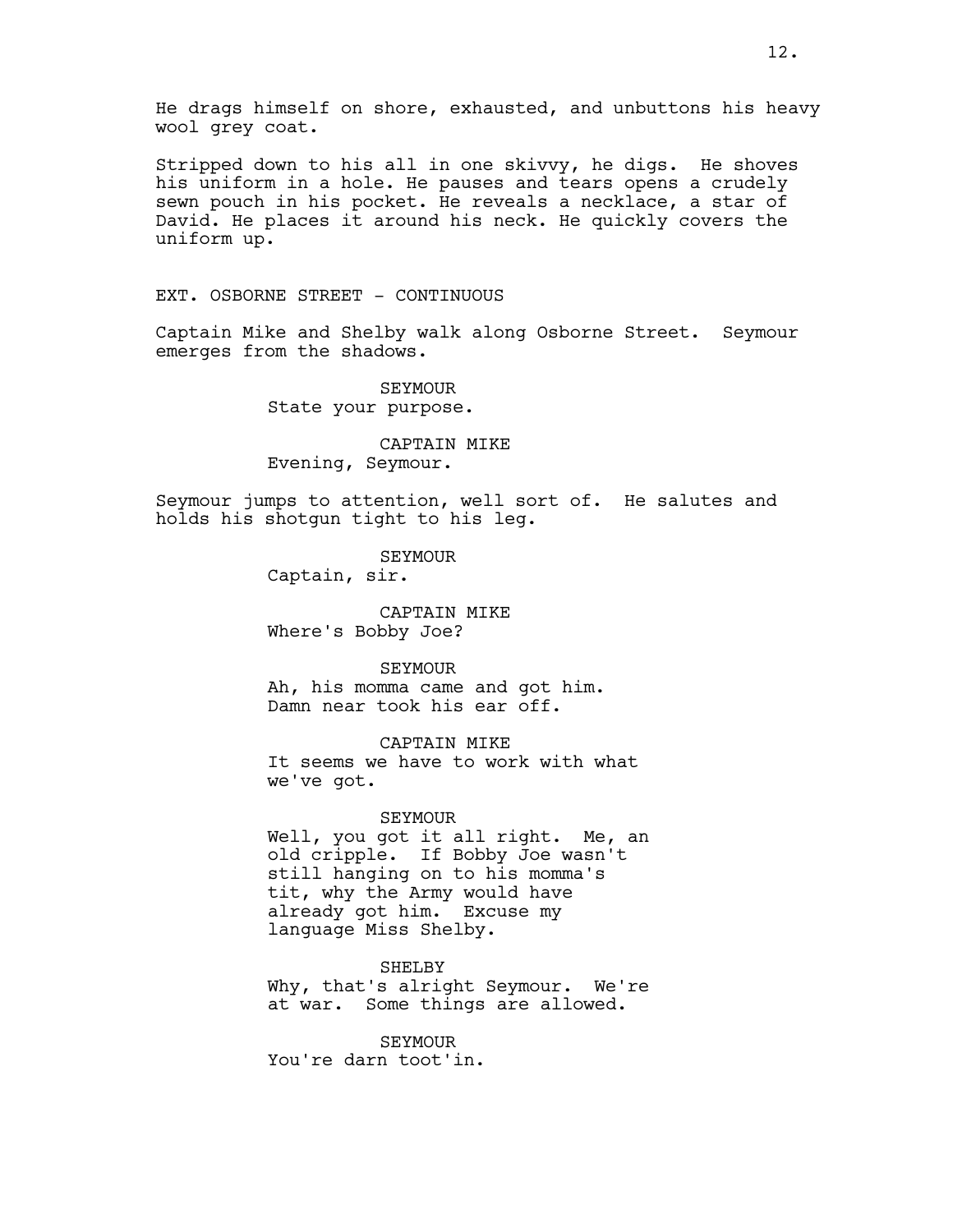He drags himself on shore, exhausted, and unbuttons his heavy wool grey coat.

Stripped down to his all in one skivvy, he digs. He shoves his uniform in a hole. He pauses and tears opens a crudely sewn pouch in his pocket. He reveals a necklace, a star of David. He places it around his neck. He quickly covers the uniform up.

EXT. OSBORNE STREET - CONTINUOUS

Captain Mike and Shelby walk along Osborne Street. Seymour emerges from the shadows.

> SEYMOUR State your purpose.

CAPTAIN MIKE Evening, Seymour.

Seymour jumps to attention, well sort of. He salutes and holds his shotgun tight to his leg.

SEYMOUR

Captain, sir.

CAPTAIN MIKE Where's Bobby Joe?

#### SEYMOUR

Ah, his momma came and got him. Damn near took his ear off.

CAPTAIN MIKE

It seems we have to work with what we've got.

### SEYMOUR

Well, you got it all right. Me, an old cripple. If Bobby Joe wasn't still hanging on to his momma's tit, why the Army would have already got him. Excuse my language Miss Shelby.

SHELBY

Why, that's alright Seymour. We're at war. Some things are allowed.

SEYMOUR You're darn toot'in.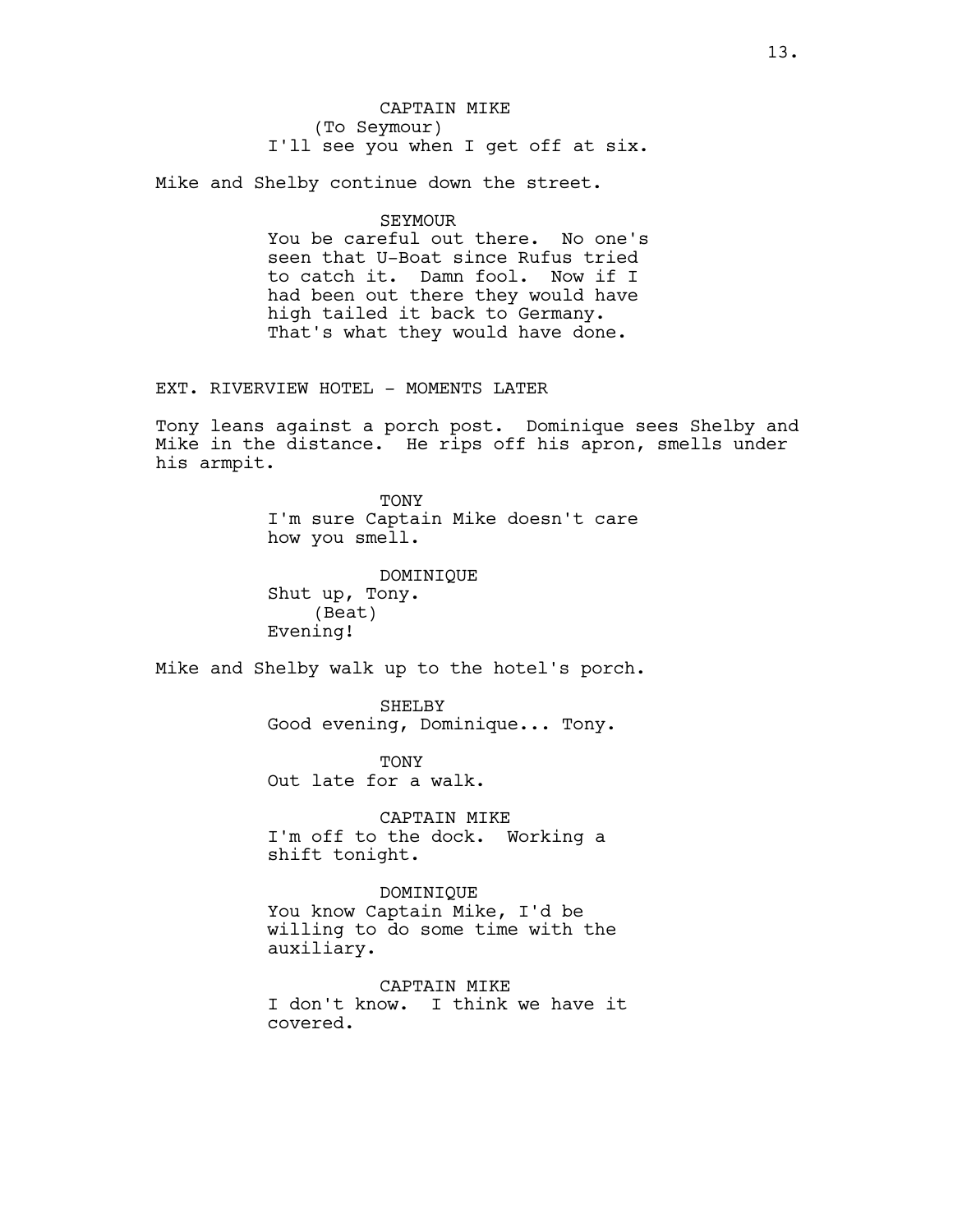CAPTAIN MIKE (To Seymour) I'll see you when I get off at six.

Mike and Shelby continue down the street.

# SEYMOUR

You be careful out there. No one's seen that U-Boat since Rufus tried to catch it. Damn fool. Now if I had been out there they would have high tailed it back to Germany. That's what they would have done.

EXT. RIVERVIEW HOTEL - MOMENTS LATER

Tony leans against a porch post. Dominique sees Shelby and Mike in the distance. He rips off his apron, smells under his armpit.

> **TONY** I'm sure Captain Mike doesn't care how you smell.

DOMINIQUE Shut up, Tony. (Beat) Evening!

Mike and Shelby walk up to the hotel's porch.

SHELBY Good evening, Dominique... Tony.

**TONY** Out late for a walk.

CAPTAIN MIKE I'm off to the dock. Working a shift tonight.

DOMINIQUE You know Captain Mike, I'd be willing to do some time with the auxiliary.

CAPTAIN MIKE I don't know. I think we have it covered.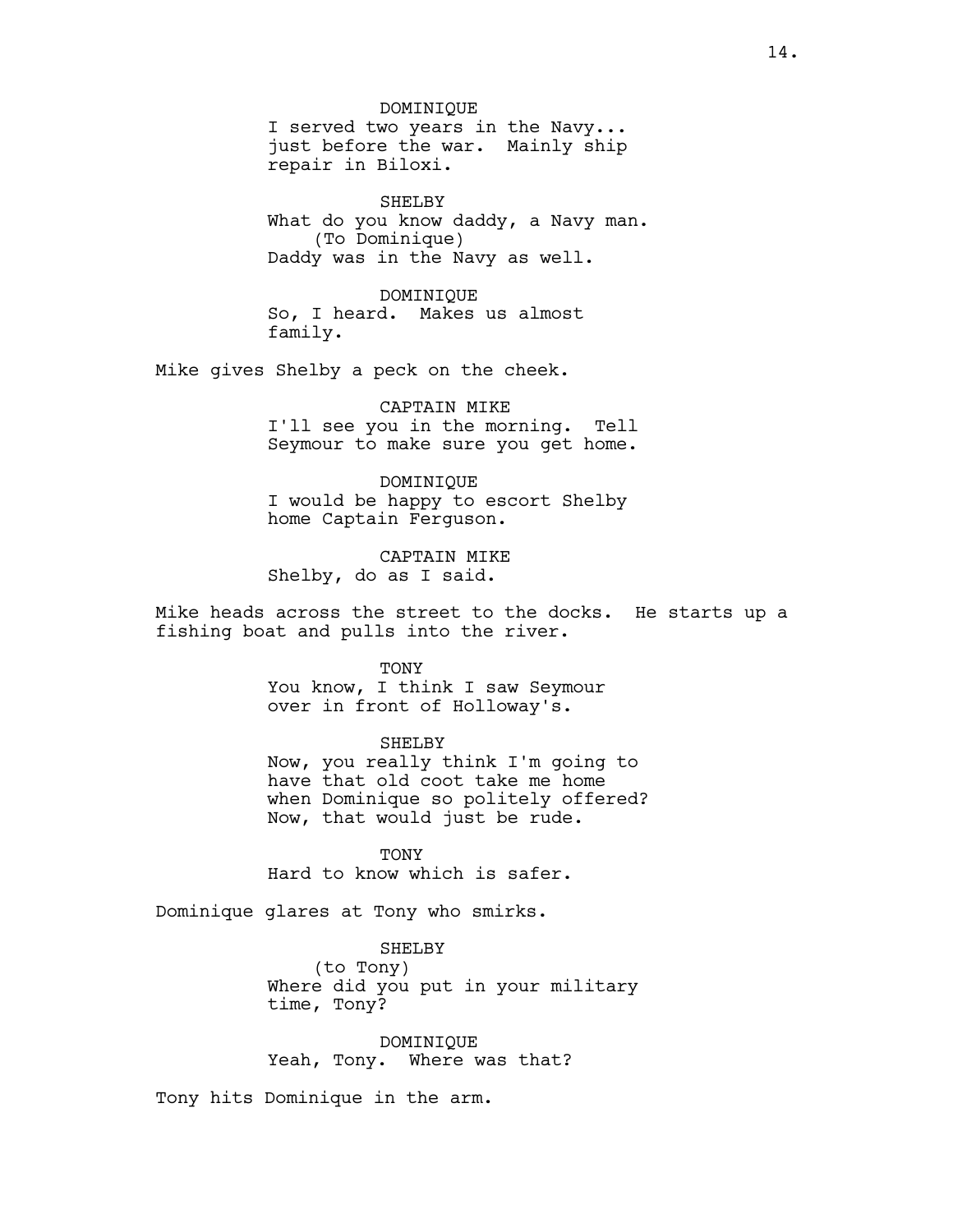DOMINIQUE I served two years in the Navy... just before the war. Mainly ship repair in Biloxi.

SHELBY What do you know daddy, a Navy man. (To Dominique) Daddy was in the Navy as well.

DOMINIQUE So, I heard. Makes us almost family.

Mike gives Shelby a peck on the cheek.

CAPTAIN MIKE I'll see you in the morning. Tell Seymour to make sure you get home.

DOMINIQUE I would be happy to escort Shelby home Captain Ferguson.

CAPTAIN MIKE Shelby, do as I said.

Mike heads across the street to the docks. He starts up a fishing boat and pulls into the river.

#### TONY

You know, I think I saw Seymour over in front of Holloway's.

# SHELBY

Now, you really think I'm going to have that old coot take me home when Dominique so politely offered? Now, that would just be rude.

**TONY** Hard to know which is safer.

Dominique glares at Tony who smirks.

SHELBY (to Tony) Where did you put in your military time, Tony?

DOMINIQUE Yeah, Tony. Where was that?

Tony hits Dominique in the arm.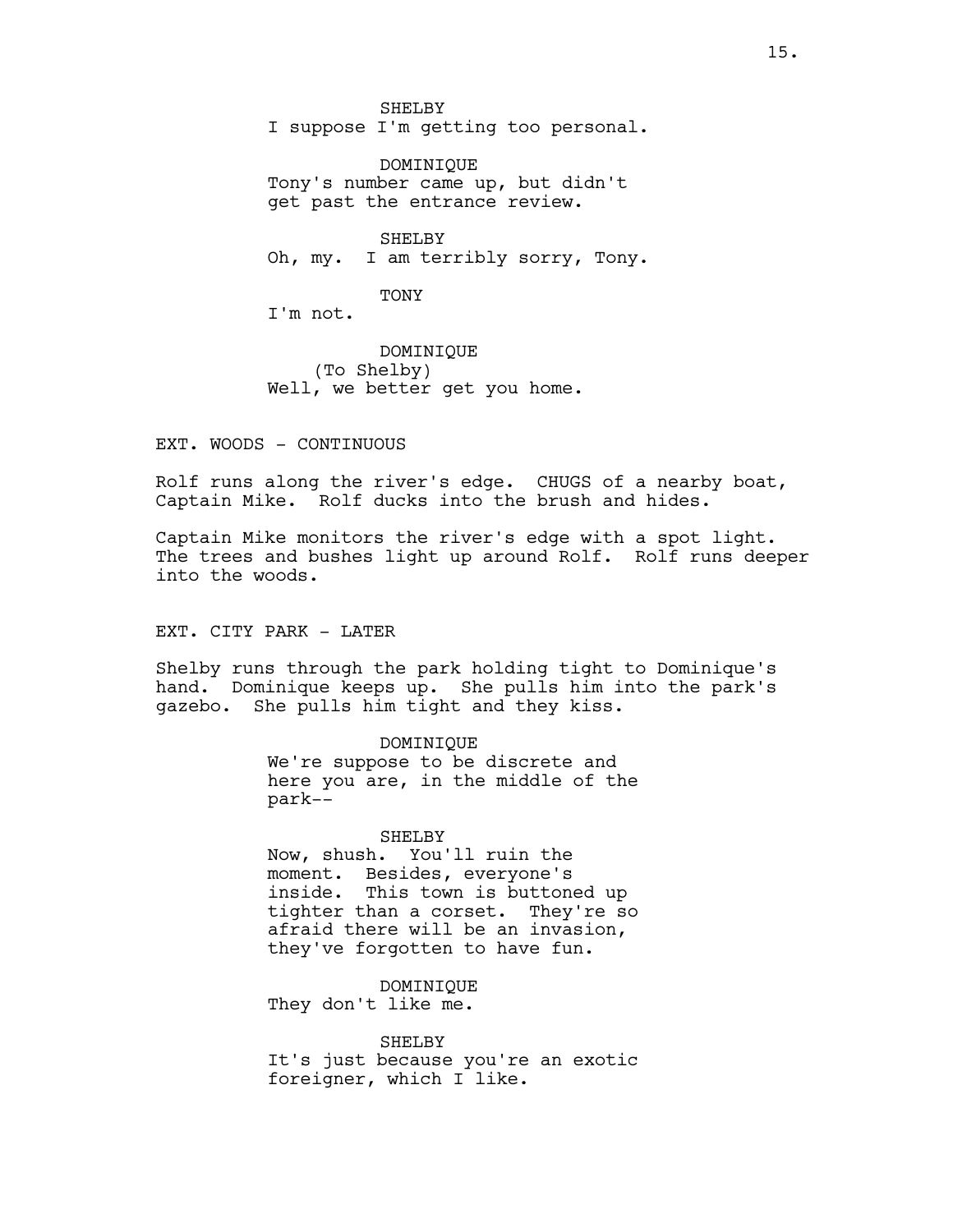SHELBY I suppose I'm getting too personal.

DOMINIQUE Tony's number came up, but didn't get past the entrance review.

SHELBY Oh, my. I am terribly sorry, Tony.

TONY

I'm not.

DOMINIQUE (To Shelby) Well, we better get you home.

EXT. WOODS - CONTINUOUS

Rolf runs along the river's edge. CHUGS of a nearby boat, Captain Mike. Rolf ducks into the brush and hides.

Captain Mike monitors the river's edge with a spot light. The trees and bushes light up around Rolf. Rolf runs deeper into the woods.

# EXT. CITY PARK - LATER

Shelby runs through the park holding tight to Dominique's hand. Dominique keeps up. She pulls him into the park's gazebo. She pulls him tight and they kiss.

> DOMINIQUE We're suppose to be discrete and here you are, in the middle of the park--

> SHELBY Now, shush. You'll ruin the moment. Besides, everyone's inside. This town is buttoned up tighter than a corset. They're so afraid there will be an invasion, they've forgotten to have fun.

DOMINIQUE They don't like me.

SHELBY It's just because you're an exotic foreigner, which I like.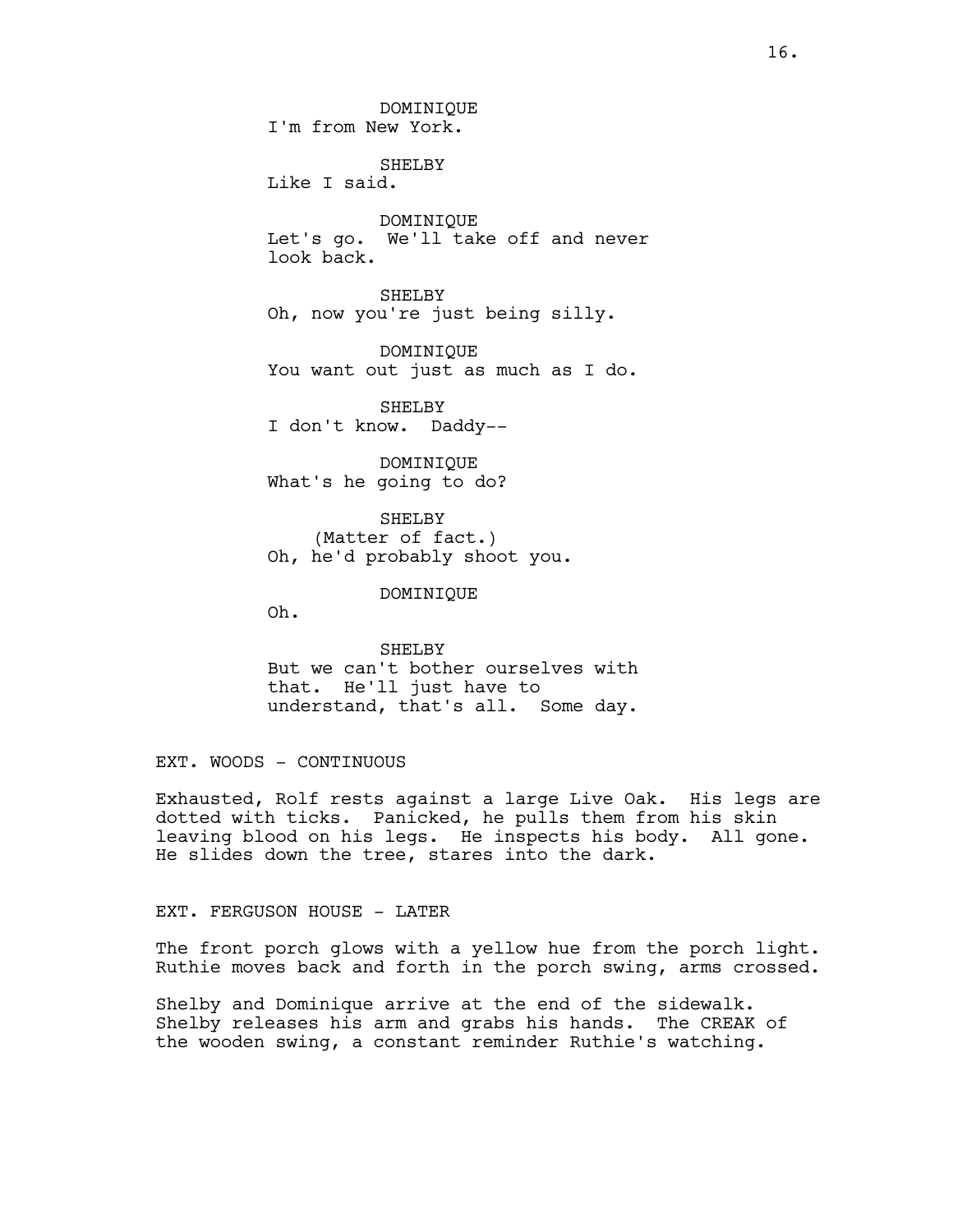DOMINIQUE I'm from New York.

SHELBY Like I said.

DOMINIQUE Let's go. We'll take off and never look back.

SHELBY Oh, now you're just being silly.

DOMINIQUE You want out just as much as I do.

SHELBY I don't know. Daddy--

DOMINIQUE What's he going to do?

SHELBY (Matter of fact.) Oh, he'd probably shoot you.

DOMINIQUE

Oh.

SHELBY But we can't bother ourselves with that. He'll just have to understand, that's all. Some day.

EXT. WOODS - CONTINUOUS

Exhausted, Rolf rests against a large Live Oak. His legs are dotted with ticks. Panicked, he pulls them from his skin leaving blood on his legs. He inspects his body. All gone. He slides down the tree, stares into the dark.

EXT. FERGUSON HOUSE - LATER

The front porch glows with a yellow hue from the porch light. Ruthie moves back and forth in the porch swing, arms crossed.

Shelby and Dominique arrive at the end of the sidewalk. Shelby releases his arm and grabs his hands. The CREAK of the wooden swing, a constant reminder Ruthie's watching.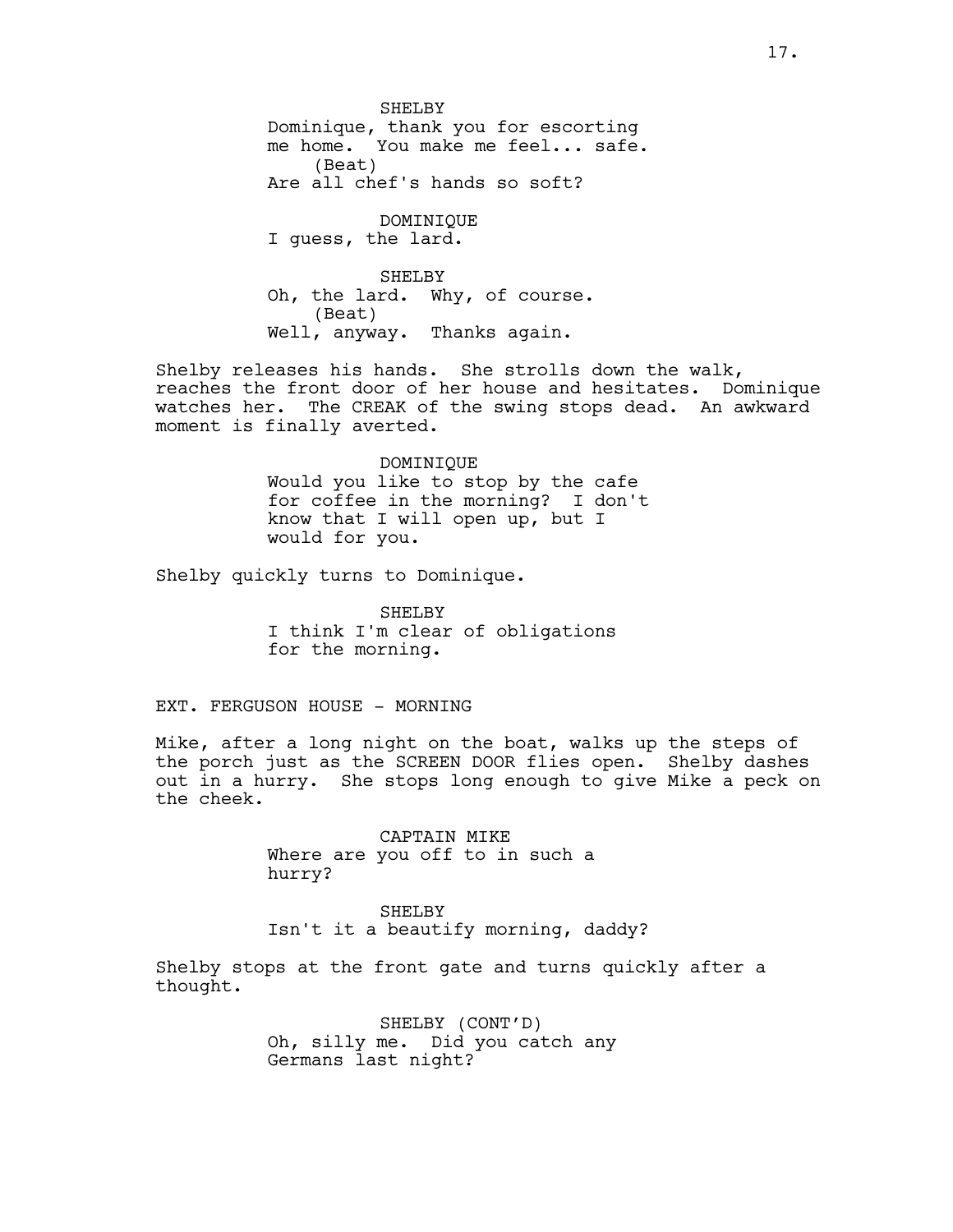SHELBY Dominique, thank you for escorting me home. You make me feel... safe. (Beat) Are all chef's hands so soft?

DOMINIQUE I guess, the lard.

SHELBY Oh, the lard. Why, of course. (Beat) Well, anyway. Thanks again.

Shelby releases his hands. She strolls down the walk, reaches the front door of her house and hesitates. Dominique watches her. The CREAK of the swing stops dead. An awkward moment is finally averted.

# DOMINIQUE Would you like to stop by the cafe for coffee in the morning? I don't know that I will open up, but I would for you.

Shelby quickly turns to Dominique.

SHELBY I think I'm clear of obligations for the morning.

# EXT. FERGUSON HOUSE - MORNING

Mike, after a long night on the boat, walks up the steps of the porch just as the SCREEN DOOR flies open. Shelby dashes out in a hurry. She stops long enough to give Mike a peck on the cheek.

> CAPTAIN MIKE Where are you off to in such a hurry?

SHELBY Isn't it a beautify morning, daddy?

Shelby stops at the front gate and turns quickly after a thought.

> SHELBY (CONT'D) Oh, silly me. Did you catch any Germans last night?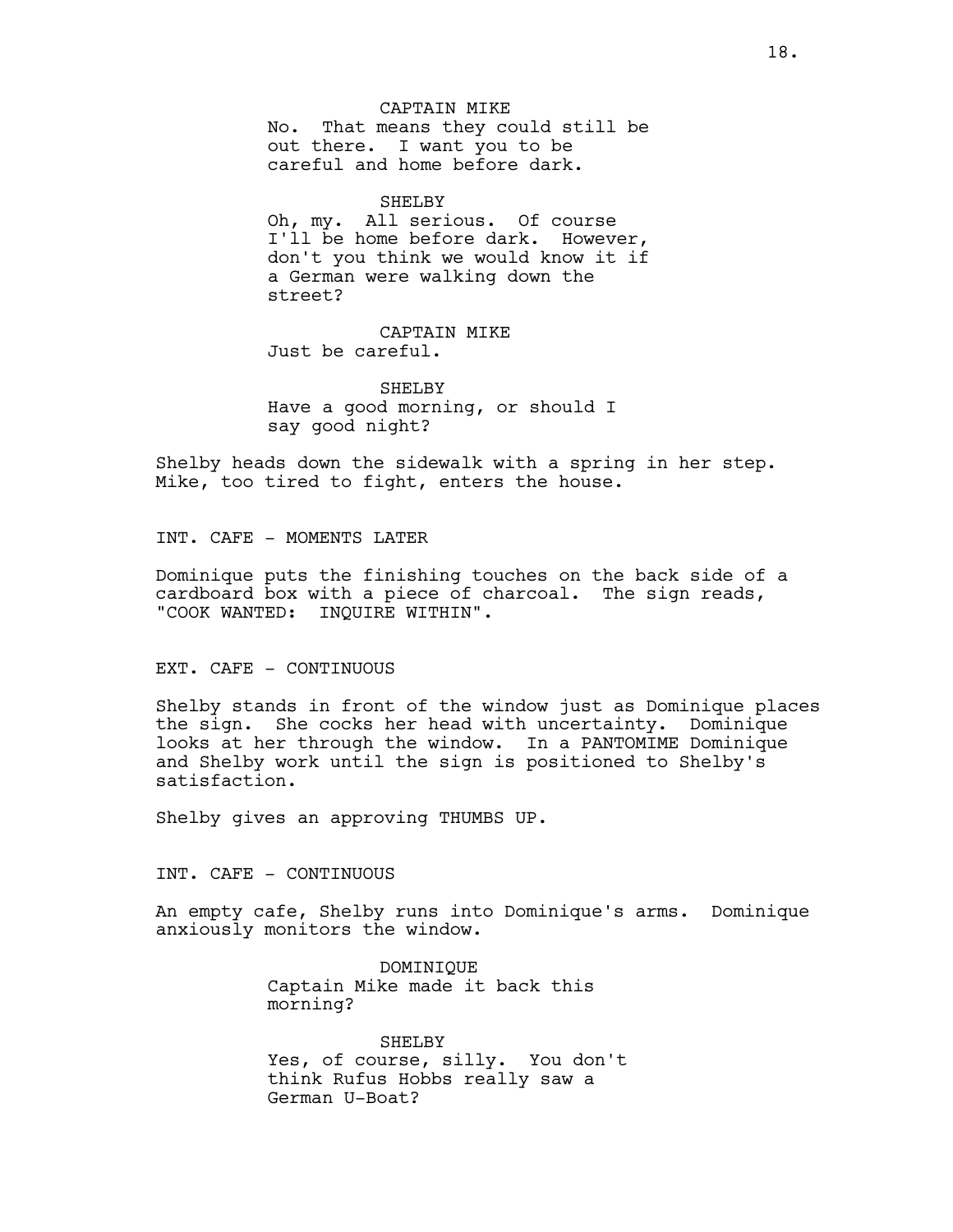CAPTAIN MIKE No. That means they could still be out there. I want you to be careful and home before dark.

#### SHELBY

Oh, my. All serious. Of course I'll be home before dark. However, don't you think we would know it if a German were walking down the street?

CAPTAIN MIKE Just be careful.

SHELBY Have a good morning, or should I say good night?

Shelby heads down the sidewalk with a spring in her step. Mike, too tired to fight, enters the house.

INT. CAFE - MOMENTS LATER

Dominique puts the finishing touches on the back side of a cardboard box with a piece of charcoal. The sign reads, "COOK WANTED: INQUIRE WITHIN".

EXT. CAFE - CONTINUOUS

Shelby stands in front of the window just as Dominique places the sign. She cocks her head with uncertainty. Dominique looks at her through the window. In a PANTOMIME Dominique and Shelby work until the sign is positioned to Shelby's satisfaction.

Shelby gives an approving THUMBS UP.

INT. CAFE - CONTINUOUS

An empty cafe, Shelby runs into Dominique's arms. Dominique anxiously monitors the window.

> DOMINIQUE Captain Mike made it back this morning?

SHELBY Yes, of course, silly. You don't think Rufus Hobbs really saw a German U-Boat?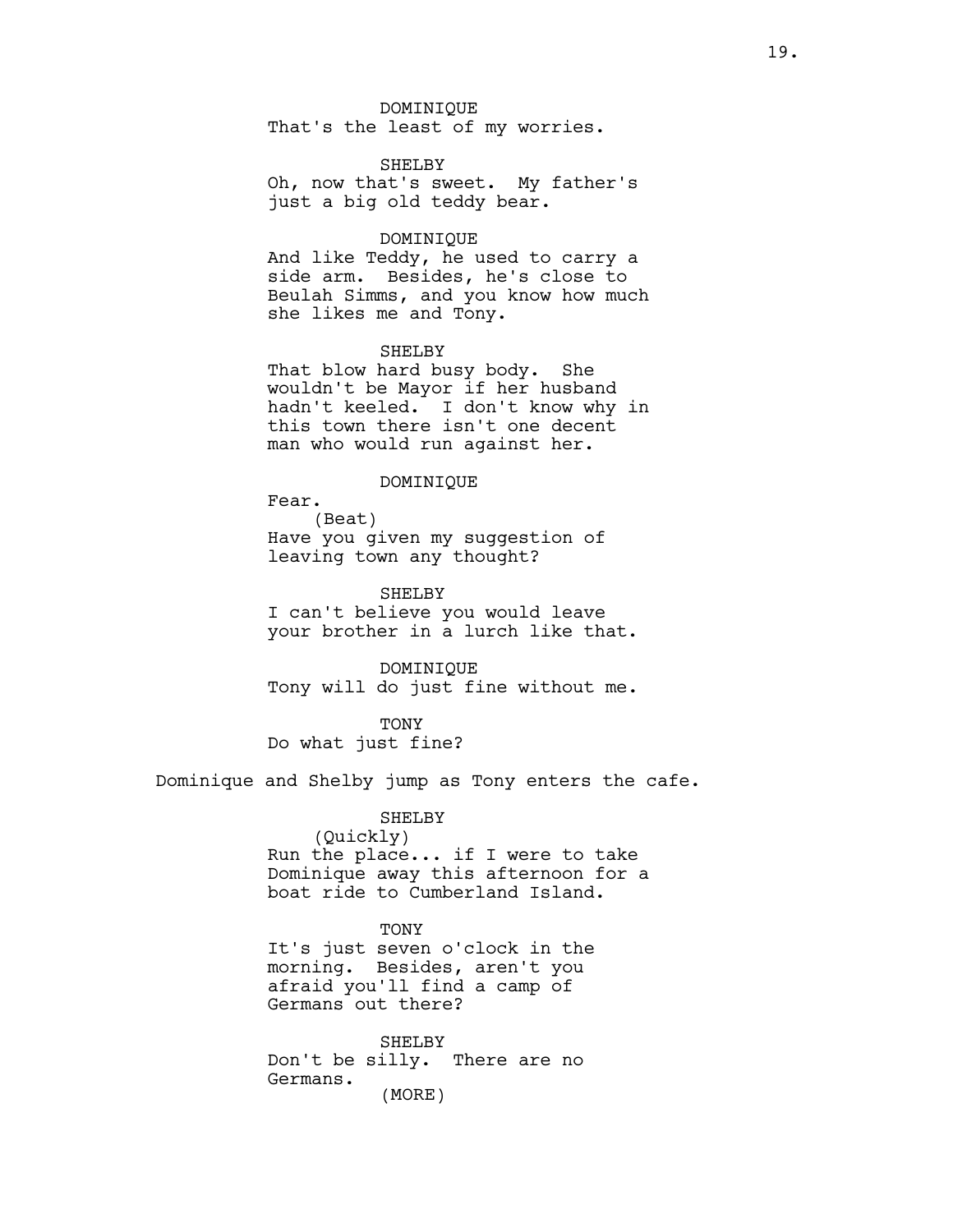#### DOMINIQUE

That's the least of my worries.

# SHELBY

Oh, now that's sweet. My father's just a big old teddy bear.

# DOMINIQUE

And like Teddy, he used to carry a side arm. Besides, he's close to Beulah Simms, and you know how much she likes me and Tony.

# SHELBY

That blow hard busy body. She wouldn't be Mayor if her husband hadn't keeled. I don't know why in this town there isn't one decent man who would run against her.

# DOMINIQUE

Fear. (Beat) Have you given my suggestion of leaving town any thought?

SHELBY

I can't believe you would leave your brother in a lurch like that.

DOMINIQUE Tony will do just fine without me.

**TONY** Do what just fine?

Dominique and Shelby jump as Tony enters the cafe.

#### SHELBY

(Quickly) Run the place... if I were to take Dominique away this afternoon for a boat ride to Cumberland Island.

### TONY

It's just seven o'clock in the morning. Besides, aren't you afraid you'll find a camp of Germans out there?

SHELBY Don't be silly. There are no Germans. (MORE)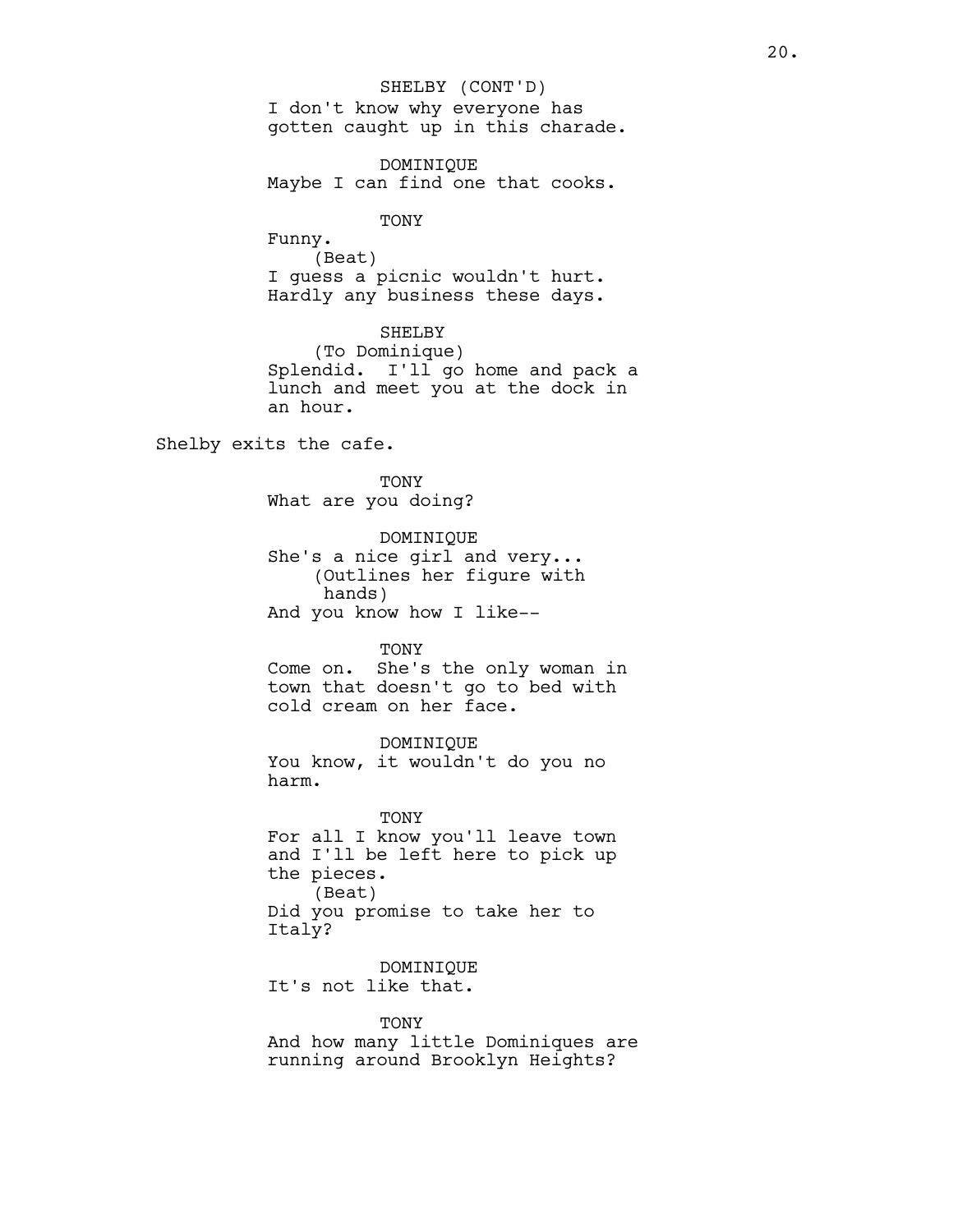I don't know why everyone has gotten caught up in this charade. SHELBY (CONT'D)

DOMINIQUE Maybe I can find one that cooks.

TONY

Funny. (Beat) I guess a picnic wouldn't hurt. Hardly any business these days.

SHELBY

(To Dominique) Splendid. I'll go home and pack a lunch and meet you at the dock in an hour.

Shelby exits the cafe.

TONY What are you doing?

DOMINIQUE She's a nice girl and very... (Outlines her figure with hands) And you know how I like--

# TONY

Come on. She's the only woman in town that doesn't go to bed with cold cream on her face.

DOMINIQUE You know, it wouldn't do you no harm.

TONY For all I know you'll leave town and I'll be left here to pick up the pieces. (Beat) Did you promise to take her to Italy?

DOMINIQUE It's not like that.

**TONY** And how many little Dominiques are running around Brooklyn Heights?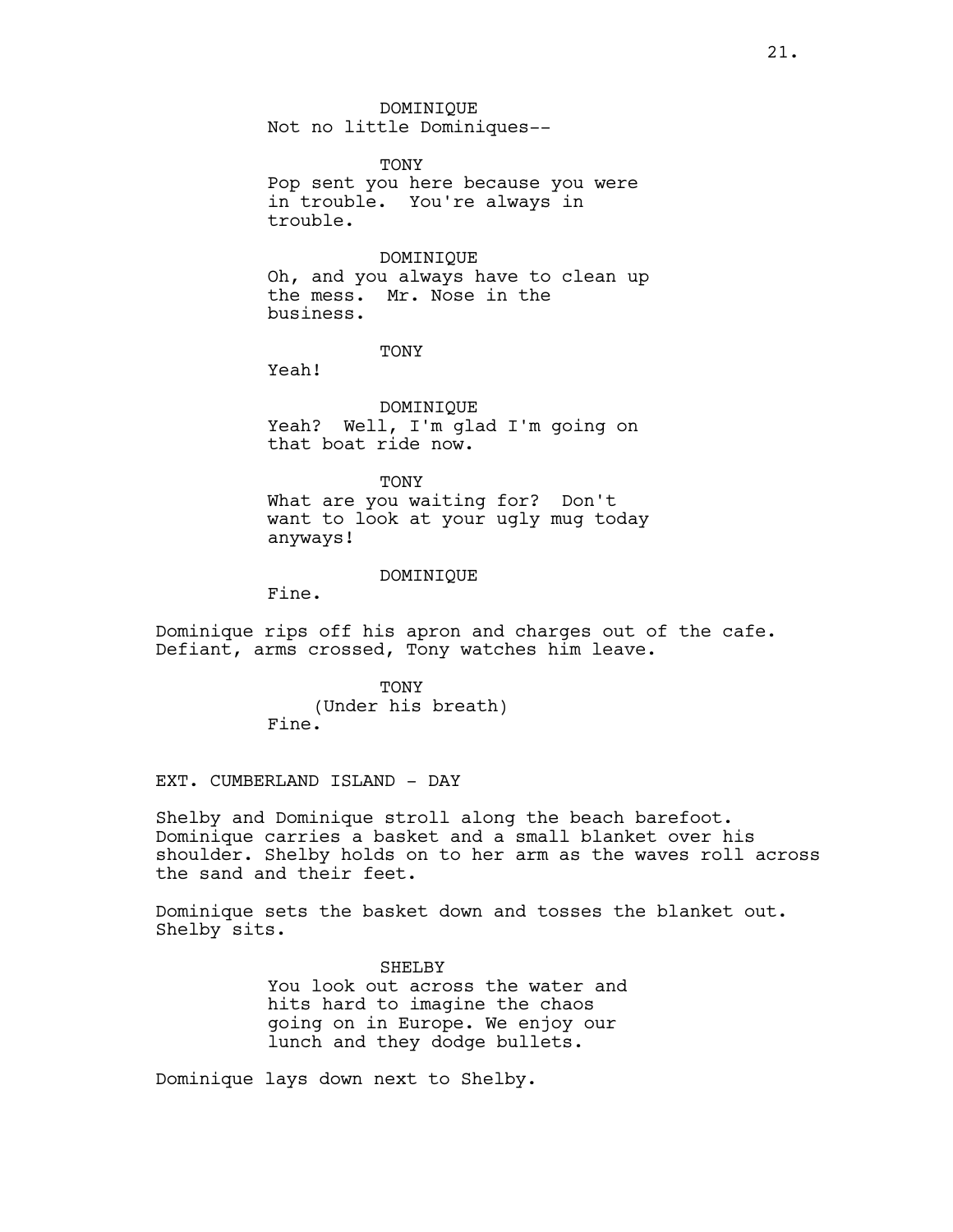DOMINIQUE Not no little Dominiques--

TONY Pop sent you here because you were in trouble. You're always in trouble.

#### DOMINIQUE

Oh, and you always have to clean up the mess. Mr. Nose in the business.

# TONY

Yeah!

DOMINIQUE Yeah? Well, I'm glad I'm going on that boat ride now.

**TONY** 

What are you waiting for? Don't want to look at your ugly mug today anyways!

# DOMINIQUE

Fine.

Dominique rips off his apron and charges out of the cafe. Defiant, arms crossed, Tony watches him leave.

> TONY (Under his breath) Fine.

EXT. CUMBERLAND ISLAND - DAY

Shelby and Dominique stroll along the beach barefoot. Dominique carries a basket and a small blanket over his shoulder. Shelby holds on to her arm as the waves roll across the sand and their feet.

Dominique sets the basket down and tosses the blanket out. Shelby sits.

> SHELBY You look out across the water and hits hard to imagine the chaos going on in Europe. We enjoy our lunch and they dodge bullets.

Dominique lays down next to Shelby.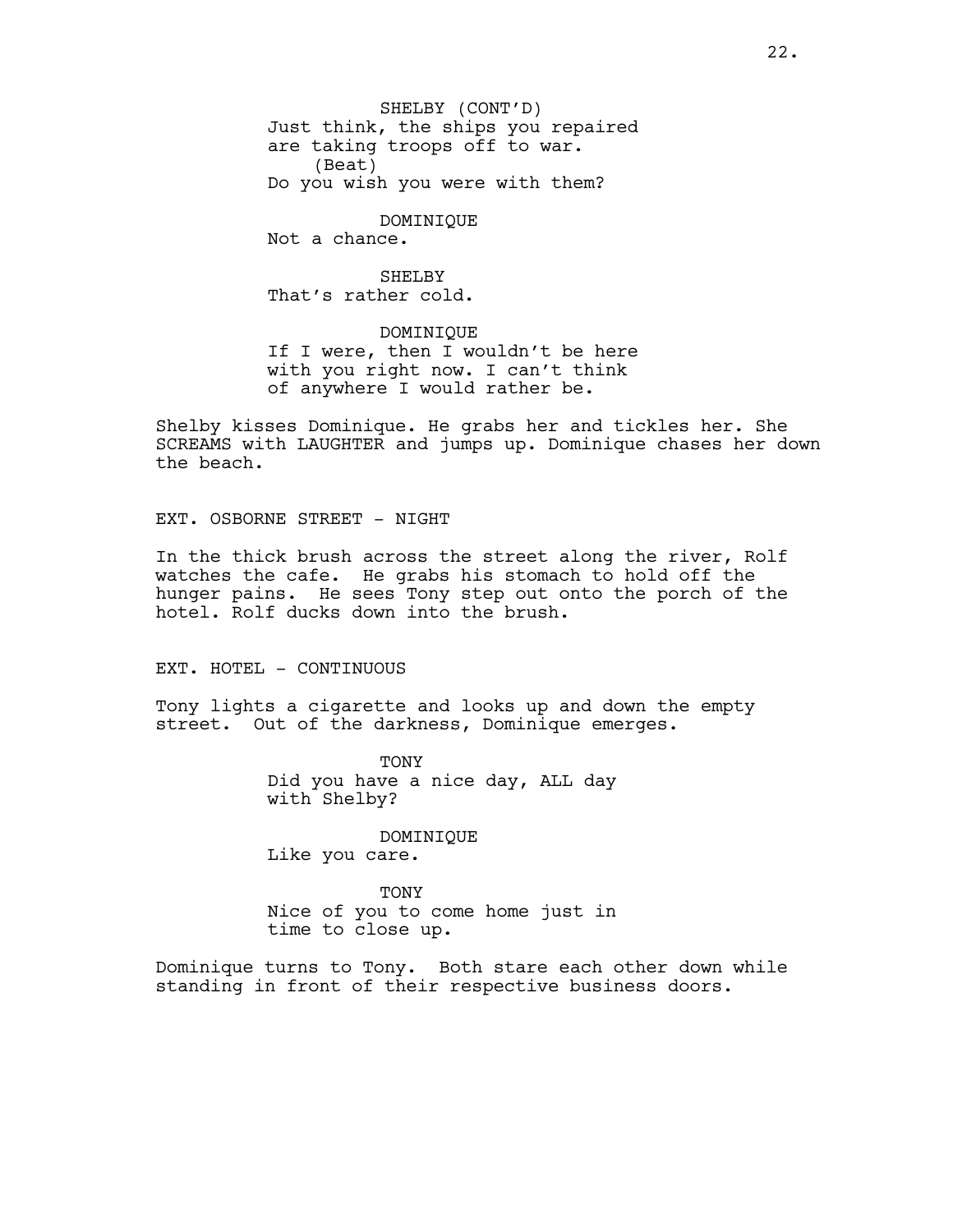SHELBY (CONT'D) Just think, the ships you repaired are taking troops off to war. (Beat) Do you wish you were with them?

DOMINIQUE

Not a chance.

# SHELBY

That's rather cold.

DOMINIQUE If I were, then I wouldn't be here with you right now. I can't think of anywhere I would rather be.

Shelby kisses Dominique. He grabs her and tickles her. She SCREAMS with LAUGHTER and jumps up. Dominique chases her down the beach.

EXT. OSBORNE STREET - NIGHT

In the thick brush across the street along the river, Rolf watches the cafe. He grabs his stomach to hold off the hunger pains. He sees Tony step out onto the porch of the hotel. Rolf ducks down into the brush.

EXT. HOTEL - CONTINUOUS

Tony lights a cigarette and looks up and down the empty street. Out of the darkness, Dominique emerges.

> **TONY** Did you have a nice day, ALL day with Shelby?

DOMINIQUE Like you care.

**TONY** Nice of you to come home just in time to close up.

Dominique turns to Tony. Both stare each other down while standing in front of their respective business doors.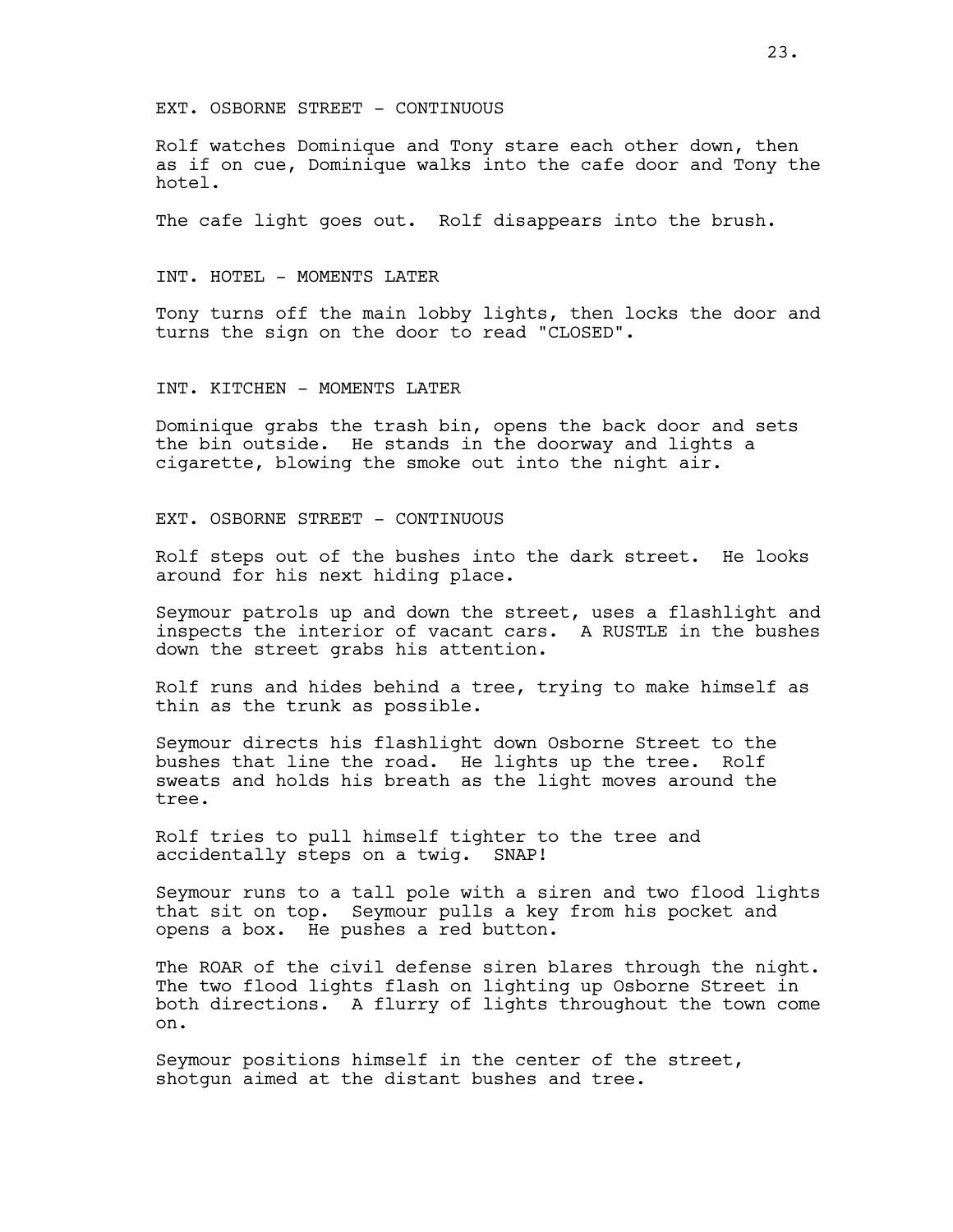EXT. OSBORNE STREET - CONTINUOUS

Rolf watches Dominique and Tony stare each other down, then as if on cue, Dominique walks into the cafe door and Tony the hotel.

The cafe light goes out. Rolf disappears into the brush.

INT. HOTEL - MOMENTS LATER

Tony turns off the main lobby lights, then locks the door and turns the sign on the door to read "CLOSED".

INT. KITCHEN - MOMENTS LATER

Dominique grabs the trash bin, opens the back door and sets the bin outside. He stands in the doorway and lights a cigarette, blowing the smoke out into the night air.

EXT. OSBORNE STREET - CONTINUOUS

Rolf steps out of the bushes into the dark street. He looks around for his next hiding place.

Seymour patrols up and down the street, uses a flashlight and inspects the interior of vacant cars. A RUSTLE in the bushes down the street grabs his attention.

Rolf runs and hides behind a tree, trying to make himself as thin as the trunk as possible.

Seymour directs his flashlight down Osborne Street to the bushes that line the road. He lights up the tree. Rolf sweats and holds his breath as the light moves around the tree.

Rolf tries to pull himself tighter to the tree and accidentally steps on a twig. SNAP!

Seymour runs to a tall pole with a siren and two flood lights that sit on top. Seymour pulls a key from his pocket and opens a box. He pushes a red button.

The ROAR of the civil defense siren blares through the night. The two flood lights flash on lighting up Osborne Street in both directions. A flurry of lights throughout the town come on.

Seymour positions himself in the center of the street, shotgun aimed at the distant bushes and tree.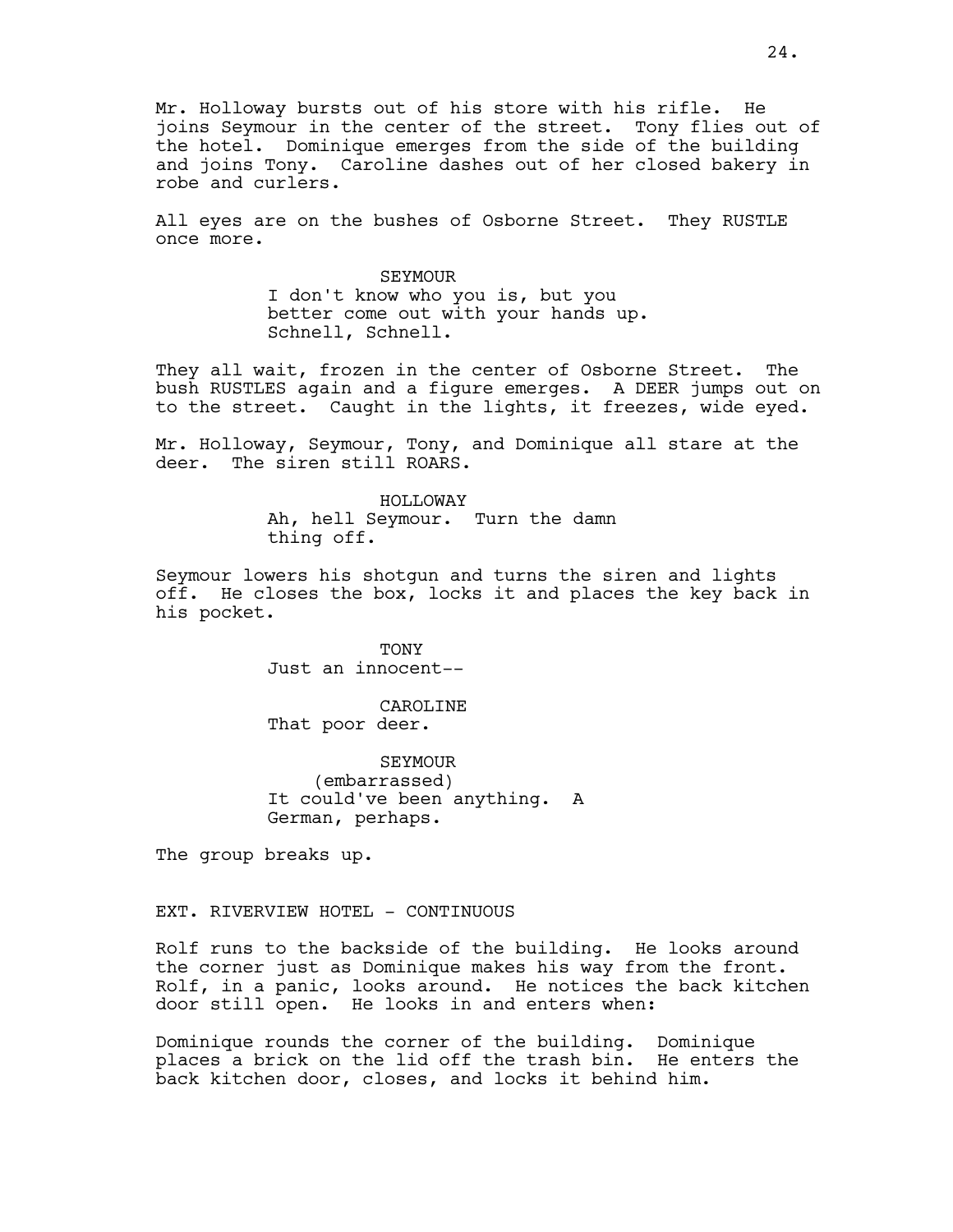Mr. Holloway bursts out of his store with his rifle. He joins Seymour in the center of the street. Tony flies out of the hotel. Dominique emerges from the side of the building and joins Tony. Caroline dashes out of her closed bakery in robe and curlers.

All eyes are on the bushes of Osborne Street. They RUSTLE once more.

> SEYMOUR I don't know who you is, but you better come out with your hands up. Schnell, Schnell.

They all wait, frozen in the center of Osborne Street. The bush RUSTLES again and a figure emerges. A DEER jumps out on to the street. Caught in the lights, it freezes, wide eyed.

Mr. Holloway, Seymour, Tony, and Dominique all stare at the deer. The siren still ROARS.

> HOLLOWAY Ah, hell Seymour. Turn the damn thing off.

Seymour lowers his shotgun and turns the siren and lights off. He closes the box, locks it and places the key back in his pocket.

> **TONY** Just an innocent--

> CAROLINE That poor deer.

SEYMOUR (embarrassed) It could've been anything. A German, perhaps.

The group breaks up.

EXT. RIVERVIEW HOTEL - CONTINUOUS

Rolf runs to the backside of the building. He looks around the corner just as Dominique makes his way from the front. Rolf, in a panic, looks around. He notices the back kitchen door still open. He looks in and enters when:

Dominique rounds the corner of the building. Dominique places a brick on the lid off the trash bin. He enters the back kitchen door, closes, and locks it behind him.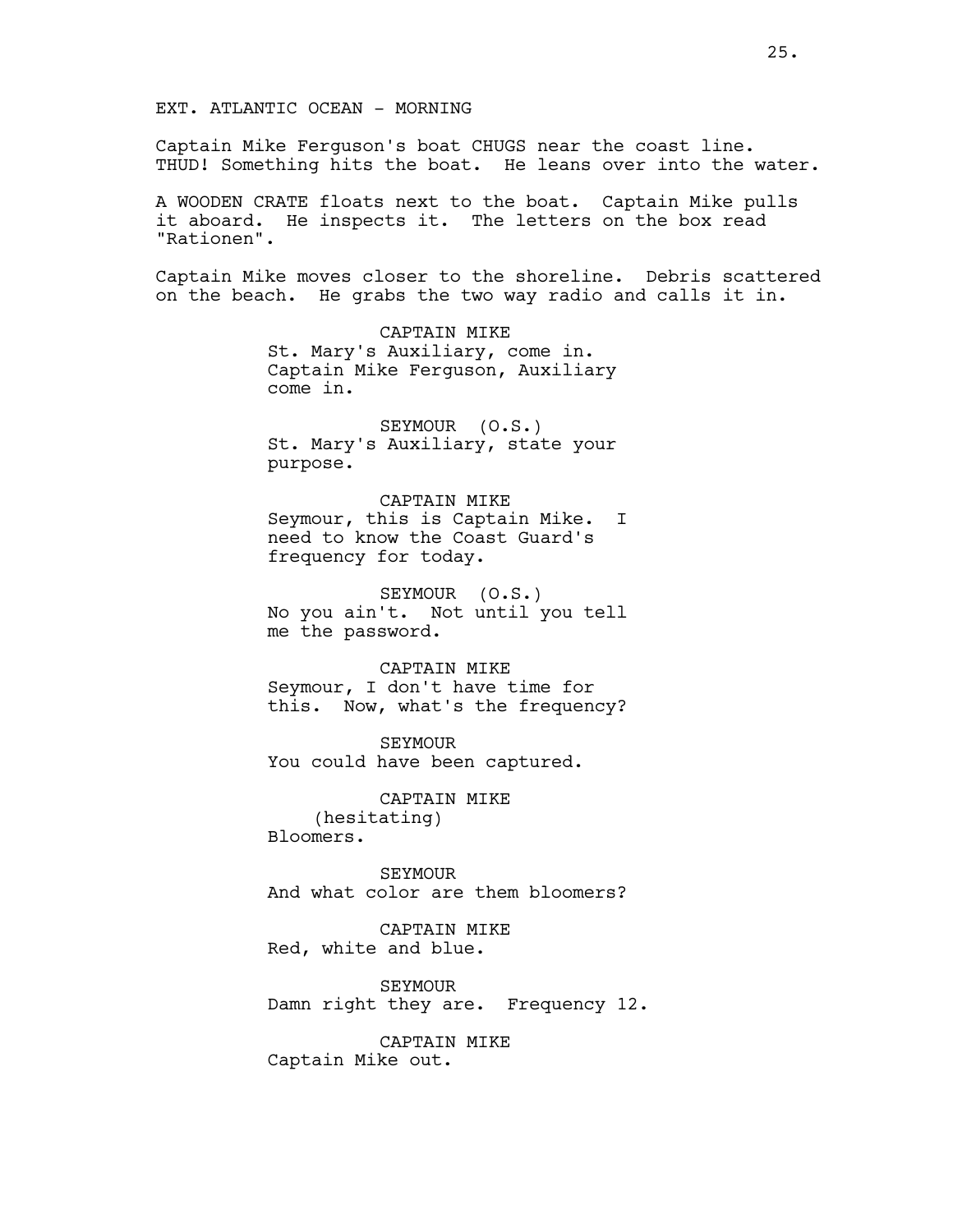### EXT. ATLANTIC OCEAN - MORNING

Captain Mike Ferguson's boat CHUGS near the coast line. THUD! Something hits the boat. He leans over into the water.

A WOODEN CRATE floats next to the boat. Captain Mike pulls it aboard. He inspects it. The letters on the box read "Rationen".

Captain Mike moves closer to the shoreline. Debris scattered on the beach. He grabs the two way radio and calls it in.

> CAPTAIN MIKE St. Mary's Auxiliary, come in. Captain Mike Ferguson, Auxiliary come in.

> SEYMOUR (O.S.) St. Mary's Auxiliary, state your purpose.

CAPTAIN MIKE Seymour, this is Captain Mike. I need to know the Coast Guard's frequency for today.

SEYMOUR (O.S.) No you ain't. Not until you tell me the password.

CAPTAIN MIKE

Seymour, I don't have time for this. Now, what's the frequency?

SEYMOUR You could have been captured.

CAPTAIN MIKE (hesitating) Bloomers.

SEYMOUR And what color are them bloomers?

CAPTAIN MIKE Red, white and blue.

SEYMOUR Damn right they are. Frequency 12.

CAPTAIN MIKE Captain Mike out.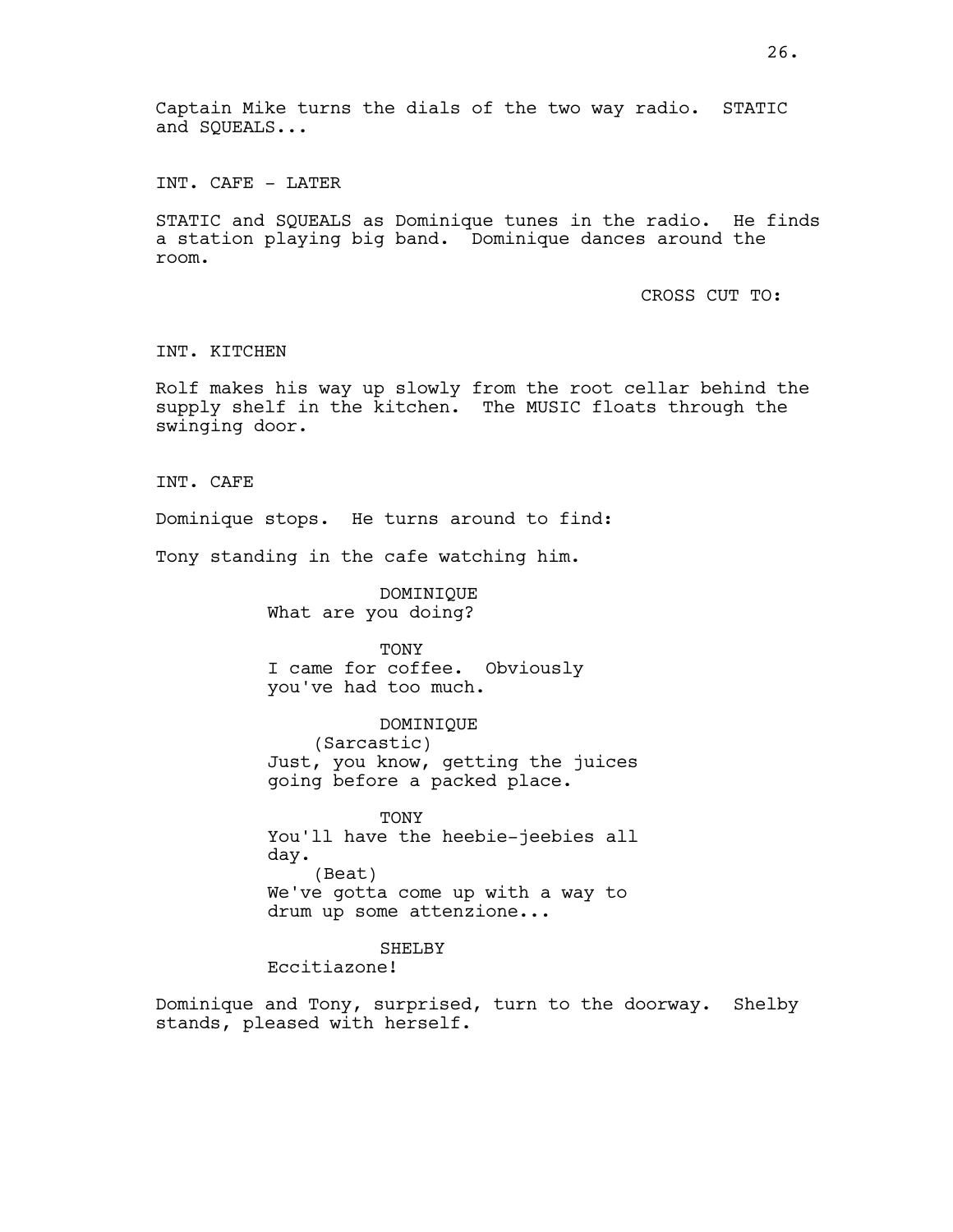Captain Mike turns the dials of the two way radio. STATIC and SQUEALS...

INT. CAFE - LATER

STATIC and SQUEALS as Dominique tunes in the radio. He finds a station playing big band. Dominique dances around the room.

CROSS CUT TO:

INT. KITCHEN

Rolf makes his way up slowly from the root cellar behind the supply shelf in the kitchen. The MUSIC floats through the swinging door.

INT. CAFE

Dominique stops. He turns around to find:

Tony standing in the cafe watching him.

DOMINIQUE What are you doing?

TONY I came for coffee. Obviously you've had too much.

DOMINIQUE (Sarcastic) Just, you know, getting the juices going before a packed place.

**TONY** You'll have the heebie-jeebies all day. (Beat) We've gotta come up with a way to drum up some attenzione...

SHELBY

Eccitiazone!

Dominique and Tony, surprised, turn to the doorway. Shelby stands, pleased with herself.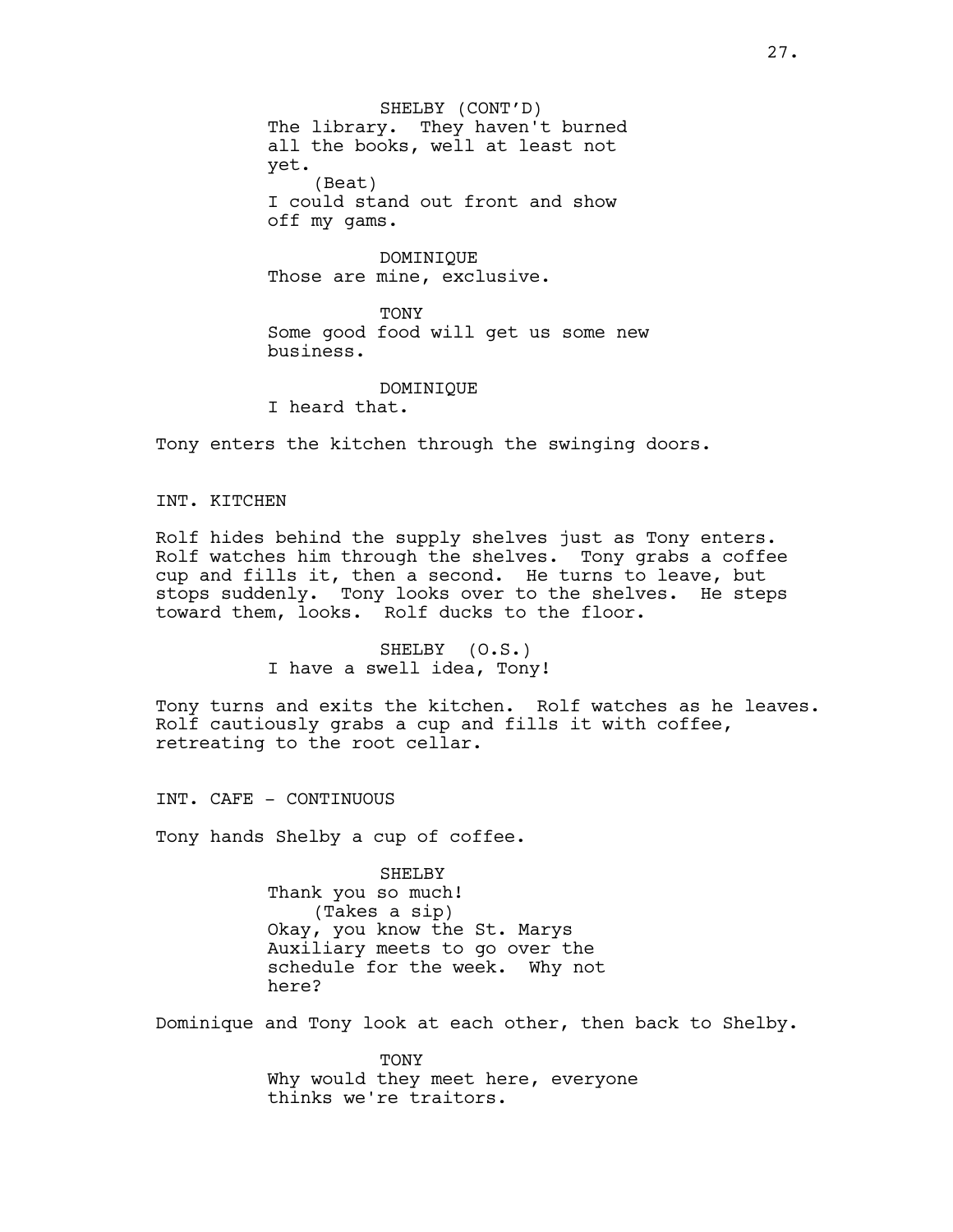SHELBY (CONT'D) The library. They haven't burned all the books, well at least not yet. (Beat) I could stand out front and show off my gams.

DOMINIQUE Those are mine, exclusive.

TONY Some good food will get us some new business.

DOMINIQUE I heard that.

Tony enters the kitchen through the swinging doors.

INT. KITCHEN

Rolf hides behind the supply shelves just as Tony enters. Rolf watches him through the shelves. Tony grabs a coffee cup and fills it, then a second. He turns to leave, but stops suddenly. Tony looks over to the shelves. He steps toward them, looks. Rolf ducks to the floor.

> SHELBY (O.S.) I have a swell idea, Tony!

Tony turns and exits the kitchen. Rolf watches as he leaves. Rolf cautiously grabs a cup and fills it with coffee, retreating to the root cellar.

INT. CAFE - CONTINUOUS

Tony hands Shelby a cup of coffee.

SHELBY Thank you so much! (Takes a sip) Okay, you know the St. Marys Auxiliary meets to go over the schedule for the week. Why not here?

Dominique and Tony look at each other, then back to Shelby.

TONY Why would they meet here, everyone thinks we're traitors.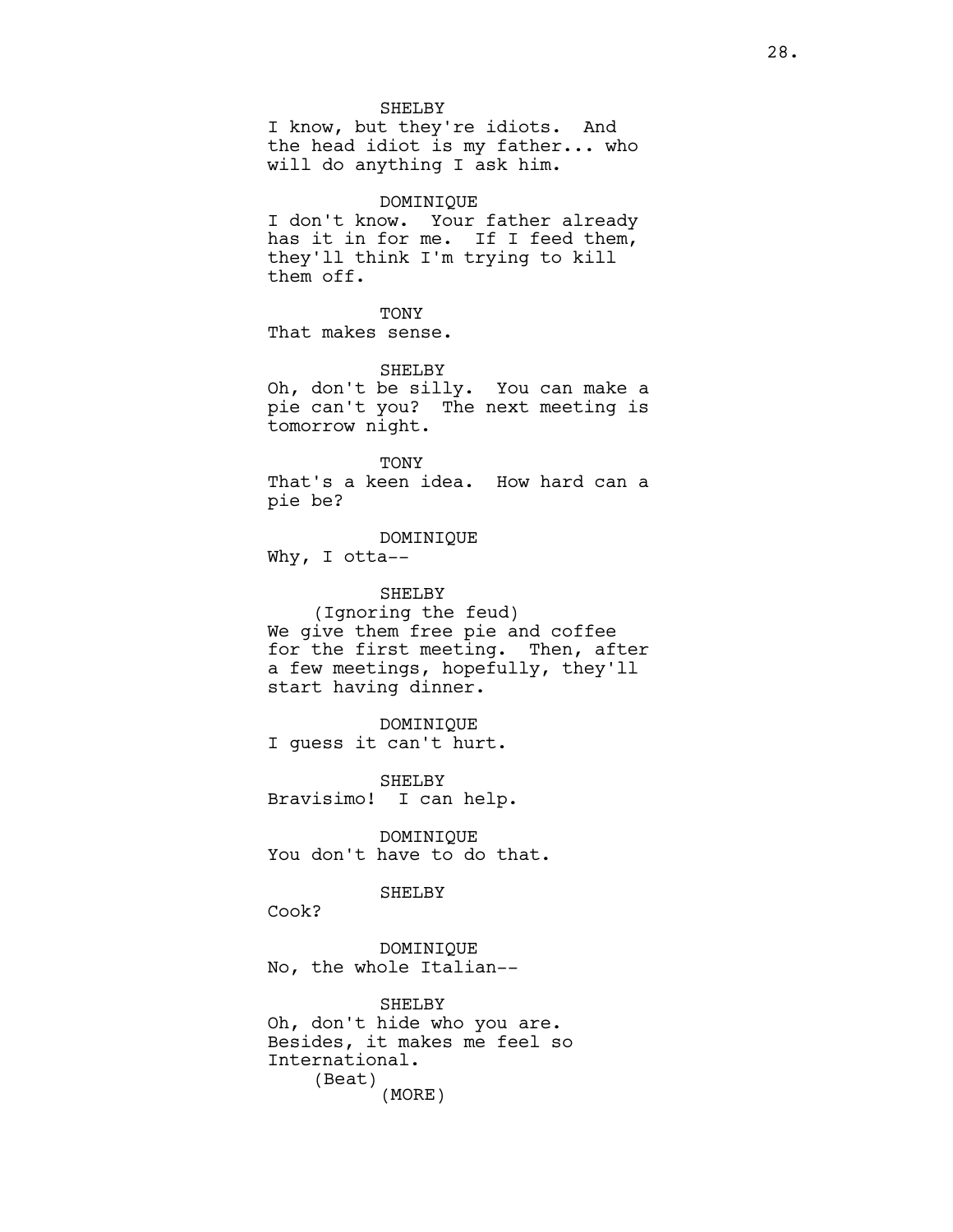#### SHELBY

I know, but they're idiots. And the head idiot is my father... who will do anything I ask him.

# DOMINIQUE

I don't know. Your father already has it in for me. If I feed them, they'll think I'm trying to kill them off.

**TONY** 

That makes sense.

SHELBY Oh, don't be silly. You can make a

pie can't you? The next meeting is tomorrow night.

TONY That's a keen idea. How hard can a pie be?

DOMINIQUE

Why, I otta--

SHELBY (Ignoring the feud) We give them free pie and coffee for the first meeting. Then, after a few meetings, hopefully, they'll start having dinner.

DOMINIQUE I guess it can't hurt.

SHELBY Bravisimo! I can help.

DOMINIQUE You don't have to do that.

# SHELBY

Cook?

DOMINIQUE No, the whole Italian--

SHELBY Oh, don't hide who you are. Besides, it makes me feel so International. (Beat) (MORE)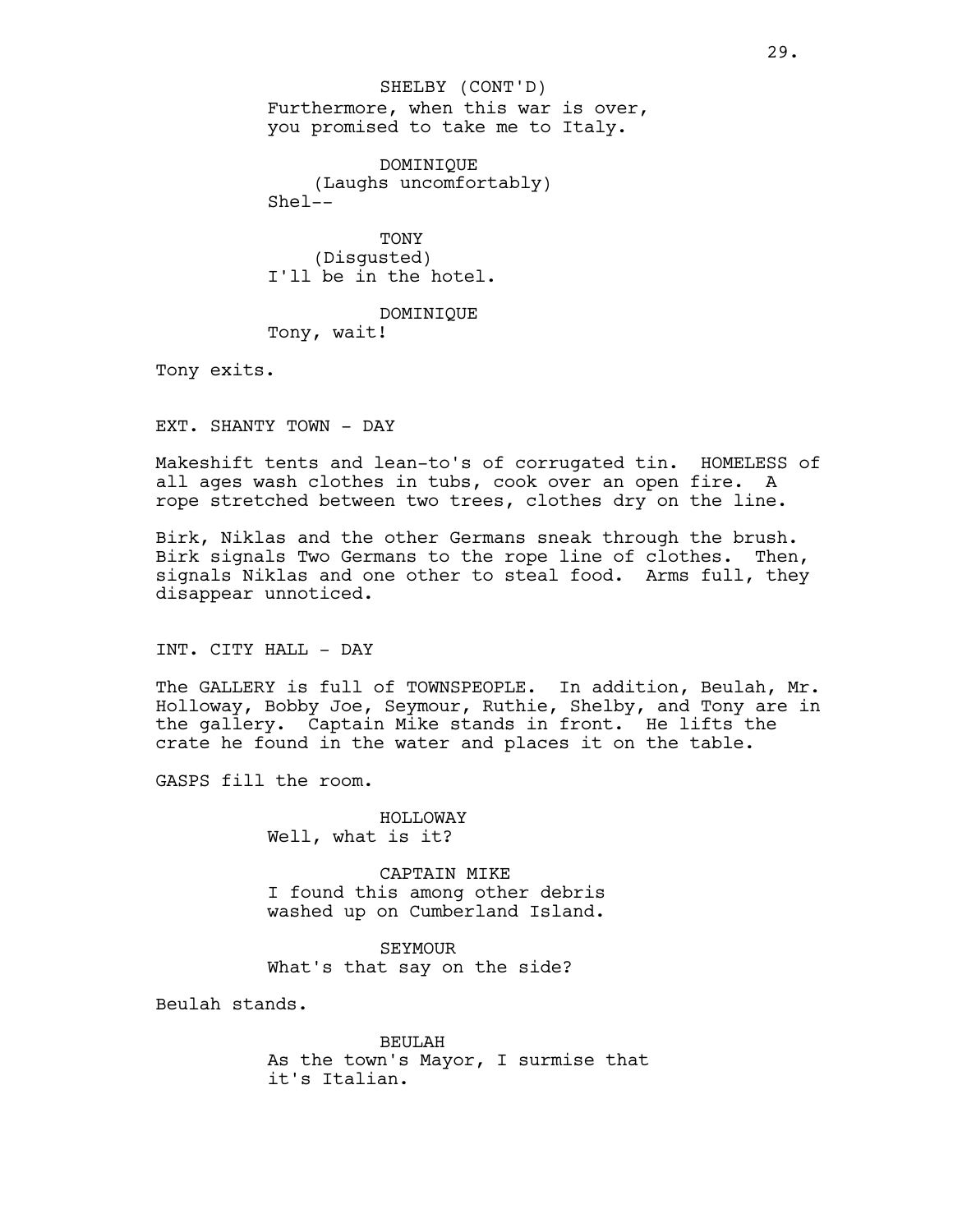Furthermore, when this war is over, you promised to take me to Italy. SHELBY (CONT'D)

DOMINIQUE (Laughs uncomfortably)  $She1--$ 

TONY (Disgusted) I'll be in the hotel.

DOMINIQUE Tony, wait!

Tony exits.

EXT. SHANTY TOWN - DAY

Makeshift tents and lean-to's of corrugated tin. HOMELESS of all ages wash clothes in tubs, cook over an open fire. A rope stretched between two trees, clothes dry on the line.

Birk, Niklas and the other Germans sneak through the brush. Birk signals Two Germans to the rope line of clothes. Then, signals Niklas and one other to steal food. Arms full, they disappear unnoticed.

INT. CITY HALL - DAY

The GALLERY is full of TOWNSPEOPLE. In addition, Beulah, Mr. Holloway, Bobby Joe, Seymour, Ruthie, Shelby, and Tony are in the gallery. Captain Mike stands in front. He lifts the crate he found in the water and places it on the table.

GASPS fill the room.

HOLLOWAY Well, what is it?

CAPTAIN MIKE I found this among other debris washed up on Cumberland Island.

SEYMOUR What's that say on the side?

Beulah stands.

BEULAH As the town's Mayor, I surmise that it's Italian.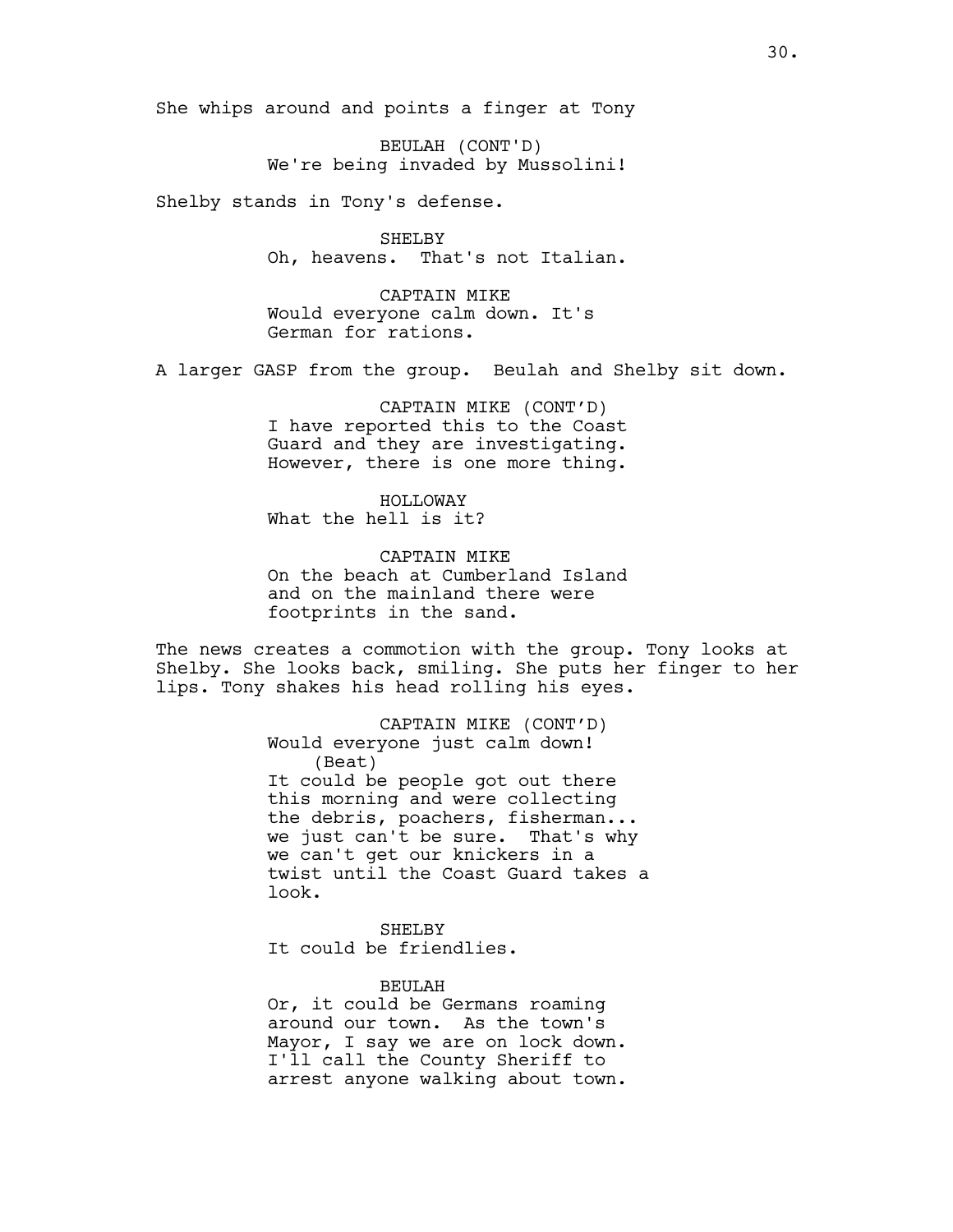She whips around and points a finger at Tony

BEULAH (CONT'D) We're being invaded by Mussolini!

Shelby stands in Tony's defense.

SHELBY Oh, heavens. That's not Italian.

CAPTAIN MIKE Would everyone calm down. It's German for rations.

A larger GASP from the group. Beulah and Shelby sit down.

CAPTAIN MIKE (CONT'D) I have reported this to the Coast Guard and they are investigating. However, there is one more thing.

HOLLOWAY What the hell is it?

CAPTAIN MIKE On the beach at Cumberland Island and on the mainland there were footprints in the sand.

The news creates a commotion with the group. Tony looks at Shelby. She looks back, smiling. She puts her finger to her lips. Tony shakes his head rolling his eyes.

> CAPTAIN MIKE (CONT'D) Would everyone just calm down! (Beat) It could be people got out there this morning and were collecting the debris, poachers, fisherman... we just can't be sure. That's why we can't get our knickers in a twist until the Coast Guard takes a look.

SHELBY It could be friendlies.

BEULAH

Or, it could be Germans roaming around our town. As the town's Mayor, I say we are on lock down. I'll call the County Sheriff to arrest anyone walking about town.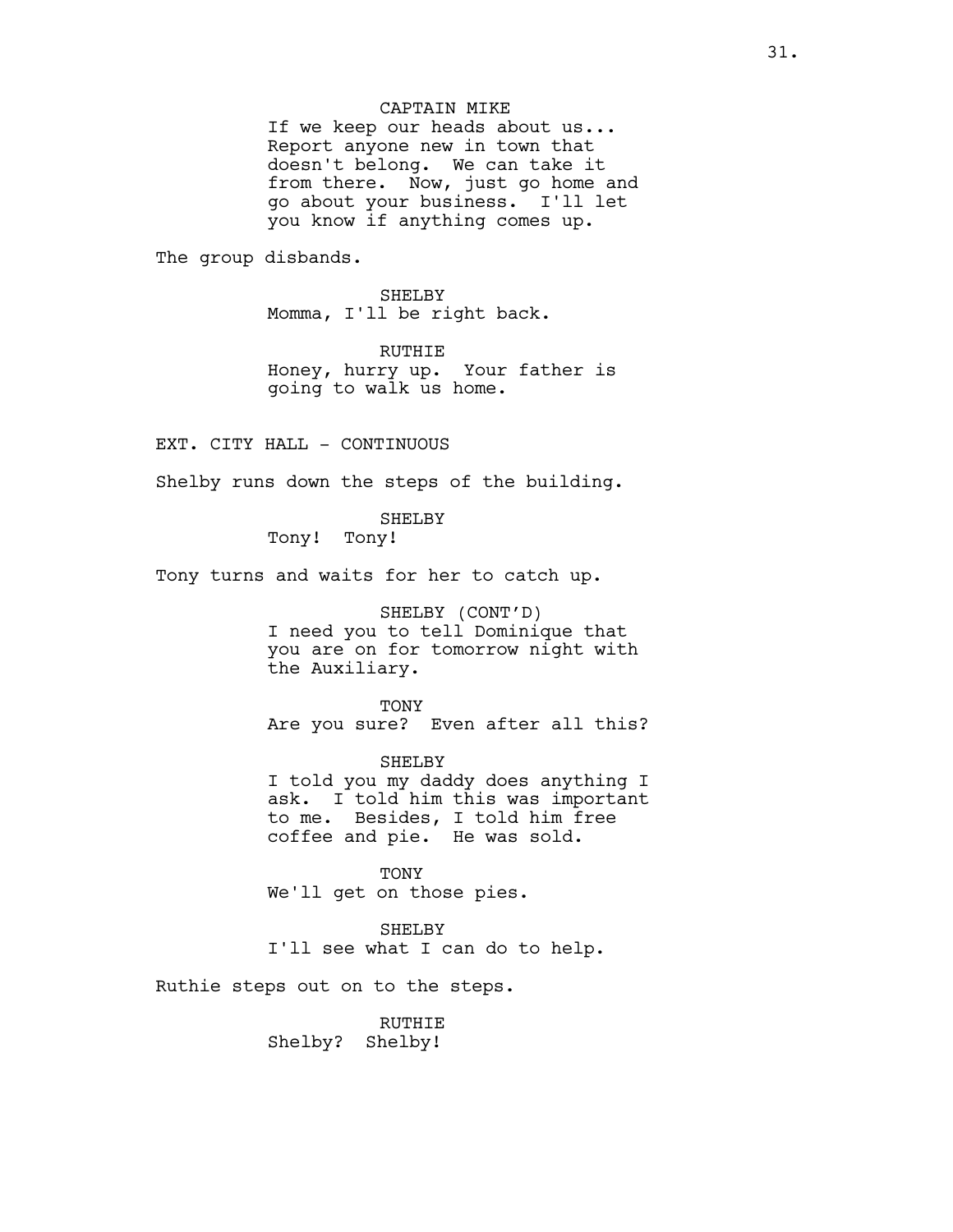## CAPTAIN MIKE

If we keep our heads about us... Report anyone new in town that doesn't belong. We can take it from there. Now, just go home and go about your business. I'll let you know if anything comes up.

The group disbands.

SHELBY Momma, I'll be right back.

RUTHIE Honey, hurry up. Your father is going to walk us home.

EXT. CITY HALL - CONTINUOUS

Shelby runs down the steps of the building.

SHELBY

Tony! Tony!

Tony turns and waits for her to catch up.

SHELBY (CONT'D)

I need you to tell Dominique that you are on for tomorrow night with the Auxiliary.

TONY Are you sure? Even after all this?

SHELBY I told you my daddy does anything I ask. I told him this was important to me. Besides, I told him free coffee and pie. He was sold.

TONY We'll get on those pies.

SHELBY I'll see what I can do to help.

Ruthie steps out on to the steps.

RUTHIE Shelby? Shelby!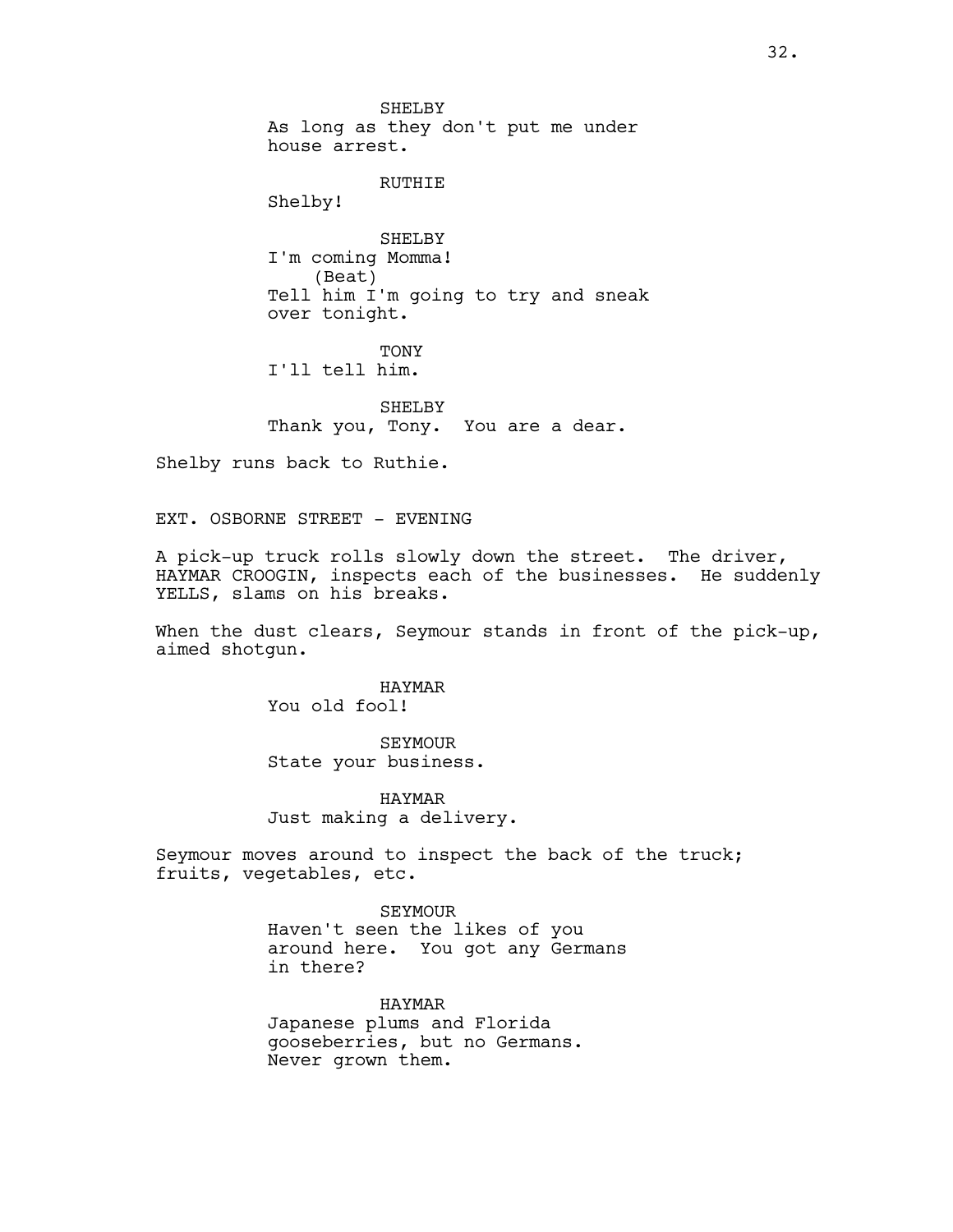SHELBY As long as they don't put me under house arrest.

RUTHIE

Shelby!

SHELBY I'm coming Momma! (Beat) Tell him I'm going to try and sneak over tonight.

TONY I'll tell him.

SHELBY Thank you, Tony. You are a dear.

Shelby runs back to Ruthie.

EXT. OSBORNE STREET - EVENING

A pick-up truck rolls slowly down the street. The driver, HAYMAR CROOGIN, inspects each of the businesses. He suddenly YELLS, slams on his breaks.

When the dust clears, Seymour stands in front of the pick-up, aimed shotgun.

> HAYMAR You old fool!

SEYMOUR State your business.

HAYMAR Just making a delivery.

Seymour moves around to inspect the back of the truck; fruits, vegetables, etc.

> SEYMOUR Haven't seen the likes of you around here. You got any Germans in there?

HAYMAR Japanese plums and Florida gooseberries, but no Germans. Never grown them.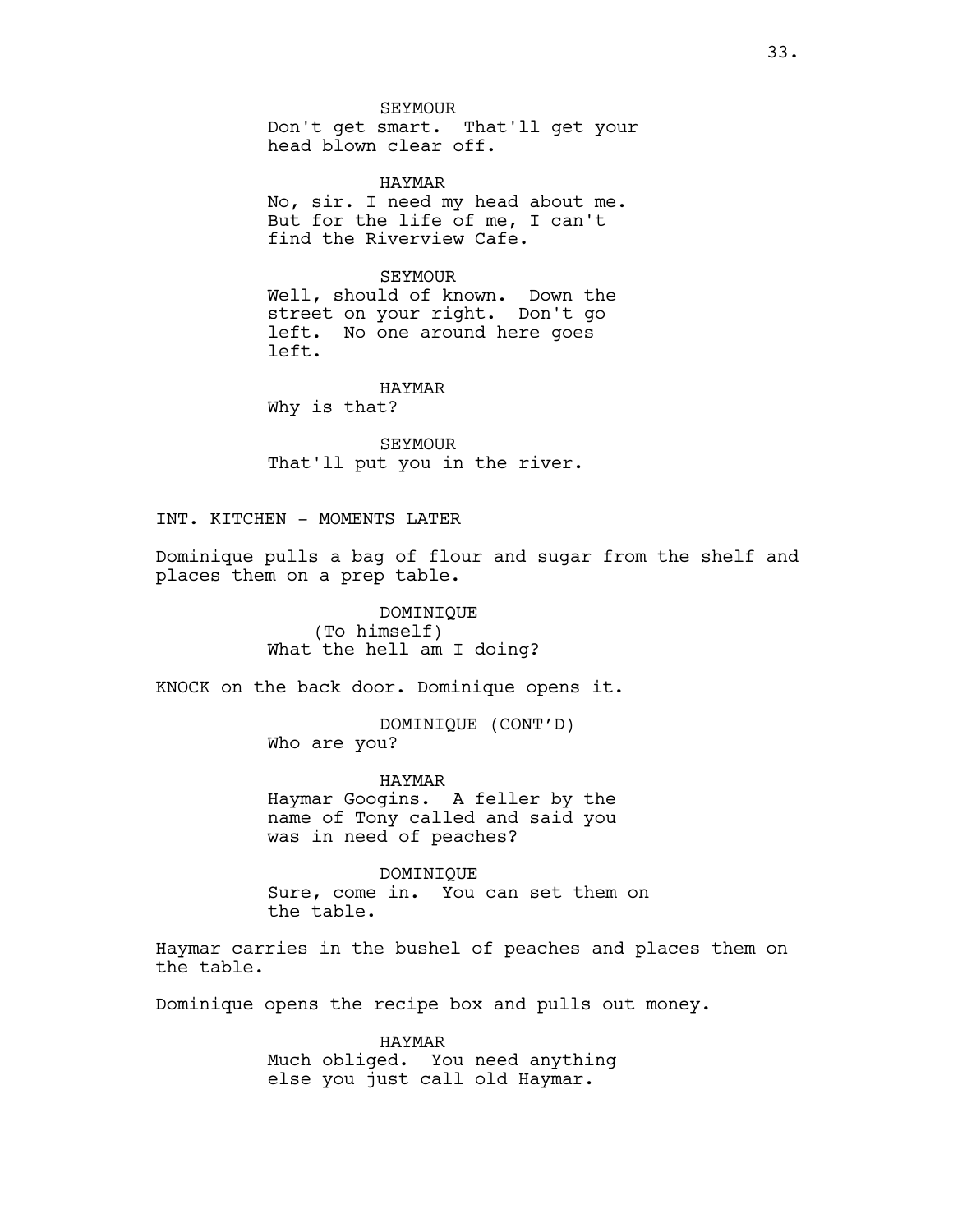SEYMOUR Don't get smart. That'll get your head blown clear off.

HAYMAR No, sir. I need my head about me. But for the life of me, I can't find the Riverview Cafe.

SEYMOUR Well, should of known. Down the street on your right. Don't go left. No one around here goes left.

HAYMAR Why is that?

SEYMOUR That'll put you in the river.

INT. KITCHEN - MOMENTS LATER

Dominique pulls a bag of flour and sugar from the shelf and places them on a prep table.

> DOMINIQUE (To himself) What the hell am I doing?

KNOCK on the back door. Dominique opens it.

DOMINIQUE (CONT'D) Who are you?

HAYMAR Haymar Googins. A feller by the name of Tony called and said you was in need of peaches?

DOMINIQUE Sure, come in. You can set them on the table.

Haymar carries in the bushel of peaches and places them on the table.

Dominique opens the recipe box and pulls out money.

HAYMAR Much obliged. You need anything else you just call old Haymar.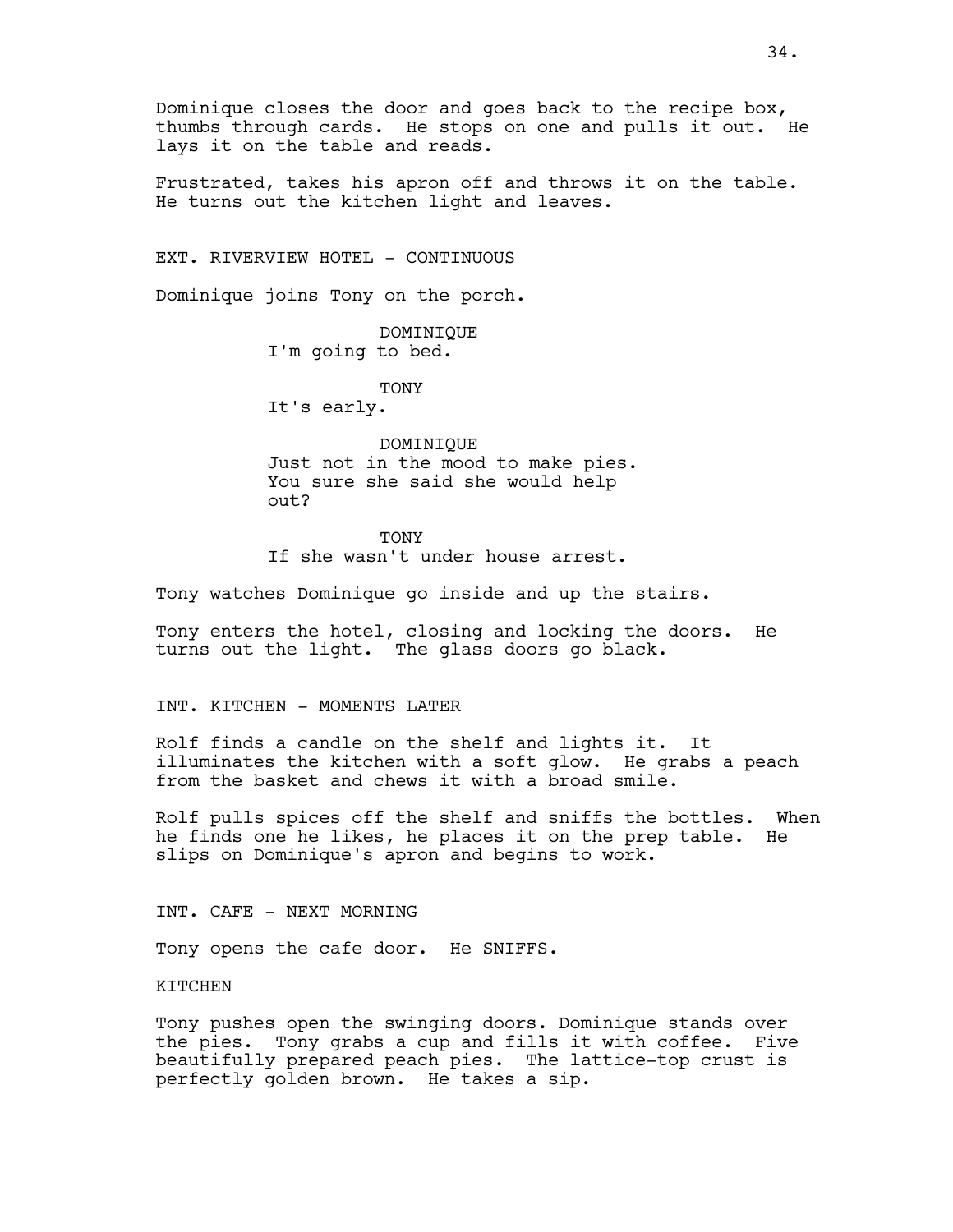Dominique closes the door and goes back to the recipe box, thumbs through cards. He stops on one and pulls it out. He lays it on the table and reads.

Frustrated, takes his apron off and throws it on the table. He turns out the kitchen light and leaves.

EXT. RIVERVIEW HOTEL - CONTINUOUS

Dominique joins Tony on the porch.

DOMINIQUE I'm going to bed.

TONY It's early.

DOMINIQUE Just not in the mood to make pies. You sure she said she would help out?

**TONY** If she wasn't under house arrest.

Tony watches Dominique go inside and up the stairs.

Tony enters the hotel, closing and locking the doors. He turns out the light. The glass doors go black.

INT. KITCHEN - MOMENTS LATER

Rolf finds a candle on the shelf and lights it. It illuminates the kitchen with a soft glow. He grabs a peach from the basket and chews it with a broad smile.

Rolf pulls spices off the shelf and sniffs the bottles. When he finds one he likes, he places it on the prep table. He slips on Dominique's apron and begins to work.

INT. CAFE - NEXT MORNING

Tony opens the cafe door. He SNIFFS.

KITCHEN

Tony pushes open the swinging doors. Dominique stands over the pies. Tony grabs a cup and fills it with coffee. Five beautifully prepared peach pies. The lattice-top crust is perfectly golden brown. He takes a sip.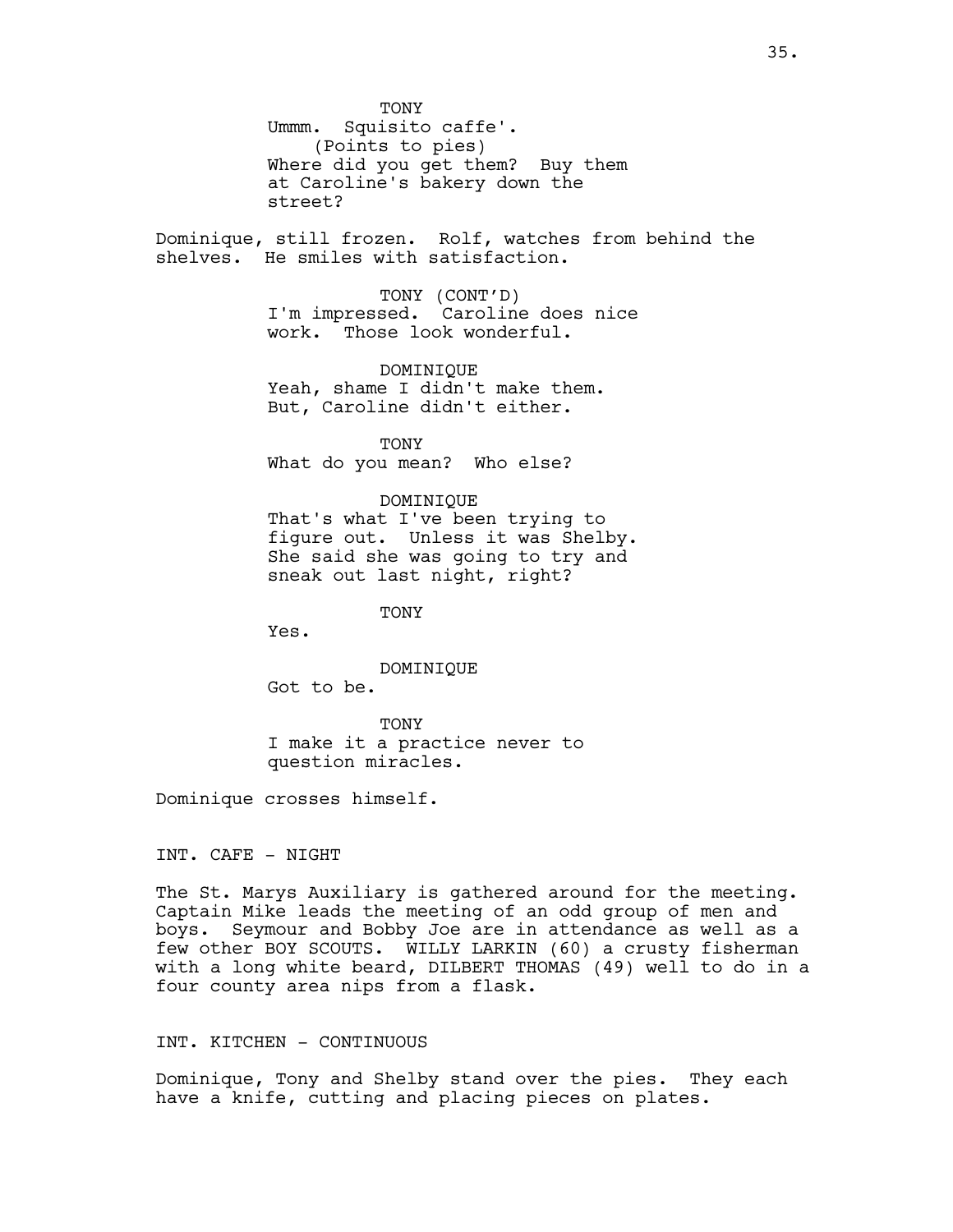**TONY** Ummm. Squisito caffe'. (Points to pies) Where did you get them? Buy them at Caroline's bakery down the street?

Dominique, still frozen. Rolf, watches from behind the shelves. He smiles with satisfaction.

> TONY (CONT'D) I'm impressed. Caroline does nice work. Those look wonderful.

DOMINIQUE Yeah, shame I didn't make them. But, Caroline didn't either.

TONY What do you mean? Who else?

# DOMINIQUE

That's what I've been trying to figure out. Unless it was Shelby. She said she was going to try and sneak out last night, right?

**TONY** 

Yes.

DOMINIQUE

Got to be.

TONY I make it a practice never to question miracles.

Dominique crosses himself.

INT. CAFE - NIGHT

The St. Marys Auxiliary is gathered around for the meeting. Captain Mike leads the meeting of an odd group of men and boys. Seymour and Bobby Joe are in attendance as well as a few other BOY SCOUTS. WILLY LARKIN (60) a crusty fisherman with a long white beard, DILBERT THOMAS (49) well to do in a four county area nips from a flask.

# INT. KITCHEN - CONTINUOUS

Dominique, Tony and Shelby stand over the pies. They each have a knife, cutting and placing pieces on plates.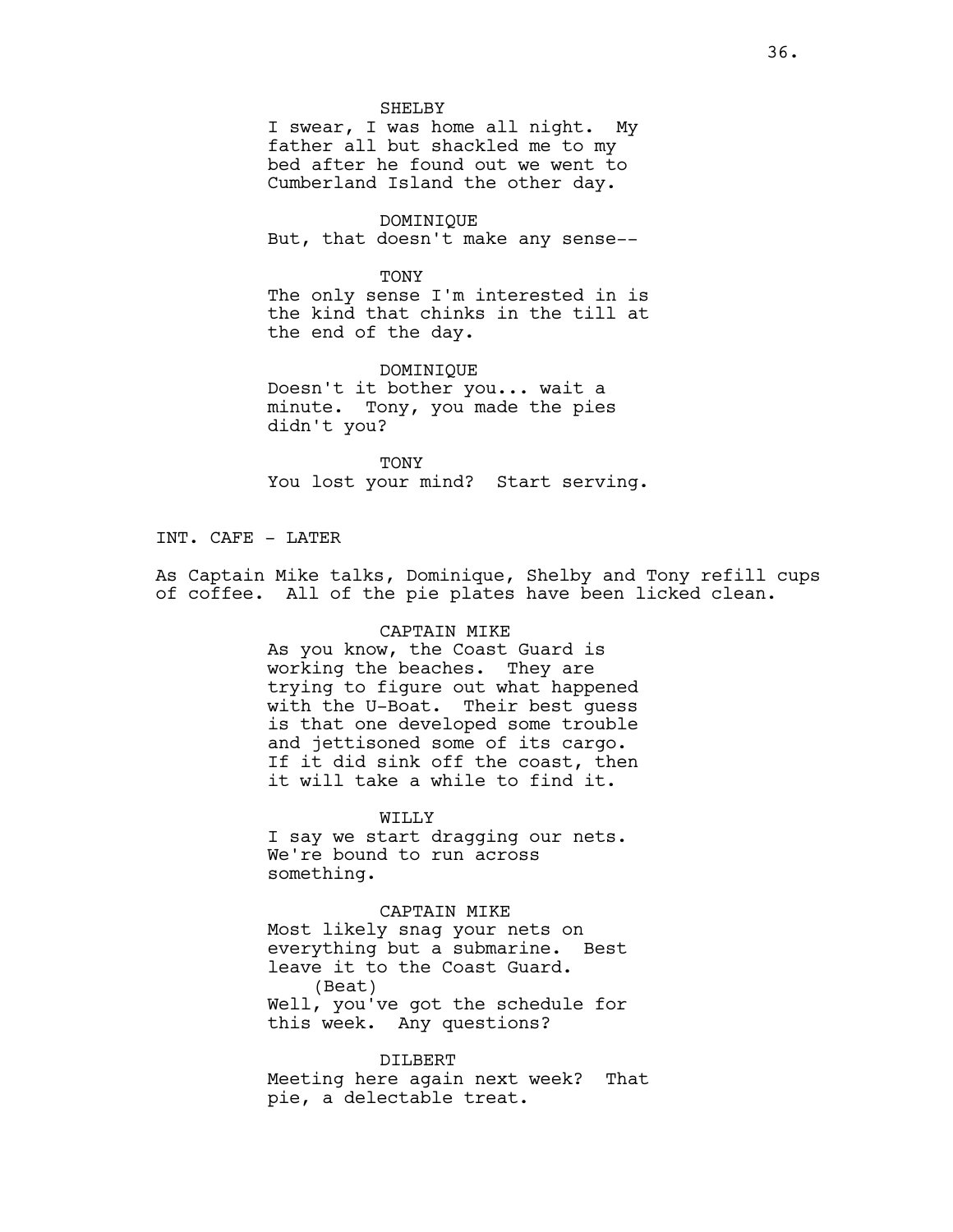#### SHELBY

I swear, I was home all night. My father all but shackled me to my bed after he found out we went to Cumberland Island the other day.

DOMINIQUE But, that doesn't make any sense--

#### TONY

The only sense I'm interested in is the kind that chinks in the till at the end of the day.

DOMINIQUE Doesn't it bother you... wait a minute. Tony, you made the pies didn't you?

TONY You lost your mind? Start serving.

# INT. CAFE - LATER

As Captain Mike talks, Dominique, Shelby and Tony refill cups of coffee. All of the pie plates have been licked clean.

# CAPTAIN MIKE

As you know, the Coast Guard is working the beaches. They are trying to figure out what happened with the U-Boat. Their best guess is that one developed some trouble and jettisoned some of its cargo. If it did sink off the coast, then it will take a while to find it.

#### WILLY

I say we start dragging our nets. We're bound to run across something.

#### CAPTAIN MIKE

Most likely snag your nets on everything but a submarine. Best leave it to the Coast Guard. (Beat) Well, you've got the schedule for this week. Any questions?

# DILBERT

Meeting here again next week? That pie, a delectable treat.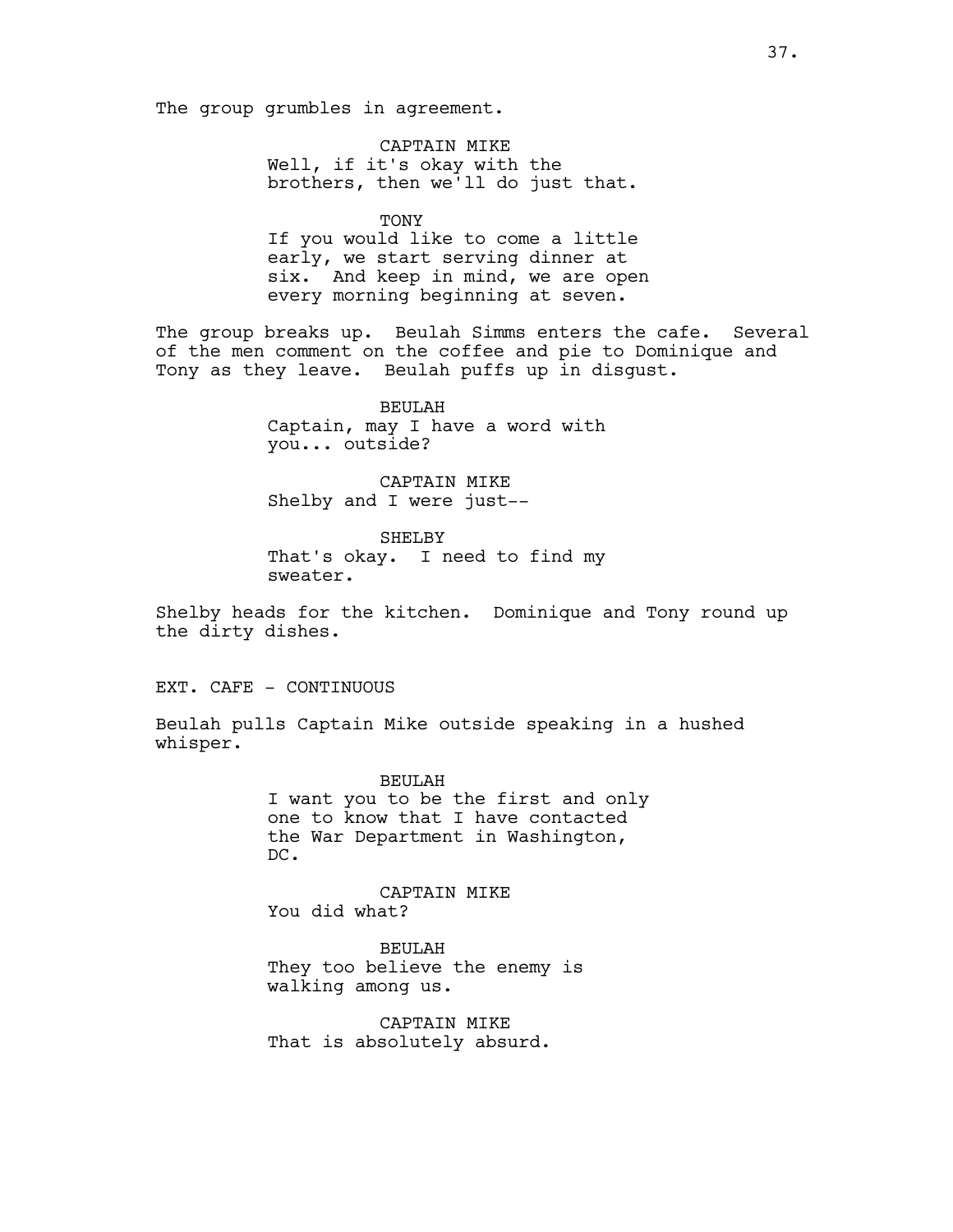The group grumbles in agreement.

CAPTAIN MIKE Well, if it's okay with the brothers, then we'll do just that.

TONY If you would like to come a little early, we start serving dinner at six. And keep in mind, we are open every morning beginning at seven.

The group breaks up. Beulah Simms enters the cafe. Several of the men comment on the coffee and pie to Dominique and Tony as they leave. Beulah puffs up in disgust.

> BEULAH Captain, may I have a word with you... outside?

CAPTAIN MIKE Shelby and I were just--

SHELBY That's okay. I need to find my sweater.

Shelby heads for the kitchen. Dominique and Tony round up the dirty dishes.

EXT. CAFE - CONTINUOUS

Beulah pulls Captain Mike outside speaking in a hushed whisper.

> BEULAH I want you to be the first and only one to know that I have contacted the War Department in Washington, DC.

CAPTAIN MIKE You did what?

BEULAH They too believe the enemy is walking among us.

CAPTAIN MIKE That is absolutely absurd.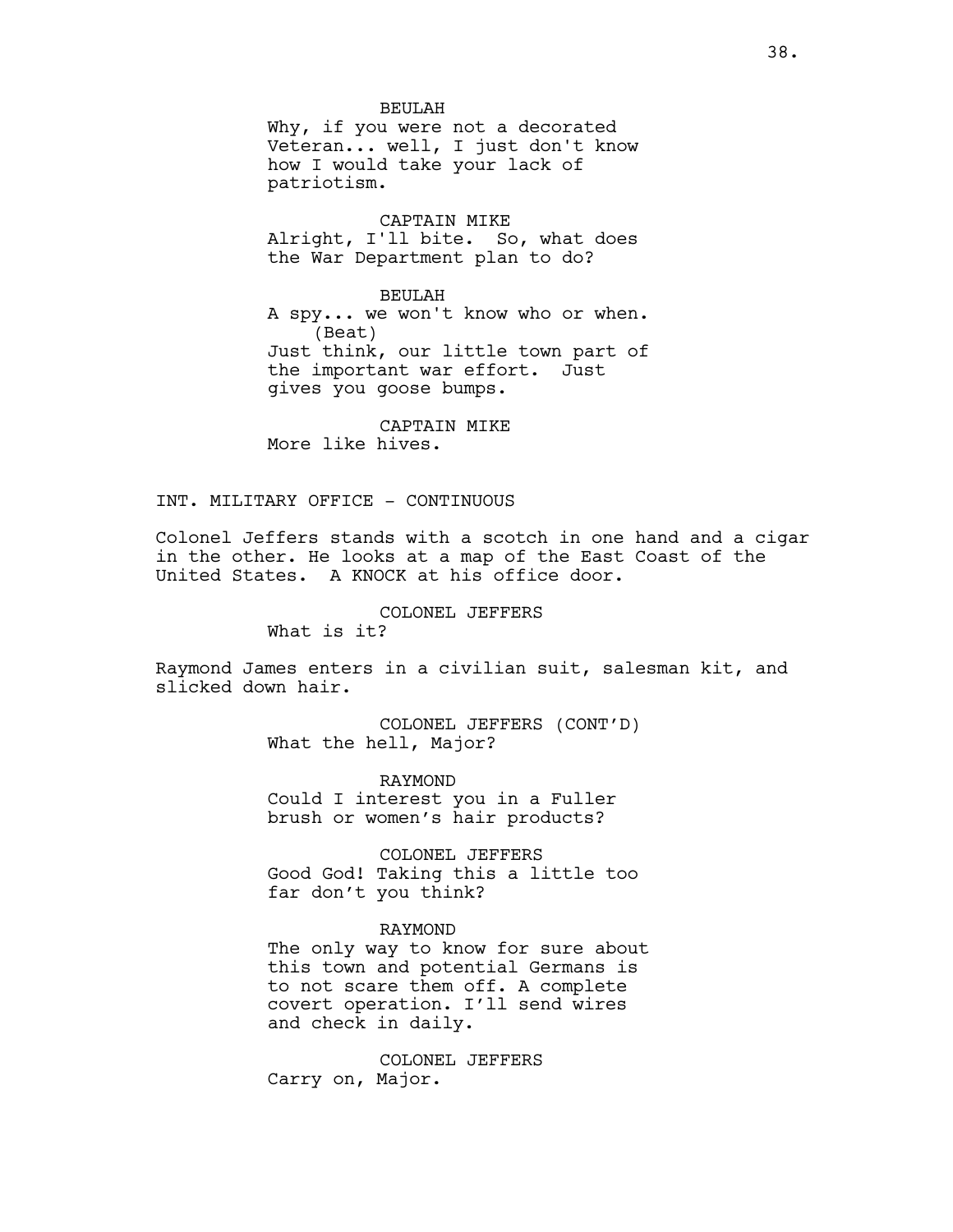#### BEULAH

Why, if you were not a decorated Veteran... well, I just don't know how I would take your lack of patriotism.

CAPTAIN MIKE Alright, I'll bite. So, what does the War Department plan to do?

### BEULAH

A spy... we won't know who or when. (Beat) Just think, our little town part of the important war effort. Just gives you goose bumps.

CAPTAIN MIKE More like hives.

# INT. MILITARY OFFICE - CONTINUOUS

Colonel Jeffers stands with a scotch in one hand and a cigar in the other. He looks at a map of the East Coast of the United States. A KNOCK at his office door.

# COLONEL JEFFERS

What is it?

Raymond James enters in a civilian suit, salesman kit, and slicked down hair.

> COLONEL JEFFERS (CONT'D) What the hell, Major?

RAYMOND Could I interest you in a Fuller brush or women's hair products?

COLONEL JEFFERS Good God! Taking this a little too far don't you think?

# RAYMOND

The only way to know for sure about this town and potential Germans is to not scare them off. A complete covert operation. I'll send wires and check in daily.

COLONEL JEFFERS Carry on, Major.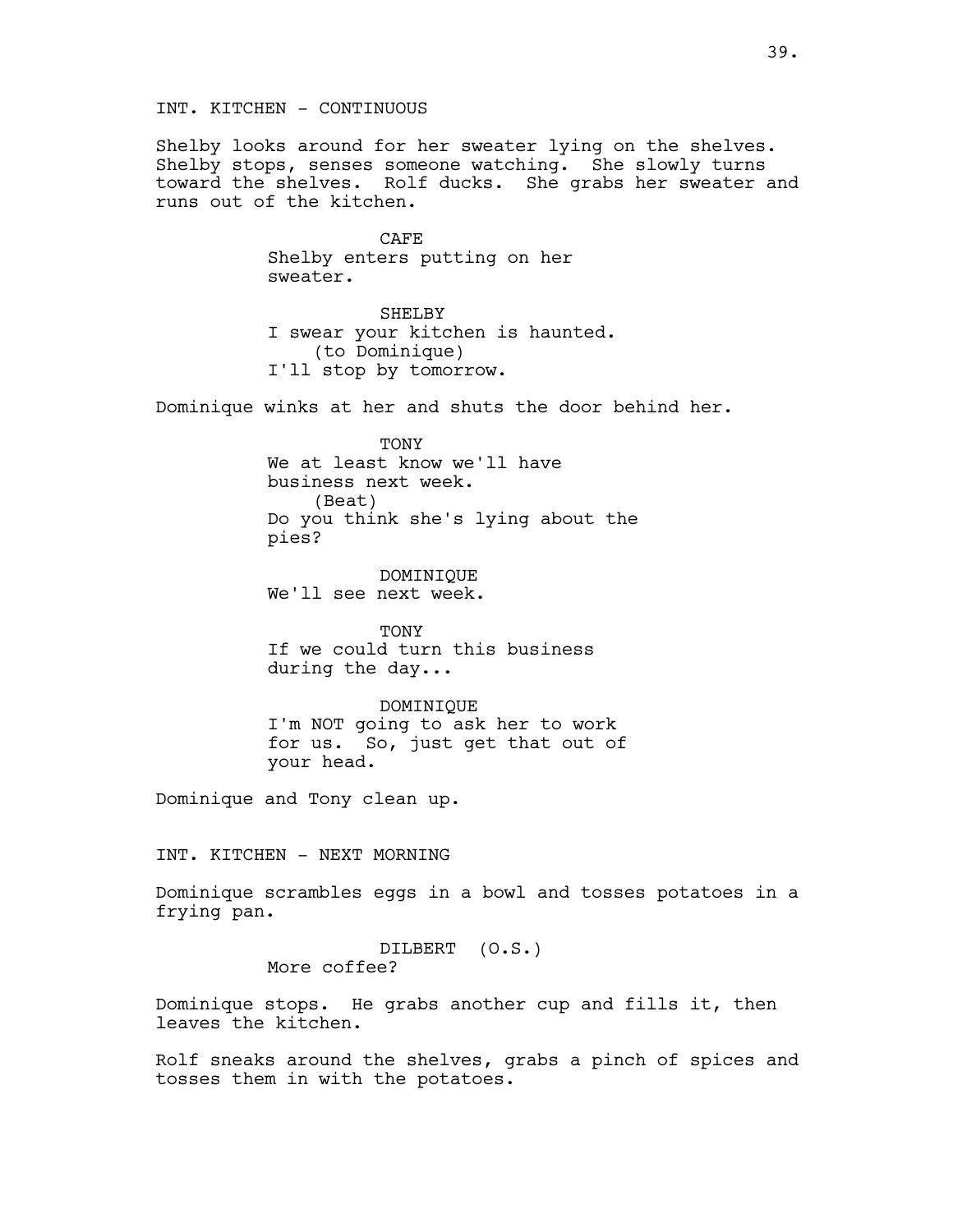INT. KITCHEN - CONTINUOUS

Shelby looks around for her sweater lying on the shelves. Shelby stops, senses someone watching. She slowly turns toward the shelves. Rolf ducks. She grabs her sweater and runs out of the kitchen.

> CAFE Shelby enters putting on her sweater.

SHELBY I swear your kitchen is haunted. (to Dominique) I'll stop by tomorrow.

Dominique winks at her and shuts the door behind her.

**TONY** We at least know we'll have business next week. (Beat) Do you think she's lying about the pies?

DOMINIQUE We'll see next week.

TONY If we could turn this business during the day...

DOMINIQUE I'm NOT going to ask her to work for us. So, just get that out of your head.

Dominique and Tony clean up.

INT. KITCHEN - NEXT MORNING

Dominique scrambles eggs in a bowl and tosses potatoes in a frying pan.

> DILBERT (O.S.) More coffee?

Dominique stops. He grabs another cup and fills it, then leaves the kitchen.

Rolf sneaks around the shelves, grabs a pinch of spices and tosses them in with the potatoes.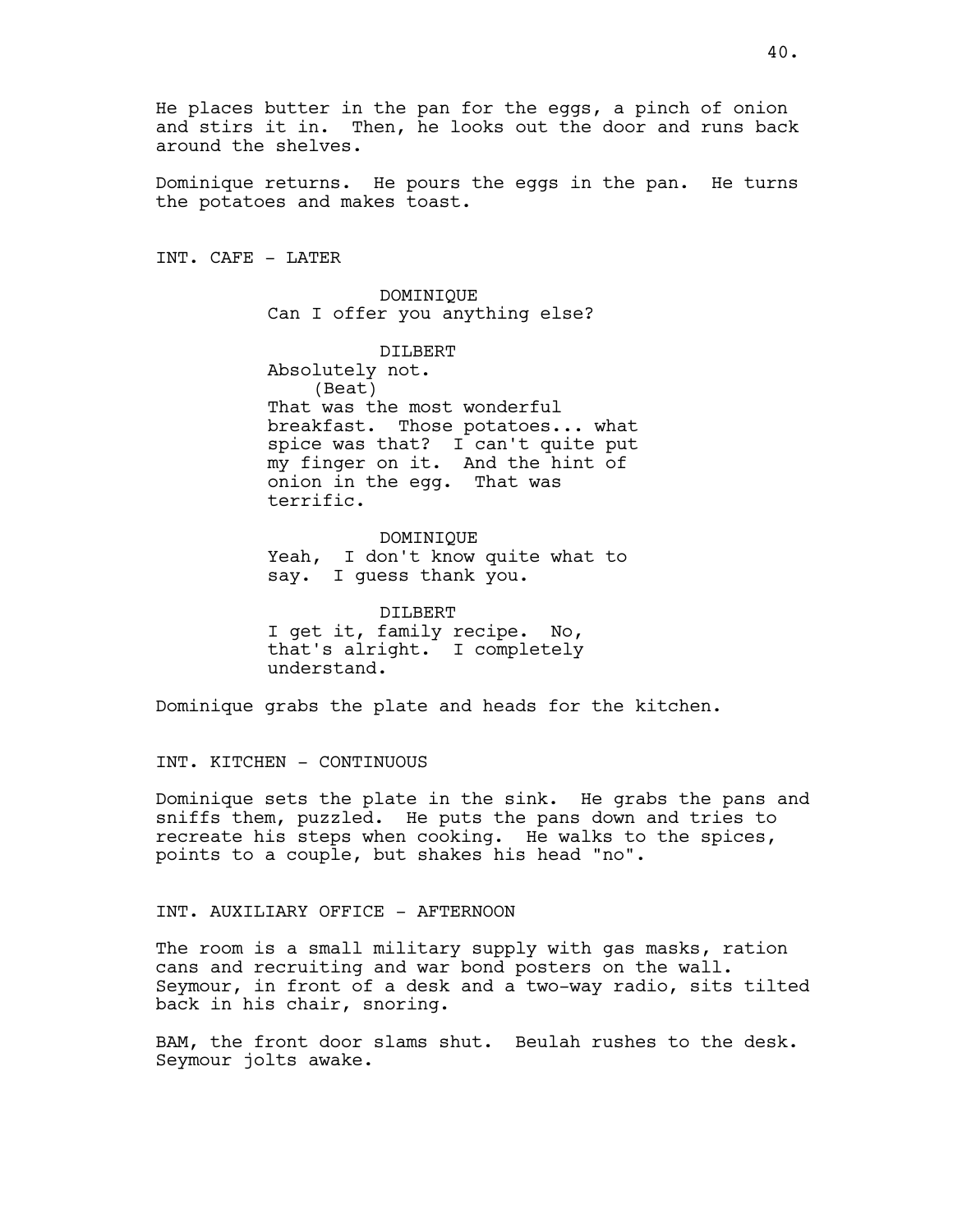Dominique returns. He pours the eggs in the pan. He turns the potatoes and makes toast.

INT. CAFE - LATER

DOMINIQUE Can I offer you anything else?

DILBERT Absolutely not. (Beat) That was the most wonderful breakfast. Those potatoes... what spice was that? I can't quite put my finger on it. And the hint of onion in the egg. That was terrific.

DOMINIQUE Yeah, I don't know quite what to say. I guess thank you.

DILBERT I get it, family recipe. No, that's alright. I completely understand.

Dominique grabs the plate and heads for the kitchen.

# INT. KITCHEN - CONTINUOUS

Dominique sets the plate in the sink. He grabs the pans and sniffs them, puzzled. He puts the pans down and tries to recreate his steps when cooking. He walks to the spices, points to a couple, but shakes his head "no".

# INT. AUXILIARY OFFICE - AFTERNOON

The room is a small military supply with gas masks, ration cans and recruiting and war bond posters on the wall. Seymour, in front of a desk and a two-way radio, sits tilted back in his chair, snoring.

BAM, the front door slams shut. Beulah rushes to the desk. Seymour jolts awake.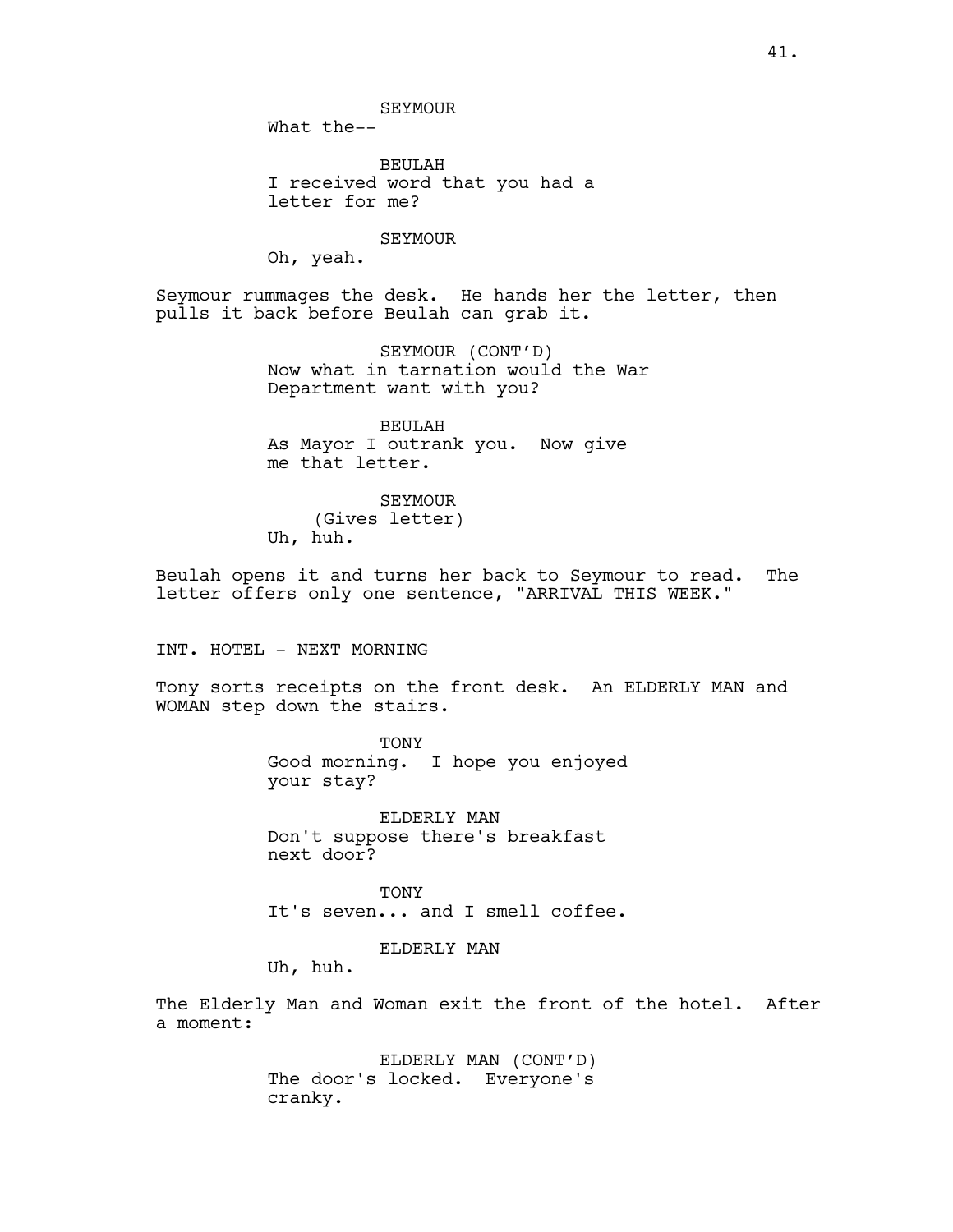What the--

BEULAH I received word that you had a letter for me?

# SEYMOUR

Oh, yeah.

Seymour rummages the desk. He hands her the letter, then pulls it back before Beulah can grab it.

> SEYMOUR (CONT'D) Now what in tarnation would the War Department want with you?

BEULAH As Mayor I outrank you. Now give me that letter.

SEYMOUR (Gives letter) Uh, huh.

Beulah opens it and turns her back to Seymour to read. The letter offers only one sentence, "ARRIVAL THIS WEEK."

INT. HOTEL - NEXT MORNING

Tony sorts receipts on the front desk. An ELDERLY MAN and WOMAN step down the stairs.

> TONY Good morning. I hope you enjoyed your stay?

ELDERLY MAN Don't suppose there's breakfast next door?

**TONY** It's seven... and I smell coffee.

ELDERLY MAN

Uh, huh.

The Elderly Man and Woman exit the front of the hotel. After a moment:

> ELDERLY MAN (CONT'D) The door's locked. Everyone's cranky.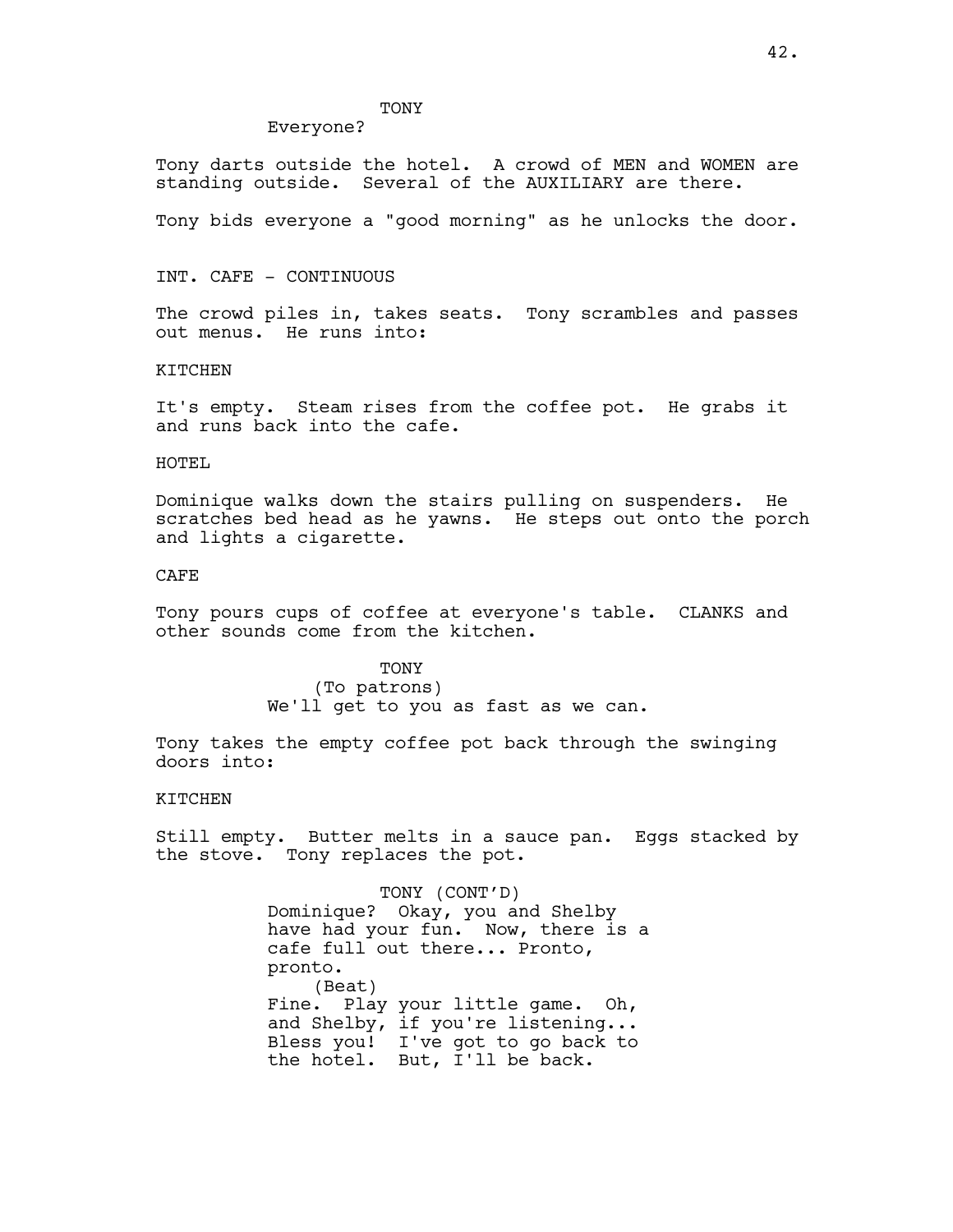# **TONY**

### Everyone?

Tony darts outside the hotel. A crowd of MEN and WOMEN are standing outside. Several of the AUXILIARY are there.

Tony bids everyone a "good morning" as he unlocks the door.

# INT. CAFE - CONTINUOUS

The crowd piles in, takes seats. Tony scrambles and passes out menus. He runs into:

### KITCHEN

It's empty. Steam rises from the coffee pot. He grabs it and runs back into the cafe.

# HOTEL

Dominique walks down the stairs pulling on suspenders. He scratches bed head as he yawns. He steps out onto the porch and lights a cigarette.

# CAFE

Tony pours cups of coffee at everyone's table. CLANKS and other sounds come from the kitchen.

> TONY (To patrons) We'll get to you as fast as we can.

Tony takes the empty coffee pot back through the swinging doors into:

## KITCHEN

Still empty. Butter melts in a sauce pan. Eggs stacked by the stove. Tony replaces the pot.

> TONY (CONT'D) Dominique? Okay, you and Shelby have had your fun. Now, there is a cafe full out there... Pronto, pronto. (Beat) Fine. Play your little game. Oh, and Shelby, if you're listening... Bless you! I've got to go back to the hotel. But, I'll be back.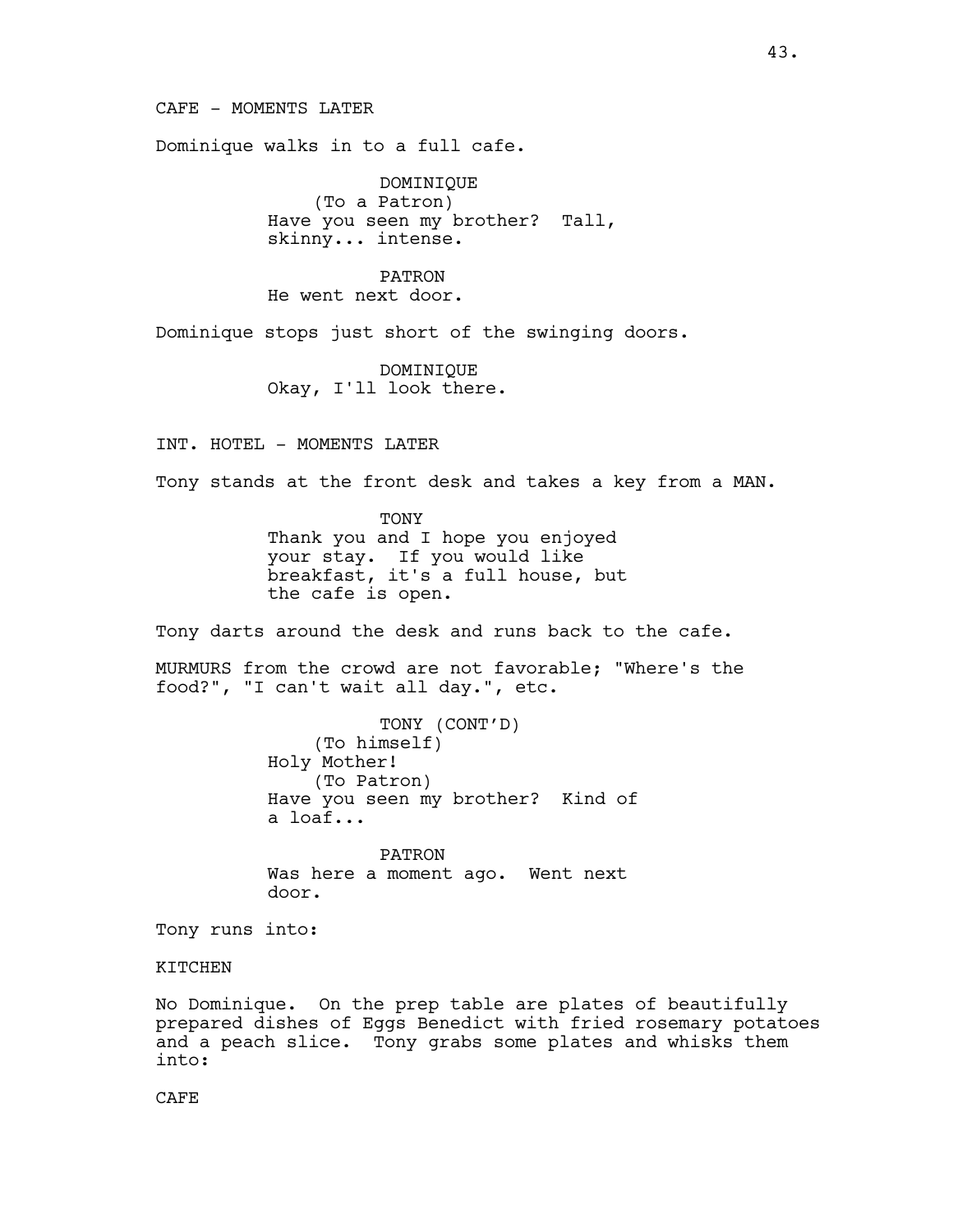CAFE - MOMENTS LATER

Dominique walks in to a full cafe.

DOMINIQUE (To a Patron) Have you seen my brother? Tall, skinny... intense.

PATRON He went next door.

Dominique stops just short of the swinging doors.

DOMINIQUE Okay, I'll look there.

INT. HOTEL - MOMENTS LATER

Tony stands at the front desk and takes a key from a MAN.

TONY Thank you and I hope you enjoyed your stay. If you would like breakfast, it's a full house, but the cafe is open.

Tony darts around the desk and runs back to the cafe.

MURMURS from the crowd are not favorable; "Where's the food?", "I can't wait all day.", etc.

> TONY (CONT'D) (To himself) Holy Mother! (To Patron) Have you seen my brother? Kind of a loaf...

PATRON Was here a moment ago. Went next door.

Tony runs into:

KITCHEN

No Dominique. On the prep table are plates of beautifully prepared dishes of Eggs Benedict with fried rosemary potatoes and a peach slice. Tony grabs some plates and whisks them into:

CAFE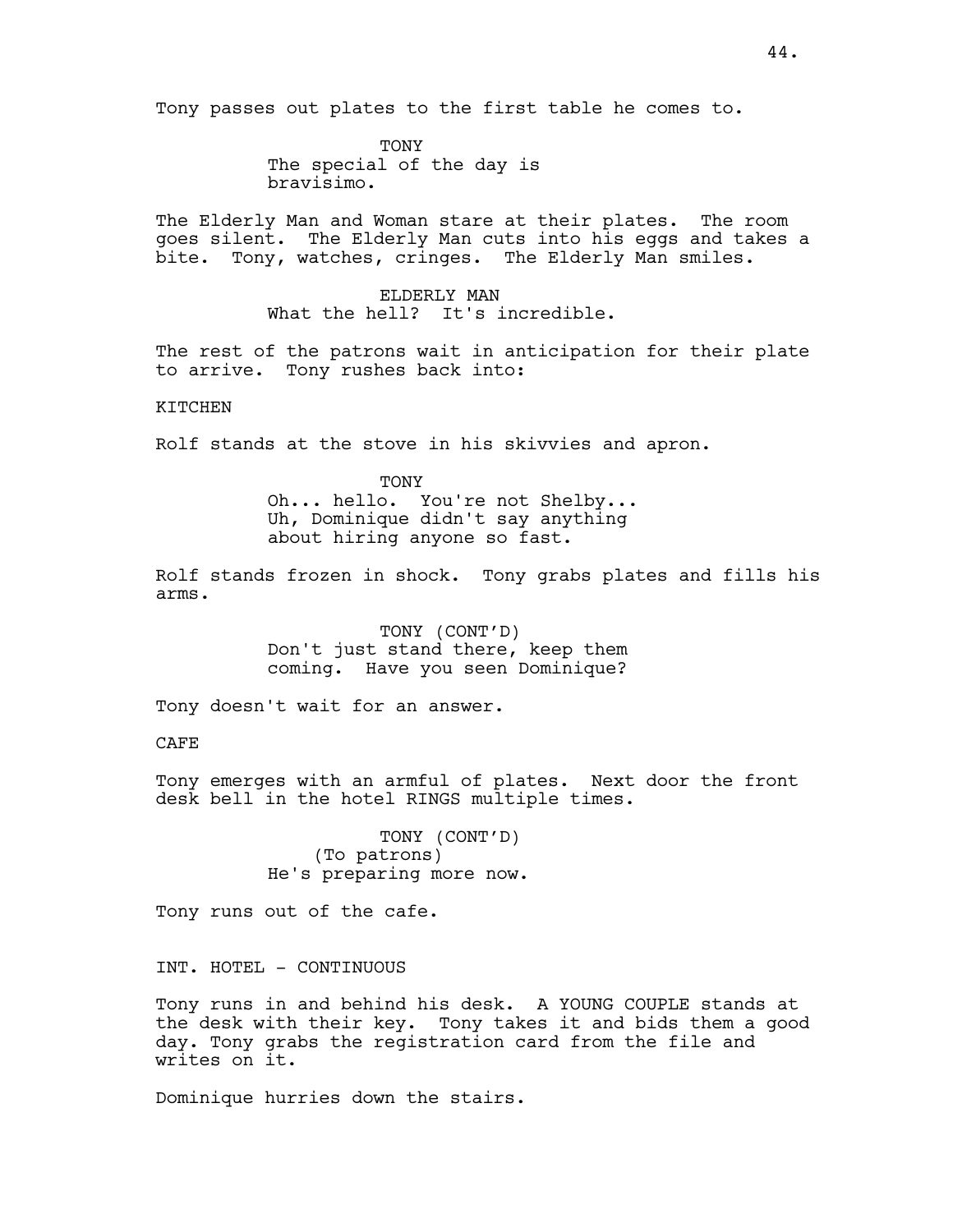Tony passes out plates to the first table he comes to.

TONY The special of the day is bravisimo.

The Elderly Man and Woman stare at their plates. The room goes silent. The Elderly Man cuts into his eggs and takes a bite. Tony, watches, cringes. The Elderly Man smiles.

> ELDERLY MAN What the hell? It's incredible.

The rest of the patrons wait in anticipation for their plate to arrive. Tony rushes back into:

**KTTCHEN** 

Rolf stands at the stove in his skivvies and apron.

**TONY** Oh... hello. You're not Shelby... Uh, Dominique didn't say anything about hiring anyone so fast.

Rolf stands frozen in shock. Tony grabs plates and fills his arms.

> TONY (CONT'D) Don't just stand there, keep them coming. Have you seen Dominique?

Tony doesn't wait for an answer.

CAFE

Tony emerges with an armful of plates. Next door the front desk bell in the hotel RINGS multiple times.

> TONY (CONT'D) (To patrons) He's preparing more now.

Tony runs out of the cafe.

INT. HOTEL - CONTINUOUS

Tony runs in and behind his desk. A YOUNG COUPLE stands at the desk with their key. Tony takes it and bids them a good day. Tony grabs the registration card from the file and writes on it.

Dominique hurries down the stairs.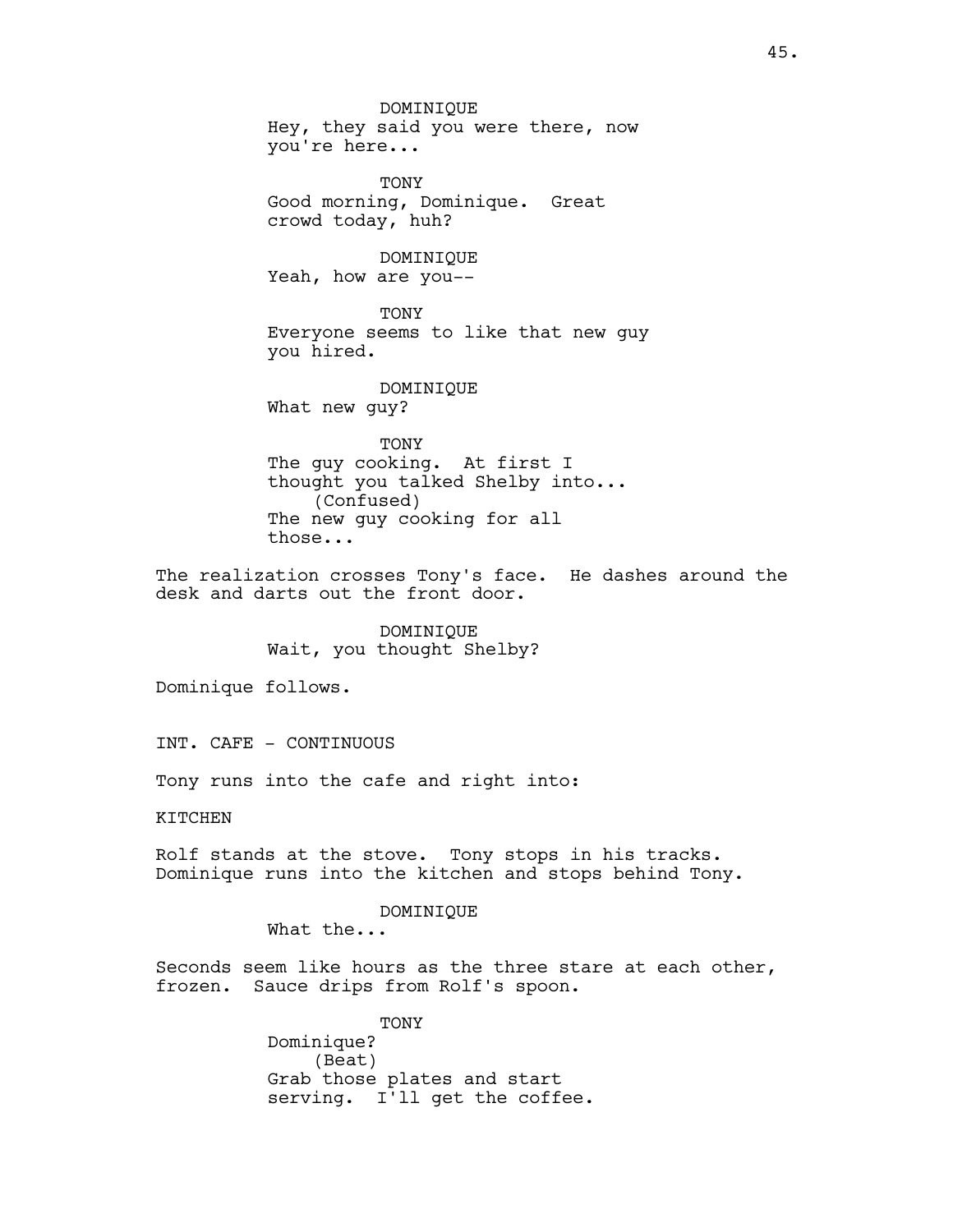DOMINIQUE Hey, they said you were there, now you're here... TONY Good morning, Dominique. Great crowd today, huh? DOMINIQUE Yeah, how are you-- TONY Everyone seems to like that new guy you hired. DOMINIQUE What new guy? TONY

The guy cooking. At first I thought you talked Shelby into... (Confused) The new guy cooking for all those...

The realization crosses Tony's face. He dashes around the desk and darts out the front door.

> DOMINIQUE Wait, you thought Shelby?

Dominique follows.

INT. CAFE - CONTINUOUS

Tony runs into the cafe and right into:

**KTTCHEN** 

Rolf stands at the stove. Tony stops in his tracks. Dominique runs into the kitchen and stops behind Tony.

DOMINIQUE

What the...

Seconds seem like hours as the three stare at each other, frozen. Sauce drips from Rolf's spoon.

> TONY Dominique? (Beat) Grab those plates and start serving. I'll get the coffee.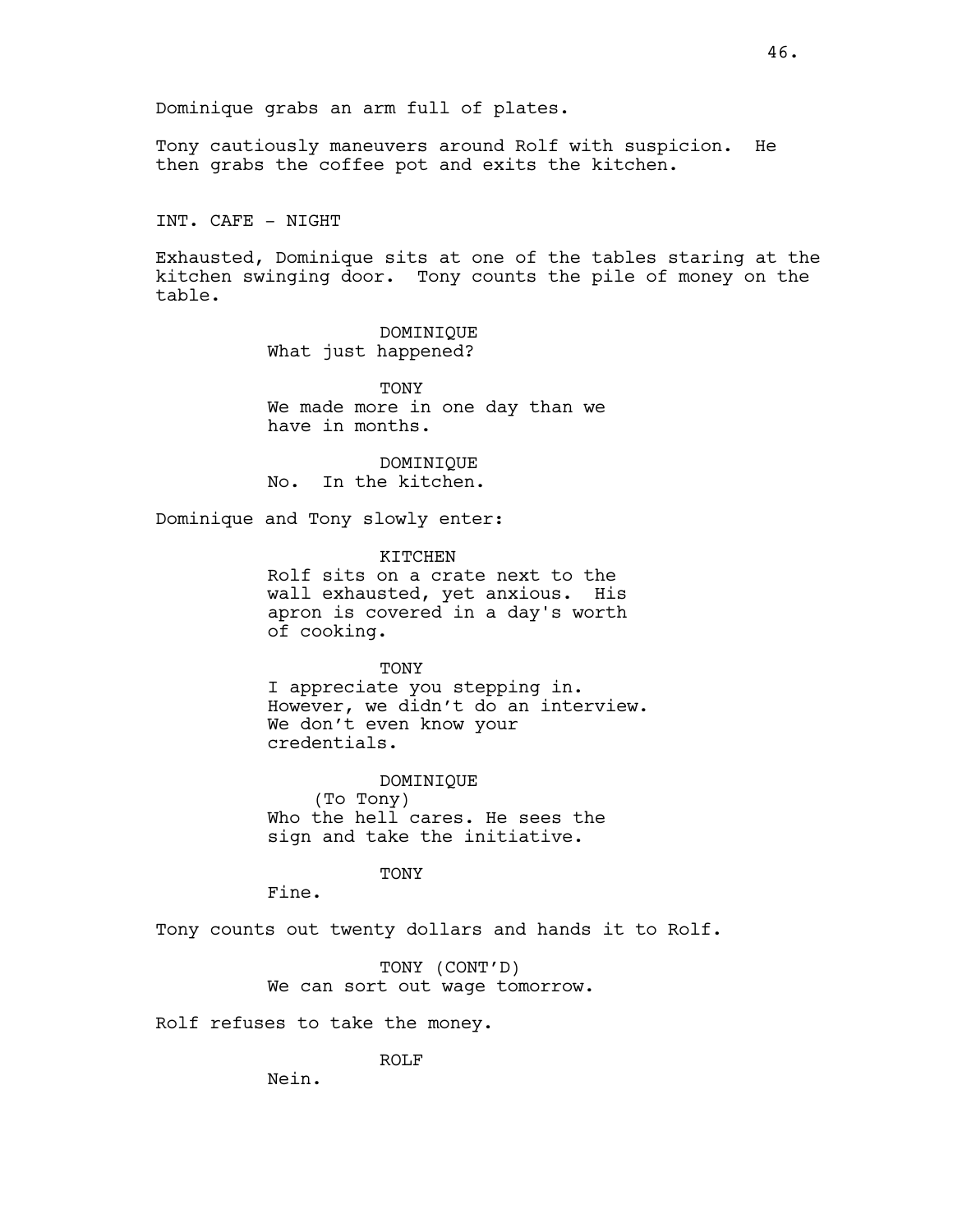Dominique grabs an arm full of plates.

Tony cautiously maneuvers around Rolf with suspicion. He then grabs the coffee pot and exits the kitchen.

INT. CAFE - NIGHT

Exhausted, Dominique sits at one of the tables staring at the kitchen swinging door. Tony counts the pile of money on the table.

> DOMINIQUE What just happened?

TONY We made more in one day than we have in months.

DOMINIQUE No. In the kitchen.

Dominique and Tony slowly enter:

KITCHEN

Rolf sits on a crate next to the wall exhausted, yet anxious. His apron is covered in a day's worth of cooking.

# TONY

I appreciate you stepping in. However, we didn't do an interview. We don't even know your credentials.

DOMINIQUE (To Tony) Who the hell cares. He sees the sign and take the initiative.

TONY

Fine.

Tony counts out twenty dollars and hands it to Rolf.

TONY (CONT'D) We can sort out wage tomorrow.

Rolf refuses to take the money.

ROLF

Nein.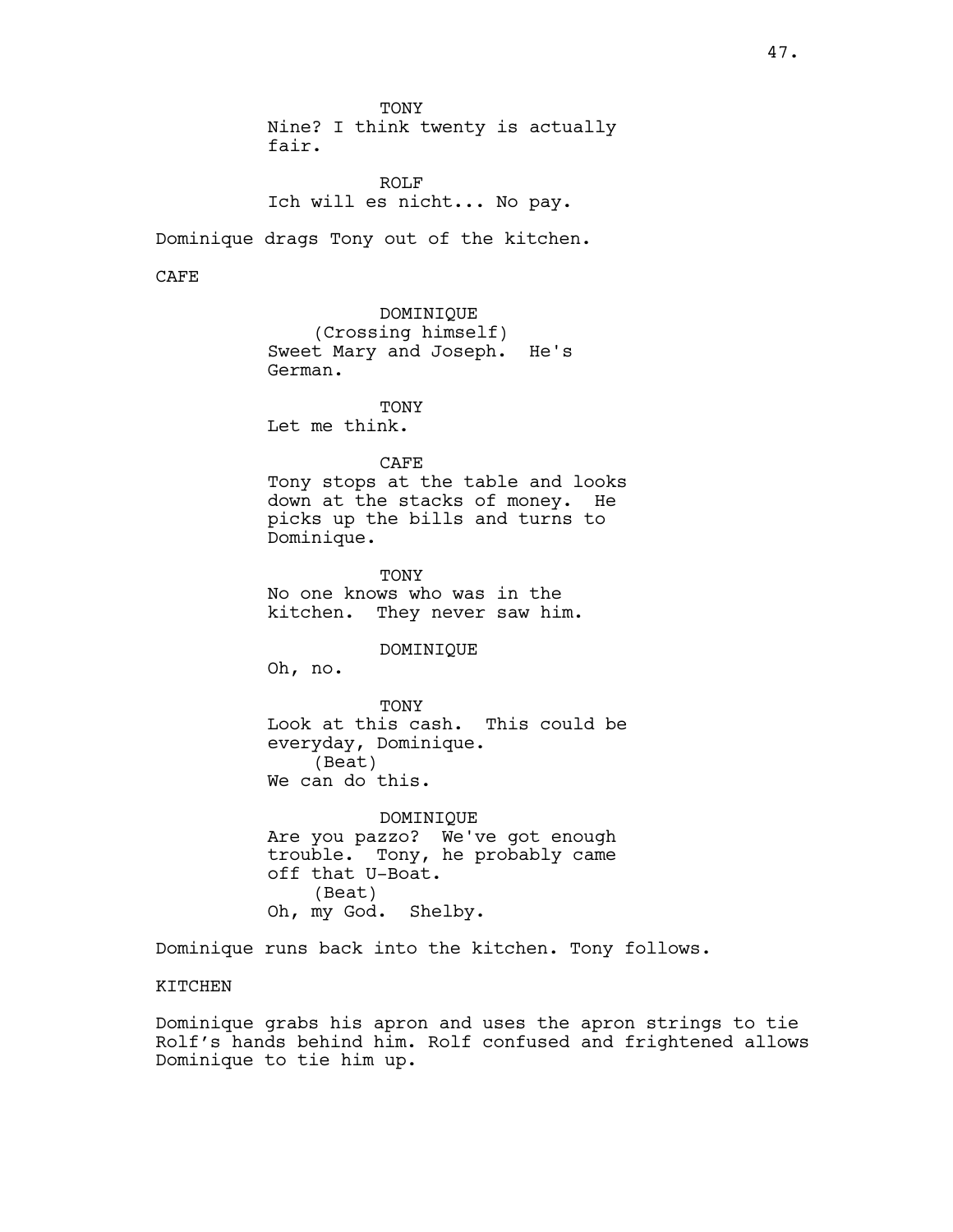TONY Nine? I think twenty is actually fair.

ROLF Ich will es nicht... No pay.

Dominique drags Tony out of the kitchen.

CAFE

DOMINIQUE (Crossing himself) Sweet Mary and Joseph. He's German.

**TONY** Let me think.

# CAFE

Tony stops at the table and looks down at the stacks of money. He picks up the bills and turns to Dominique.

TONY No one knows who was in the kitchen. They never saw him.

DOMINIQUE

Oh, no.

TONY Look at this cash. This could be everyday, Dominique. (Beat) We can do this.

DOMINIQUE Are you pazzo? We've got enough trouble. Tony, he probably came off that U-Boat. (Beat) Oh, my God. Shelby.

Dominique runs back into the kitchen. Tony follows.

KITCHEN

Dominique grabs his apron and uses the apron strings to tie Rolf's hands behind him. Rolf confused and frightened allows Dominique to tie him up.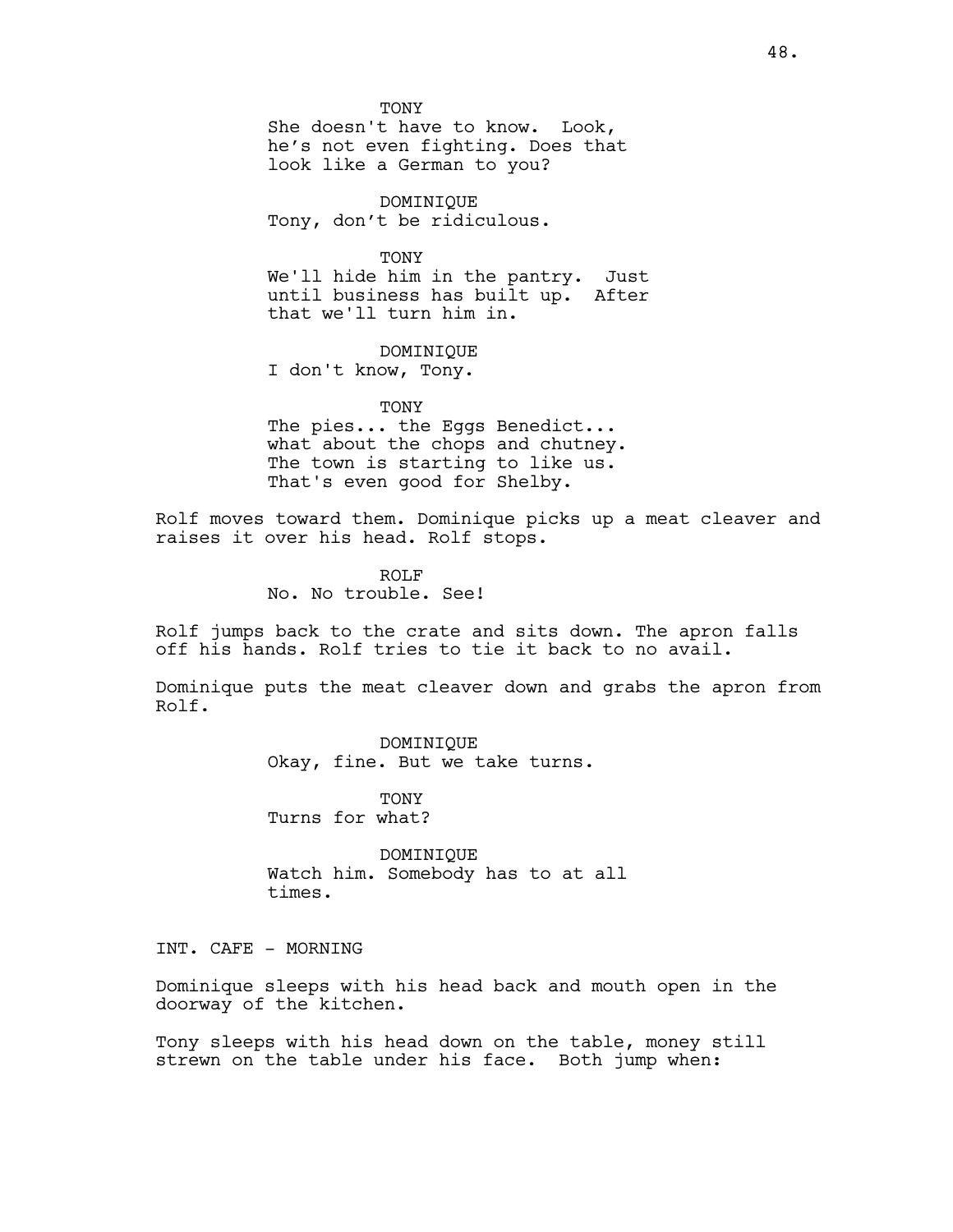TONY

She doesn't have to know. Look, he's not even fighting. Does that look like a German to you?

DOMINIQUE Tony, don't be ridiculous.

TONY

We'll hide him in the pantry. Just until business has built up. After that we'll turn him in.

DOMINIQUE

I don't know, Tony.

**TONY** 

The pies... the Eggs Benedict... what about the chops and chutney. The town is starting to like us. That's even good for Shelby.

Rolf moves toward them. Dominique picks up a meat cleaver and raises it over his head. Rolf stops.

> ROLF No. No trouble. See!

Rolf jumps back to the crate and sits down. The apron falls off his hands. Rolf tries to tie it back to no avail.

Dominique puts the meat cleaver down and grabs the apron from Rolf.

> DOMINIQUE Okay, fine. But we take turns.

TONY Turns for what?

DOMINIQUE Watch him. Somebody has to at all times.

INT. CAFE - MORNING

Dominique sleeps with his head back and mouth open in the doorway of the kitchen.

Tony sleeps with his head down on the table, money still strewn on the table under his face. Both jump when: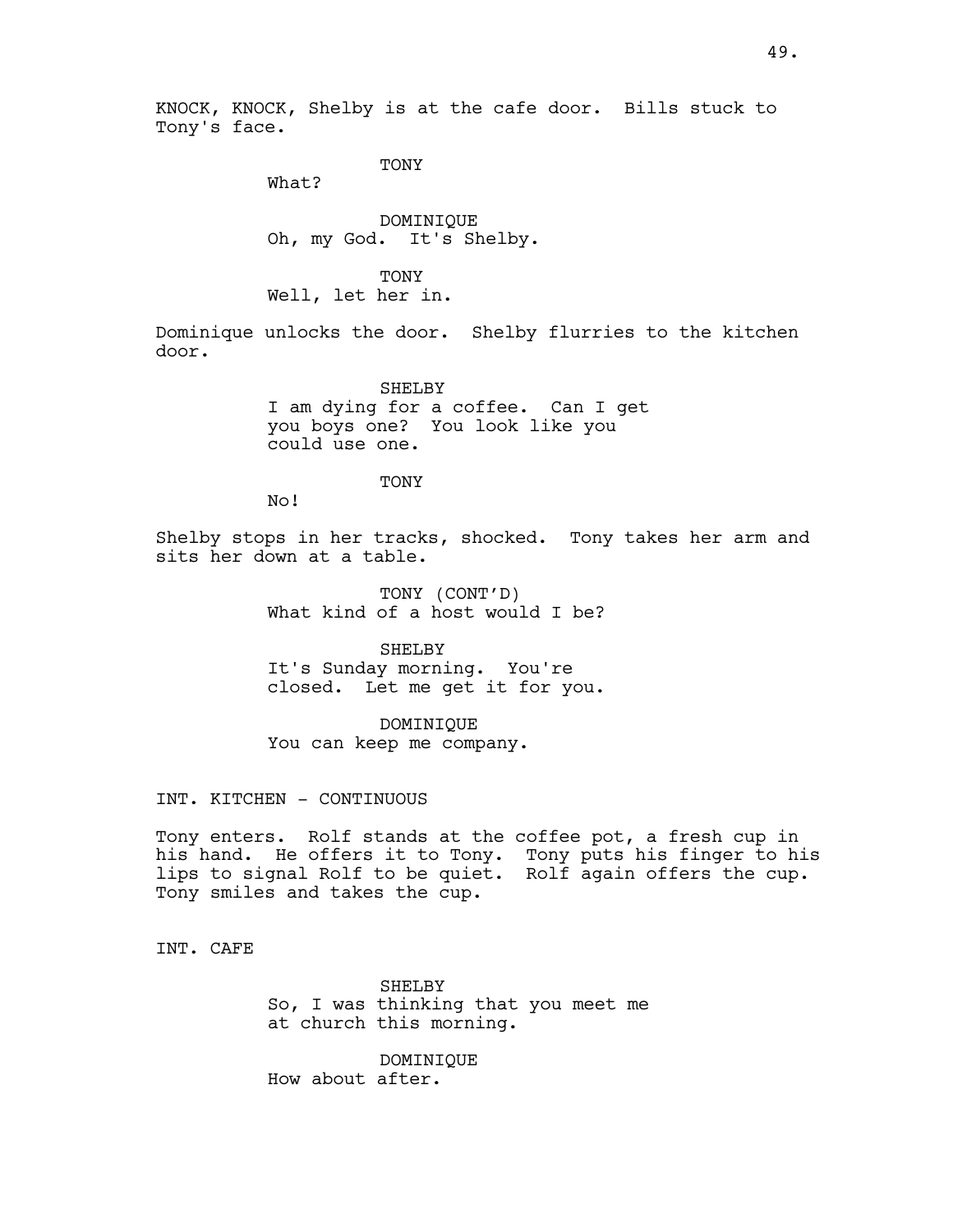KNOCK, KNOCK, Shelby is at the cafe door. Bills stuck to Tony's face.

TONY

What?

DOMINIQUE Oh, my God. It's Shelby.

TONY Well, let her in.

Dominique unlocks the door. Shelby flurries to the kitchen door.

> SHELBY I am dying for a coffee. Can I get you boys one? You look like you could use one.

> > **TONY**

No!

Shelby stops in her tracks, shocked. Tony takes her arm and sits her down at a table.

> TONY (CONT'D) What kind of a host would I be?

> SHELBY It's Sunday morning. You're closed. Let me get it for you.

DOMINIQUE You can keep me company.

INT. KITCHEN - CONTINUOUS

Tony enters. Rolf stands at the coffee pot, a fresh cup in his hand. He offers it to Tony. Tony puts his finger to his lips to signal Rolf to be quiet. Rolf again offers the cup. Tony smiles and takes the cup.

INT. CAFE

SHELBY So, I was thinking that you meet me at church this morning.

DOMINIQUE How about after.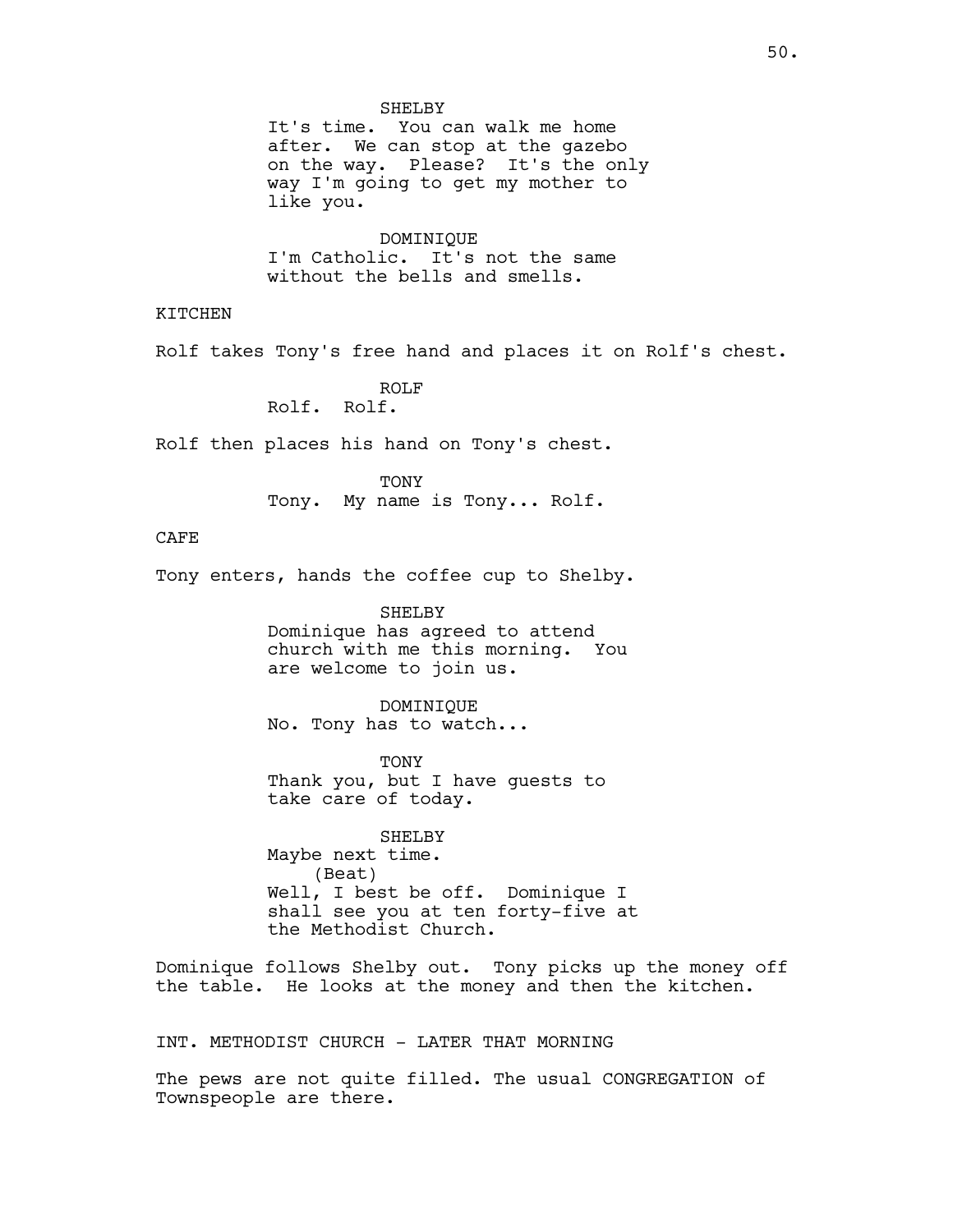#### SHELBY

It's time. You can walk me home after. We can stop at the gazebo on the way. Please? It's the only way I'm going to get my mother to like you.

DOMINIQUE I'm Catholic. It's not the same without the bells and smells.

KITCHEN

Rolf takes Tony's free hand and places it on Rolf's chest.

ROLF Rolf. Rolf.

Rolf then places his hand on Tony's chest.

TONY Tony. My name is Tony... Rolf.

# CAFE

Tony enters, hands the coffee cup to Shelby.

#### SHELBY

Dominique has agreed to attend church with me this morning. You are welcome to join us.

#### DOMINIQUE

No. Tony has to watch...

TONY Thank you, but I have guests to take care of today.

SHELBY Maybe next time. (Beat) Well, I best be off. Dominique I shall see you at ten forty-five at the Methodist Church.

Dominique follows Shelby out. Tony picks up the money off the table. He looks at the money and then the kitchen.

INT. METHODIST CHURCH - LATER THAT MORNING

The pews are not quite filled. The usual CONGREGATION of Townspeople are there.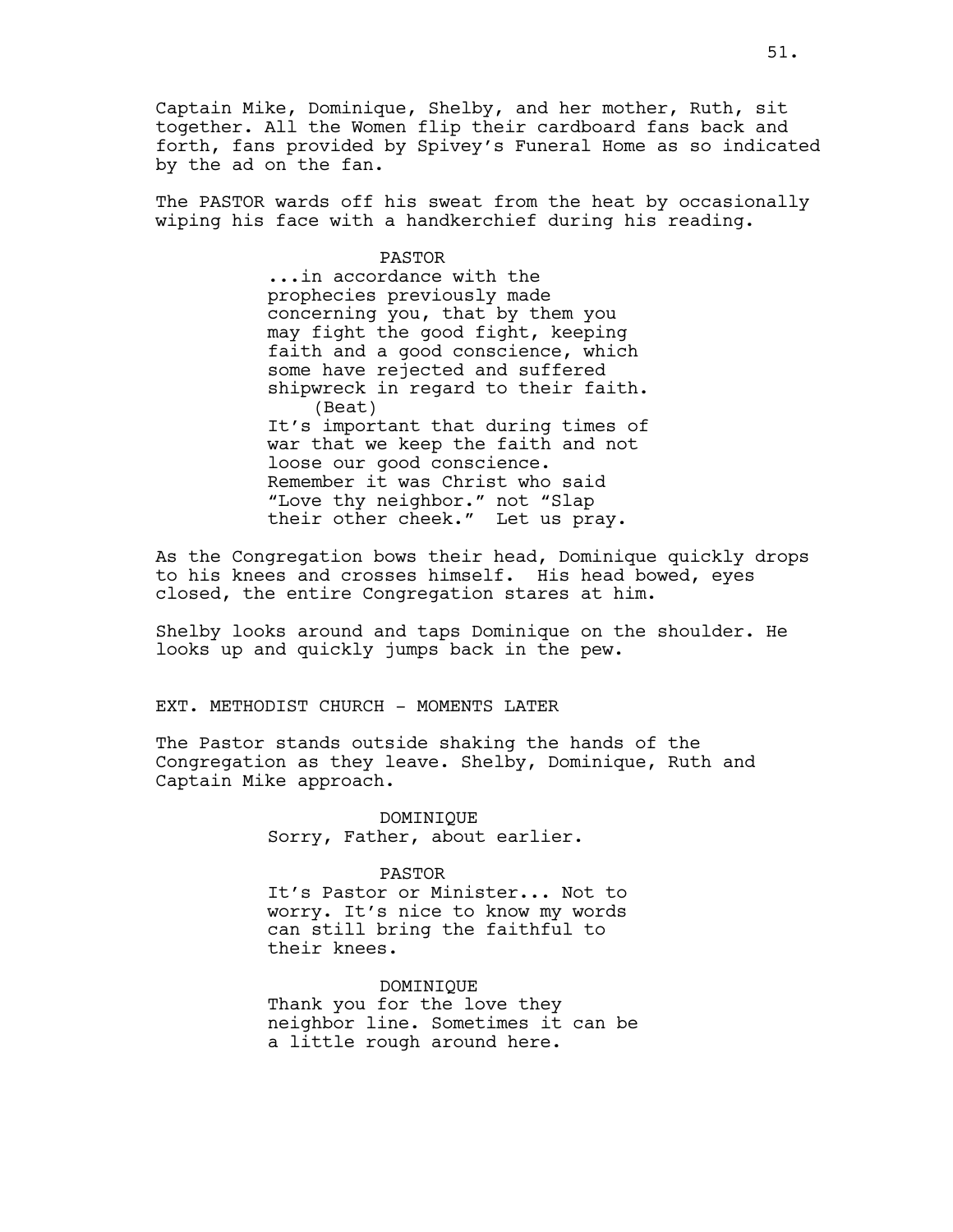Captain Mike, Dominique, Shelby, and her mother, Ruth, sit together. All the Women flip their cardboard fans back and forth, fans provided by Spivey's Funeral Home as so indicated by the ad on the fan.

The PASTOR wards off his sweat from the heat by occasionally wiping his face with a handkerchief during his reading.

PASTOR

...in accordance with the prophecies previously made concerning you, that by them you may fight the good fight, keeping faith and a good conscience, which some have rejected and suffered shipwreck in regard to their faith. (Beat) It's important that during times of war that we keep the faith and not loose our good conscience. Remember it was Christ who said "Love thy neighbor." not "Slap their other cheek." Let us pray.

As the Congregation bows their head, Dominique quickly drops to his knees and crosses himself. His head bowed, eyes closed, the entire Congregation stares at him.

Shelby looks around and taps Dominique on the shoulder. He looks up and quickly jumps back in the pew.

EXT. METHODIST CHURCH - MOMENTS LATER

The Pastor stands outside shaking the hands of the Congregation as they leave. Shelby, Dominique, Ruth and Captain Mike approach.

> DOMINIQUE Sorry, Father, about earlier.

> > PASTOR

It's Pastor or Minister... Not to worry. It's nice to know my words can still bring the faithful to their knees.

DOMINIQUE Thank you for the love they neighbor line. Sometimes it can be a little rough around here.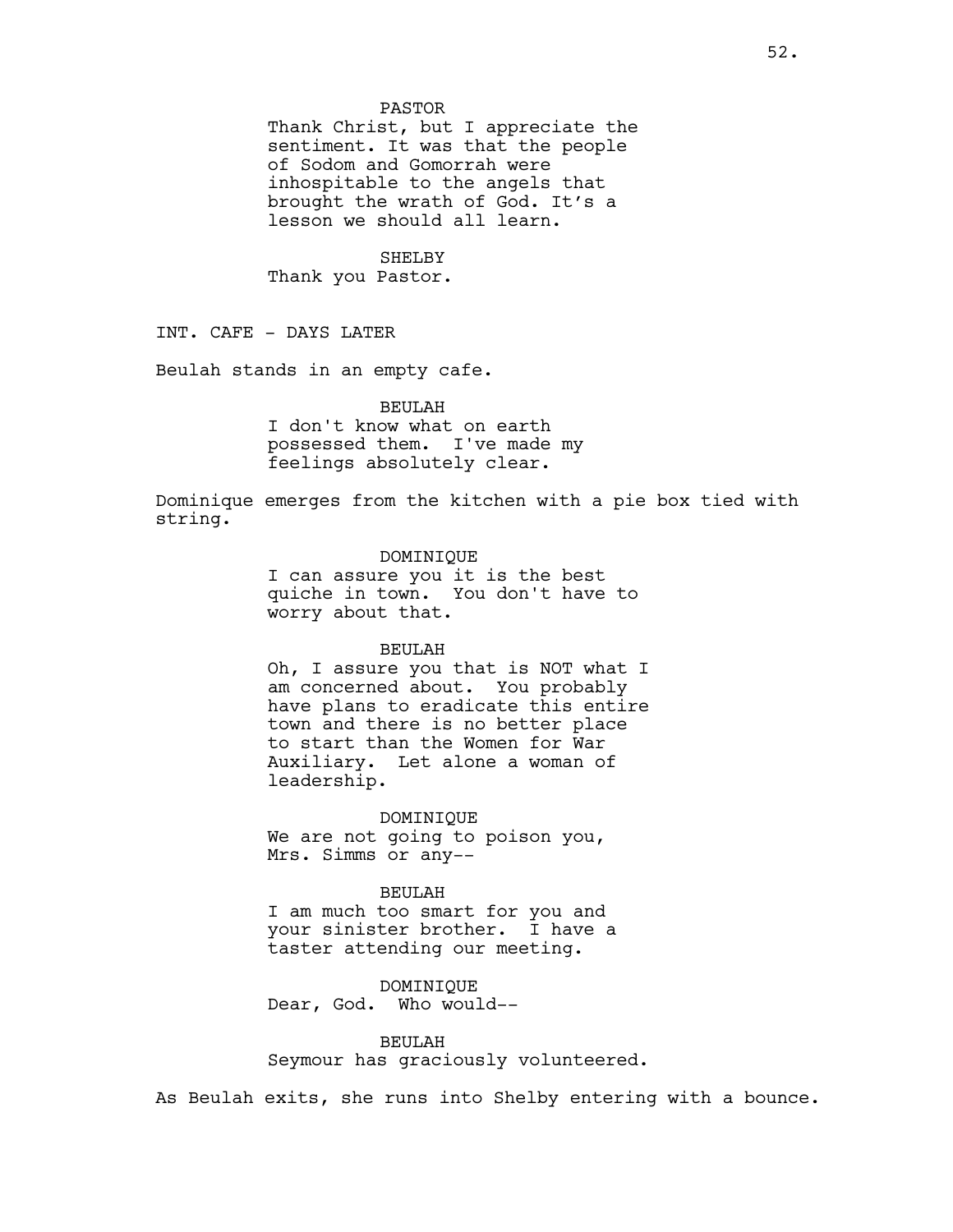#### PASTOR

Thank Christ, but I appreciate the sentiment. It was that the people of Sodom and Gomorrah were inhospitable to the angels that brought the wrath of God. It's a lesson we should all learn.

SHELBY Thank you Pastor.

INT. CAFE - DAYS LATER

Beulah stands in an empty cafe.

#### BEULAH

I don't know what on earth possessed them. I've made my feelings absolutely clear.

Dominique emerges from the kitchen with a pie box tied with string.

### DOMINIQUE

I can assure you it is the best quiche in town. You don't have to worry about that.

### BEULAH

Oh, I assure you that is NOT what I am concerned about. You probably have plans to eradicate this entire town and there is no better place to start than the Women for War Auxiliary. Let alone a woman of leadership.

DOMINIQUE We are not going to poison you, Mrs. Simms or any--

# BEULAH

I am much too smart for you and your sinister brother. I have a taster attending our meeting.

DOMINIQUE Dear, God. Who would--

BEULAH Seymour has graciously volunteered.

As Beulah exits, she runs into Shelby entering with a bounce.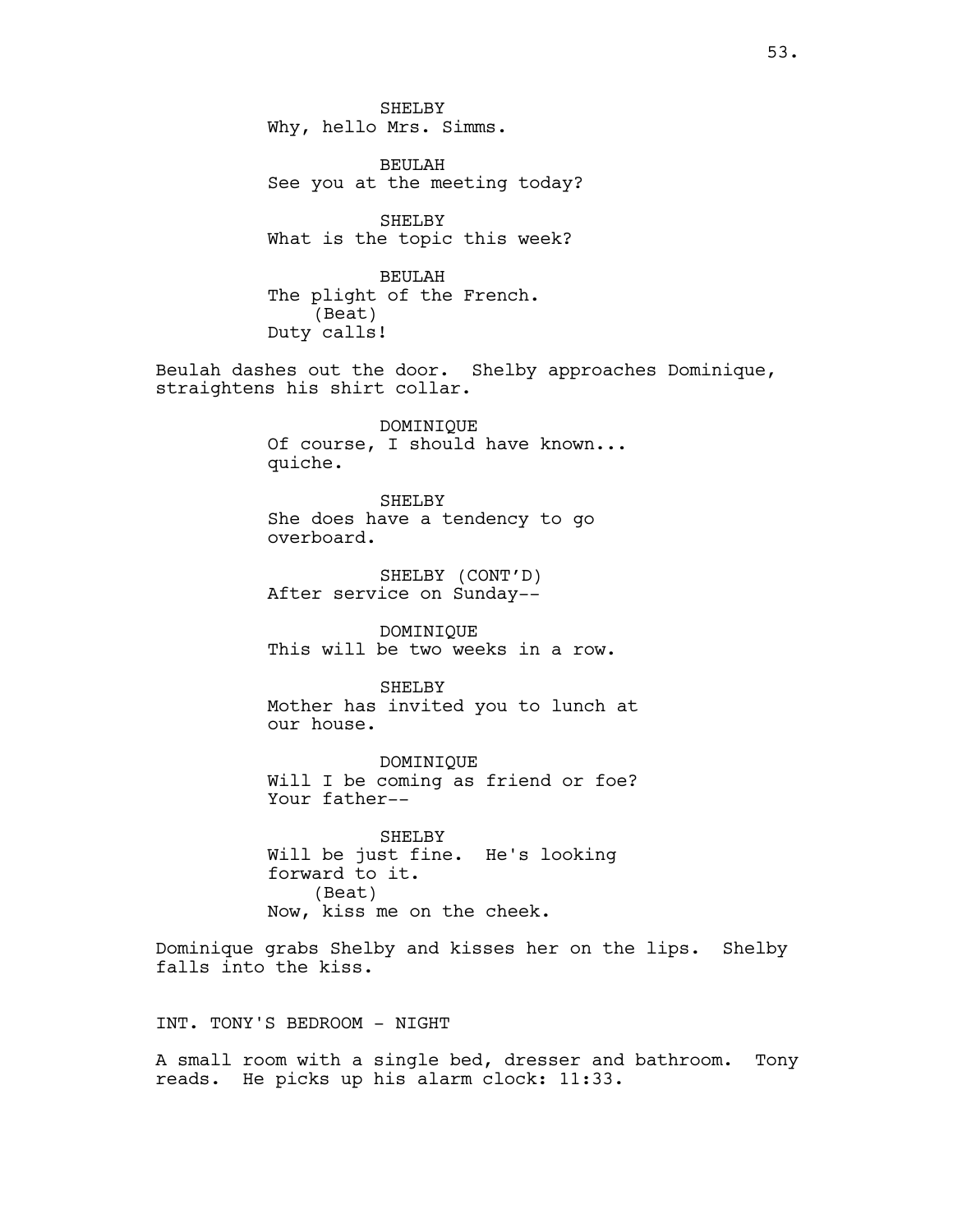SHELBY Why, hello Mrs. Simms.

BEULAH See you at the meeting today?

SHELBY What is the topic this week?

BEULAH The plight of the French. (Beat) Duty calls!

Beulah dashes out the door. Shelby approaches Dominique, straightens his shirt collar.

> DOMINIQUE Of course, I should have known... quiche.

SHELBY She does have a tendency to go overboard.

SHELBY (CONT'D) After service on Sunday--

DOMINIQUE This will be two weeks in a row.

SHELBY Mother has invited you to lunch at our house.

DOMINIQUE Will I be coming as friend or foe? Your father--

SHELBY Will be just fine. He's looking forward to it. (Beat) Now, kiss me on the cheek.

Dominique grabs Shelby and kisses her on the lips. Shelby falls into the kiss.

INT. TONY'S BEDROOM - NIGHT

A small room with a single bed, dresser and bathroom. Tony reads. He picks up his alarm clock: 11:33.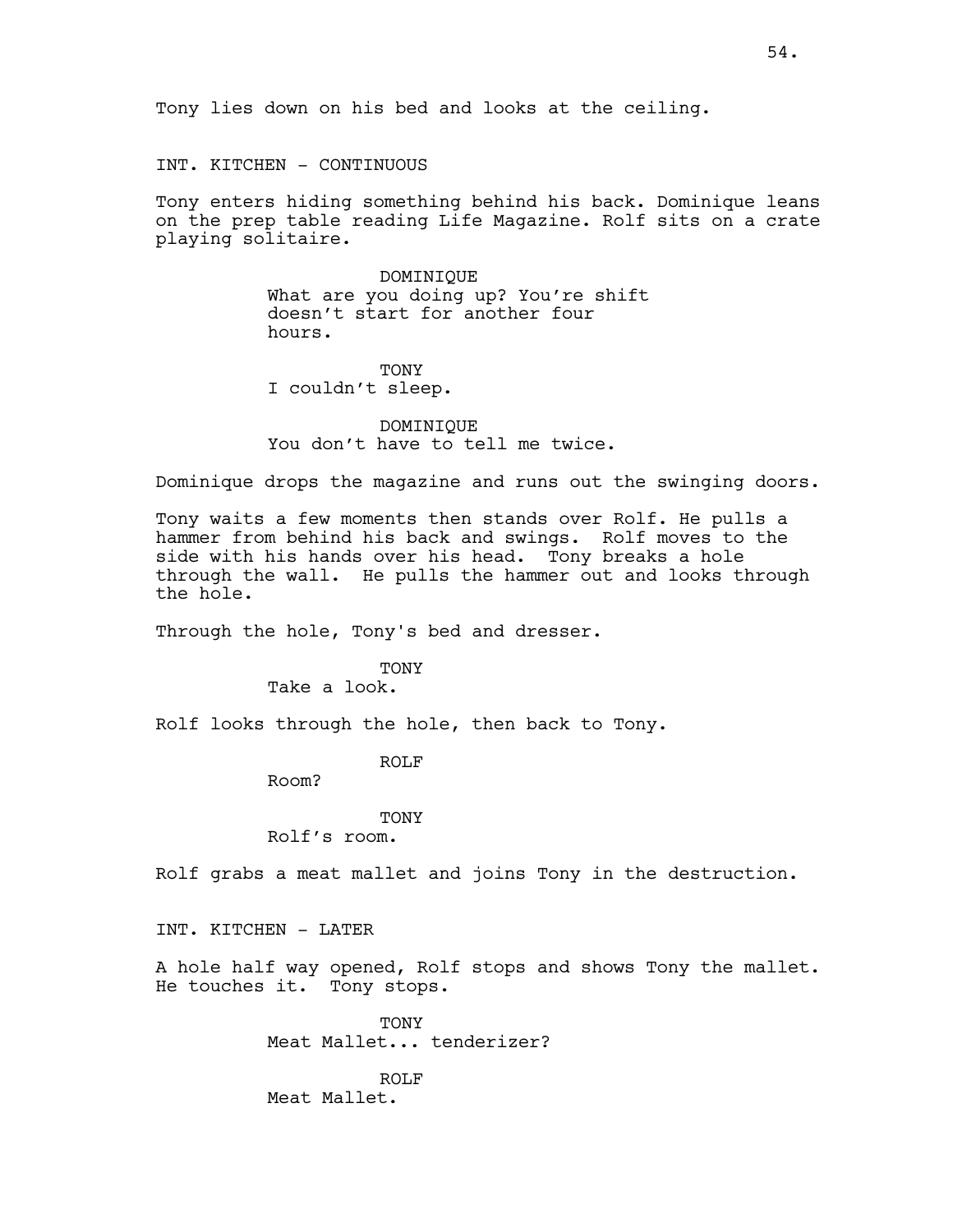INT. KITCHEN - CONTINUOUS

Tony enters hiding something behind his back. Dominique leans on the prep table reading Life Magazine. Rolf sits on a crate playing solitaire.

> DOMINIQUE What are you doing up? You're shift doesn't start for another four hours.

TONY I couldn't sleep.

DOMINIQUE You don't have to tell me twice.

Dominique drops the magazine and runs out the swinging doors.

Tony waits a few moments then stands over Rolf. He pulls a hammer from behind his back and swings. Rolf moves to the side with his hands over his head. Tony breaks a hole through the wall. He pulls the hammer out and looks through the hole.

Through the hole, Tony's bed and dresser.

TONY Take a look.

Rolf looks through the hole, then back to Tony.

ROLF

Room?

**TONY** Rolf's room.

Rolf grabs a meat mallet and joins Tony in the destruction.

INT. KITCHEN - LATER

A hole half way opened, Rolf stops and shows Tony the mallet. He touches it. Tony stops.

> **TONY** Meat Mallet... tenderizer?

ROLF Meat Mallet.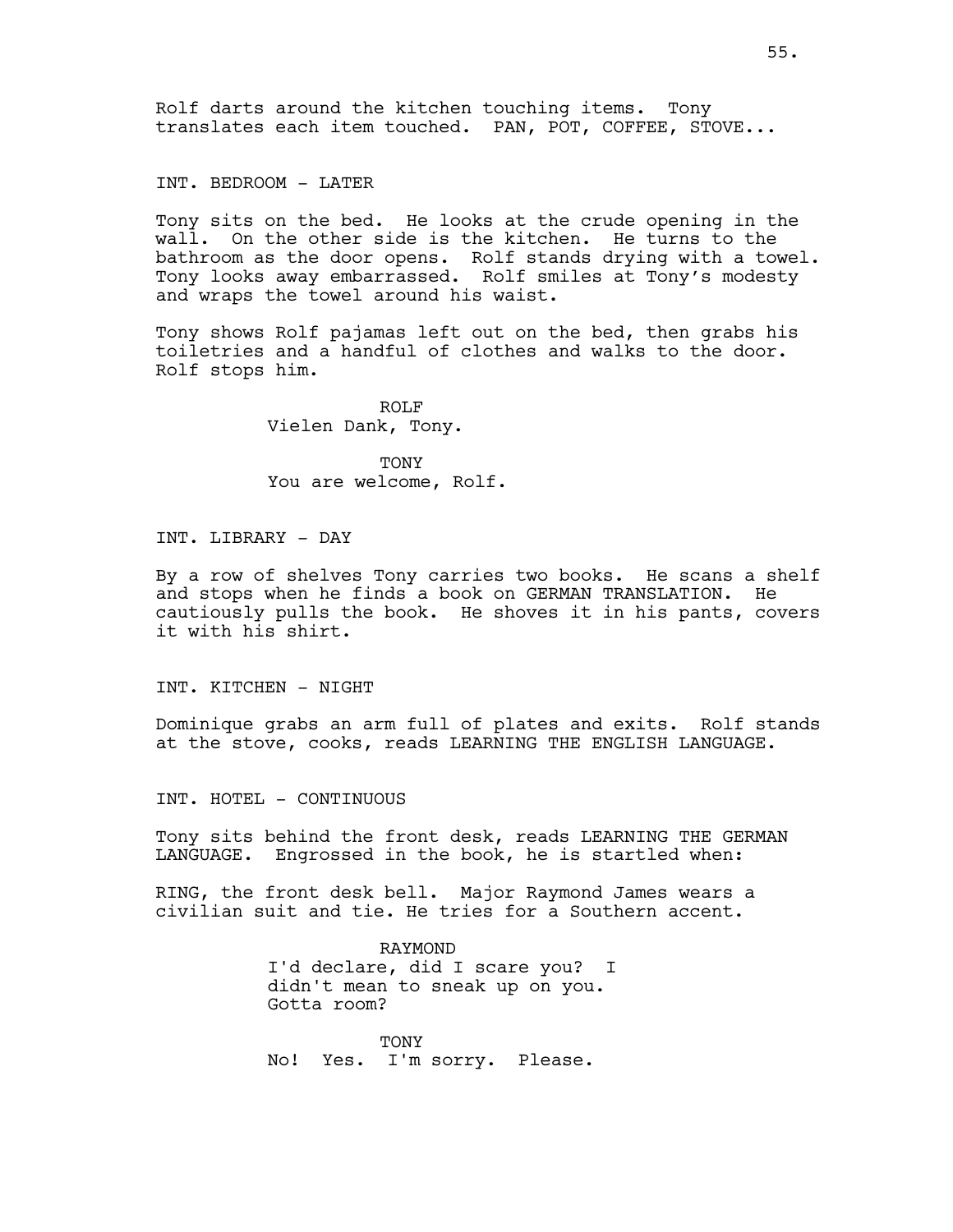Rolf darts around the kitchen touching items. Tony translates each item touched. PAN, POT, COFFEE, STOVE...

INT. BEDROOM - LATER

Tony sits on the bed. He looks at the crude opening in the wall. On the other side is the kitchen. He turns to the bathroom as the door opens. Rolf stands drying with a towel. Tony looks away embarrassed. Rolf smiles at Tony's modesty and wraps the towel around his waist.

Tony shows Rolf pajamas left out on the bed, then grabs his toiletries and a handful of clothes and walks to the door. Rolf stops him.

> ROLF Vielen Dank, Tony.

TONY You are welcome, Rolf.

INT. LIBRARY - DAY

By a row of shelves Tony carries two books. He scans a shelf and stops when he finds a book on GERMAN TRANSLATION. He cautiously pulls the book. He shoves it in his pants, covers it with his shirt.

INT. KITCHEN - NIGHT

Dominique grabs an arm full of plates and exits. Rolf stands at the stove, cooks, reads LEARNING THE ENGLISH LANGUAGE.

INT. HOTEL - CONTINUOUS

Tony sits behind the front desk, reads LEARNING THE GERMAN LANGUAGE. Engrossed in the book, he is startled when:

RING, the front desk bell. Major Raymond James wears a civilian suit and tie. He tries for a Southern accent.

> RAYMOND I'd declare, did I scare you? I didn't mean to sneak up on you. Gotta room?

TONY No! Yes. I'm sorry. Please.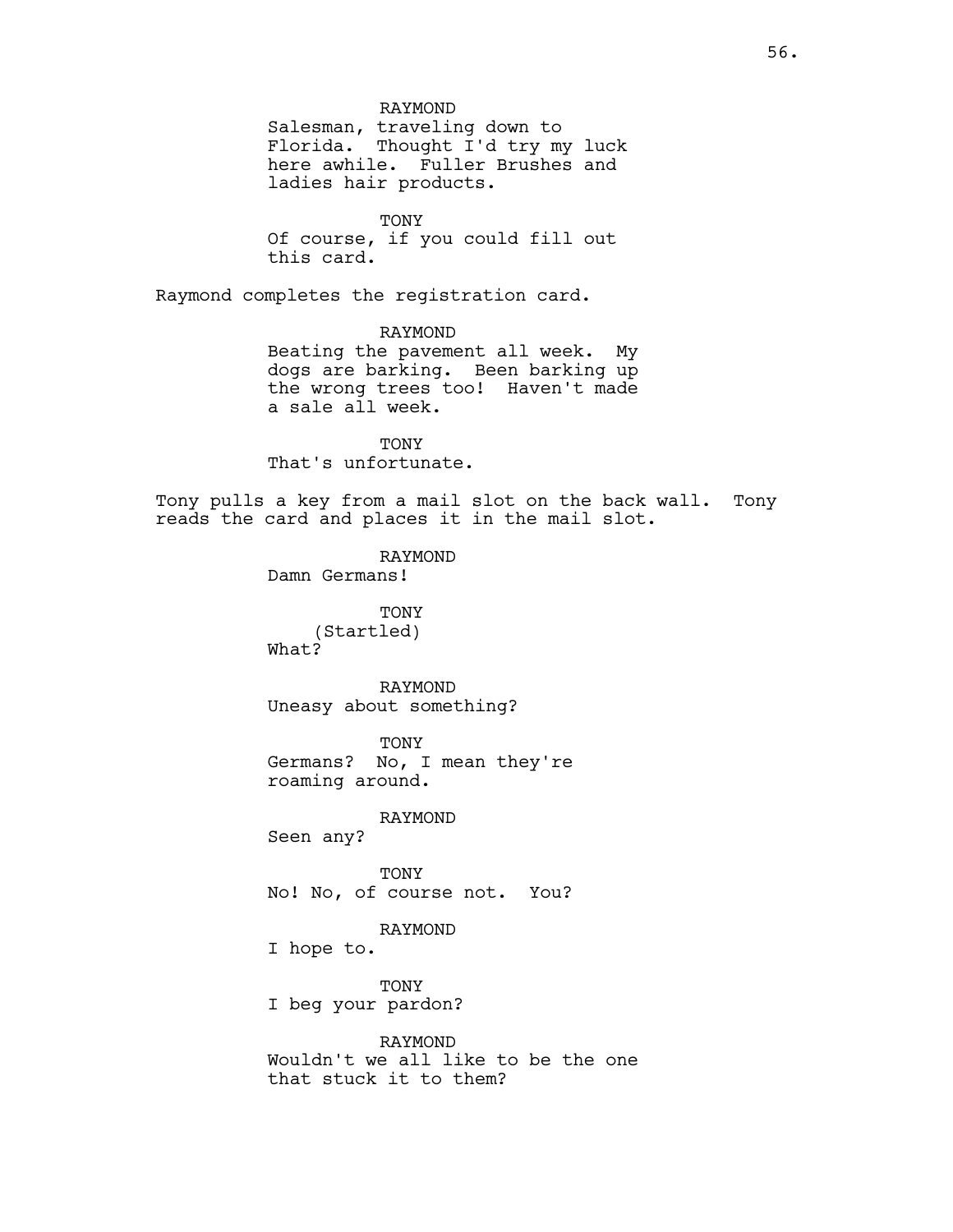# RAYMOND

Salesman, traveling down to Florida. Thought I'd try my luck here awhile. Fuller Brushes and ladies hair products.

TONY Of course, if you could fill out this card.

Raymond completes the registration card.

### RAYMOND

Beating the pavement all week. My dogs are barking. Been barking up the wrong trees too! Haven't made a sale all week.

**TONY** That's unfortunate.

Tony pulls a key from a mail slot on the back wall. Tony reads the card and places it in the mail slot.

## RAYMOND

Damn Germans!

TONY (Startled) What?

RAYMOND Uneasy about something?

TONY Germans? No, I mean they're roaming around.

#### RAYMOND

Seen any?

TONY No! No, of course not. You?

# RAYMOND

I hope to.

TONY

I beg your pardon?

# RAYMOND

Wouldn't we all like to be the one that stuck it to them?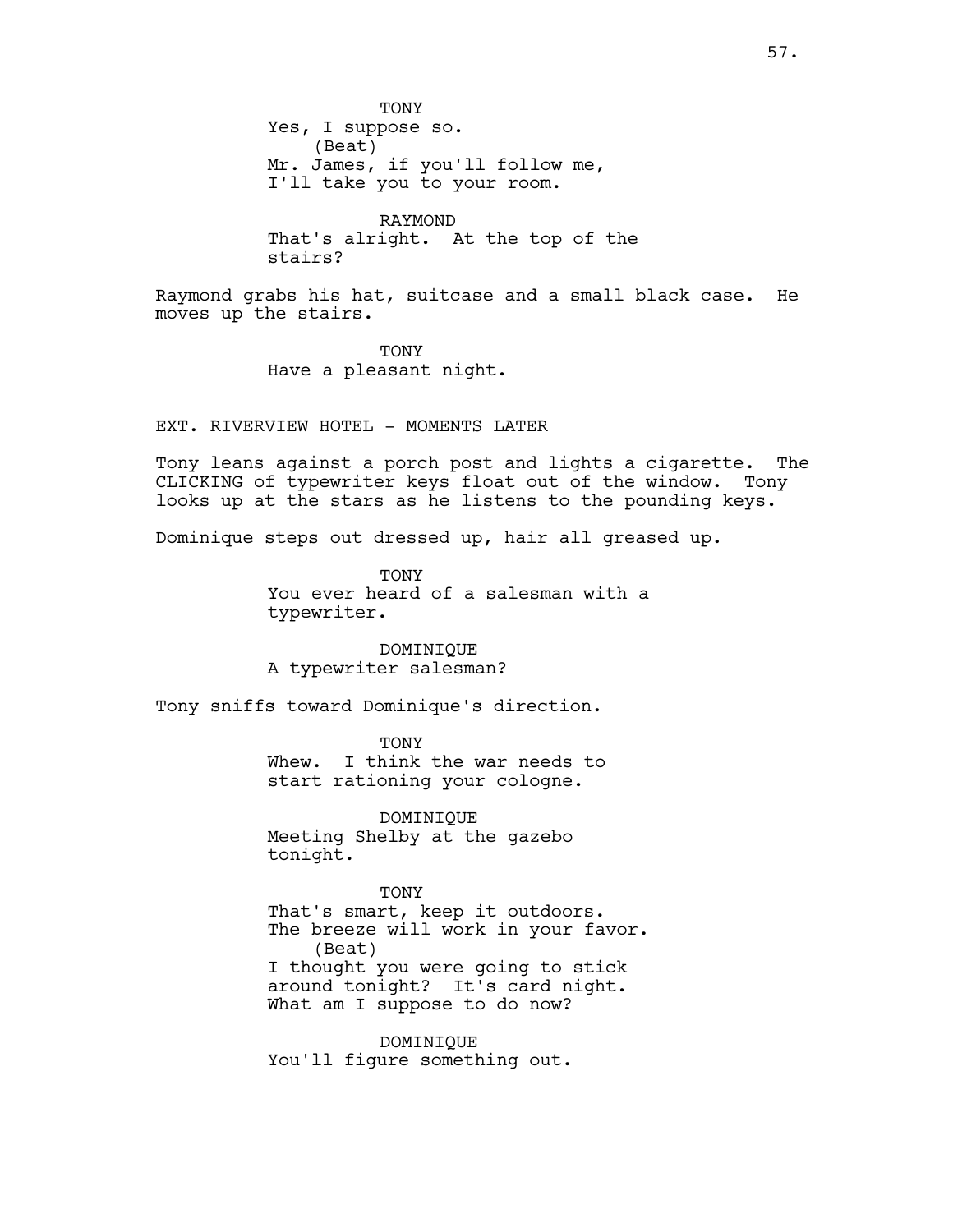TONY Yes, I suppose so. (Beat) Mr. James, if you'll follow me, I'll take you to your room.

RAYMOND That's alright. At the top of the stairs?

Raymond grabs his hat, suitcase and a small black case. He moves up the stairs.

> TONY Have a pleasant night.

EXT. RIVERVIEW HOTEL - MOMENTS LATER

Tony leans against a porch post and lights a cigarette. The CLICKING of typewriter keys float out of the window. Tony looks up at the stars as he listens to the pounding keys.

Dominique steps out dressed up, hair all greased up.

TONY You ever heard of a salesman with a typewriter.

DOMINIQUE A typewriter salesman?

Tony sniffs toward Dominique's direction.

TONY

Whew. I think the war needs to start rationing your cologne.

DOMINIQUE Meeting Shelby at the gazebo tonight.

TONY

That's smart, keep it outdoors. The breeze will work in your favor. (Beat) I thought you were going to stick around tonight? It's card night. What am I suppose to do now?

DOMINIQUE You'll figure something out.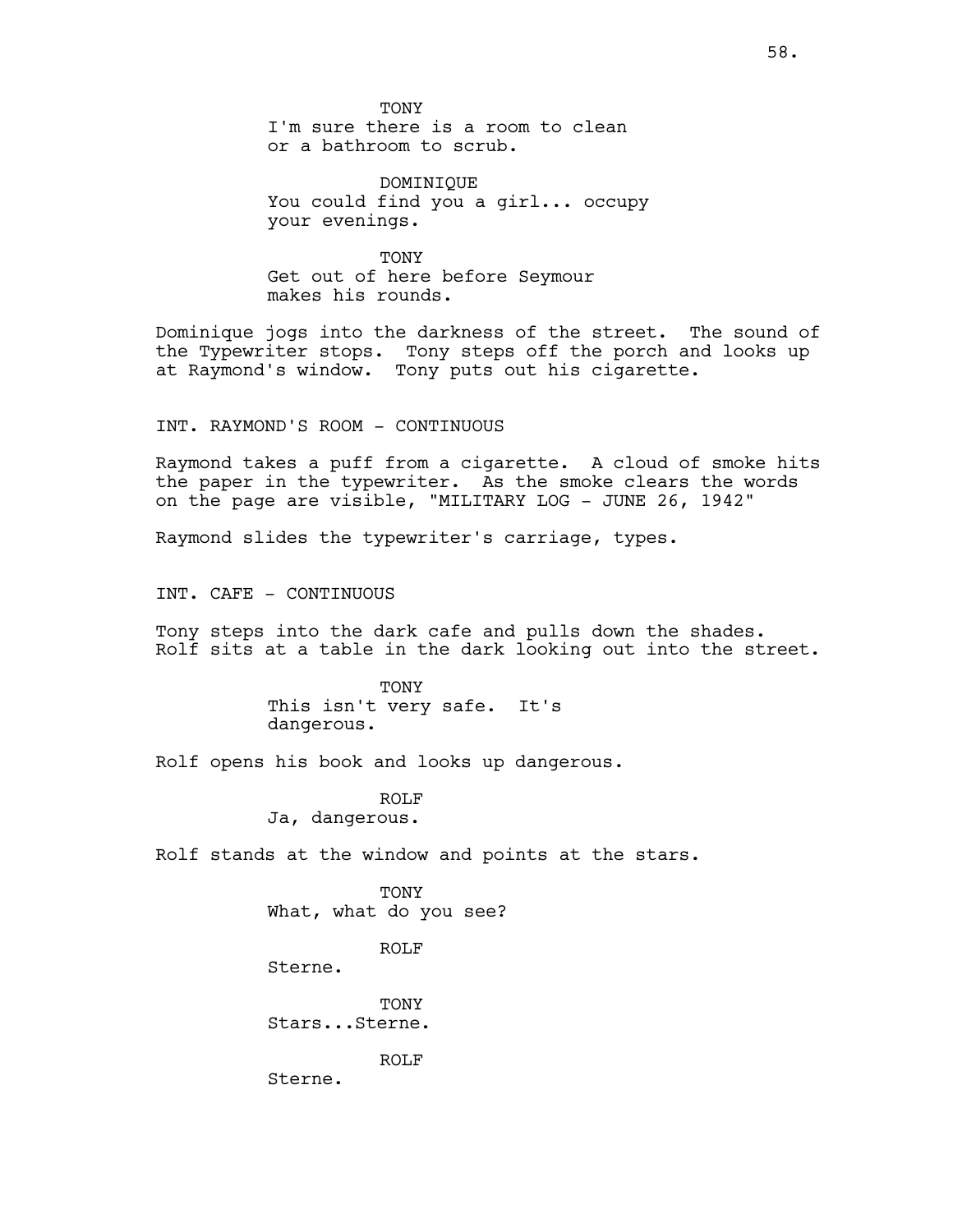TONY

I'm sure there is a room to clean or a bathroom to scrub.

DOMINIQUE You could find you a girl... occupy your evenings.

TONY Get out of here before Seymour makes his rounds.

Dominique jogs into the darkness of the street. The sound of the Typewriter stops. Tony steps off the porch and looks up at Raymond's window. Tony puts out his cigarette.

INT. RAYMOND'S ROOM - CONTINUOUS

Raymond takes a puff from a cigarette. A cloud of smoke hits the paper in the typewriter. As the smoke clears the words on the page are visible, "MILITARY LOG - JUNE 26, 1942"

Raymond slides the typewriter's carriage, types.

INT. CAFE - CONTINUOUS

Tony steps into the dark cafe and pulls down the shades. Rolf sits at a table in the dark looking out into the street.

> TONY This isn't very safe. It's dangerous.

Rolf opens his book and looks up dangerous.

ROLF Ja, dangerous.

Rolf stands at the window and points at the stars.

TONY What, what do you see?

ROLF

Sterne.

TONY Stars...Sterne.

ROLF

Sterne.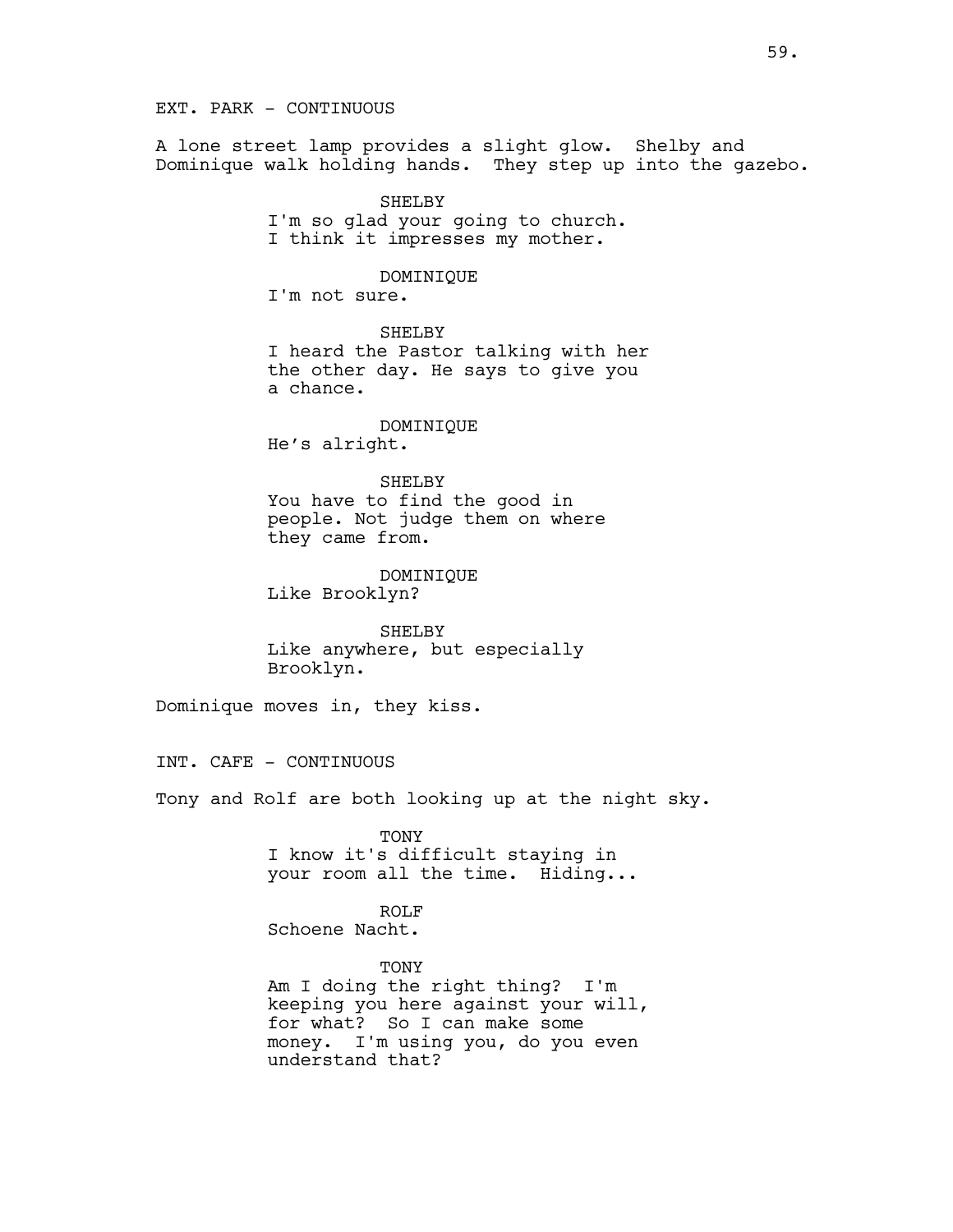EXT. PARK - CONTINUOUS

A lone street lamp provides a slight glow. Shelby and Dominique walk holding hands. They step up into the gazebo.

> SHELBY I'm so glad your going to church. I think it impresses my mother.

> > DOMINIQUE

I'm not sure.

SHELBY I heard the Pastor talking with her the other day. He says to give you a chance.

DOMINIQUE He's alright.

SHELBY

You have to find the good in people. Not judge them on where they came from.

DOMINIQUE Like Brooklyn?

SHELBY Like anywhere, but especially Brooklyn.

Dominique moves in, they kiss.

INT. CAFE - CONTINUOUS

Tony and Rolf are both looking up at the night sky.

TONY I know it's difficult staying in your room all the time. Hiding...

ROLF Schoene Nacht.

TONY

Am I doing the right thing? I'm keeping you here against your will, for what? So I can make some money. I'm using you, do you even understand that?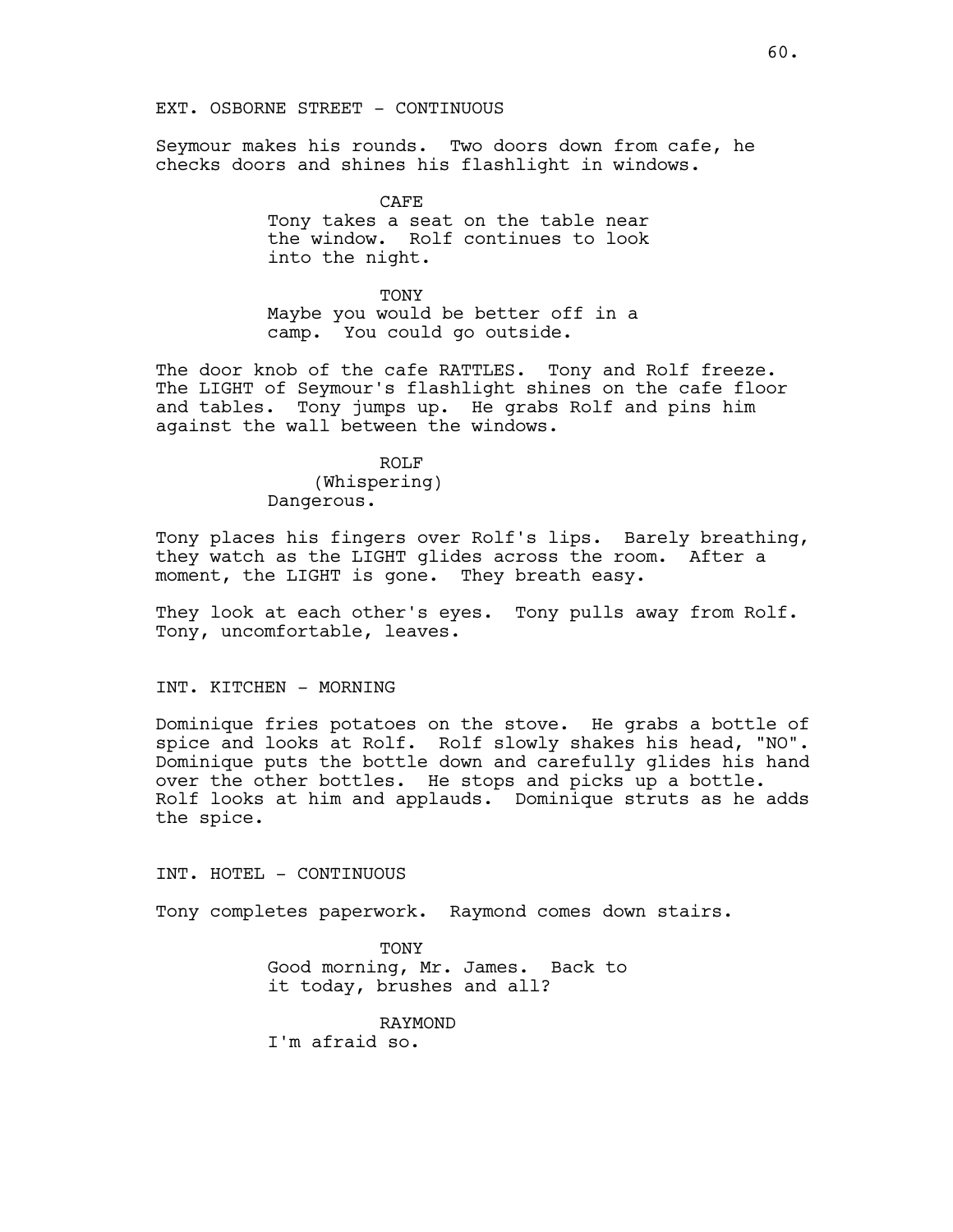EXT. OSBORNE STREET - CONTINUOUS

Seymour makes his rounds. Two doors down from cafe, he checks doors and shines his flashlight in windows.

> CAFE Tony takes a seat on the table near the window. Rolf continues to look into the night.

**TONY** Maybe you would be better off in a camp. You could go outside.

The door knob of the cafe RATTLES. Tony and Rolf freeze. The LIGHT of Seymour's flashlight shines on the cafe floor and tables. Tony jumps up. He grabs Rolf and pins him against the wall between the windows.

> ROLF (Whispering) Dangerous.

Tony places his fingers over Rolf's lips. Barely breathing, they watch as the LIGHT glides across the room. After a moment, the LIGHT is gone. They breath easy.

They look at each other's eyes. Tony pulls away from Rolf. Tony, uncomfortable, leaves.

## INT. KITCHEN - MORNING

Dominique fries potatoes on the stove. He grabs a bottle of spice and looks at Rolf. Rolf slowly shakes his head, "NO". Dominique puts the bottle down and carefully glides his hand over the other bottles. He stops and picks up a bottle. Rolf looks at him and applauds. Dominique struts as he adds the spice.

INT. HOTEL - CONTINUOUS

Tony completes paperwork. Raymond comes down stairs.

**TONY** Good morning, Mr. James. Back to it today, brushes and all?

RAYMOND I'm afraid so.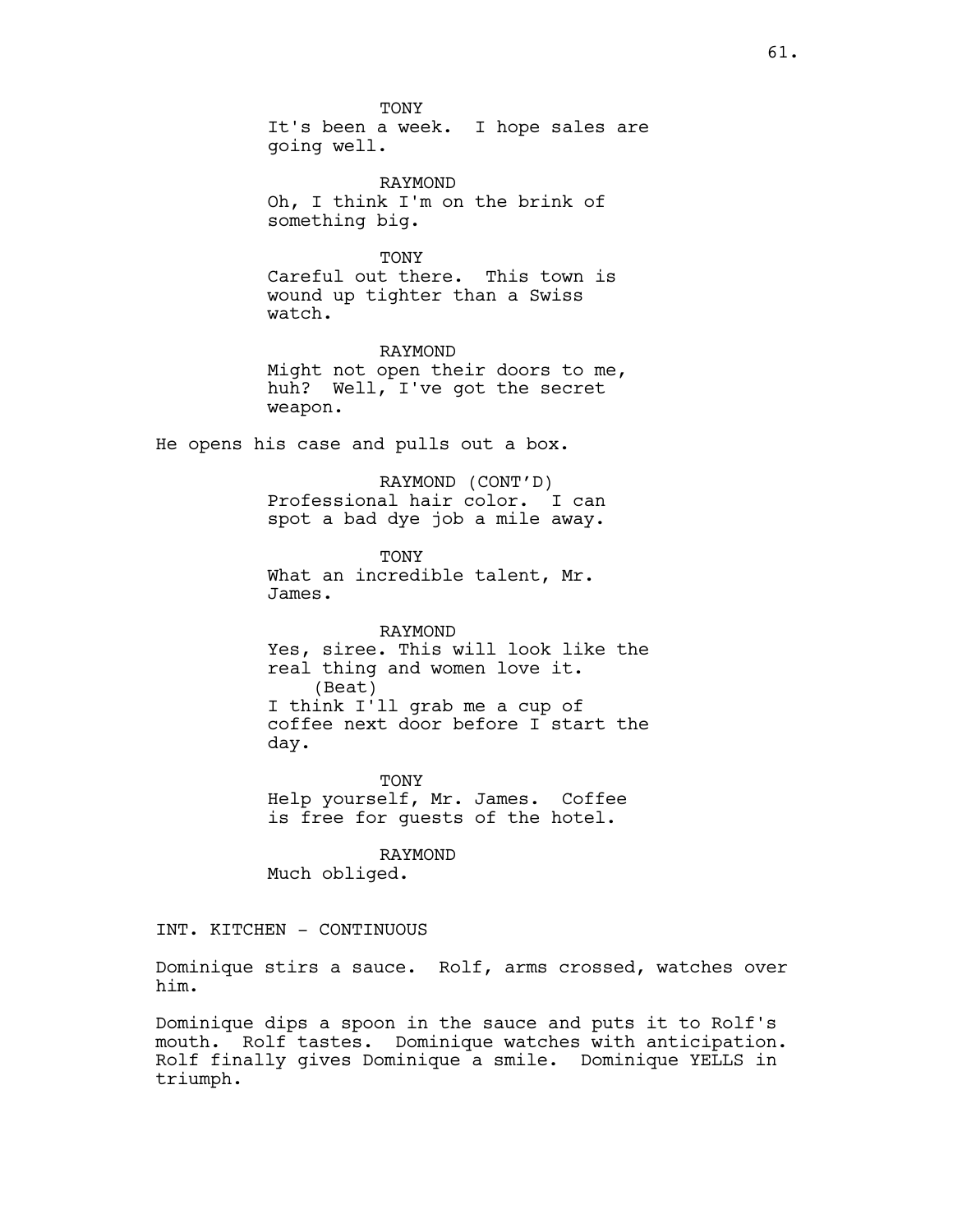TONY It's been a week. I hope sales are going well. RAYMOND

Oh, I think I'm on the brink of something big.

TONY Careful out there. This town is wound up tighter than a Swiss watch.

RAYMOND Might not open their doors to me, huh? Well, I've got the secret weapon.

He opens his case and pulls out a box.

RAYMOND (CONT'D) Professional hair color. I can spot a bad dye job a mile away.

**TONY** What an incredible talent, Mr. James.

RAYMOND Yes, siree. This will look like the real thing and women love it. (Beat) I think I'll grab me a cup of coffee next door before I start the day.

TONY Help yourself, Mr. James. Coffee is free for guests of the hotel.

RAYMOND Much obliged.

INT. KITCHEN - CONTINUOUS

Dominique stirs a sauce. Rolf, arms crossed, watches over him.

Dominique dips a spoon in the sauce and puts it to Rolf's mouth. Rolf tastes. Dominique watches with anticipation. Rolf finally gives Dominique a smile. Dominique YELLS in triumph.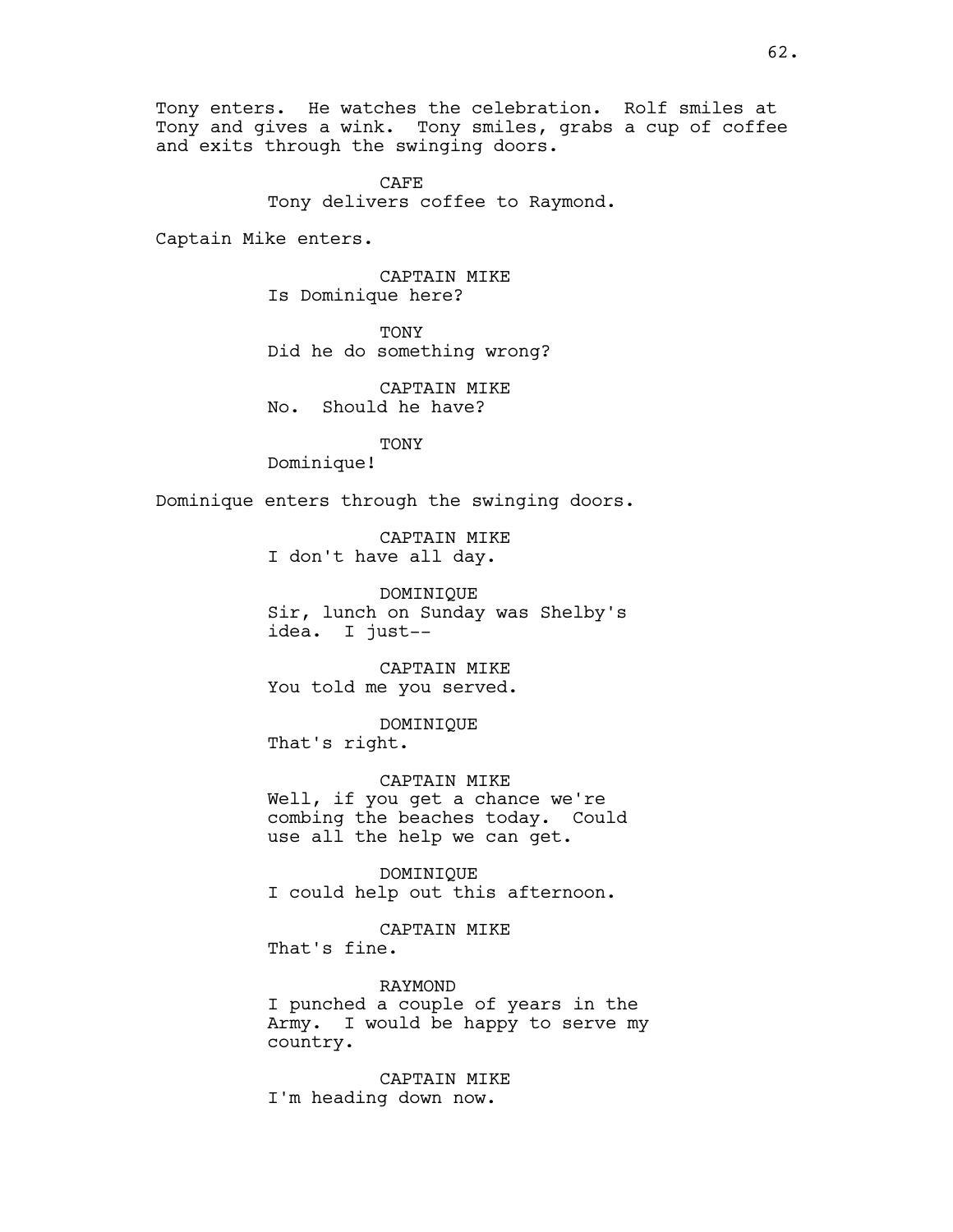Tony enters. He watches the celebration. Rolf smiles at Tony and gives a wink. Tony smiles, grabs a cup of coffee and exits through the swinging doors.

> CAFE Tony delivers coffee to Raymond.

Captain Mike enters.

CAPTAIN MIKE Is Dominique here?

TONY Did he do something wrong?

CAPTAIN MIKE No. Should he have?

TONY

Dominique!

Dominique enters through the swinging doors.

CAPTAIN MIKE I don't have all day.

DOMINIQUE Sir, lunch on Sunday was Shelby's idea. I just--

CAPTAIN MIKE You told me you served.

DOMINIQUE That's right.

CAPTAIN MIKE Well, if you get a chance we're combing the beaches today. Could use all the help we can get.

DOMINIQUE I could help out this afternoon.

CAPTAIN MIKE That's fine.

RAYMOND I punched a couple of years in the Army. I would be happy to serve my country.

CAPTAIN MIKE I'm heading down now.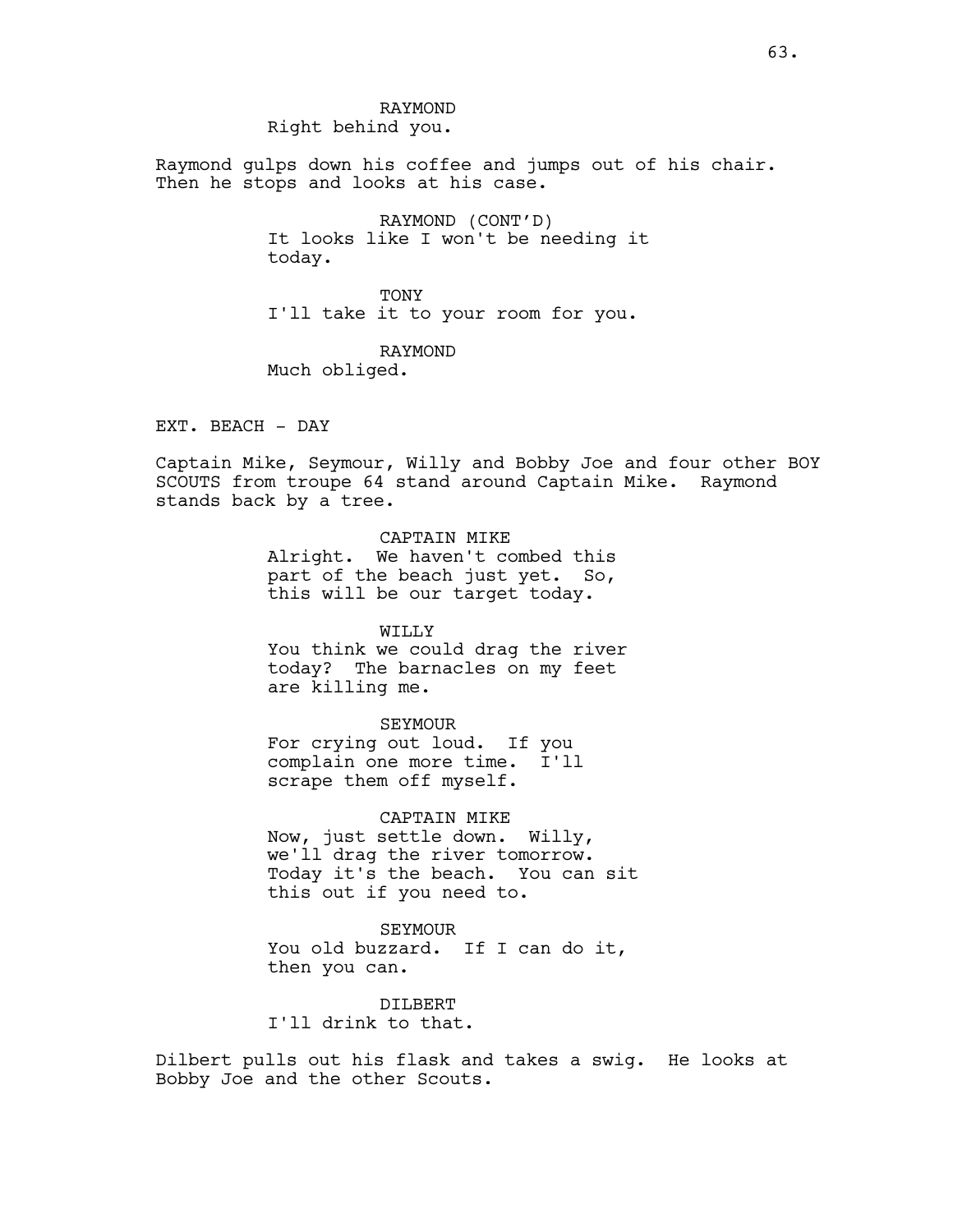RAYMOND Right behind you.

Raymond gulps down his coffee and jumps out of his chair. Then he stops and looks at his case.

> RAYMOND (CONT'D) It looks like I won't be needing it today.

TONY I'll take it to your room for you.

RAYMOND Much obliged.

EXT. BEACH - DAY

Captain Mike, Seymour, Willy and Bobby Joe and four other BOY SCOUTS from troupe 64 stand around Captain Mike. Raymond stands back by a tree.

# CAPTAIN MIKE

Alright. We haven't combed this part of the beach just yet. So, this will be our target today.

## WILLY

You think we could drag the river today? The barnacles on my feet are killing me.

### SEYMOUR

For crying out loud. If you complain one more time. I'll scrape them off myself.

CAPTAIN MIKE Now, just settle down. Willy, we'll drag the river tomorrow. Today it's the beach. You can sit this out if you need to.

SEYMOUR You old buzzard. If I can do it, then you can.

DILBERT I'll drink to that.

Dilbert pulls out his flask and takes a swig. He looks at Bobby Joe and the other Scouts.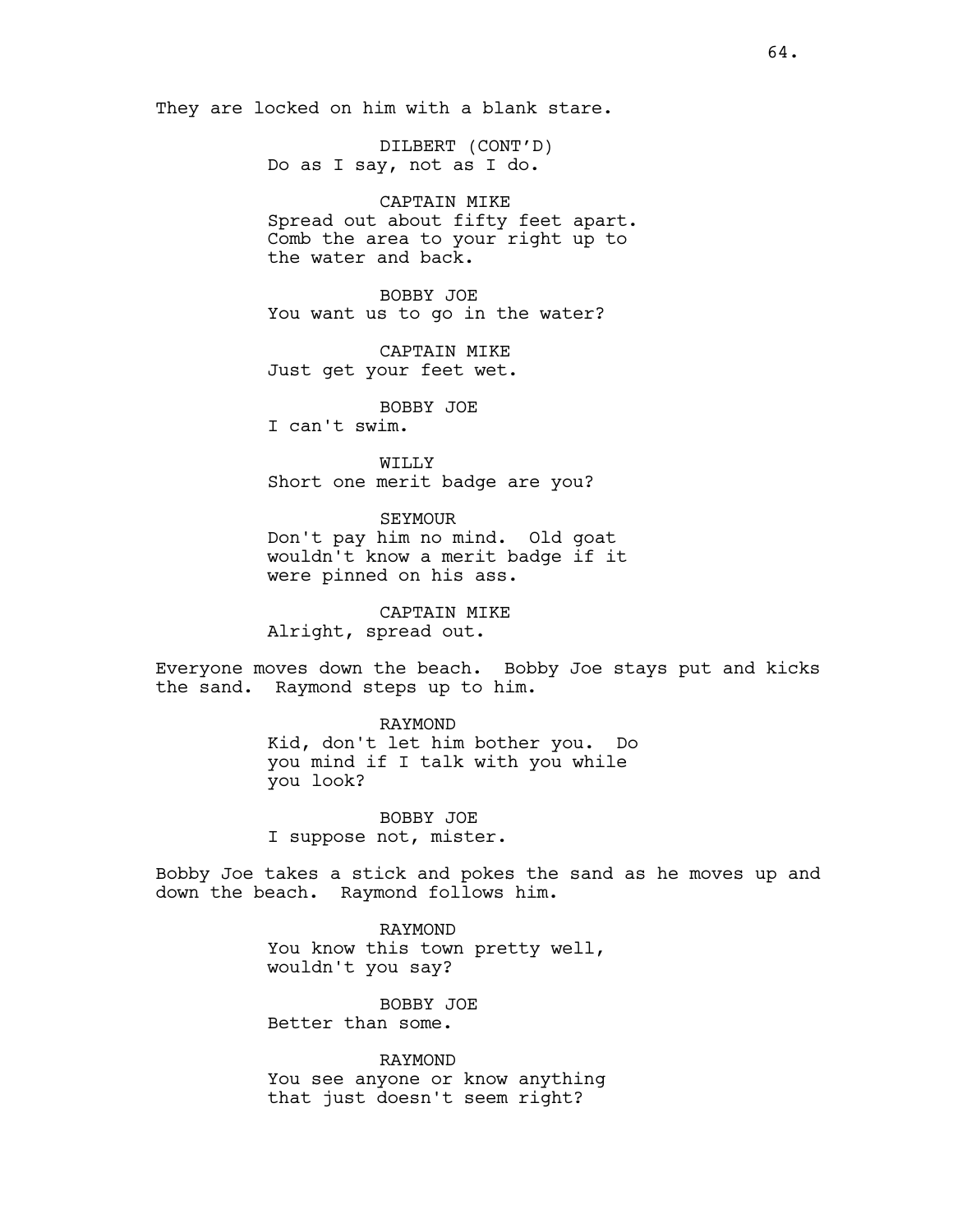They are locked on him with a blank stare.

DILBERT (CONT'D) Do as I say, not as I do.

CAPTAIN MIKE

Spread out about fifty feet apart. Comb the area to your right up to the water and back.

BOBBY JOE You want us to go in the water?

CAPTAIN MIKE Just get your feet wet.

BOBBY JOE

I can't swim.

WILLY Short one merit badge are you?

SEYMOUR Don't pay him no mind. Old goat wouldn't know a merit badge if it were pinned on his ass.

CAPTAIN MIKE Alright, spread out.

Everyone moves down the beach. Bobby Joe stays put and kicks the sand. Raymond steps up to him.

> RAYMOND Kid, don't let him bother you. Do you mind if I talk with you while you look?

BOBBY JOE I suppose not, mister.

Bobby Joe takes a stick and pokes the sand as he moves up and down the beach. Raymond follows him.

> RAYMOND You know this town pretty well, wouldn't you say?

BOBBY JOE Better than some.

RAYMOND You see anyone or know anything that just doesn't seem right?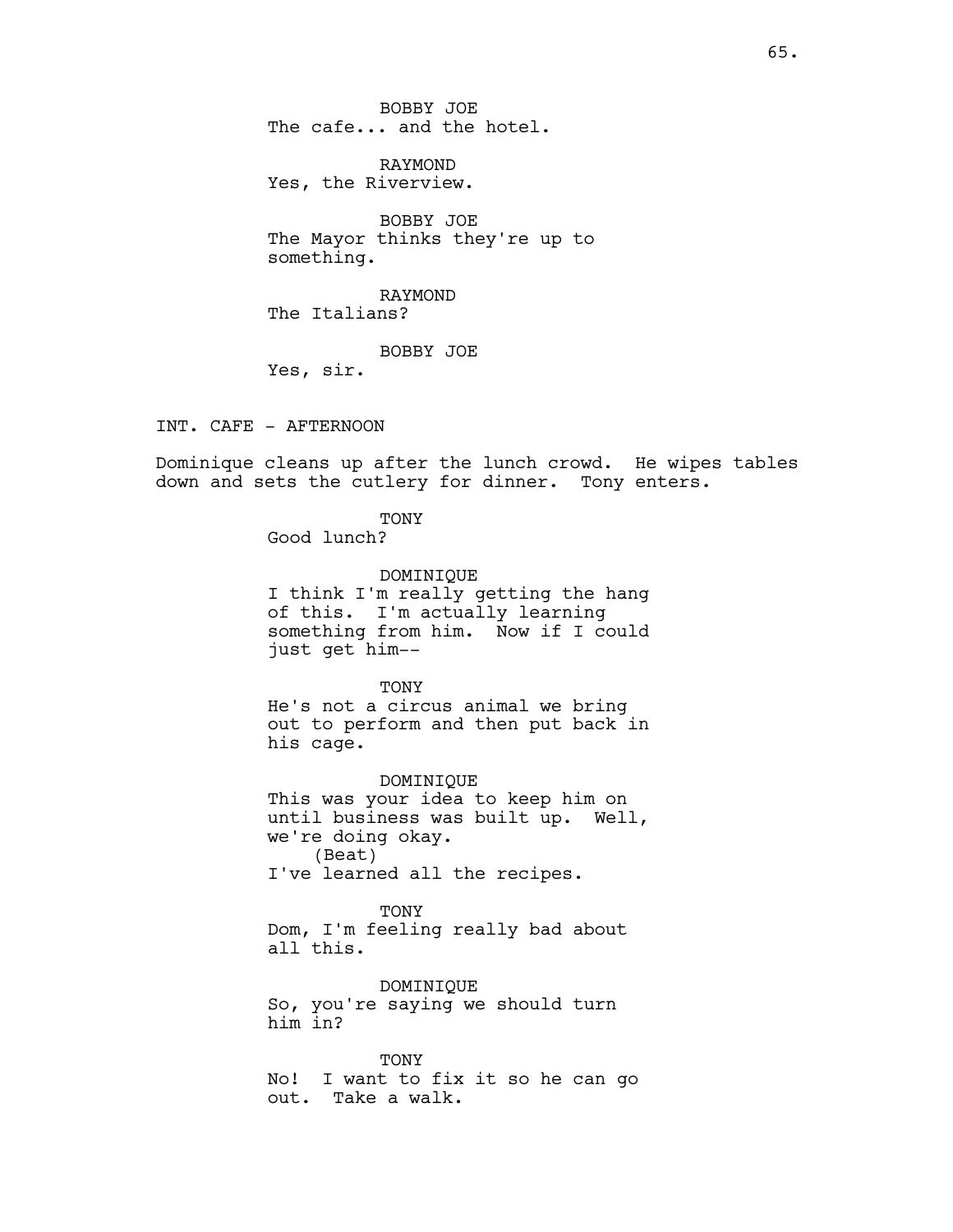BOBBY JOE The cafe... and the hotel.

RAYMOND Yes, the Riverview.

BOBBY JOE The Mayor thinks they're up to something.

RAYMOND The Italians?

BOBBY JOE

Yes, sir.

INT. CAFE - AFTERNOON

Dominique cleans up after the lunch crowd. He wipes tables down and sets the cutlery for dinner. Tony enters.

TONY

Good lunch?

DOMINIQUE I think I'm really getting the hang of this. I'm actually learning something from him. Now if I could just get him--

**TONY** He's not a circus animal we bring out to perform and then put back in his cage.

DOMINIQUE This was your idea to keep him on until business was built up. Well, we're doing okay. (Beat) I've learned all the recipes.

TONY Dom, I'm feeling really bad about all this.

DOMINIQUE So, you're saying we should turn him in?

TONY No! I want to fix it so he can go out. Take a walk.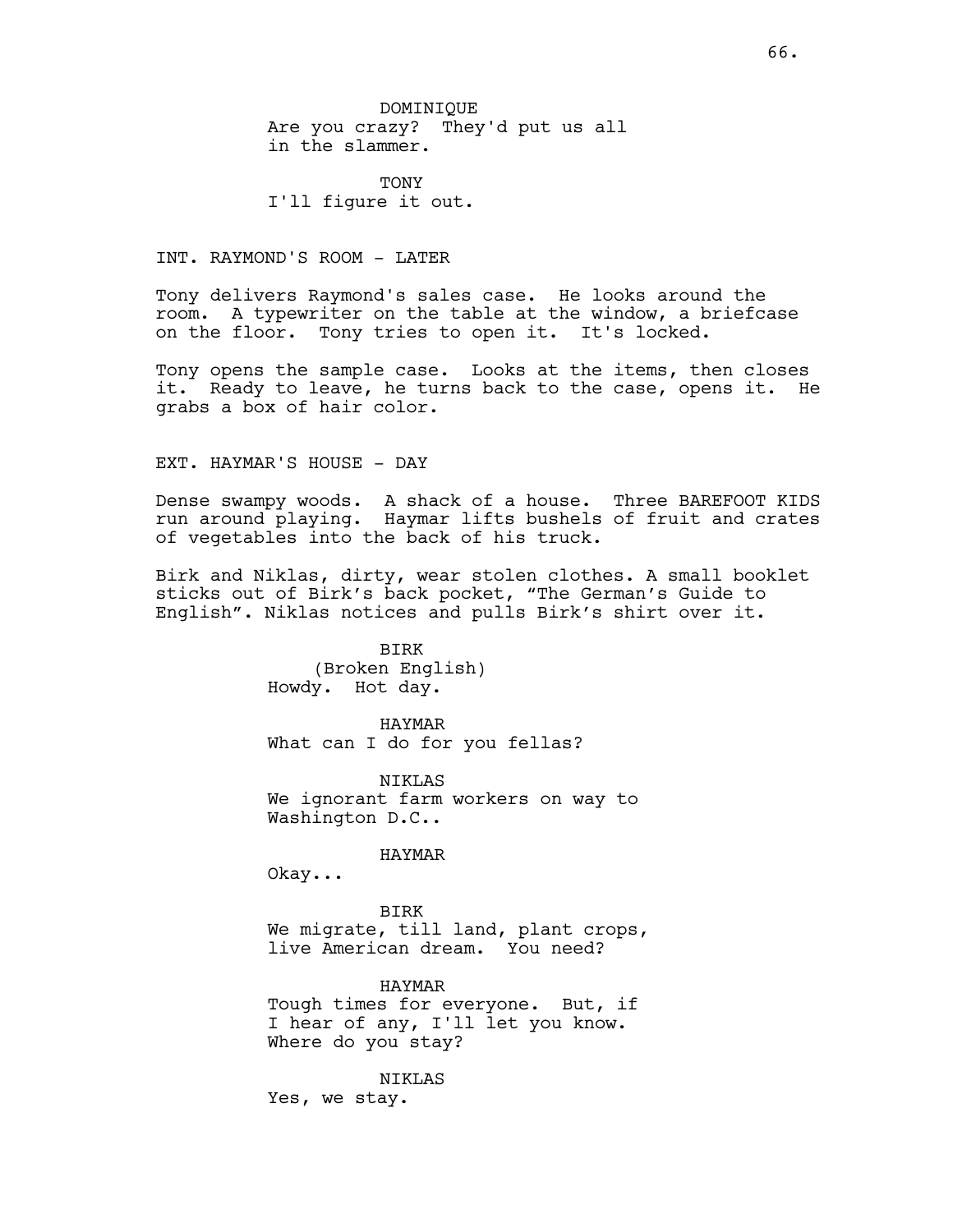DOMINIQUE Are you crazy? They'd put us all in the slammer.

**TONY** I'll figure it out.

INT. RAYMOND'S ROOM - LATER

Tony delivers Raymond's sales case. He looks around the room. A typewriter on the table at the window, a briefcase on the floor. Tony tries to open it. It's locked.

Tony opens the sample case. Looks at the items, then closes it. Ready to leave, he turns back to the case, opens it. He grabs a box of hair color.

EXT. HAYMAR'S HOUSE - DAY

Dense swampy woods. A shack of a house. Three BAREFOOT KIDS run around playing. Haymar lifts bushels of fruit and crates of vegetables into the back of his truck.

Birk and Niklas, dirty, wear stolen clothes. A small booklet sticks out of Birk's back pocket, "The German's Guide to English". Niklas notices and pulls Birk's shirt over it.

> BIRK (Broken English) Howdy. Hot day.

HAYMAR What can I do for you fellas?

NIKLAS We ignorant farm workers on way to Washington D.C..

### HAYMAR

Okay...

BIRK We migrate, till land, plant crops, live American dream. You need?

HAYMAR Tough times for everyone. But, if I hear of any, I'll let you know. Where do you stay?

NIKLAS Yes, we stay.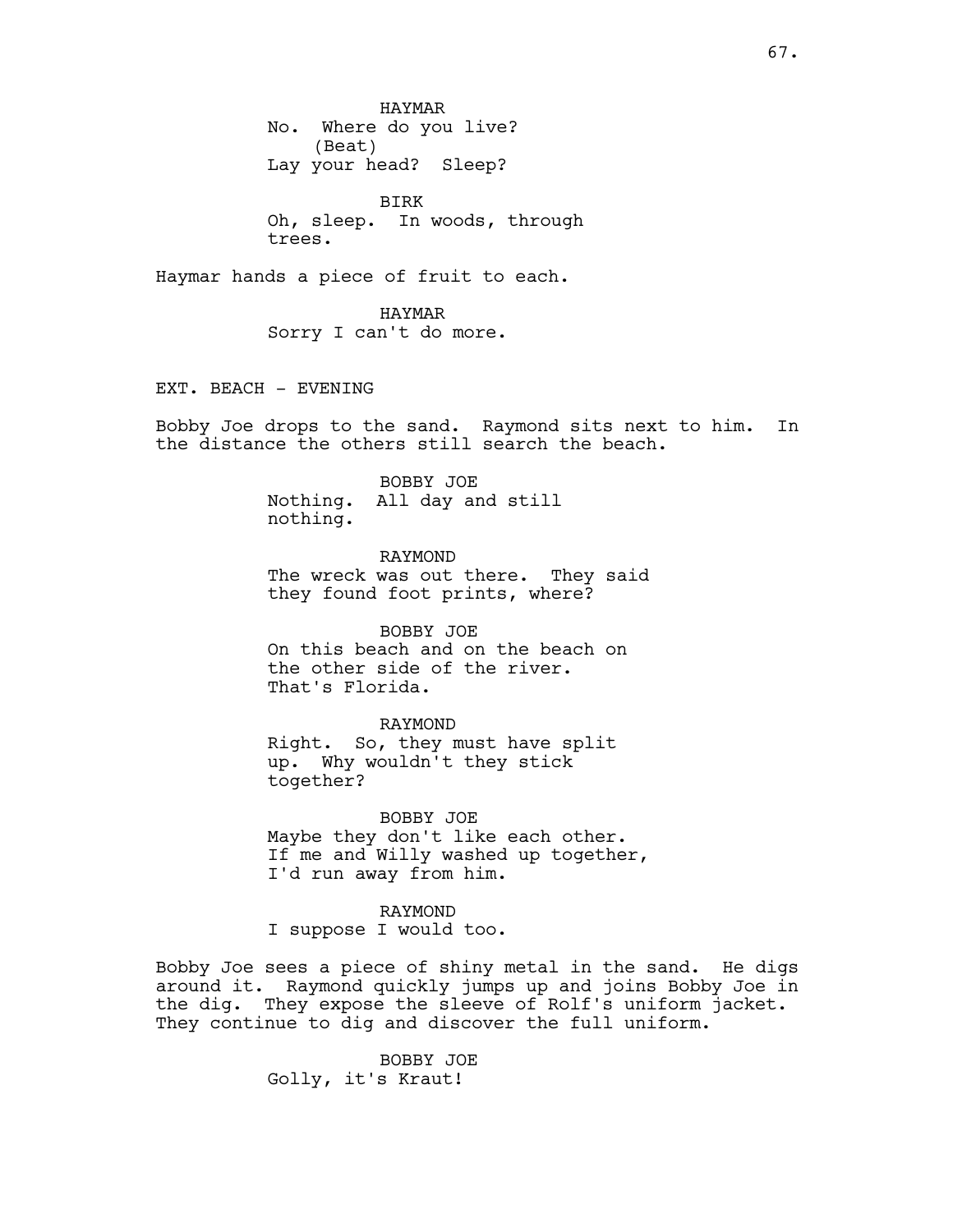HAYMAR No. Where do you live? (Beat) Lay your head? Sleep?

BIRK Oh, sleep. In woods, through trees.

Haymar hands a piece of fruit to each.

HAYMAR Sorry I can't do more.

EXT. BEACH - EVENING

Bobby Joe drops to the sand. Raymond sits next to him. In the distance the others still search the beach.

#### BOBBY JOE

Nothing. All day and still nothing.

RAYMOND The wreck was out there. They said they found foot prints, where?

BOBBY JOE On this beach and on the beach on the other side of the river. That's Florida.

### RAYMOND

Right. So, they must have split up. Why wouldn't they stick together?

BOBBY JOE Maybe they don't like each other. If me and Willy washed up together, I'd run away from him.

### RAYMOND

I suppose I would too.

Bobby Joe sees a piece of shiny metal in the sand. He digs around it. Raymond quickly jumps up and joins Bobby Joe in the dig. They expose the sleeve of Rolf's uniform jacket. They continue to dig and discover the full uniform.

> BOBBY JOE Golly, it's Kraut!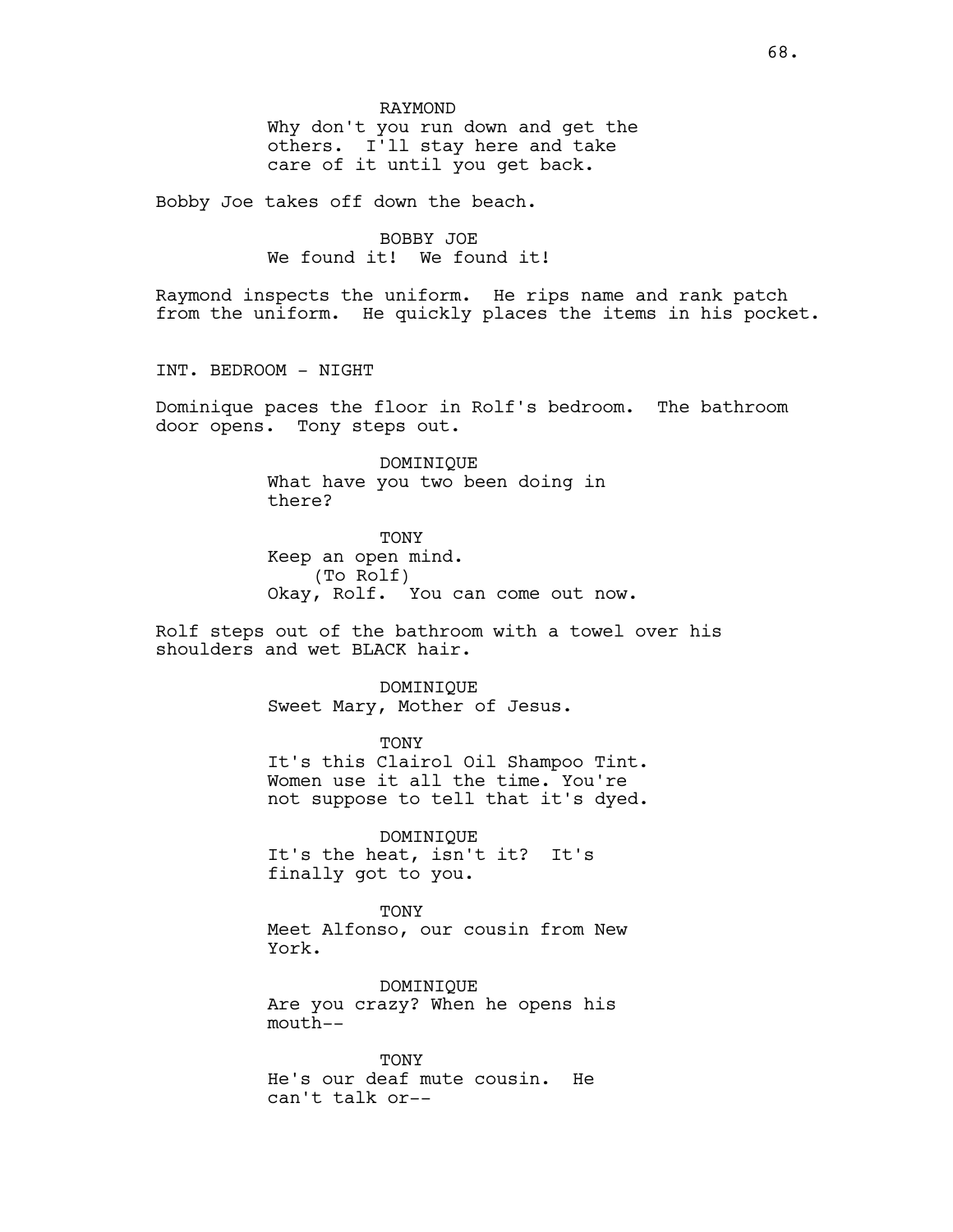Bobby Joe takes off down the beach.

BOBBY JOE We found it! We found it!

Raymond inspects the uniform. He rips name and rank patch from the uniform. He quickly places the items in his pocket.

INT. BEDROOM - NIGHT

Dominique paces the floor in Rolf's bedroom. The bathroom door opens. Tony steps out.

> DOMINIQUE What have you two been doing in there?

TONY Keep an open mind. (To Rolf) Okay, Rolf. You can come out now.

Rolf steps out of the bathroom with a towel over his shoulders and wet BLACK hair.

> DOMINIQUE Sweet Mary, Mother of Jesus.

> > TONY

It's this Clairol Oil Shampoo Tint. Women use it all the time. You're not suppose to tell that it's dyed.

DOMINIQUE It's the heat, isn't it? It's finally got to you.

**TONY** 

Meet Alfonso, our cousin from New York.

DOMINIQUE Are you crazy? When he opens his mouth--

**TONY** He's our deaf mute cousin. He can't talk or--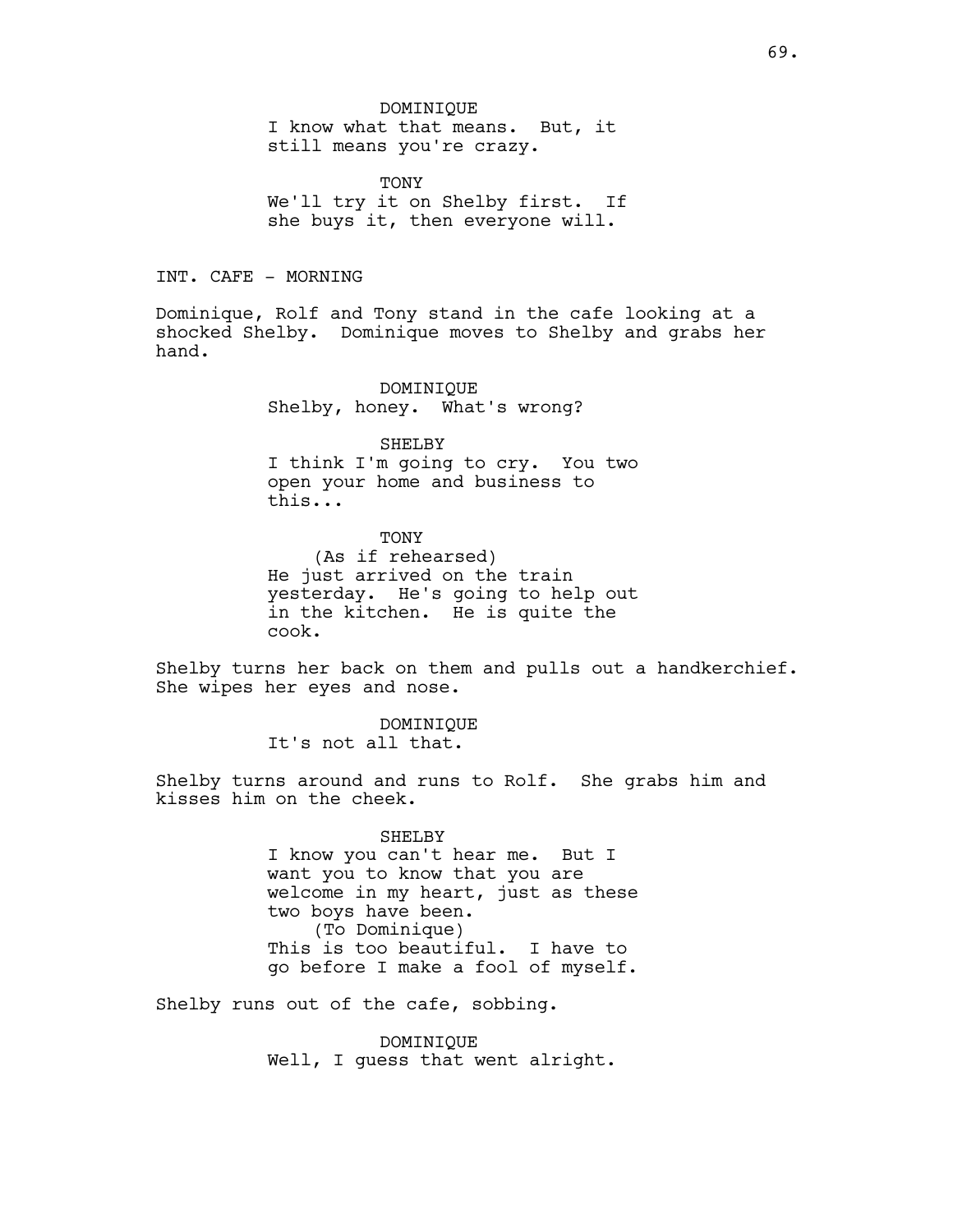#### DOMINIQUE

I know what that means. But, it still means you're crazy.

TONY We'll try it on Shelby first. If she buys it, then everyone will.

INT. CAFE - MORNING

Dominique, Rolf and Tony stand in the cafe looking at a shocked Shelby. Dominique moves to Shelby and grabs her hand.

> DOMINIQUE Shelby, honey. What's wrong?

SHELBY I think I'm going to cry. You two open your home and business to this...

TONY (As if rehearsed) He just arrived on the train yesterday. He's going to help out in the kitchen. He is quite the cook.

Shelby turns her back on them and pulls out a handkerchief. She wipes her eyes and nose.

> DOMINIQUE It's not all that.

Shelby turns around and runs to Rolf. She grabs him and kisses him on the cheek.

> SHELBY I know you can't hear me. But I want you to know that you are welcome in my heart, just as these two boys have been. (To Dominique) This is too beautiful. I have to go before I make a fool of myself.

Shelby runs out of the cafe, sobbing.

DOMINIQUE Well, I guess that went alright.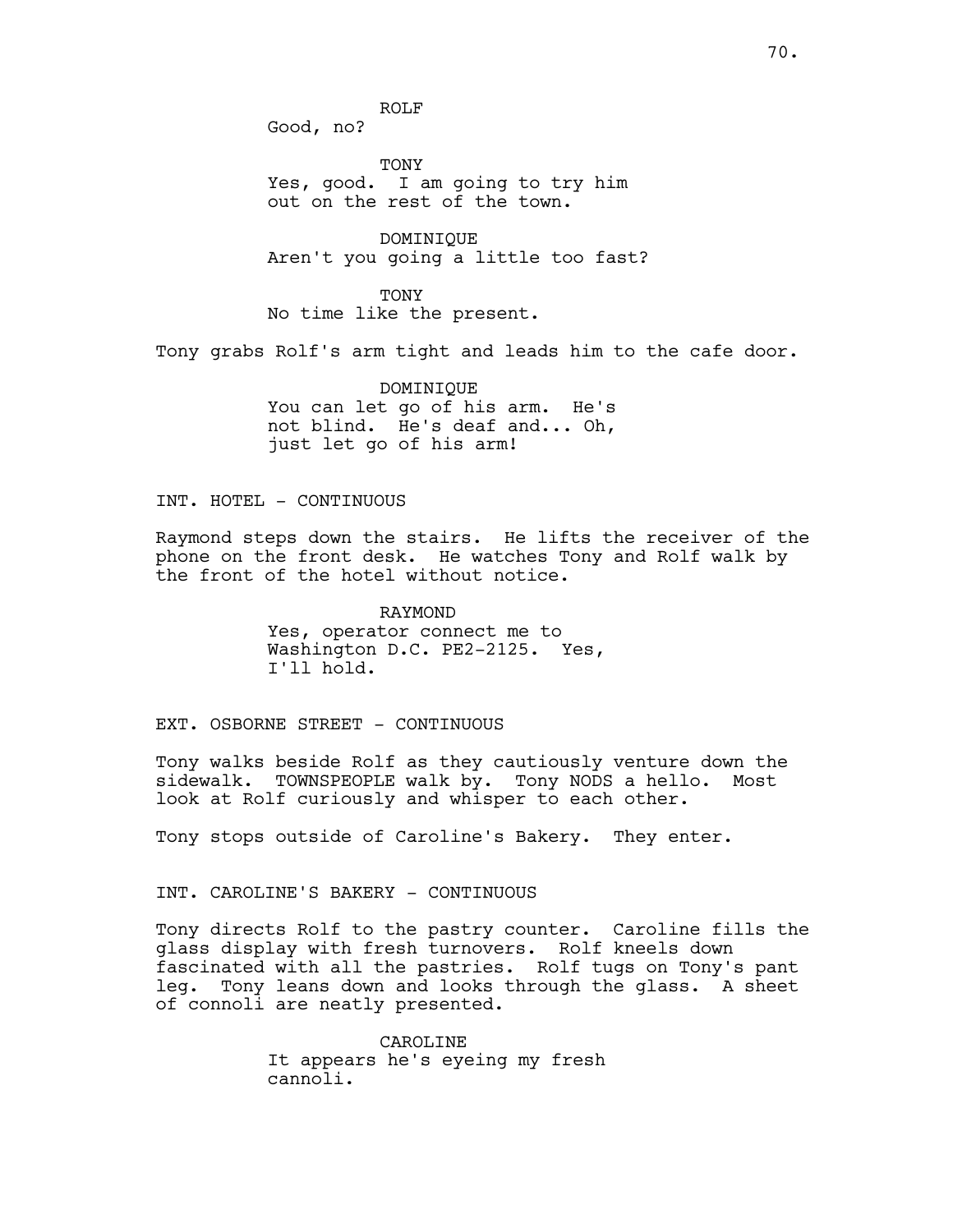ROLF

Good, no?

TONY Yes, good. I am going to try him out on the rest of the town.

DOMINIQUE Aren't you going a little too fast?

**TONY** No time like the present.

Tony grabs Rolf's arm tight and leads him to the cafe door.

DOMINIQUE You can let go of his arm. He's not blind. He's deaf and... Oh, just let go of his arm!

INT. HOTEL - CONTINUOUS

Raymond steps down the stairs. He lifts the receiver of the phone on the front desk. He watches Tony and Rolf walk by the front of the hotel without notice.

> RAYMOND Yes, operator connect me to Washington D.C. PE2-2125. Yes, I'll hold.

EXT. OSBORNE STREET - CONTINUOUS

Tony walks beside Rolf as they cautiously venture down the sidewalk. TOWNSPEOPLE walk by. Tony NODS a hello. Most look at Rolf curiously and whisper to each other.

Tony stops outside of Caroline's Bakery. They enter.

INT. CAROLINE'S BAKERY - CONTINUOUS

Tony directs Rolf to the pastry counter. Caroline fills the glass display with fresh turnovers. Rolf kneels down fascinated with all the pastries. Rolf tugs on Tony's pant leg. Tony leans down and looks through the glass. A sheet of connoli are neatly presented.

> CAROLINE It appears he's eyeing my fresh cannoli.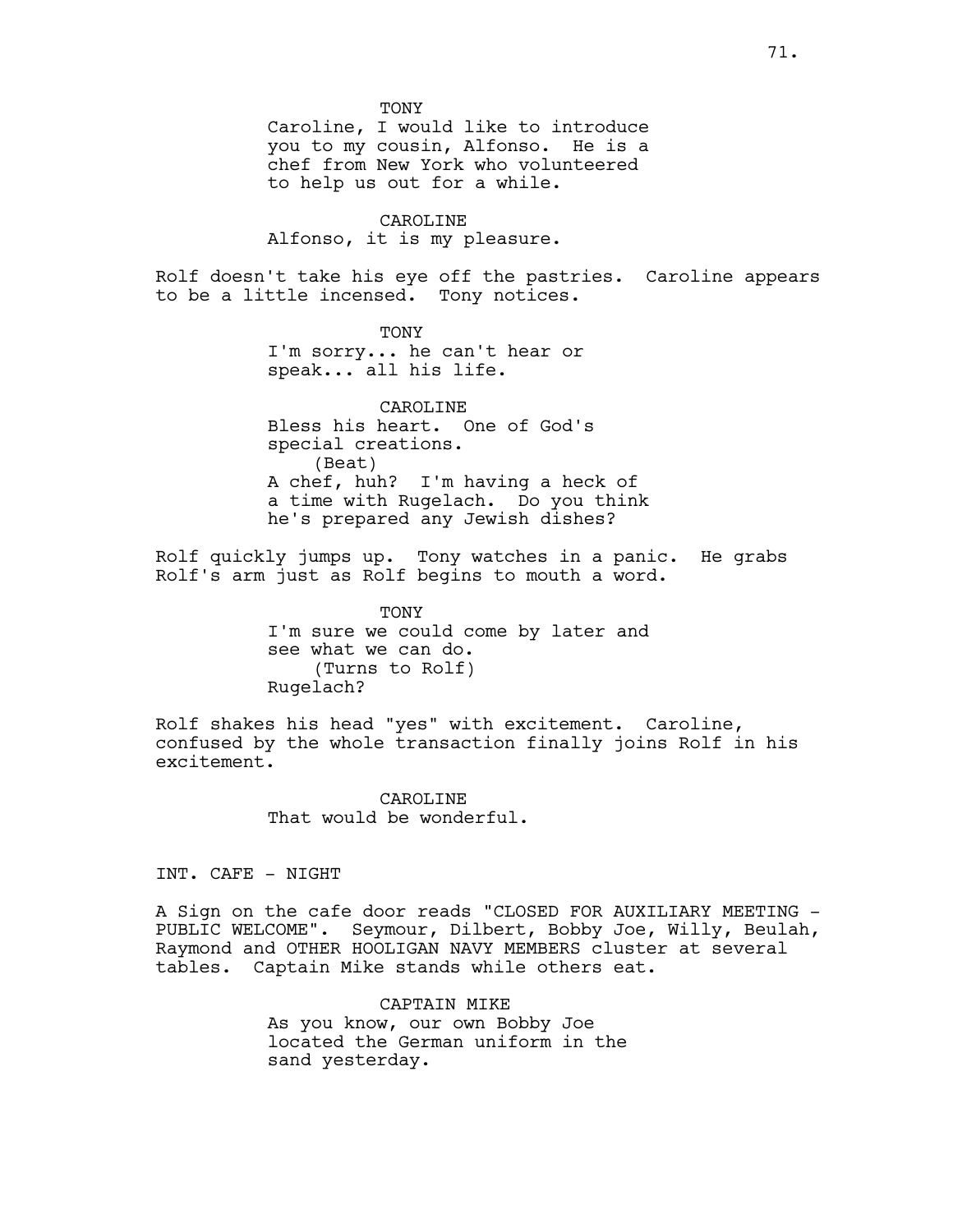TONY

Caroline, I would like to introduce you to my cousin, Alfonso. He is a chef from New York who volunteered to help us out for a while.

# CAROLINE

Alfonso, it is my pleasure.

Rolf doesn't take his eye off the pastries. Caroline appears to be a little incensed. Tony notices.

# TONY

I'm sorry... he can't hear or speak... all his life.

CAROLINE Bless his heart. One of God's special creations. (Beat) A chef, huh? I'm having a heck of a time with Rugelach. Do you think he's prepared any Jewish dishes?

Rolf quickly jumps up. Tony watches in a panic. He grabs Rolf's arm just as Rolf begins to mouth a word.

> TONY I'm sure we could come by later and see what we can do. (Turns to Rolf) Rugelach?

Rolf shakes his head "yes" with excitement. Caroline, confused by the whole transaction finally joins Rolf in his excitement.

> CAROLINE That would be wonderful.

INT. CAFE - NIGHT

A Sign on the cafe door reads "CLOSED FOR AUXILIARY MEETING - PUBLIC WELCOME". Seymour, Dilbert, Bobby Joe, Willy, Beulah, Raymond and OTHER HOOLIGAN NAVY MEMBERS cluster at several tables. Captain Mike stands while others eat.

> CAPTAIN MIKE As you know, our own Bobby Joe located the German uniform in the sand yesterday.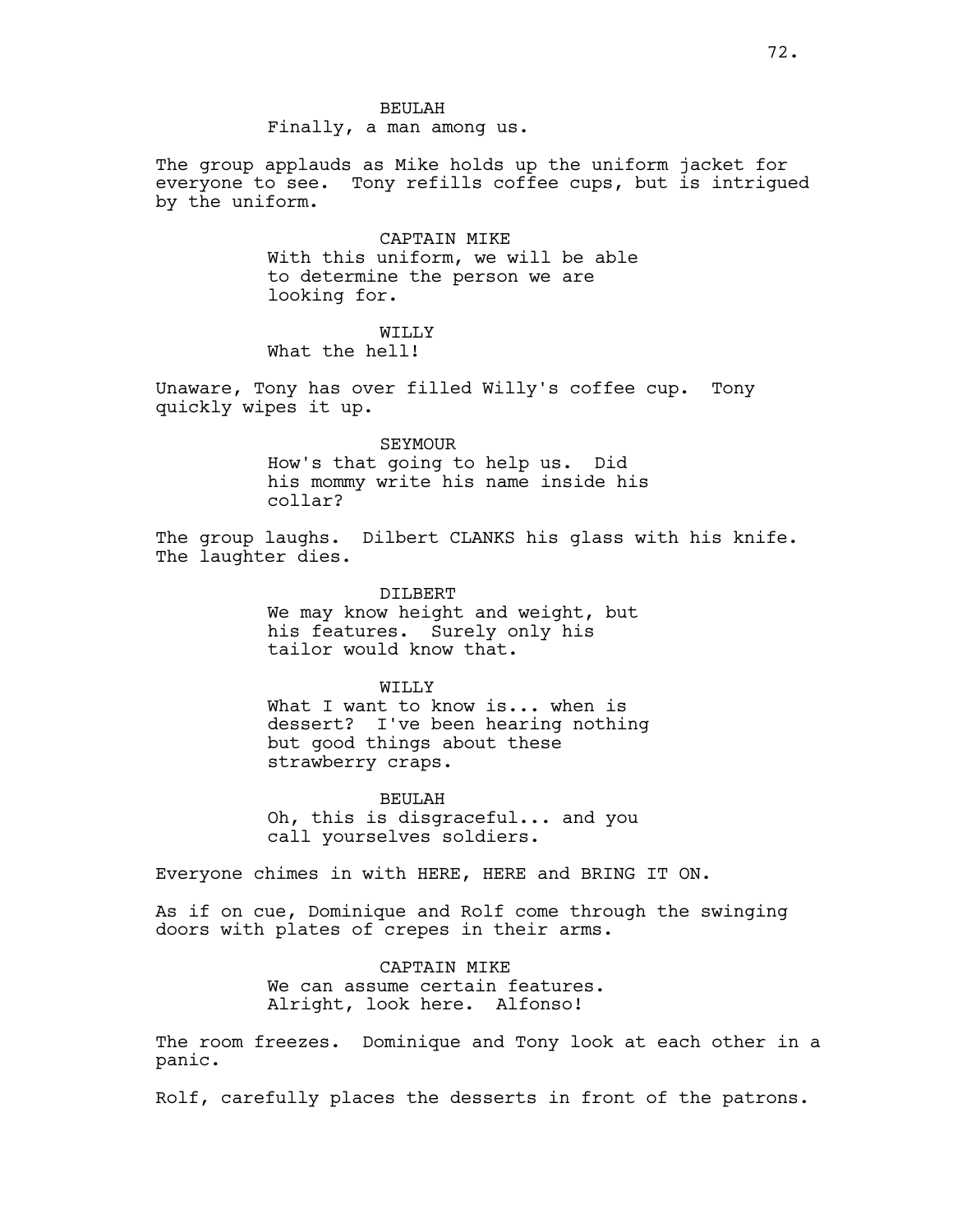Finally, a man among us.

The group applauds as Mike holds up the uniform jacket for everyone to see. Tony refills coffee cups, but is intrigued by the uniform.

> CAPTAIN MIKE With this uniform, we will be able to determine the person we are looking for.

WILLY<sub>V</sub> What the hell!

Unaware, Tony has over filled Willy's coffee cup. Tony quickly wipes it up.

SEYMOUR

How's that going to help us. Did his mommy write his name inside his collar?

The group laughs. Dilbert CLANKS his glass with his knife. The laughter dies.

> DILBERT We may know height and weight, but his features. Surely only his tailor would know that.

#### WILLY

What I want to know is... when is dessert? I've been hearing nothing but good things about these strawberry craps.

BEULAH Oh, this is disgraceful... and you call yourselves soldiers.

Everyone chimes in with HERE, HERE and BRING IT ON.

As if on cue, Dominique and Rolf come through the swinging doors with plates of crepes in their arms.

> CAPTAIN MIKE We can assume certain features. Alright, look here. Alfonso!

The room freezes. Dominique and Tony look at each other in a panic.

Rolf, carefully places the desserts in front of the patrons.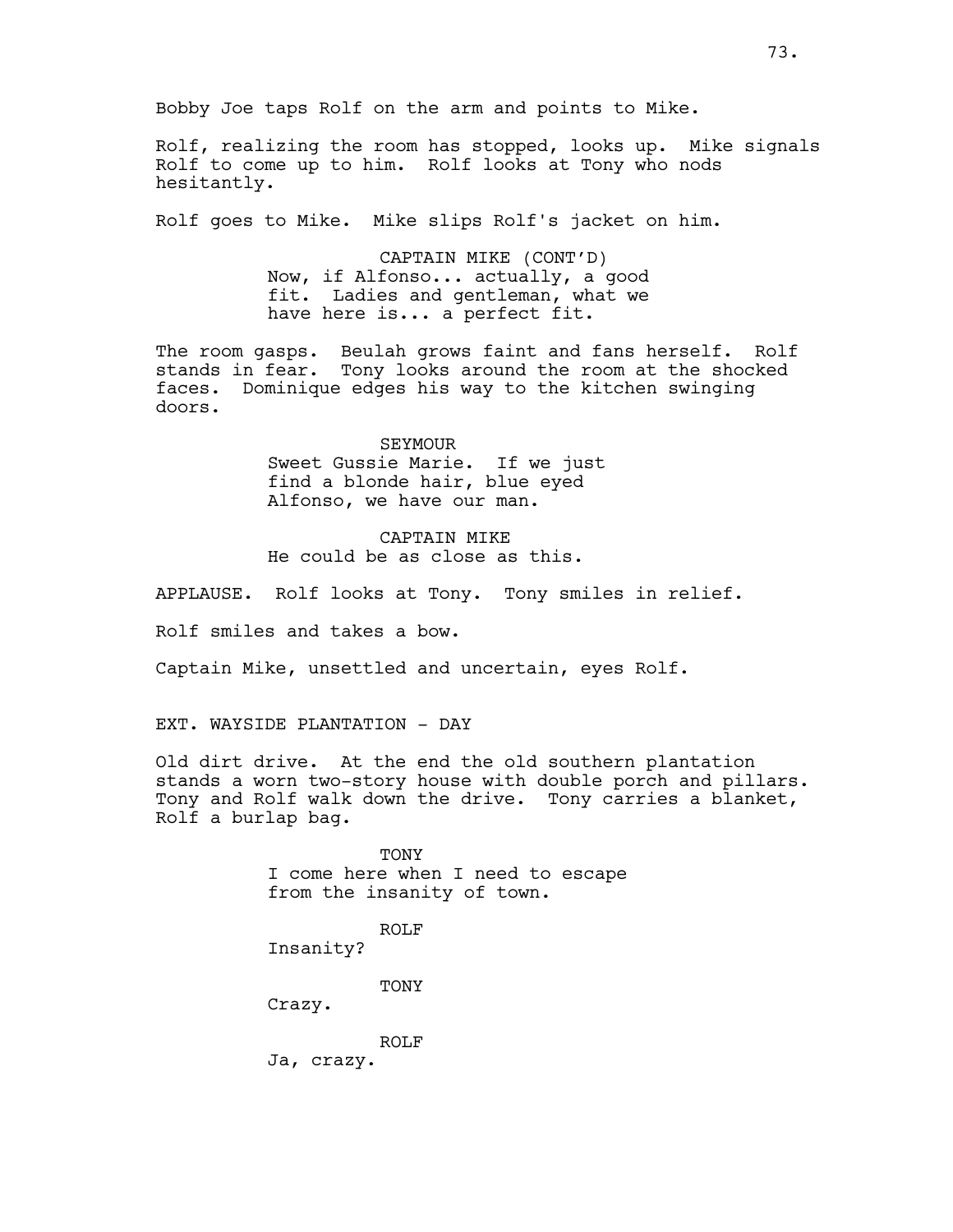Bobby Joe taps Rolf on the arm and points to Mike.

Rolf, realizing the room has stopped, looks up. Mike signals Rolf to come up to him. Rolf looks at Tony who nods hesitantly.

Rolf goes to Mike. Mike slips Rolf's jacket on him.

CAPTAIN MIKE (CONT'D) Now, if Alfonso... actually, a good fit. Ladies and gentleman, what we have here is... a perfect fit.

The room gasps. Beulah grows faint and fans herself. Rolf stands in fear. Tony looks around the room at the shocked faces. Dominique edges his way to the kitchen swinging doors.

> SEYMOUR Sweet Gussie Marie. If we just find a blonde hair, blue eyed Alfonso, we have our man.

CAPTAIN MIKE He could be as close as this.

APPLAUSE. Rolf looks at Tony. Tony smiles in relief.

Rolf smiles and takes a bow.

Captain Mike, unsettled and uncertain, eyes Rolf.

EXT. WAYSIDE PLANTATION - DAY

Old dirt drive. At the end the old southern plantation stands a worn two-story house with double porch and pillars. Tony and Rolf walk down the drive. Tony carries a blanket, Rolf a burlap bag.

> **TONY** I come here when I need to escape from the insanity of town.

ROLF Insanity?

TONY

Crazy.

ROLF

Ja, crazy.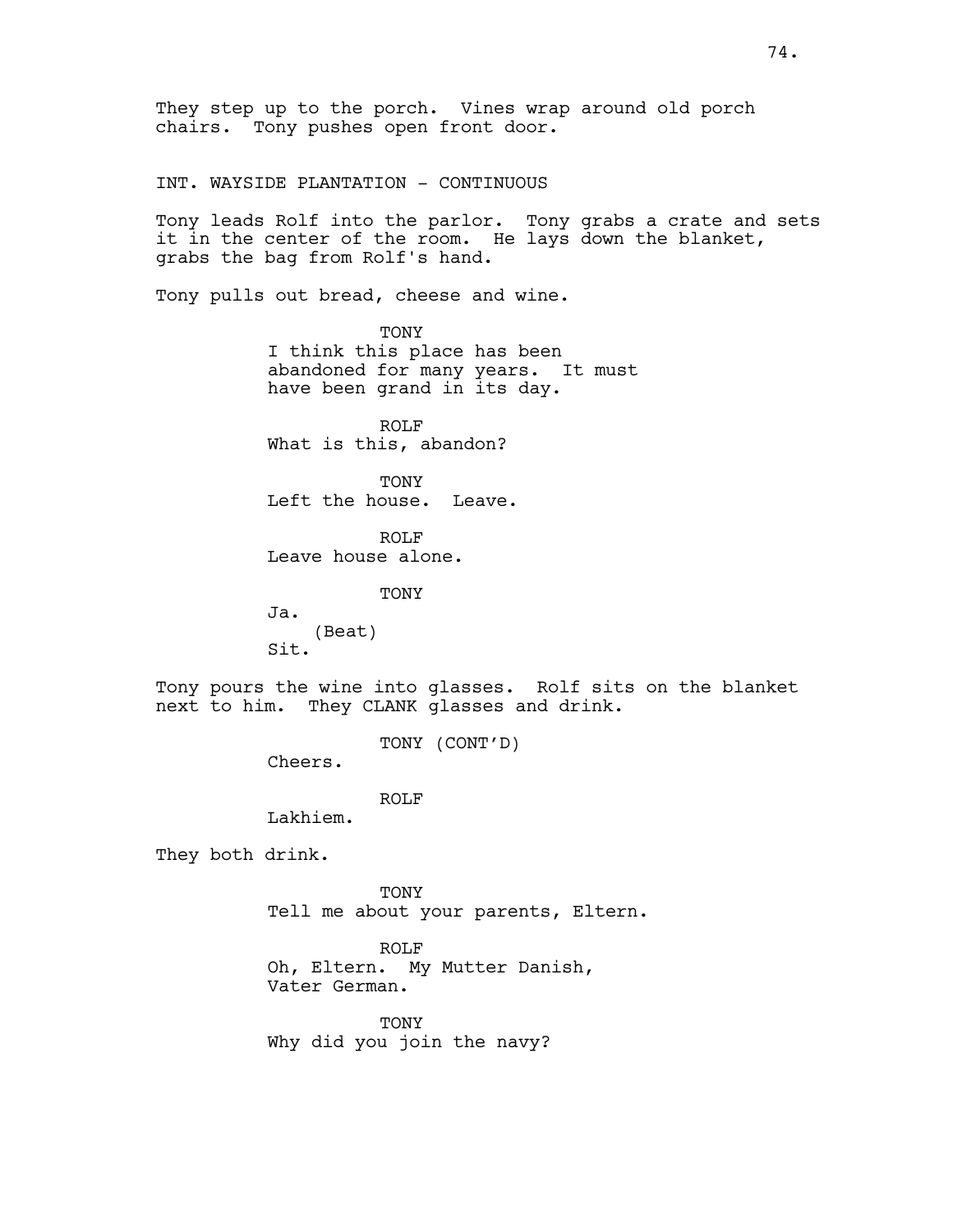They step up to the porch. Vines wrap around old porch chairs. Tony pushes open front door.

INT. WAYSIDE PLANTATION - CONTINUOUS

Tony leads Rolf into the parlor. Tony grabs a crate and sets it in the center of the room. He lays down the blanket, grabs the bag from Rolf's hand.

Tony pulls out bread, cheese and wine.

TONY I think this place has been abandoned for many years. It must have been grand in its day.

ROLF What is this, abandon?

**TONY** Left the house. Leave.

ROLF Leave house alone.

TONY

Ja. (Beat) Sit.

Tony pours the wine into glasses. Rolf sits on the blanket next to him. They CLANK glasses and drink.

TONY (CONT'D)

Cheers.

ROLF

Lakhiem.

They both drink.

TONY Tell me about your parents, Eltern.

ROLF Oh, Eltern. My Mutter Danish, Vater German.

**TONY** Why did you join the navy?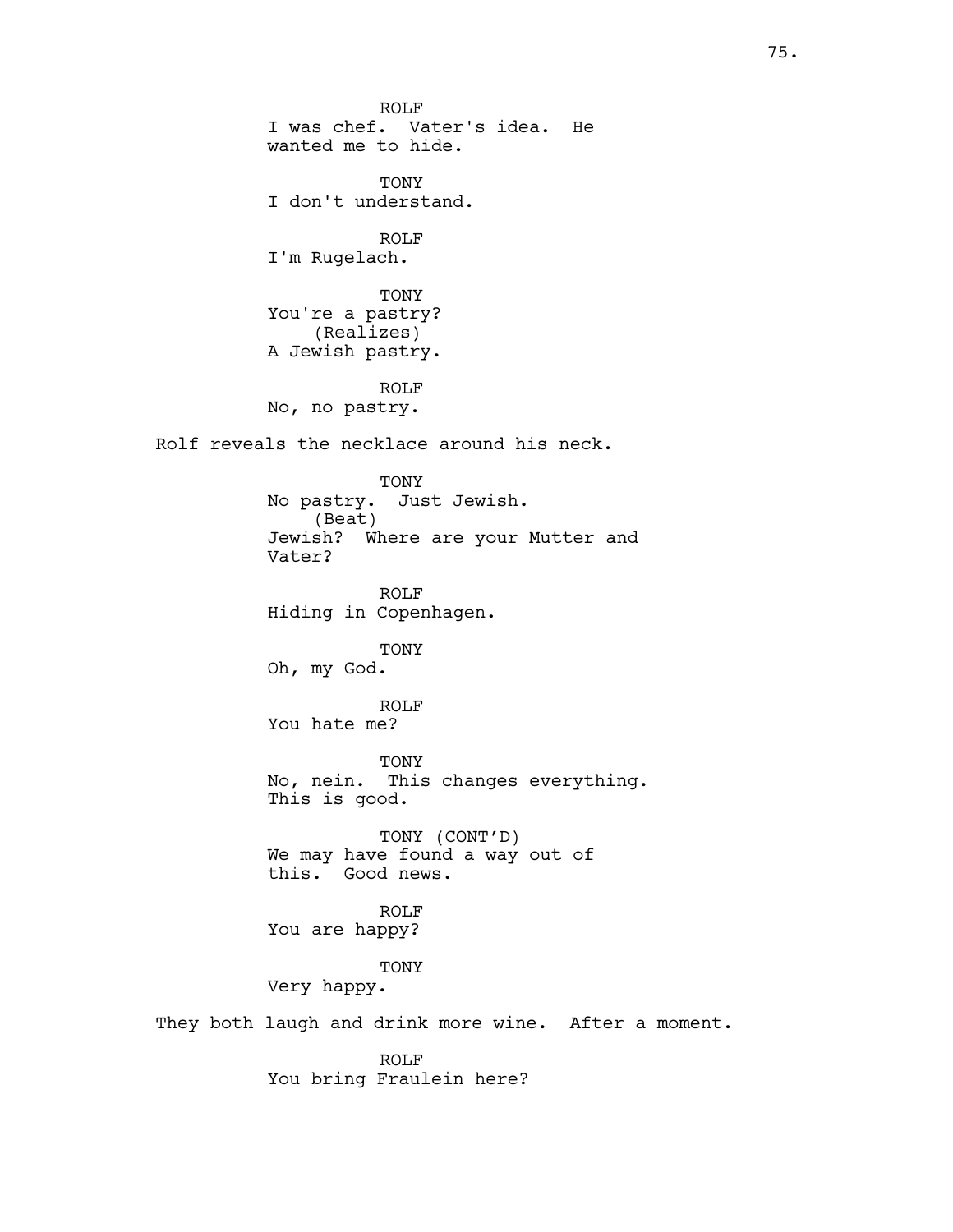ROLF I was chef. Vater's idea. He wanted me to hide. **TONY** I don't understand. ROLF I'm Rugelach. TONY You're a pastry? (Realizes) A Jewish pastry. ROLF No, no pastry. Rolf reveals the necklace around his neck. TONY No pastry. Just Jewish. (Beat) Jewish? Where are your Mutter and Vater? ROLF Hiding in Copenhagen. TONY Oh, my God. ROLF You hate me? TONY No, nein. This changes everything. This is good. TONY (CONT'D) We may have found a way out of this. Good news. ROLF You are happy? TONY Very happy. They both laugh and drink more wine. After a moment. ROLF

You bring Fraulein here?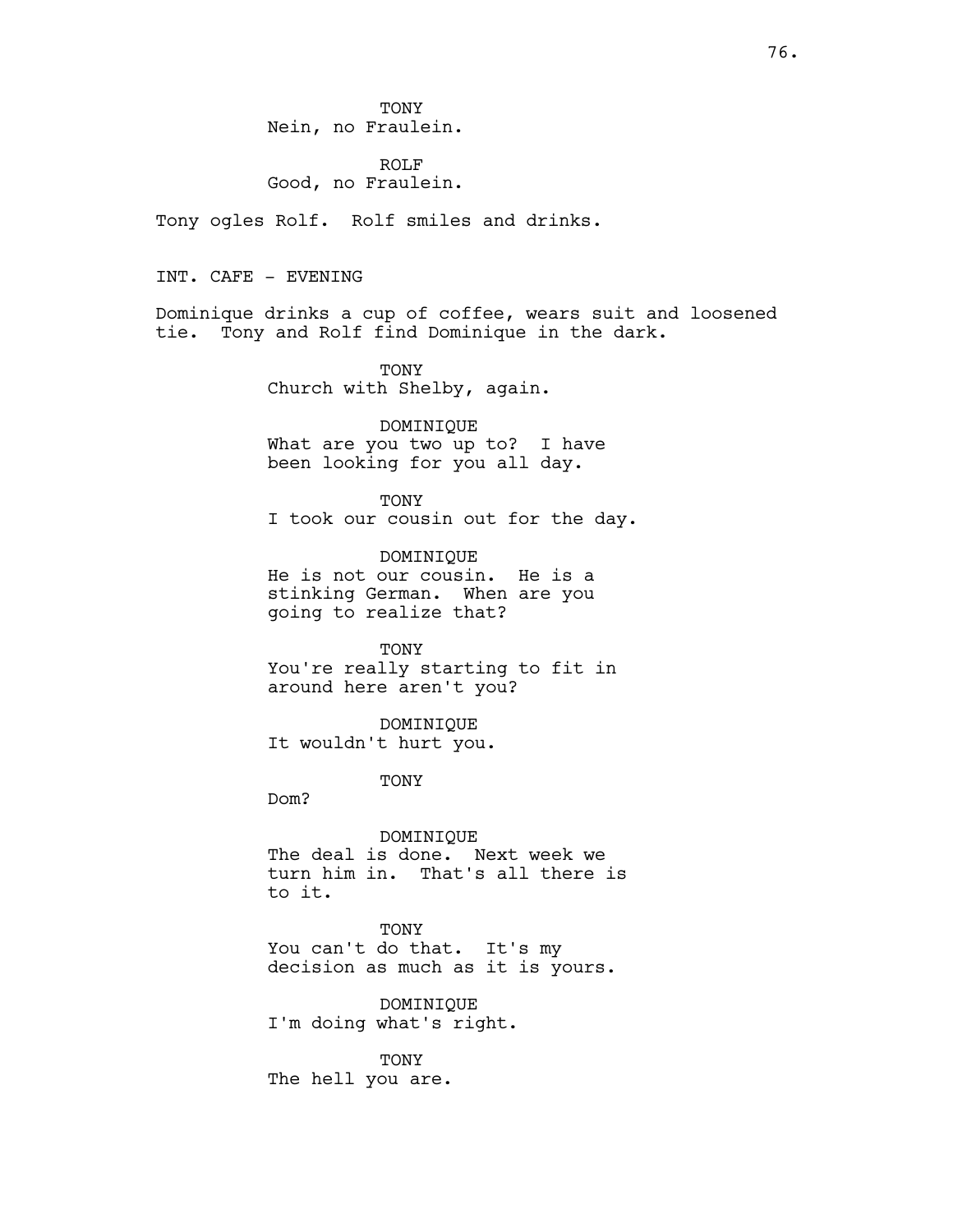TONY Nein, no Fraulein.

ROLF Good, no Fraulein.

Tony ogles Rolf. Rolf smiles and drinks.

INT. CAFE - EVENING

Dominique drinks a cup of coffee, wears suit and loosened tie. Tony and Rolf find Dominique in the dark.

> TONY Church with Shelby, again.

DOMINIQUE What are you two up to? I have been looking for you all day.

TONY I took our cousin out for the day.

DOMINIQUE He is not our cousin. He is a stinking German. When are you going to realize that?

TONY You're really starting to fit in around here aren't you?

DOMINIQUE It wouldn't hurt you.

TONY

Dom?

DOMINIQUE The deal is done. Next week we turn him in. That's all there is to it.

TONY You can't do that. It's my decision as much as it is yours.

DOMINIQUE I'm doing what's right.

TONY The hell you are.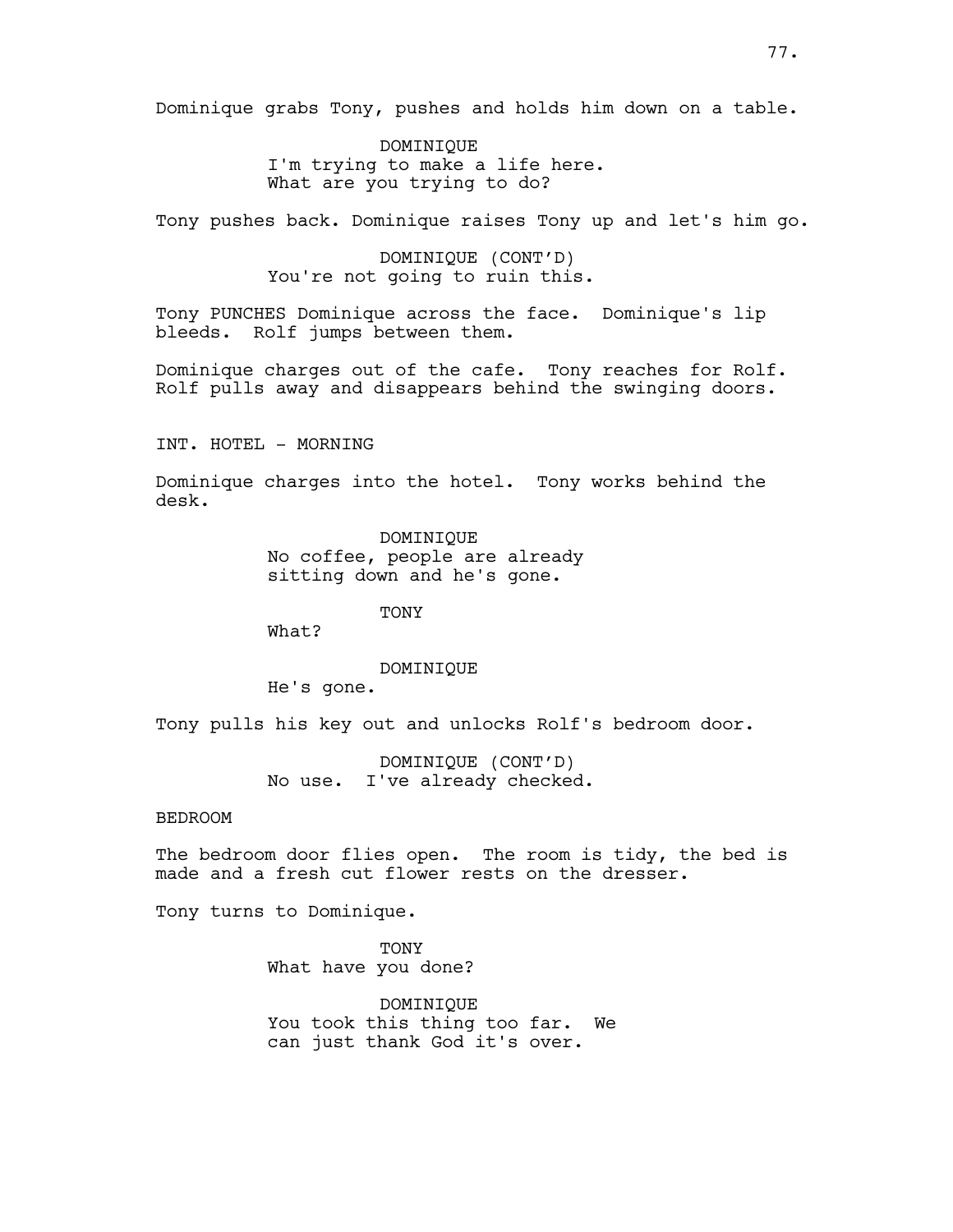Dominique grabs Tony, pushes and holds him down on a table.

DOMINIQUE I'm trying to make a life here. What are you trying to do?

Tony pushes back. Dominique raises Tony up and let's him go.

DOMINIQUE (CONT'D) You're not going to ruin this.

Tony PUNCHES Dominique across the face. Dominique's lip bleeds. Rolf jumps between them.

Dominique charges out of the cafe. Tony reaches for Rolf. Rolf pulls away and disappears behind the swinging doors.

INT. HOTEL - MORNING

Dominique charges into the hotel. Tony works behind the desk.

> DOMINIQUE No coffee, people are already sitting down and he's gone.

> > **TONY**

What?

DOMINIQUE

He's gone.

Tony pulls his key out and unlocks Rolf's bedroom door.

DOMINIQUE (CONT'D) No use. I've already checked.

BEDROOM

The bedroom door flies open. The room is tidy, the bed is made and a fresh cut flower rests on the dresser.

Tony turns to Dominique.

TONY What have you done?

DOMINIQUE You took this thing too far. We can just thank God it's over.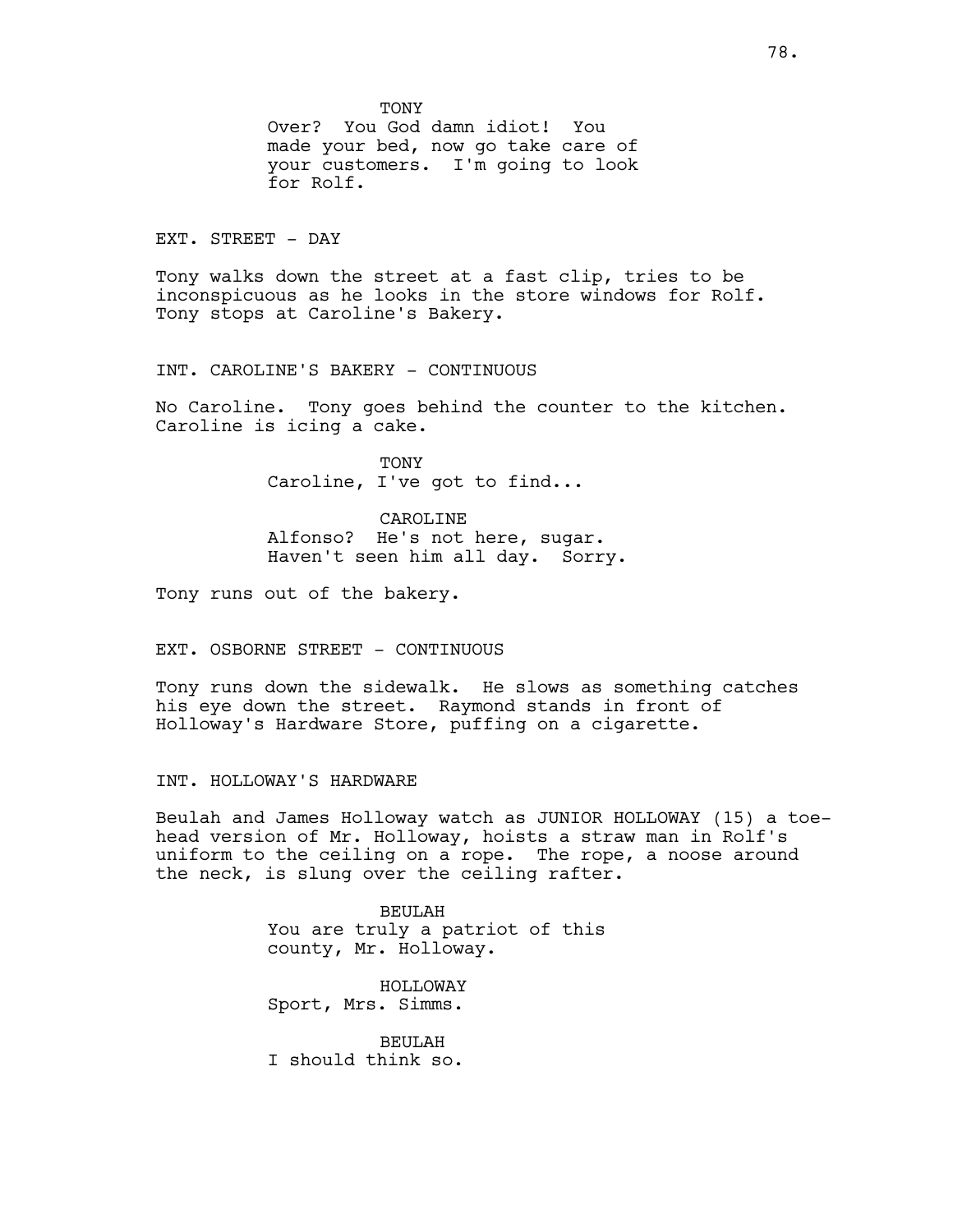**TONY** 

Over? You God damn idiot! You made your bed, now go take care of your customers. I'm going to look for Rolf.

EXT. STREET - DAY

Tony walks down the street at a fast clip, tries to be inconspicuous as he looks in the store windows for Rolf. Tony stops at Caroline's Bakery.

INT. CAROLINE'S BAKERY - CONTINUOUS

No Caroline. Tony goes behind the counter to the kitchen. Caroline is icing a cake.

> TONY Caroline, I've got to find...

CAROLINE Alfonso? He's not here, sugar. Haven't seen him all day. Sorry.

Tony runs out of the bakery.

# EXT. OSBORNE STREET - CONTINUOUS

Tony runs down the sidewalk. He slows as something catches his eye down the street. Raymond stands in front of Holloway's Hardware Store, puffing on a cigarette.

INT. HOLLOWAY'S HARDWARE

Beulah and James Holloway watch as JUNIOR HOLLOWAY (15) a toehead version of Mr. Holloway, hoists a straw man in Rolf's uniform to the ceiling on a rope. The rope, a noose around the neck, is slung over the ceiling rafter.

> BEULAH You are truly a patriot of this county, Mr. Holloway.

HOLLOWAY Sport, Mrs. Simms.

BEULAH I should think so.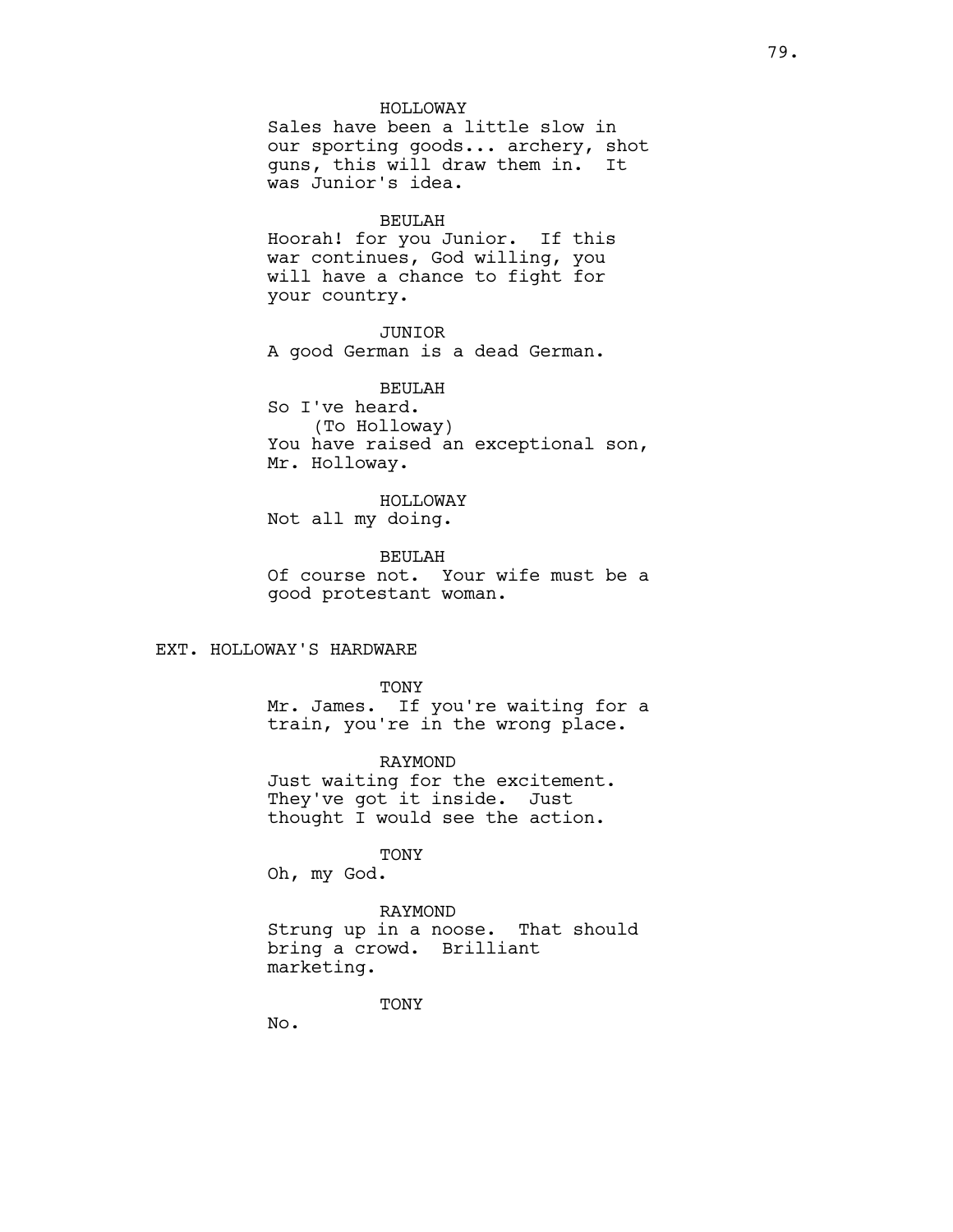#### HOLLOWAY

Sales have been a little slow in our sporting goods... archery, shot guns, this will draw them in. It was Junior's idea.

#### BEULAH

Hoorah! for you Junior. If this war continues, God willing, you will have a chance to fight for your country.

# JUNIOR

A good German is a dead German.

BEULAH So I've heard. (To Holloway) You have raised an exceptional son, Mr. Holloway.

# HOLLOWAY Not all my doing.

BEULAH Of course not. Your wife must be a good protestant woman.

# EXT. HOLLOWAY'S HARDWARE

#### TONY

Mr. James. If you're waiting for a train, you're in the wrong place.

#### RAYMOND

Just waiting for the excitement. They've got it inside. Just thought I would see the action.

## TONY

Oh, my God.

RAYMOND Strung up in a noose. That should bring a crowd. Brilliant marketing.

TONY

No.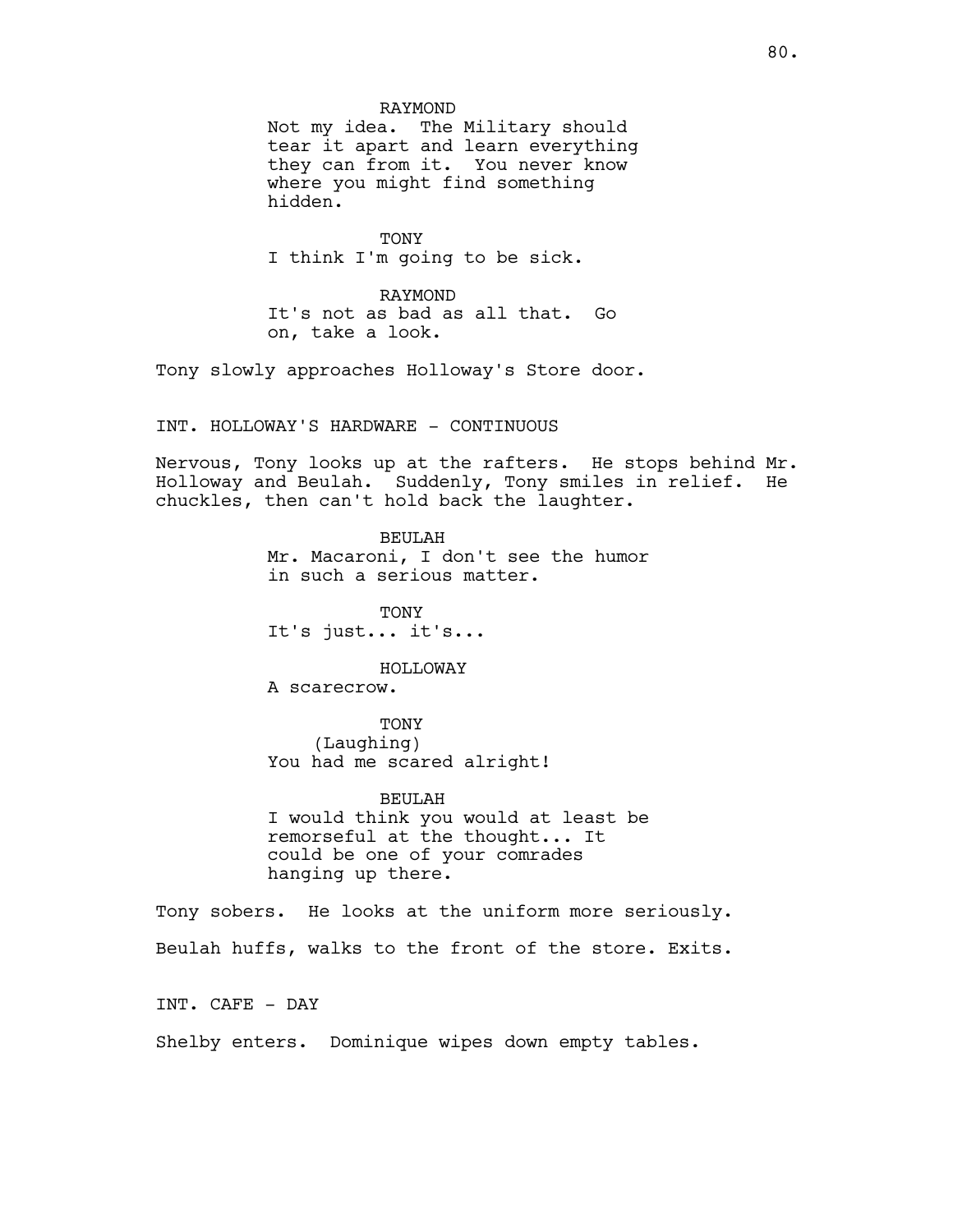# RAYMOND

Not my idea. The Military should tear it apart and learn everything they can from it. You never know where you might find something hidden.

**TONY** I think I'm going to be sick.

RAYMOND It's not as bad as all that. Go on, take a look.

Tony slowly approaches Holloway's Store door.

INT. HOLLOWAY'S HARDWARE - CONTINUOUS

Nervous, Tony looks up at the rafters. He stops behind Mr. Holloway and Beulah. Suddenly, Tony smiles in relief. He chuckles, then can't hold back the laughter.

> BEULAH Mr. Macaroni, I don't see the humor in such a serious matter.

**TONY** It's just... it's...

HOLLOWAY

A scarecrow.

TONY (Laughing) You had me scared alright!

BEULAH I would think you would at least be remorseful at the thought... It could be one of your comrades hanging up there.

Tony sobers. He looks at the uniform more seriously. Beulah huffs, walks to the front of the store. Exits.

INT. CAFE - DAY

Shelby enters. Dominique wipes down empty tables.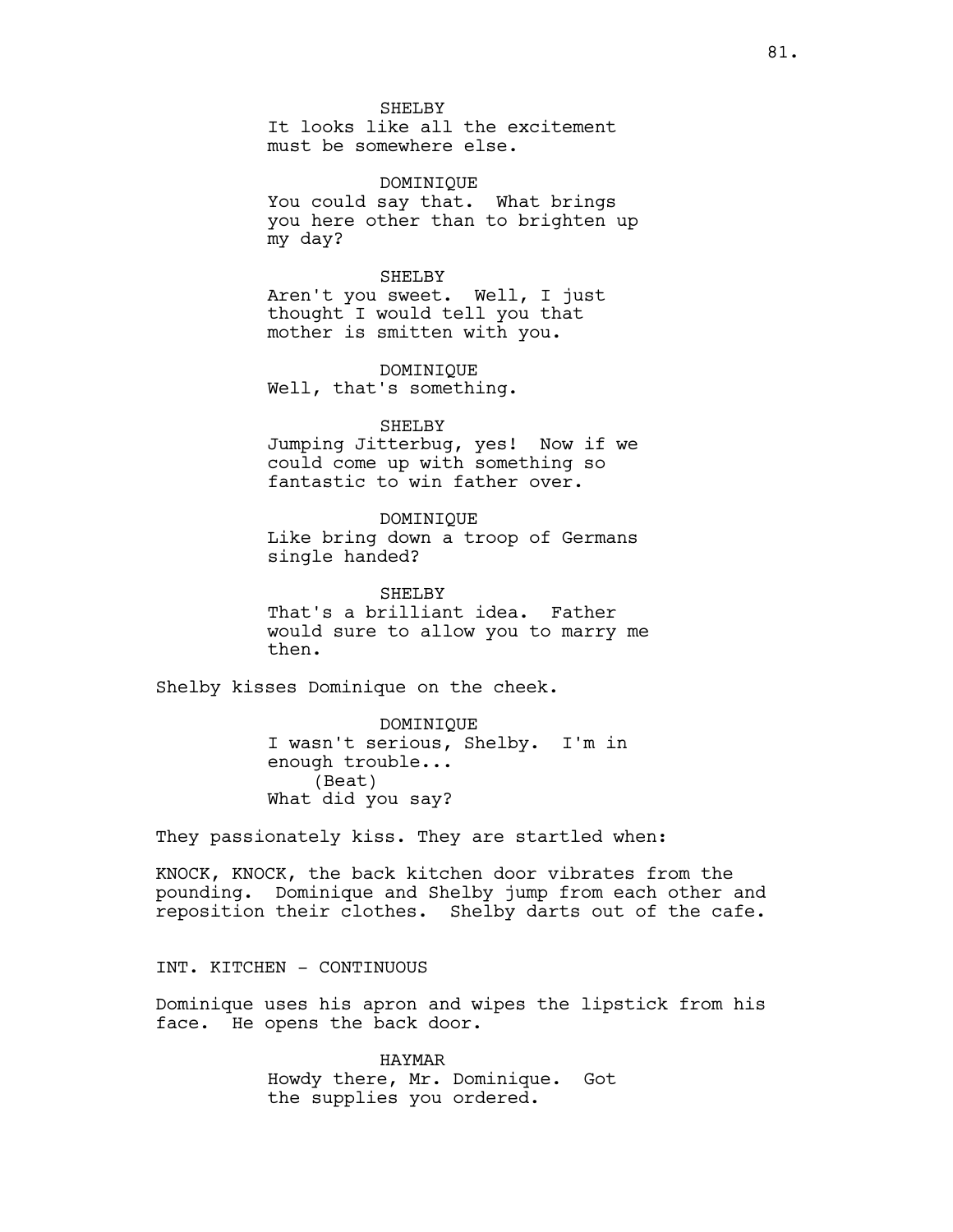SHELBY

It looks like all the excitement must be somewhere else.

DOMINIQUE You could say that. What brings you here other than to brighten up my day?

#### SHELBY

Aren't you sweet. Well, I just thought I would tell you that mother is smitten with you.

DOMINIQUE Well, that's something.

#### SHELBY

Jumping Jitterbug, yes! Now if we could come up with something so fantastic to win father over.

DOMINIQUE Like bring down a troop of Germans single handed?

SHELBY That's a brilliant idea. Father would sure to allow you to marry me then.

Shelby kisses Dominique on the cheek.

DOMINIQUE I wasn't serious, Shelby. I'm in enough trouble... (Beat) What did you say?

They passionately kiss. They are startled when:

KNOCK, KNOCK, the back kitchen door vibrates from the pounding. Dominique and Shelby jump from each other and reposition their clothes. Shelby darts out of the cafe.

# INT. KITCHEN - CONTINUOUS

Dominique uses his apron and wipes the lipstick from his face. He opens the back door.

> HAYMAR Howdy there, Mr. Dominique. Got the supplies you ordered.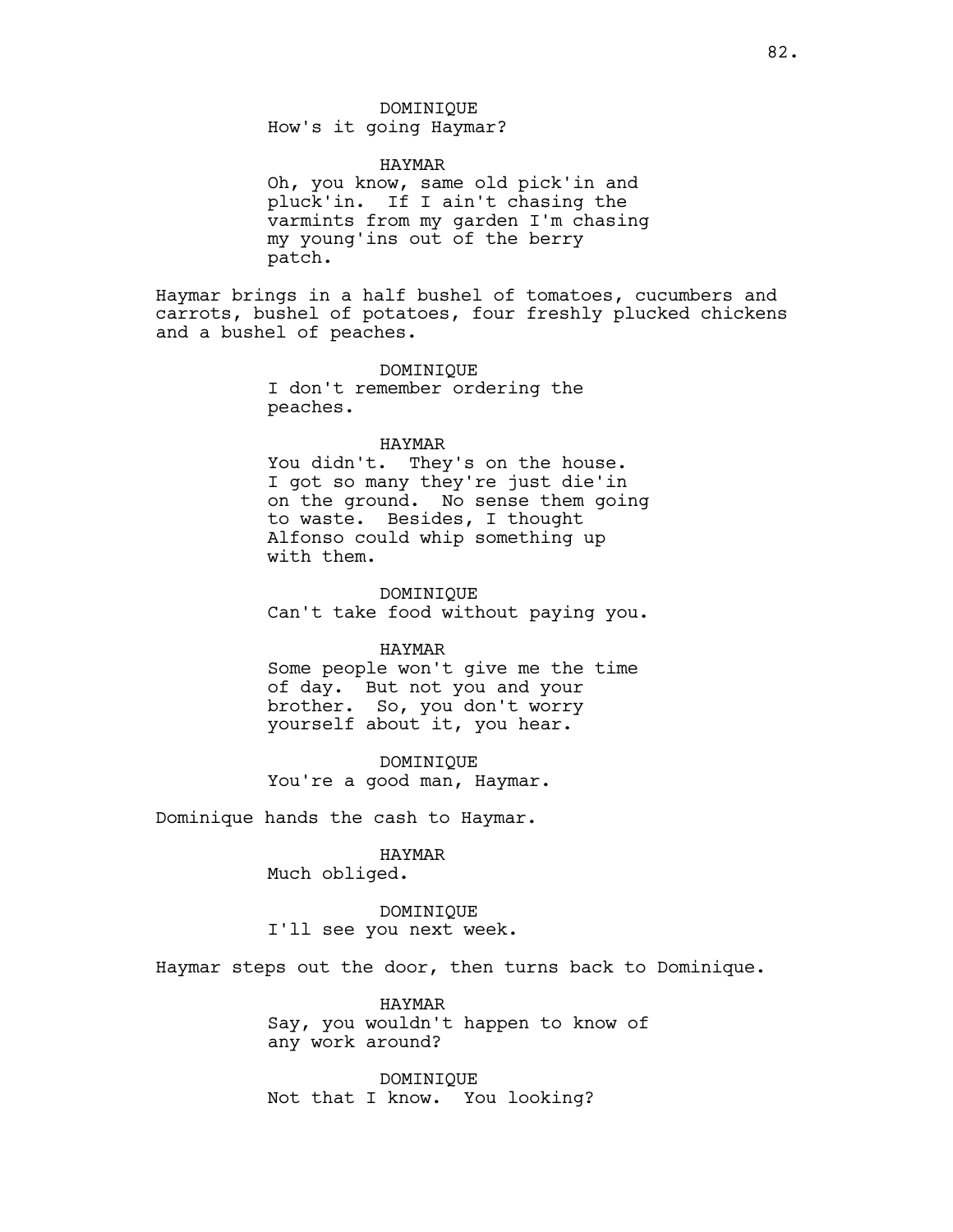How's it going Haymar?

HAYMAR

Oh, you know, same old pick'in and pluck'in. If I ain't chasing the varmints from my garden I'm chasing my young'ins out of the berry patch.

Haymar brings in a half bushel of tomatoes, cucumbers and carrots, bushel of potatoes, four freshly plucked chickens and a bushel of peaches.

> DOMINIQUE I don't remember ordering the peaches.

## HAYMAR

You didn't. They's on the house. I got so many they're just die'in on the ground. No sense them going to waste. Besides, I thought Alfonso could whip something up with them.

DOMINIQUE

Can't take food without paying you.

## HAYMAR

Some people won't give me the time of day. But not you and your brother. So, you don't worry yourself about it, you hear.

DOMINIQUE You're a good man, Haymar.

Dominique hands the cash to Haymar.

## HAYMAR

Much obliged.

DOMINIQUE I'll see you next week.

Haymar steps out the door, then turns back to Dominique.

HAYMAR Say, you wouldn't happen to know of any work around?

DOMINIQUE Not that I know. You looking?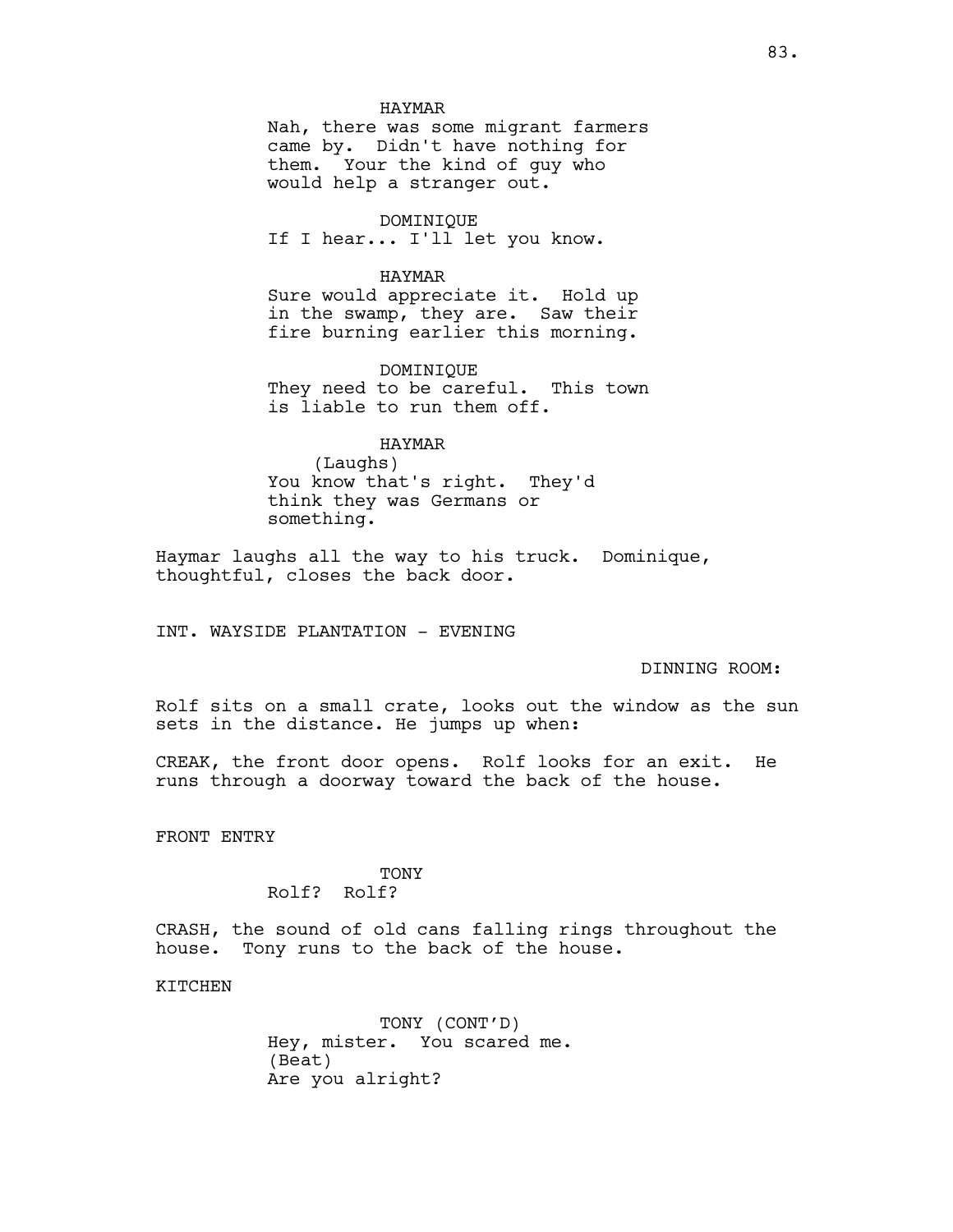#### HAYMAR

Nah, there was some migrant farmers came by. Didn't have nothing for them. Your the kind of guy who would help a stranger out.

DOMINIQUE If I hear... I'll let you know.

## HAYMAR

Sure would appreciate it. Hold up in the swamp, they are. Saw their fire burning earlier this morning.

DOMINIQUE They need to be careful. This town is liable to run them off.

# HAYMAR

(Laughs) You know that's right. They'd think they was Germans or something.

Haymar laughs all the way to his truck. Dominique, thoughtful, closes the back door.

INT. WAYSIDE PLANTATION - EVENING

DINNING ROOM:

Rolf sits on a small crate, looks out the window as the sun sets in the distance. He jumps up when:

CREAK, the front door opens. Rolf looks for an exit. He runs through a doorway toward the back of the house.

FRONT ENTRY

## TONY Rolf? Rolf?

CRASH, the sound of old cans falling rings throughout the house. Tony runs to the back of the house.

KITCHEN

TONY (CONT'D) Hey, mister. You scared me. (Beat) Are you alright?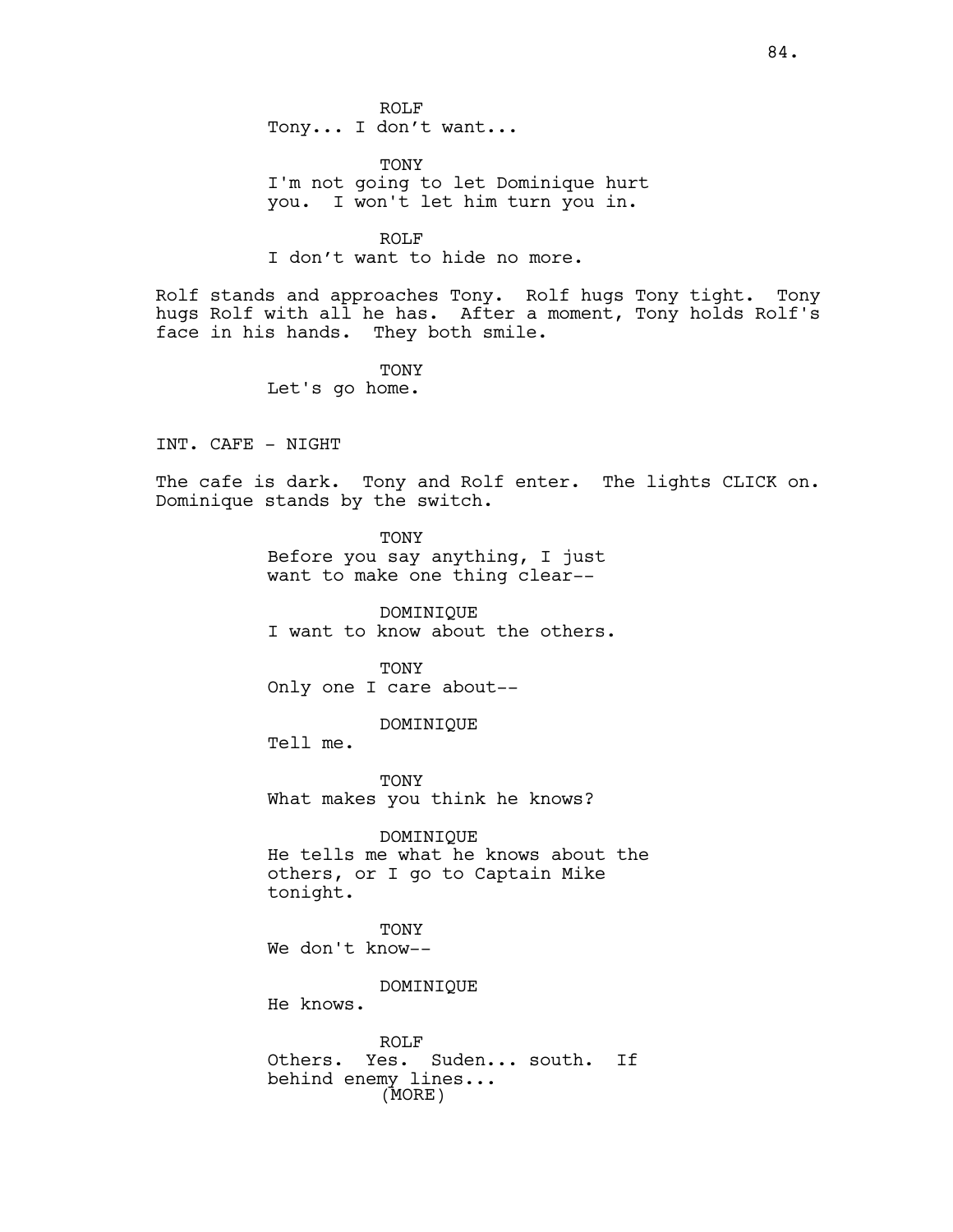ROLF Tony... I don't want...

TONY I'm not going to let Dominique hurt you. I won't let him turn you in.

ROLF I don't want to hide no more.

Rolf stands and approaches Tony. Rolf hugs Tony tight. Tony hugs Rolf with all he has. After a moment, Tony holds Rolf's face in his hands. They both smile.

> TONY Let's go home.

INT. CAFE - NIGHT

The cafe is dark. Tony and Rolf enter. The lights CLICK on. Dominique stands by the switch.

> TONY Before you say anything, I just want to make one thing clear--

DOMINIQUE I want to know about the others.

TONY Only one I care about--

DOMINIQUE

Tell me.

TONY What makes you think he knows?

DOMINIQUE He tells me what he knows about the others, or I go to Captain Mike tonight.

TONY We don't know--

DOMINIQUE

He knows.

ROLF Others. Yes. Suden... south. If behind enemy lines... (MORE)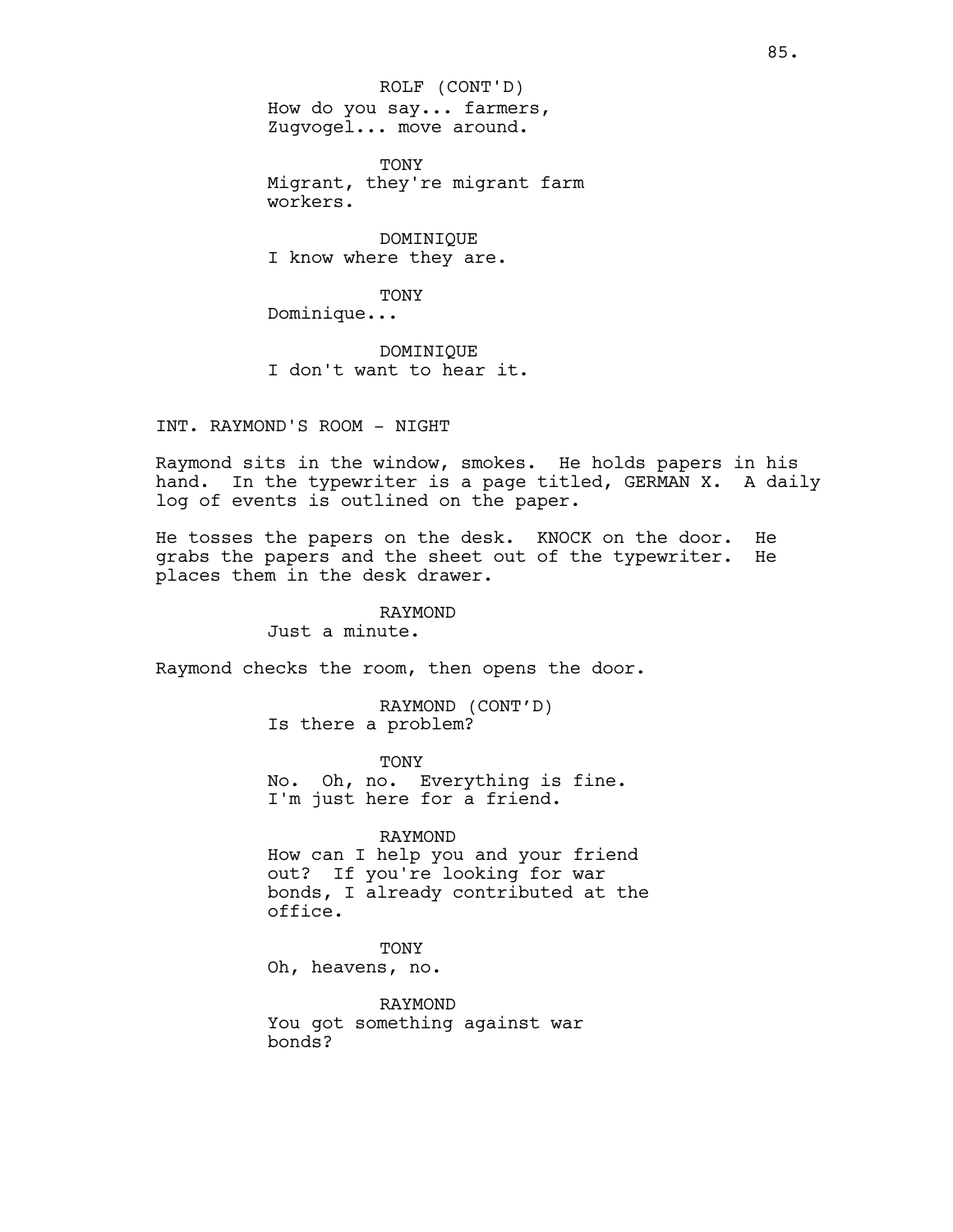How do you say... farmers, Zugvogel... move around. ROLF (CONT'D)

TONY Migrant, they're migrant farm workers.

DOMINIQUE I know where they are.

TONY

Dominique...

DOMINIQUE I don't want to hear it.

INT. RAYMOND'S ROOM - NIGHT

Raymond sits in the window, smokes. He holds papers in his hand. In the typewriter is a page titled, GERMAN X. A daily log of events is outlined on the paper.

He tosses the papers on the desk. KNOCK on the door. He grabs the papers and the sheet out of the typewriter. He places them in the desk drawer.

> RAYMOND Just a minute.

Raymond checks the room, then opens the door.

RAYMOND (CONT'D) Is there a problem?

TONY No. Oh, no. Everything is fine. I'm just here for a friend.

RAYMOND

How can I help you and your friend out? If you're looking for war bonds, I already contributed at the office.

TONY

Oh, heavens, no.

RAYMOND You got something against war bonds?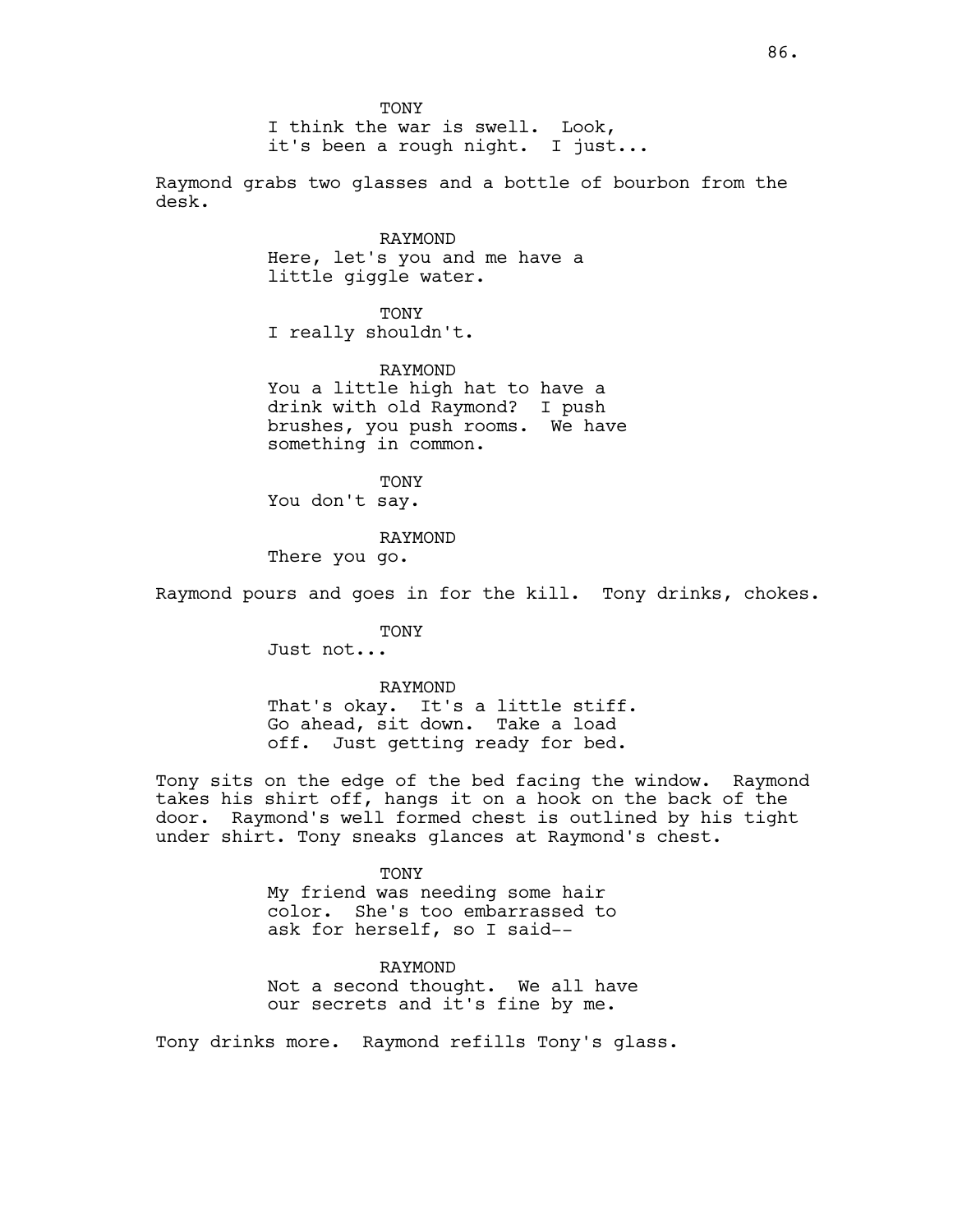TONY

I think the war is swell. Look, it's been a rough night. I just...

Raymond grabs two glasses and a bottle of bourbon from the desk.

> RAYMOND Here, let's you and me have a little giggle water.

TONY I really shouldn't.

RAYMOND You a little high hat to have a drink with old Raymond? I push brushes, you push rooms. We have something in common.

TONY You don't say.

RAYMOND

There you go.

Raymond pours and goes in for the kill. Tony drinks, chokes.

TONY Just not...

RAYMOND

That's okay. It's a little stiff. Go ahead, sit down. Take a load off. Just getting ready for bed.

Tony sits on the edge of the bed facing the window. Raymond takes his shirt off, hangs it on a hook on the back of the door. Raymond's well formed chest is outlined by his tight under shirt. Tony sneaks glances at Raymond's chest.

TONY

My friend was needing some hair color. She's too embarrassed to ask for herself, so I said--

RAYMOND Not a second thought. We all have our secrets and it's fine by me.

Tony drinks more. Raymond refills Tony's glass.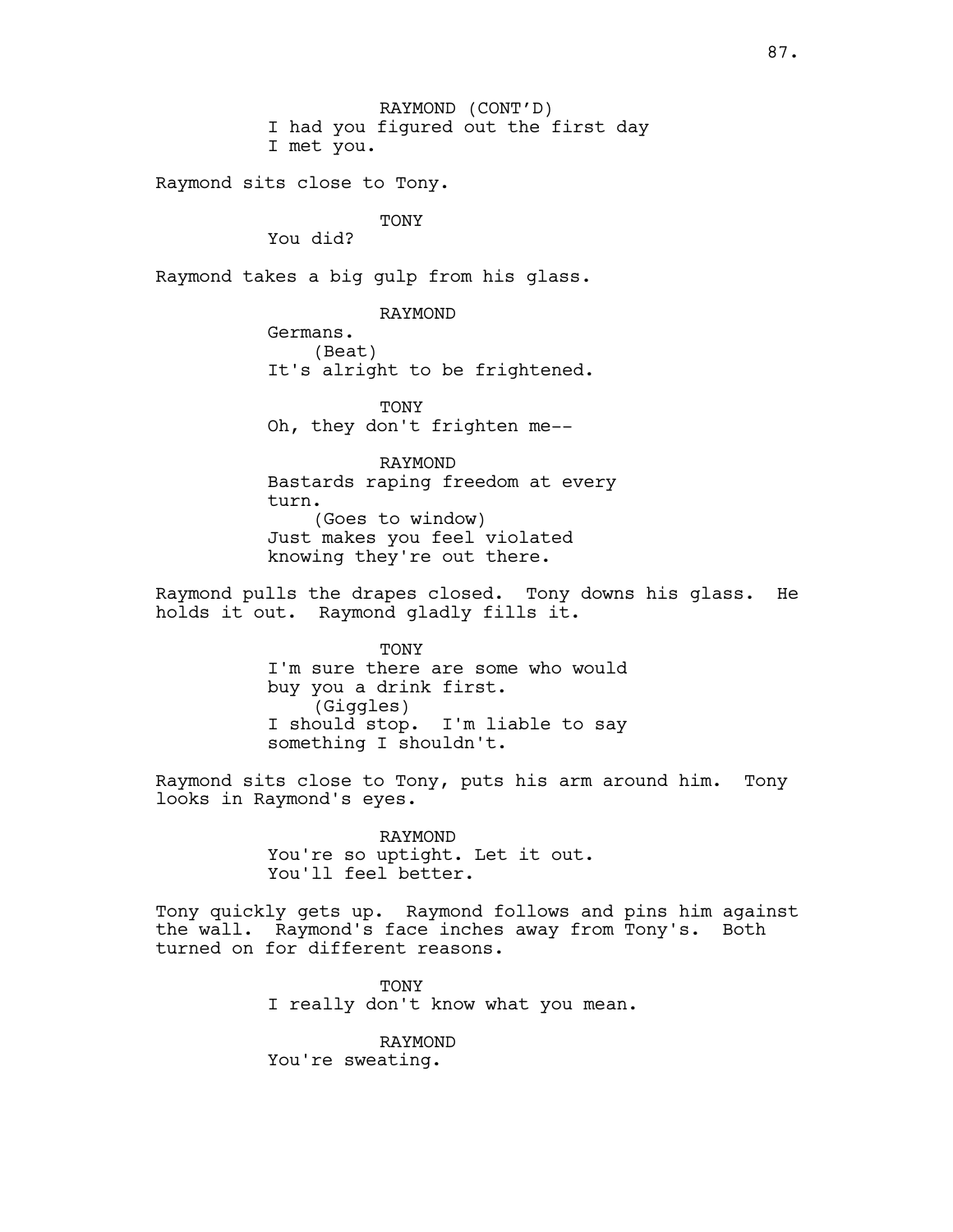RAYMOND (CONT'D) I had you figured out the first day I met you.

Raymond sits close to Tony.

TONY

You did?

Raymond takes a big gulp from his glass.

RAYMOND

Germans. (Beat) It's alright to be frightened.

**TONY** Oh, they don't frighten me--

RAYMOND Bastards raping freedom at every turn. (Goes to window) Just makes you feel violated knowing they're out there.

Raymond pulls the drapes closed. Tony downs his glass. He holds it out. Raymond gladly fills it.

> **TONY** I'm sure there are some who would buy you a drink first. (Giggles) I should stop. I'm liable to say something I shouldn't.

Raymond sits close to Tony, puts his arm around him. Tony looks in Raymond's eyes.

> RAYMOND You're so uptight. Let it out. You'll feel better.

Tony quickly gets up. Raymond follows and pins him against the wall. Raymond's face inches away from Tony's. Both turned on for different reasons.

> TONY I really don't know what you mean.

RAYMOND You're sweating.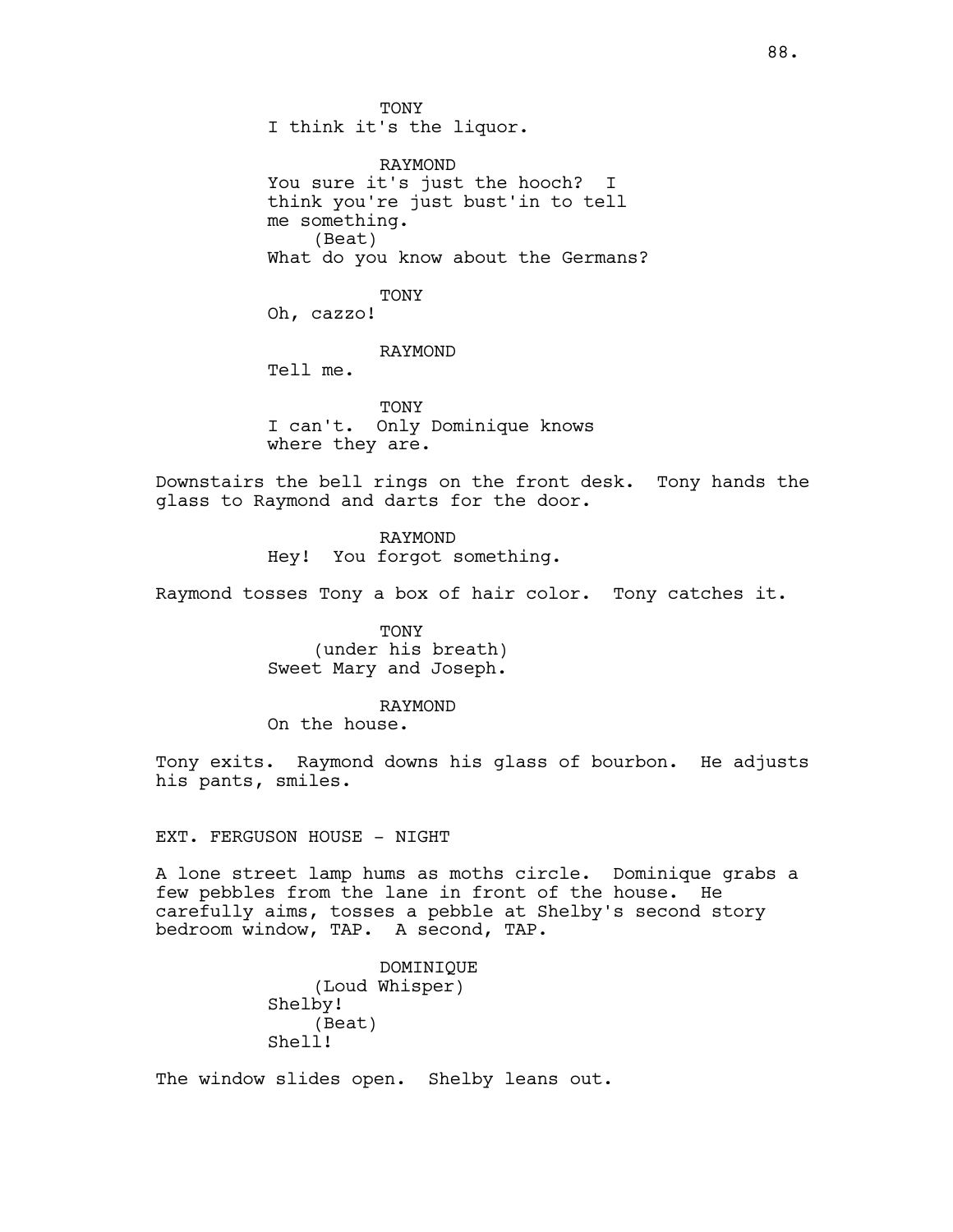TONY I think it's the liquor.

RAYMOND You sure it's just the hooch? I think you're just bust'in to tell me something. (Beat) What do you know about the Germans?

TONY

Oh, cazzo!

RAYMOND

Tell me.

**TONY** I can't. Only Dominique knows where they are.

Downstairs the bell rings on the front desk. Tony hands the glass to Raymond and darts for the door.

> RAYMOND Hey! You forgot something.

Raymond tosses Tony a box of hair color. Tony catches it.

TONY (under his breath) Sweet Mary and Joseph.

#### RAYMOND

On the house.

Tony exits. Raymond downs his glass of bourbon. He adjusts his pants, smiles.

EXT. FERGUSON HOUSE - NIGHT

A lone street lamp hums as moths circle. Dominique grabs a few pebbles from the lane in front of the house. He carefully aims, tosses a pebble at Shelby's second story bedroom window, TAP. A second, TAP.

> DOMINIQUE (Loud Whisper) Shelby! (Beat) Shell!

The window slides open. Shelby leans out.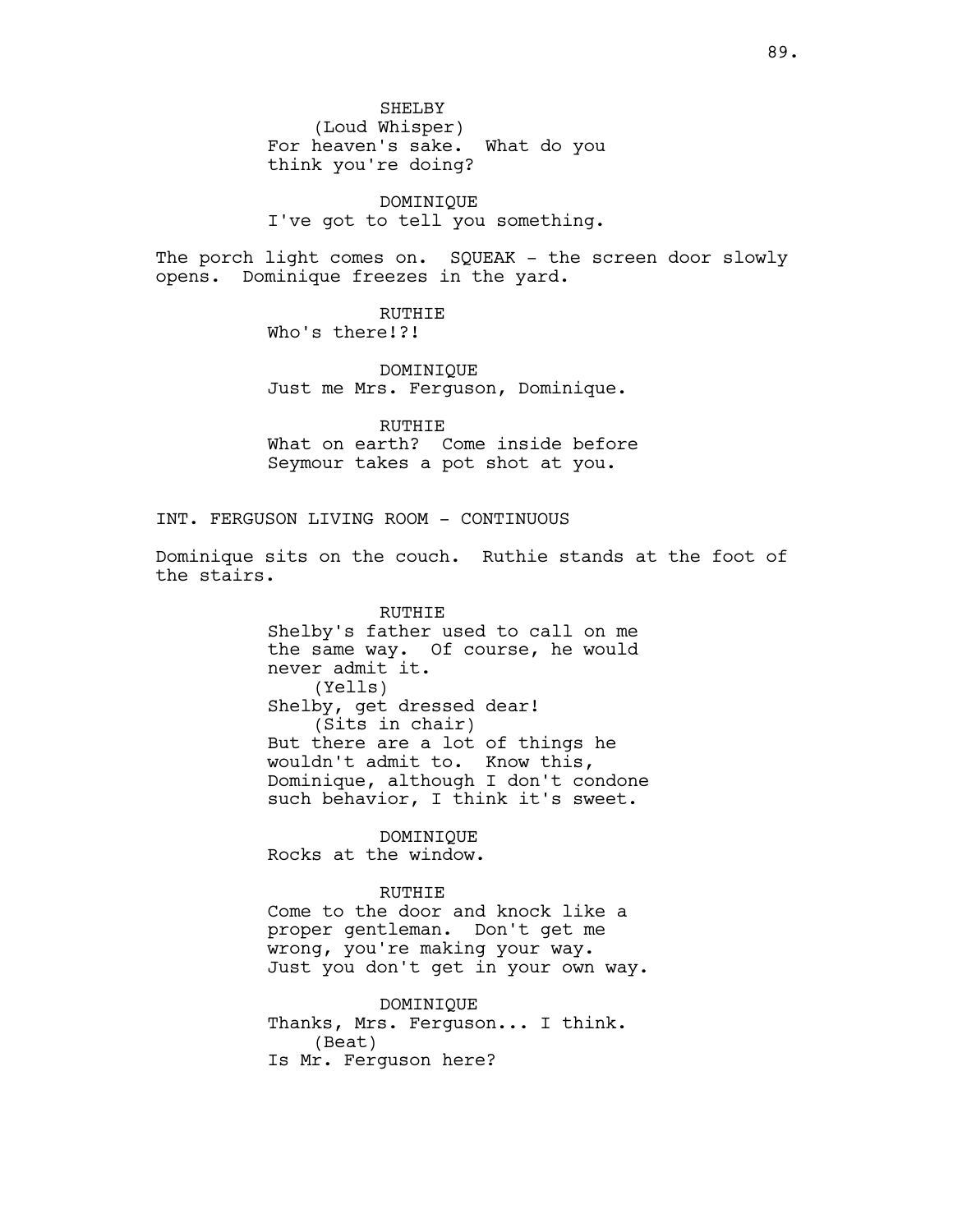SHELBY (Loud Whisper)

For heaven's sake. What do you think you're doing?

DOMINIQUE I've got to tell you something.

The porch light comes on. SQUEAK - the screen door slowly opens. Dominique freezes in the yard.

> RUTHIE Who's there!?!

DOMINIQUE Just me Mrs. Ferguson, Dominique.

RUTHIE What on earth? Come inside before Seymour takes a pot shot at you.

INT. FERGUSON LIVING ROOM - CONTINUOUS

Dominique sits on the couch. Ruthie stands at the foot of the stairs.

> RUTHIE Shelby's father used to call on me the same way. Of course, he would never admit it. (Yells) Shelby, get dressed dear! (Sits in chair) But there are a lot of things he wouldn't admit to. Know this, Dominique, although I don't condone such behavior, I think it's sweet.

DOMINIQUE Rocks at the window.

#### RUTHIE

Come to the door and knock like a proper gentleman. Don't get me wrong, you're making your way. Just you don't get in your own way.

DOMINIQUE Thanks, Mrs. Ferguson... I think. (Beat) Is Mr. Ferguson here?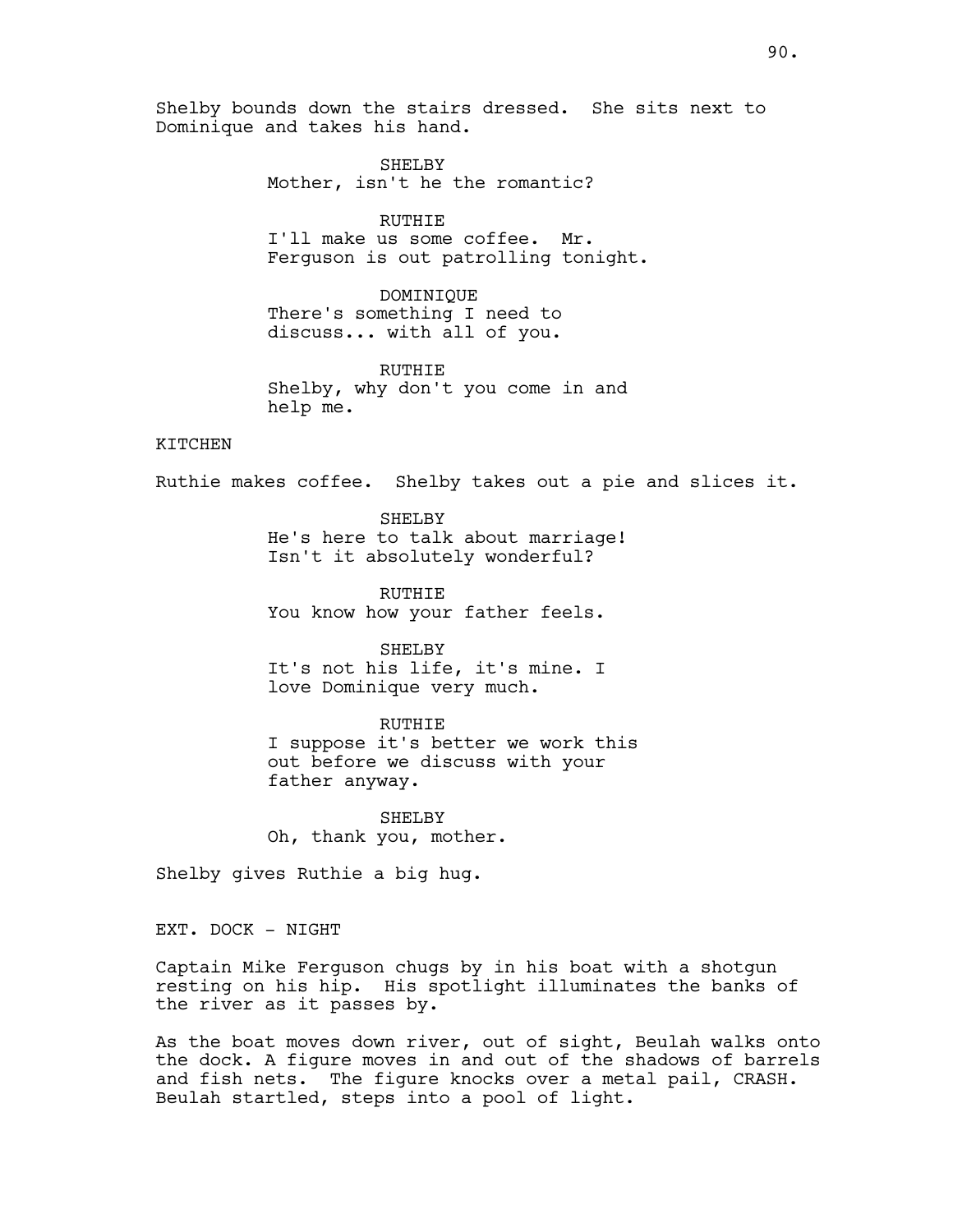Shelby bounds down the stairs dressed. She sits next to Dominique and takes his hand.

> SHELBY Mother, isn't he the romantic?

> > RUTHIE

I'll make us some coffee. Mr. Ferguson is out patrolling tonight.

DOMINIQUE There's something I need to discuss... with all of you.

RUTHIE Shelby, why don't you come in and help me.

# KITCHEN

Ruthie makes coffee. Shelby takes out a pie and slices it.

SHELBY He's here to talk about marriage! Isn't it absolutely wonderful?

RUTHIE You know how your father feels.

SHELBY It's not his life, it's mine. I love Dominique very much.

RUTHIE I suppose it's better we work this out before we discuss with your father anyway.

SHELBY Oh, thank you, mother.

Shelby gives Ruthie a big hug.

EXT. DOCK - NIGHT

Captain Mike Ferguson chugs by in his boat with a shotgun resting on his hip. His spotlight illuminates the banks of the river as it passes by.

As the boat moves down river, out of sight, Beulah walks onto the dock. A figure moves in and out of the shadows of barrels and fish nets. The figure knocks over a metal pail, CRASH. Beulah startled, steps into a pool of light.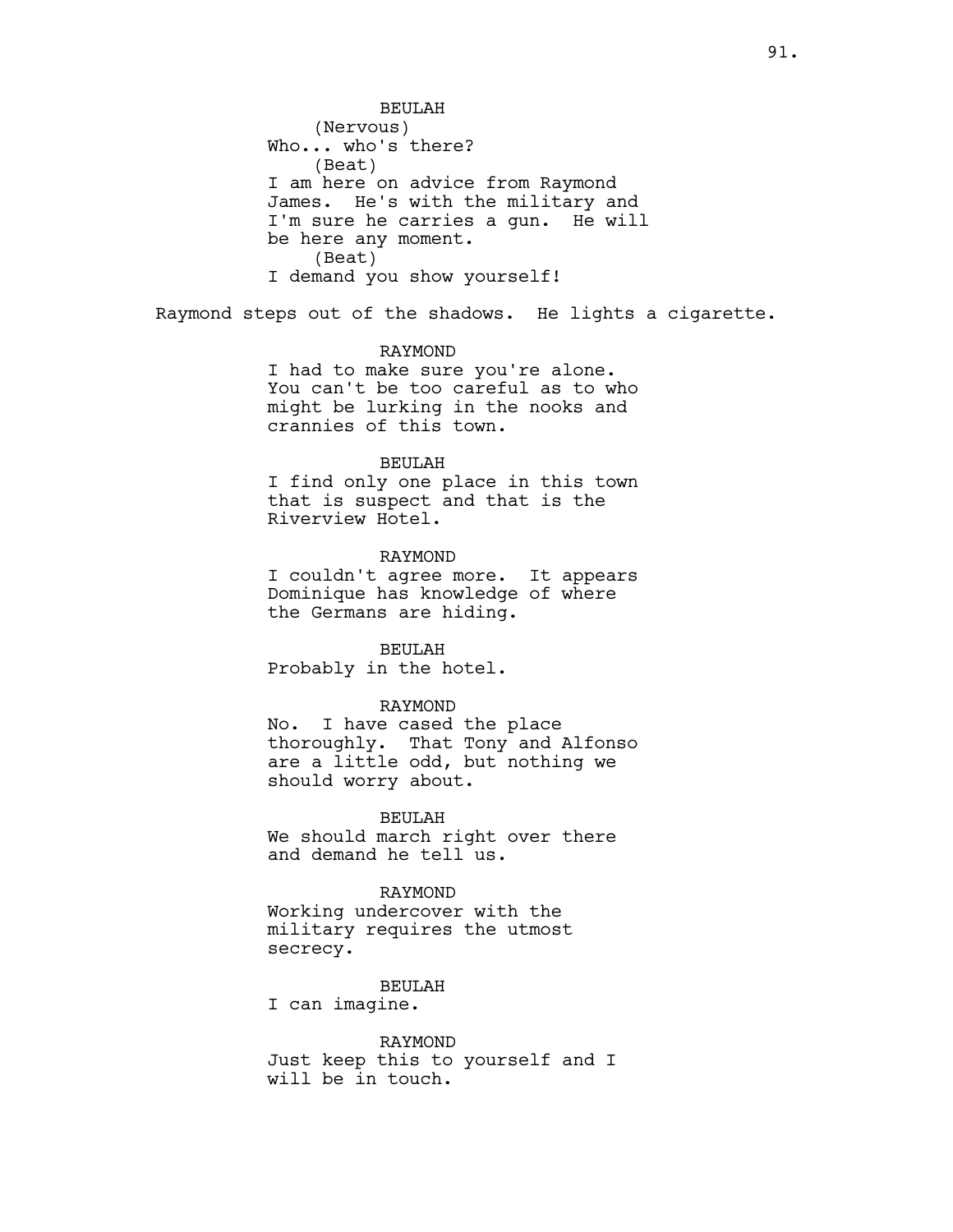BEULAH (Nervous) Who... who's there? (Beat) I am here on advice from Raymond James. He's with the military and I'm sure he carries a gun. He will be here any moment. (Beat) I demand you show yourself!

Raymond steps out of the shadows. He lights a cigarette.

## RAYMOND

I had to make sure you're alone. You can't be too careful as to who might be lurking in the nooks and crannies of this town.

#### BEULAH

I find only one place in this town that is suspect and that is the Riverview Hotel.

## RAYMOND

I couldn't agree more. It appears Dominique has knowledge of where the Germans are hiding.

# BEULAH

Probably in the hotel.

# RAYMOND

No. I have cased the place thoroughly. That Tony and Alfonso are a little odd, but nothing we should worry about.

#### BEULAH

We should march right over there and demand he tell us.

## RAYMOND

Working undercover with the military requires the utmost secrecy.

## BEULAH

I can imagine.

#### RAYMOND

Just keep this to yourself and I will be in touch.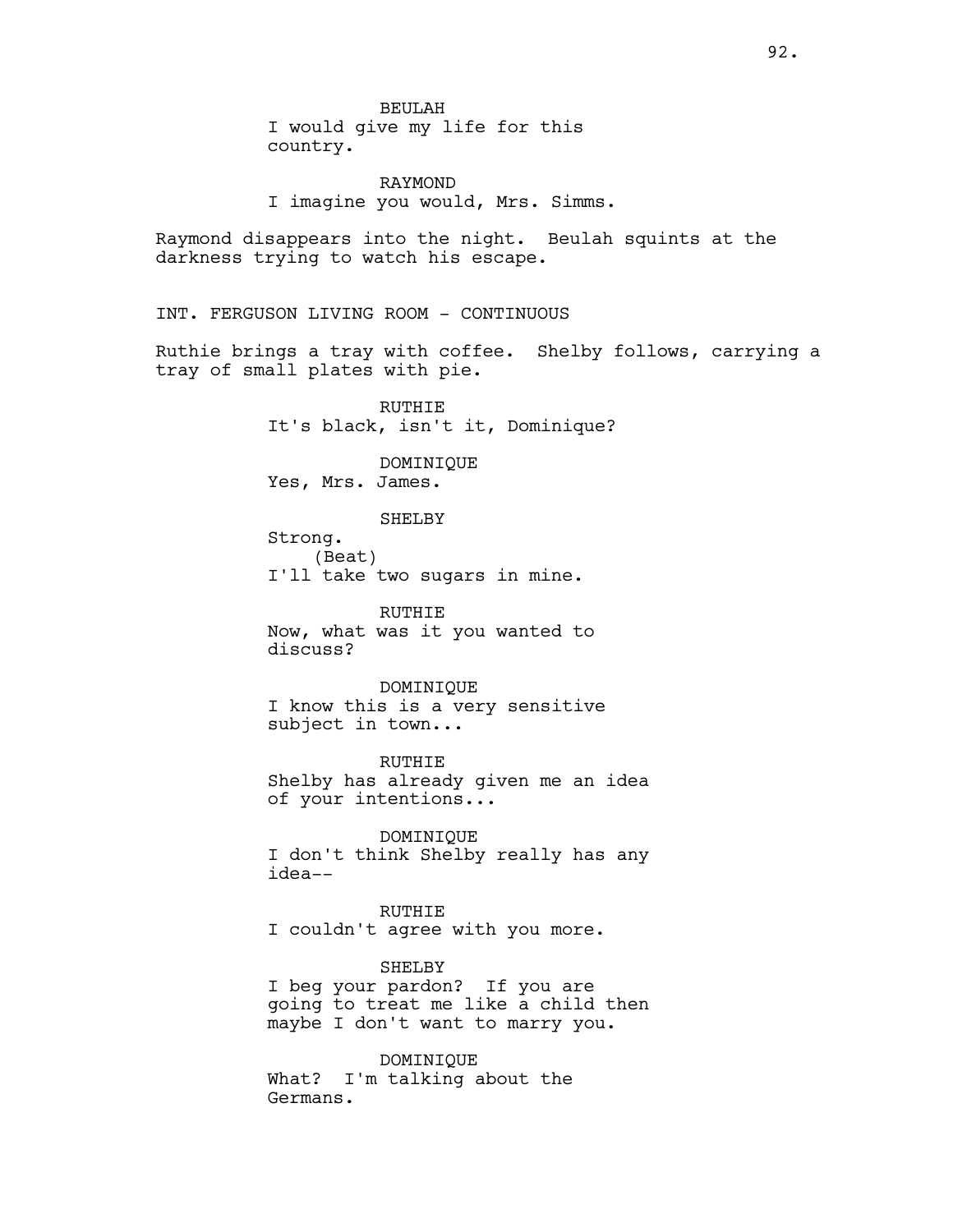BEULAH I would give my life for this country.

RAYMOND I imagine you would, Mrs. Simms.

Raymond disappears into the night. Beulah squints at the darkness trying to watch his escape.

INT. FERGUSON LIVING ROOM - CONTINUOUS

Ruthie brings a tray with coffee. Shelby follows, carrying a tray of small plates with pie.

> RUTHIE It's black, isn't it, Dominique?

DOMINIQUE Yes, Mrs. James.

SHELBY

Strong. (Beat) I'll take two sugars in mine.

RUTHIE Now, what was it you wanted to discuss?

DOMINIQUE I know this is a very sensitive subject in town...

RUTHIE Shelby has already given me an idea of your intentions...

DOMINIQUE I don't think Shelby really has any idea--

RUTHIE I couldn't agree with you more.

SHELBY I beg your pardon? If you are going to treat me like a child then maybe I don't want to marry you.

DOMINIQUE What? I'm talking about the Germans.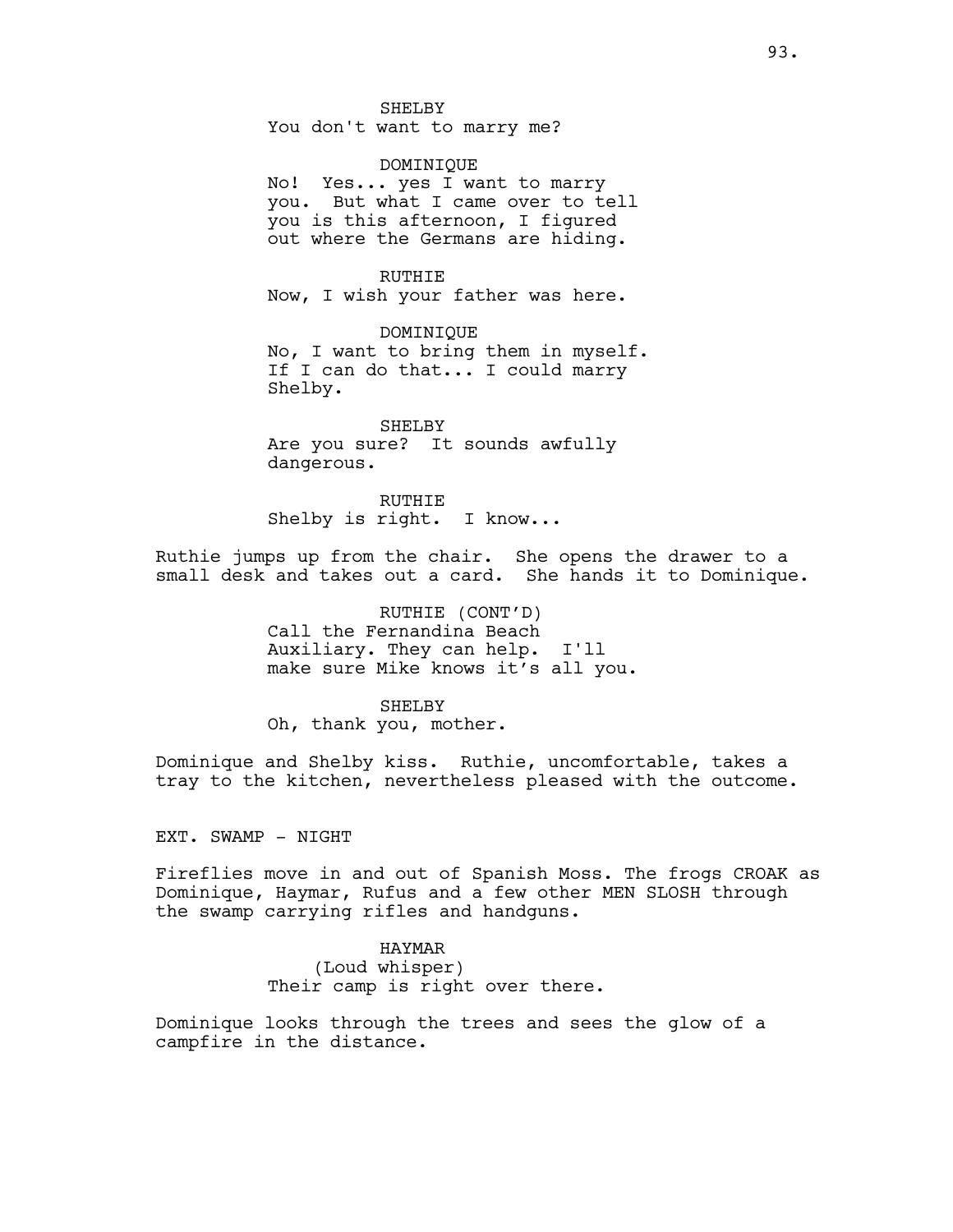SHELBY You don't want to marry me?

DOMINIQUE No! Yes... yes I want to marry you. But what I came over to tell you is this afternoon, I figured out where the Germans are hiding.

RUTHIE Now, I wish your father was here.

DOMINIQUE No, I want to bring them in myself. If I can do that... I could marry Shelby.

SHELBY Are you sure? It sounds awfully dangerous.

RUTHIE Shelby is right. I know...

Ruthie jumps up from the chair. She opens the drawer to a small desk and takes out a card. She hands it to Dominique.

> RUTHIE (CONT'D) Call the Fernandina Beach Auxiliary. They can help. I'll make sure Mike knows it's all you.

SHELBY Oh, thank you, mother.

Dominique and Shelby kiss. Ruthie, uncomfortable, takes a tray to the kitchen, nevertheless pleased with the outcome.

EXT. SWAMP - NIGHT

Fireflies move in and out of Spanish Moss. The frogs CROAK as Dominique, Haymar, Rufus and a few other MEN SLOSH through the swamp carrying rifles and handguns.

HAYMAR

(Loud whisper) Their camp is right over there.

Dominique looks through the trees and sees the glow of a campfire in the distance.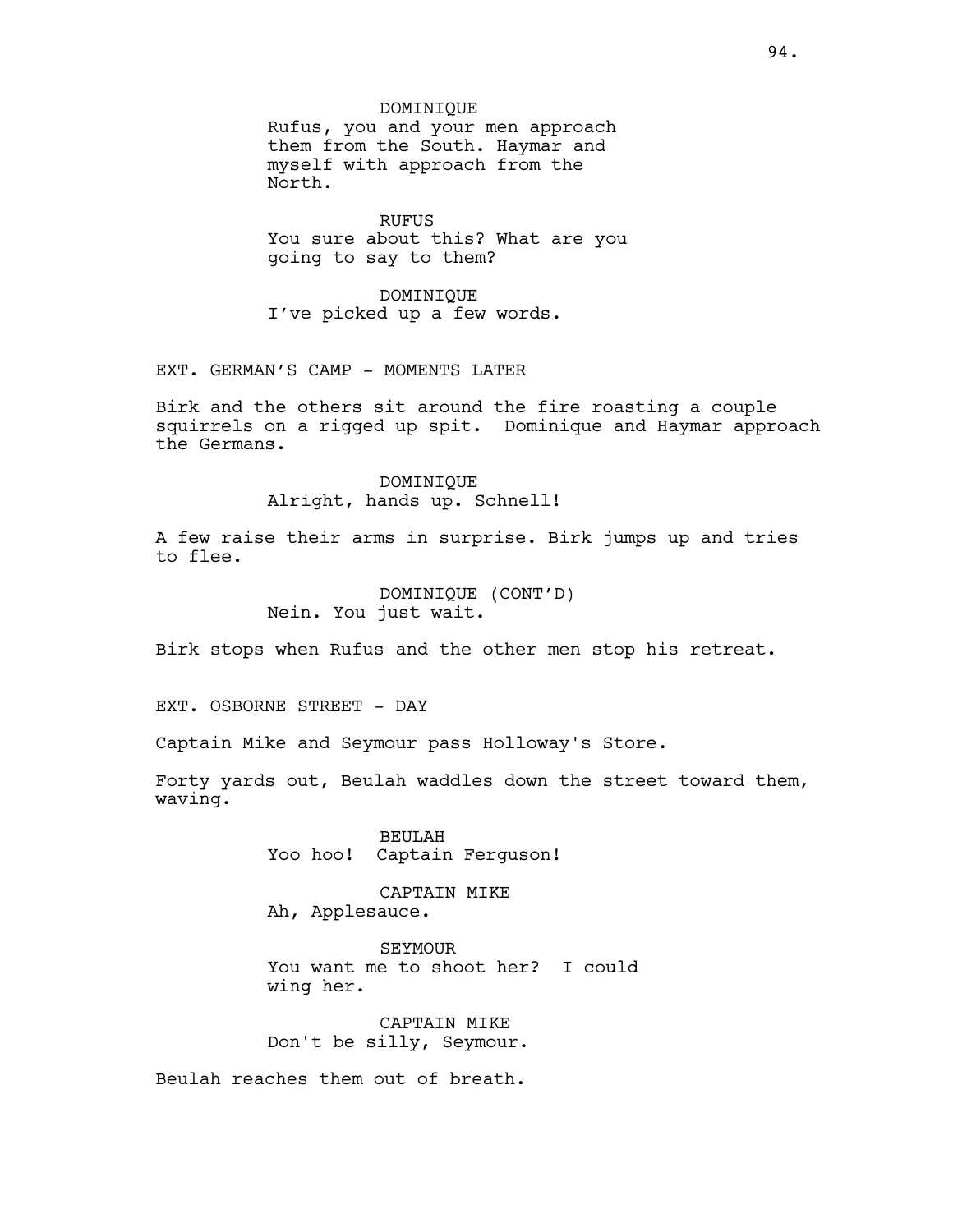#### DOMINIQUE

Rufus, you and your men approach them from the South. Haymar and myself with approach from the North.

RUFUS You sure about this? What are you going to say to them?

DOMINIQUE I've picked up a few words.

EXT. GERMAN'S CAMP - MOMENTS LATER

Birk and the others sit around the fire roasting a couple squirrels on a rigged up spit. Dominique and Haymar approach the Germans.

> DOMINIQUE Alright, hands up. Schnell!

A few raise their arms in surprise. Birk jumps up and tries to flee.

> DOMINIQUE (CONT'D) Nein. You just wait.

Birk stops when Rufus and the other men stop his retreat.

EXT. OSBORNE STREET - DAY

Captain Mike and Seymour pass Holloway's Store.

Forty yards out, Beulah waddles down the street toward them, waving.

> BEULAH Yoo hoo! Captain Ferguson!

CAPTAIN MIKE Ah, Applesauce.

SEYMOUR You want me to shoot her? I could wing her.

CAPTAIN MIKE Don't be silly, Seymour.

Beulah reaches them out of breath.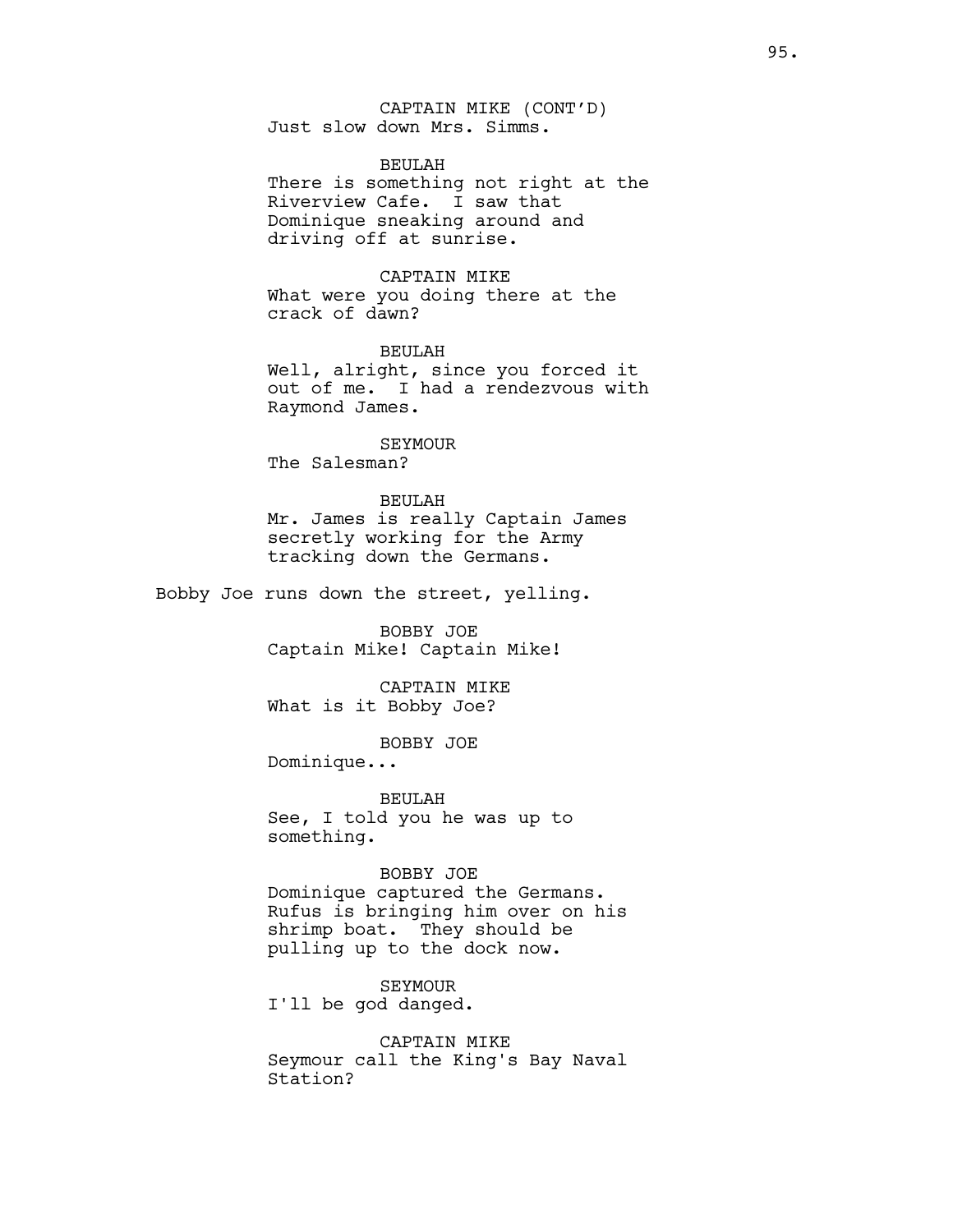CAPTAIN MIKE (CONT'D) Just slow down Mrs. Simms.

## BEULAH

There is something not right at the Riverview Cafe. I saw that Dominique sneaking around and driving off at sunrise.

## CAPTAIN MIKE

What were you doing there at the crack of dawn?

# BEULAH

Well, alright, since you forced it out of me. I had a rendezvous with Raymond James.

#### SEYMOUR

The Salesman?

# BEULAH

Mr. James is really Captain James secretly working for the Army tracking down the Germans.

Bobby Joe runs down the street, yelling.

BOBBY JOE Captain Mike! Captain Mike!

CAPTAIN MIKE What is it Bobby Joe?

BOBBY JOE

Dominique...

BEULAH See, I told you he was up to something.

## BOBBY JOE

Dominique captured the Germans. Rufus is bringing him over on his shrimp boat. They should be pulling up to the dock now.

#### SEYMOUR

I'll be god danged.

CAPTAIN MIKE Seymour call the King's Bay Naval Station?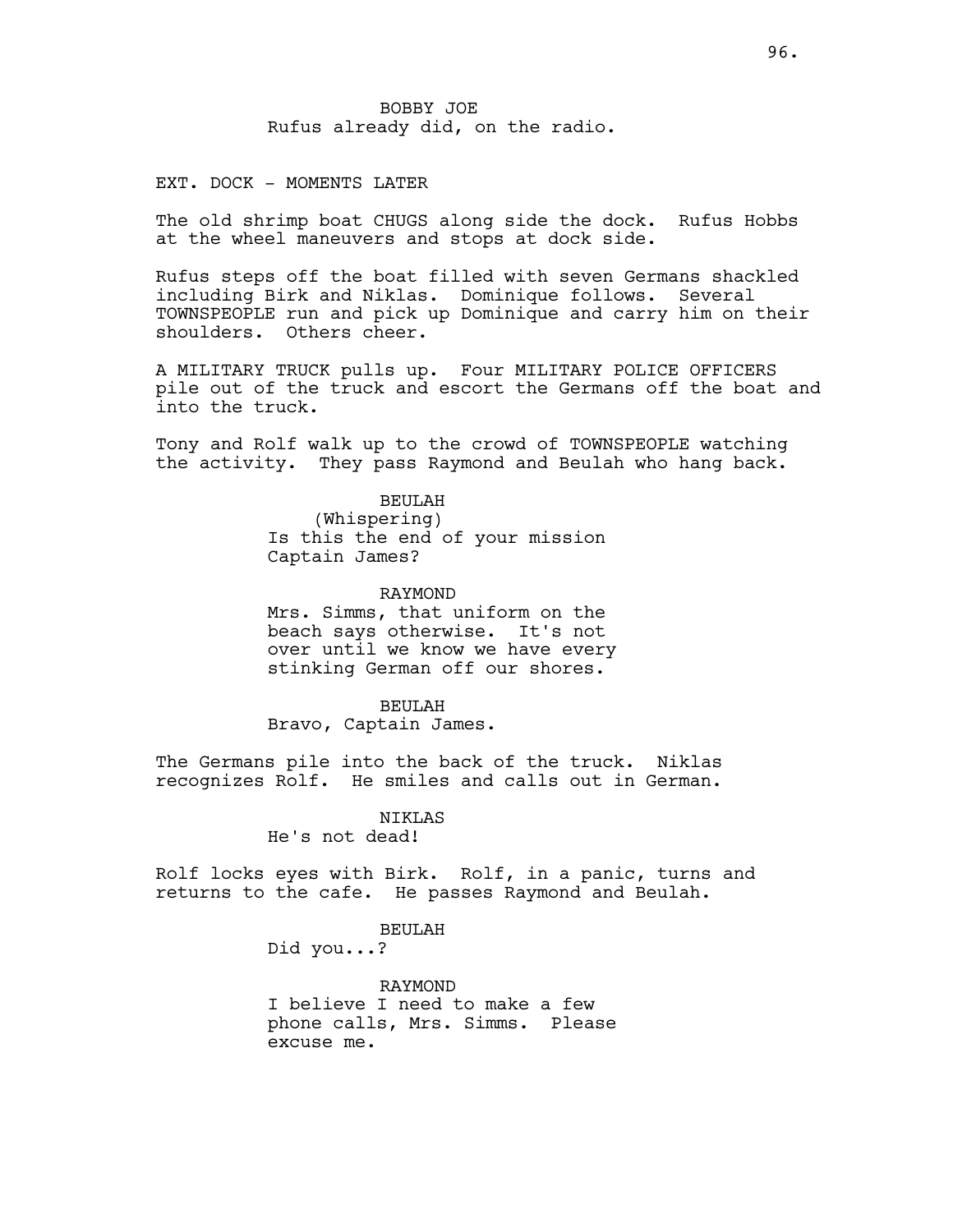# EXT. DOCK - MOMENTS LATER

The old shrimp boat CHUGS along side the dock. Rufus Hobbs at the wheel maneuvers and stops at dock side.

Rufus steps off the boat filled with seven Germans shackled including Birk and Niklas. Dominique follows. Several TOWNSPEOPLE run and pick up Dominique and carry him on their shoulders. Others cheer.

A MILITARY TRUCK pulls up. Four MILITARY POLICE OFFICERS pile out of the truck and escort the Germans off the boat and into the truck.

Tony and Rolf walk up to the crowd of TOWNSPEOPLE watching the activity. They pass Raymond and Beulah who hang back.

> BEULAH (Whispering) Is this the end of your mission Captain James?

RAYMOND Mrs. Simms, that uniform on the beach says otherwise. It's not over until we know we have every stinking German off our shores.

#### BEULAH

Bravo, Captain James.

The Germans pile into the back of the truck. Niklas recognizes Rolf. He smiles and calls out in German.

#### NIKLAS

He's not dead!

Rolf locks eyes with Birk. Rolf, in a panic, turns and returns to the cafe. He passes Raymond and Beulah.

## BEULAH

Did you...?

RAYMOND I believe I need to make a few phone calls, Mrs. Simms. Please excuse me.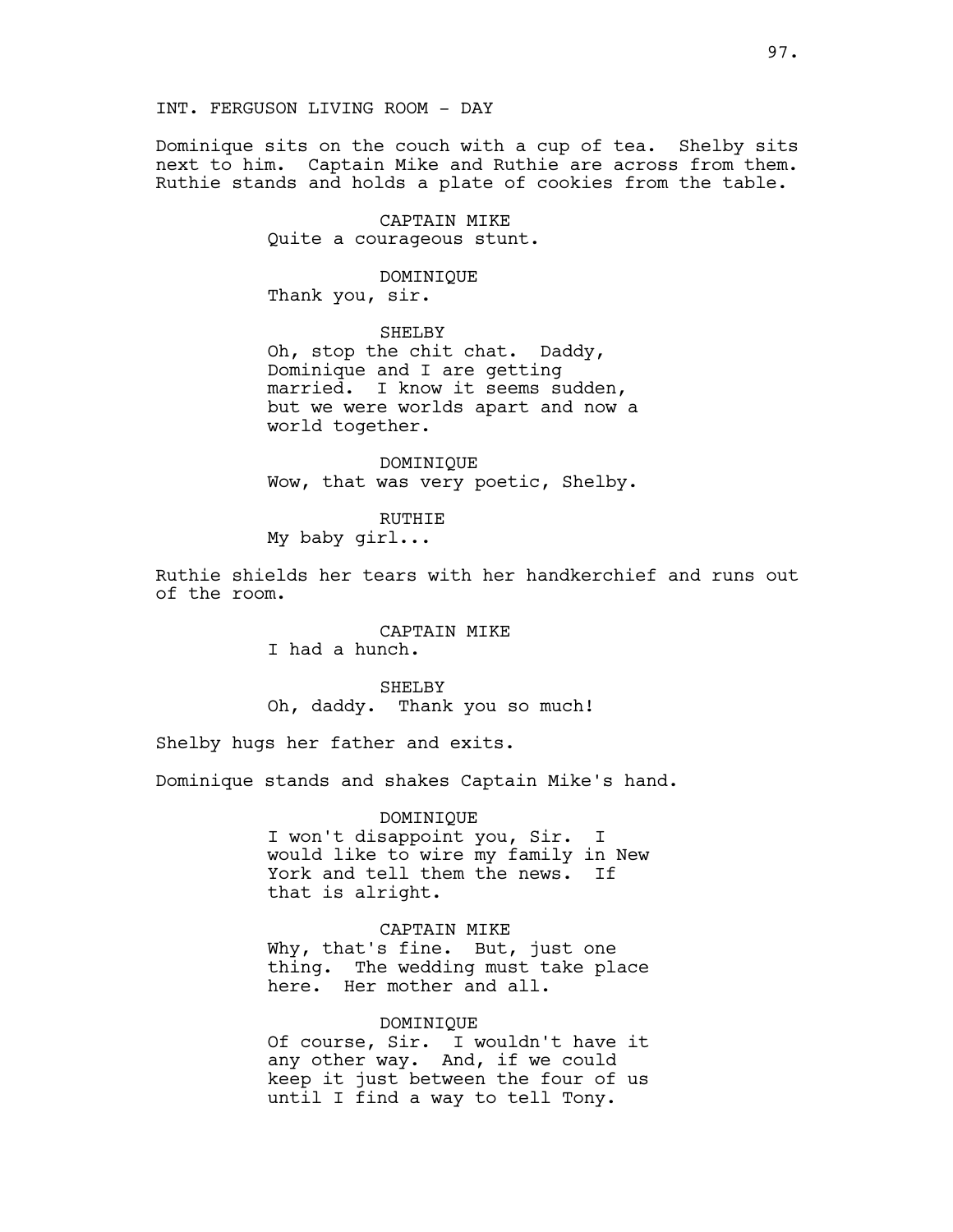Dominique sits on the couch with a cup of tea. Shelby sits next to him. Captain Mike and Ruthie are across from them. Ruthie stands and holds a plate of cookies from the table.

> CAPTAIN MIKE Quite a courageous stunt.

DOMINIQUE Thank you, sir.

SHELBY Oh, stop the chit chat. Daddy, Dominique and I are getting married. I know it seems sudden, but we were worlds apart and now a world together.

DOMINIQUE Wow, that was very poetic, Shelby.

RUTHIE My baby girl...

Ruthie shields her tears with her handkerchief and runs out of the room.

> CAPTAIN MIKE I had a hunch.

SHELBY Oh, daddy. Thank you so much!

Shelby hugs her father and exits.

Dominique stands and shakes Captain Mike's hand.

DOMINIQUE

I won't disappoint you, Sir. I would like to wire my family in New York and tell them the news. If that is alright.

CAPTAIN MIKE Why, that's fine. But, just one thing. The wedding must take place here. Her mother and all.

DOMINIQUE

Of course, Sir. I wouldn't have it any other way. And, if we could keep it just between the four of us until I find a way to tell Tony.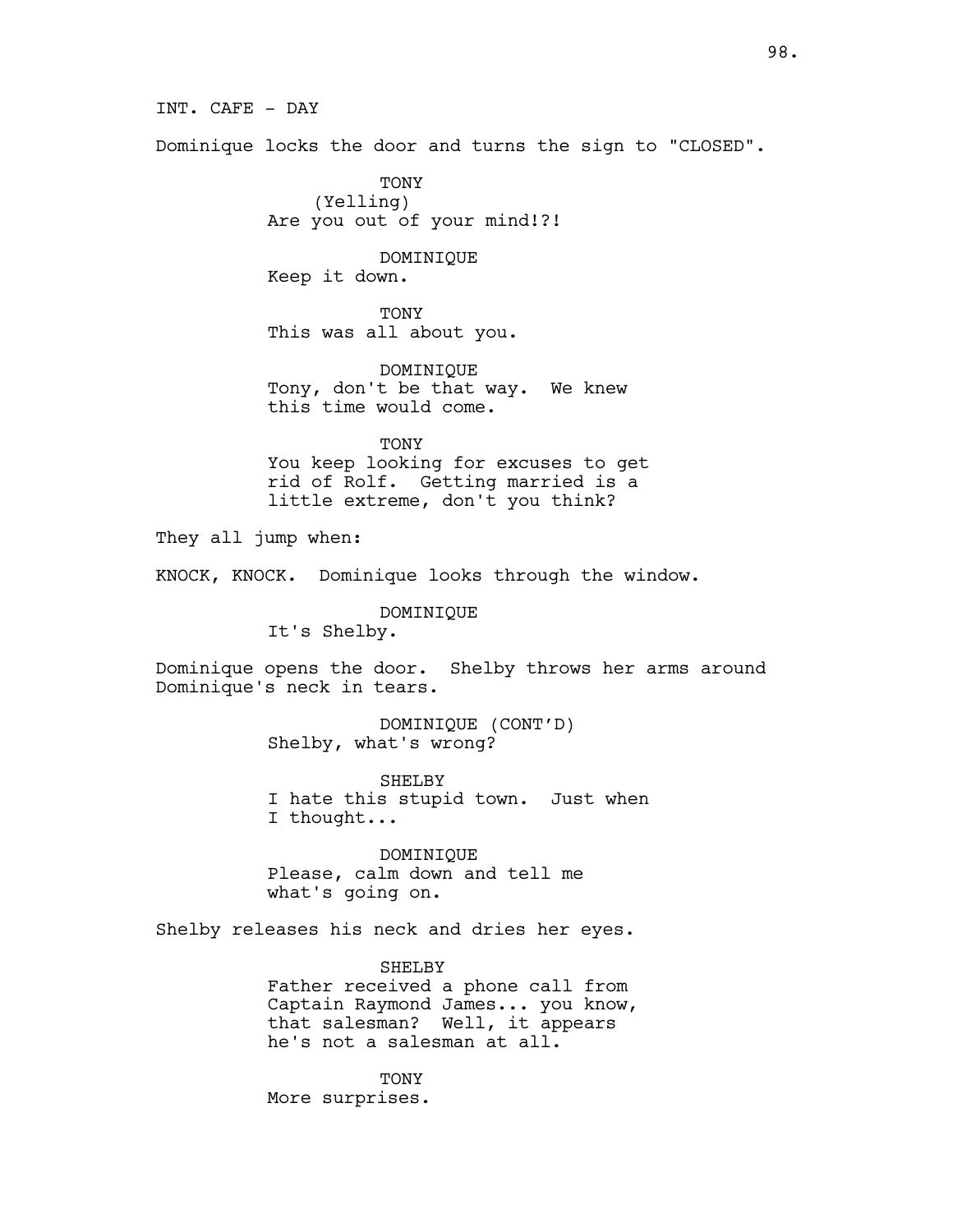INT. CAFE - DAY

Dominique locks the door and turns the sign to "CLOSED".

TONY (Yelling) Are you out of your mind!?!

# DOMINIQUE

Keep it down.

TONY This was all about you.

DOMINIQUE Tony, don't be that way. We knew this time would come.

**TONY** You keep looking for excuses to get rid of Rolf. Getting married is a little extreme, don't you think?

They all jump when:

KNOCK, KNOCK. Dominique looks through the window.

DOMINIQUE

It's Shelby.

Dominique opens the door. Shelby throws her arms around Dominique's neck in tears.

> DOMINIQUE (CONT'D) Shelby, what's wrong?

SHELBY I hate this stupid town. Just when I thought...

DOMINIQUE Please, calm down and tell me what's going on.

Shelby releases his neck and dries her eyes.

SHELBY Father received a phone call from Captain Raymond James... you know, that salesman? Well, it appears he's not a salesman at all.

TONY More surprises.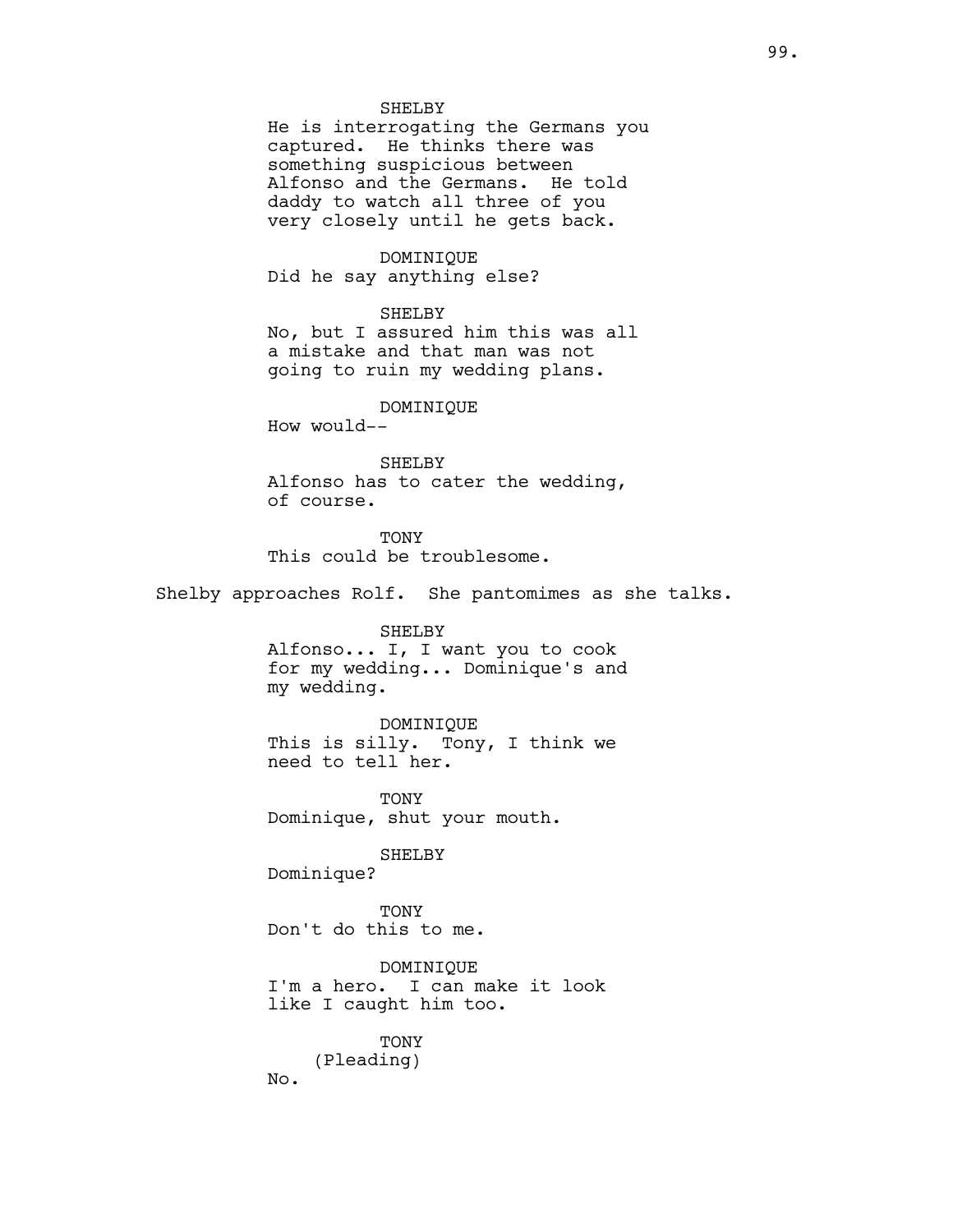#### SHELBY

He is interrogating the Germans you captured. He thinks there was something suspicious between Alfonso and the Germans. He told daddy to watch all three of you very closely until he gets back.

DOMINIQUE Did he say anything else?

SHELBY No, but I assured him this was all a mistake and that man was not going to ruin my wedding plans.

#### DOMINIQUE

How would--

SHELBY Alfonso has to cater the wedding, of course.

TONY This could be troublesome.

Shelby approaches Rolf. She pantomimes as she talks.

SHELBY Alfonso... I, I want you to cook for my wedding... Dominique's and my wedding.

DOMINIQUE This is silly. Tony, I think we need to tell her.

TONY Dominique, shut your mouth.

SHELBY

Dominique?

**TONY** Don't do this to me.

DOMINIQUE I'm a hero. I can make it look like I caught him too.

TONY (Pleading) No.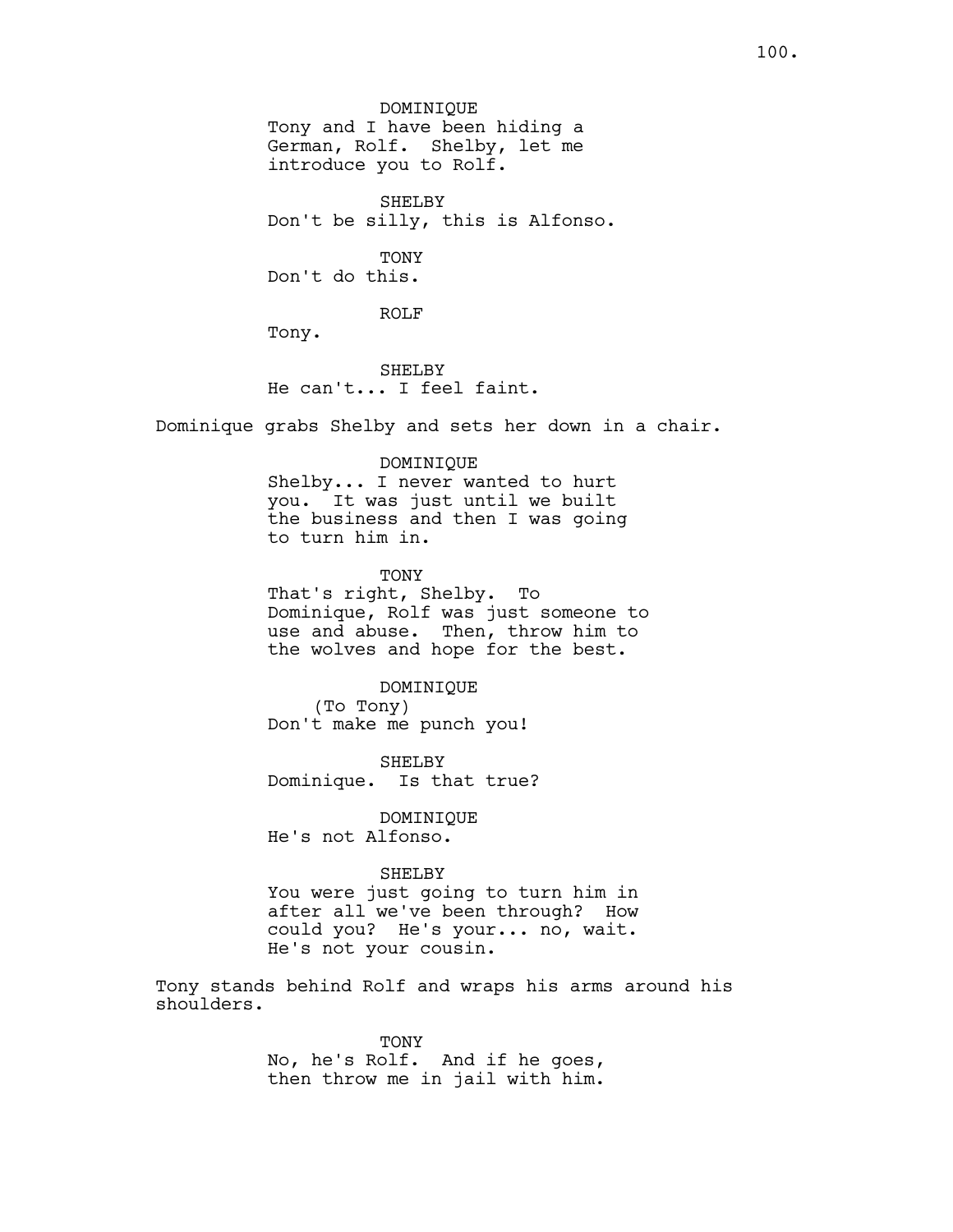DOMINIQUE Tony and I have been hiding a German, Rolf. Shelby, let me introduce you to Rolf. SHELBY Don't be silly, this is Alfonso. TONY Don't do this. ROLF Tony. SHELBY He can't... I feel faint. Dominique grabs Shelby and sets her down in a chair. DOMINIQUE Shelby... I never wanted to hurt you. It was just until we built the business and then I was going to turn him in. TONY That's right, Shelby. To Dominique, Rolf was just someone to use and abuse. Then, throw him to the wolves and hope for the best. DOMINIQUE (To Tony) Don't make me punch you! SHELBY Dominique. Is that true? DOMINIQUE He's not Alfonso.

#### SHELBY

You were just going to turn him in after all we've been through? How could you? He's your... no, wait. He's not your cousin.

Tony stands behind Rolf and wraps his arms around his shoulders.

> TONY No, he's Rolf. And if he goes, then throw me in jail with him.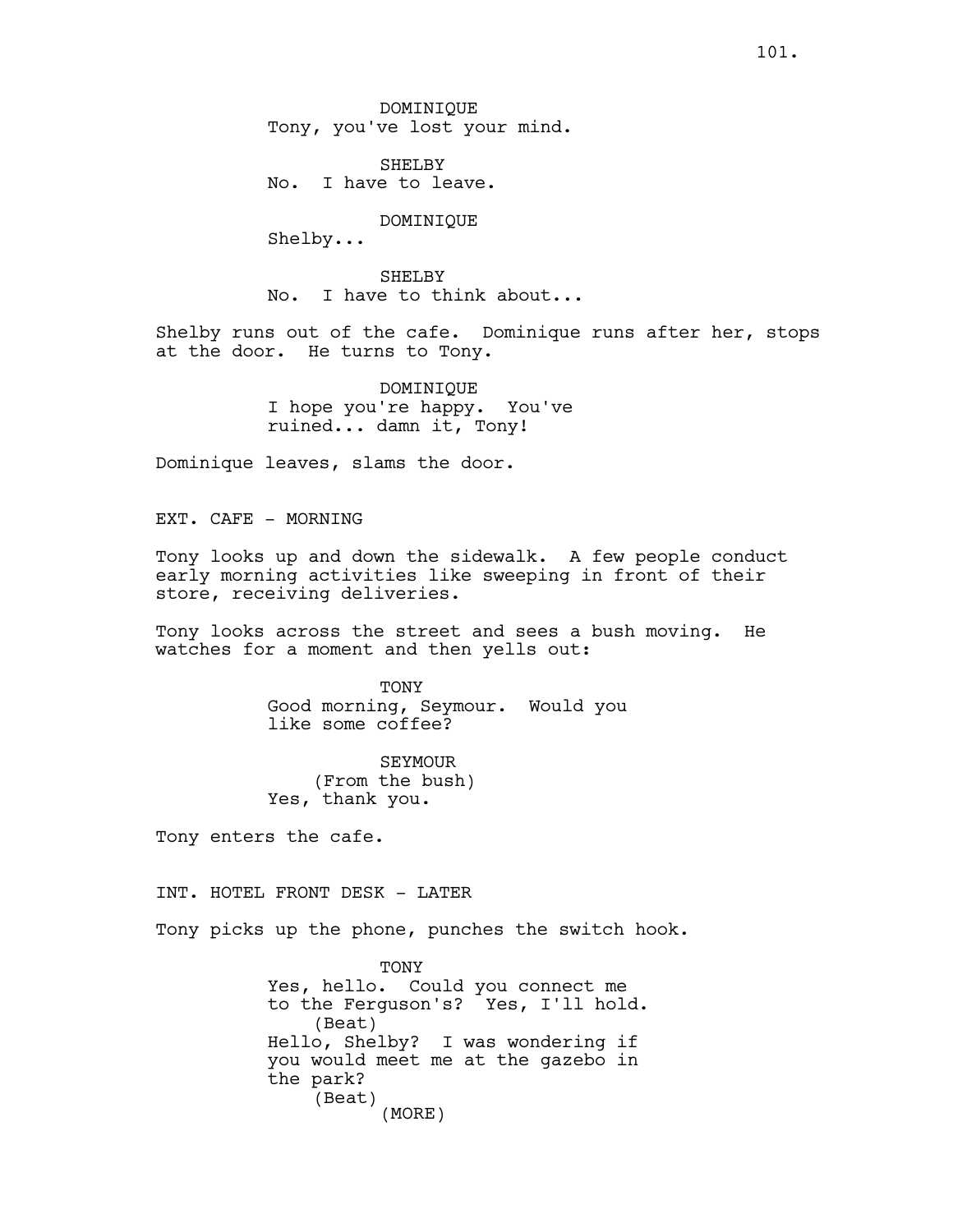SHELBY No. I have to leave.

#### DOMINIQUE

Shelby...

SHELBY No. I have to think about...

Shelby runs out of the cafe. Dominique runs after her, stops at the door. He turns to Tony.

> DOMINIQUE I hope you're happy. You've ruined... damn it, Tony!

Dominique leaves, slams the door.

EXT. CAFE - MORNING

Tony looks up and down the sidewalk. A few people conduct early morning activities like sweeping in front of their store, receiving deliveries.

Tony looks across the street and sees a bush moving. He watches for a moment and then yells out:

> TONY Good morning, Seymour. Would you like some coffee?

SEYMOUR (From the bush) Yes, thank you.

Tony enters the cafe.

INT. HOTEL FRONT DESK - LATER

Tony picks up the phone, punches the switch hook.

TONY Yes, hello. Could you connect me to the Ferguson's? Yes, I'll hold. (Beat) Hello, Shelby? I was wondering if you would meet me at the gazebo in the park? (Beat) (MORE)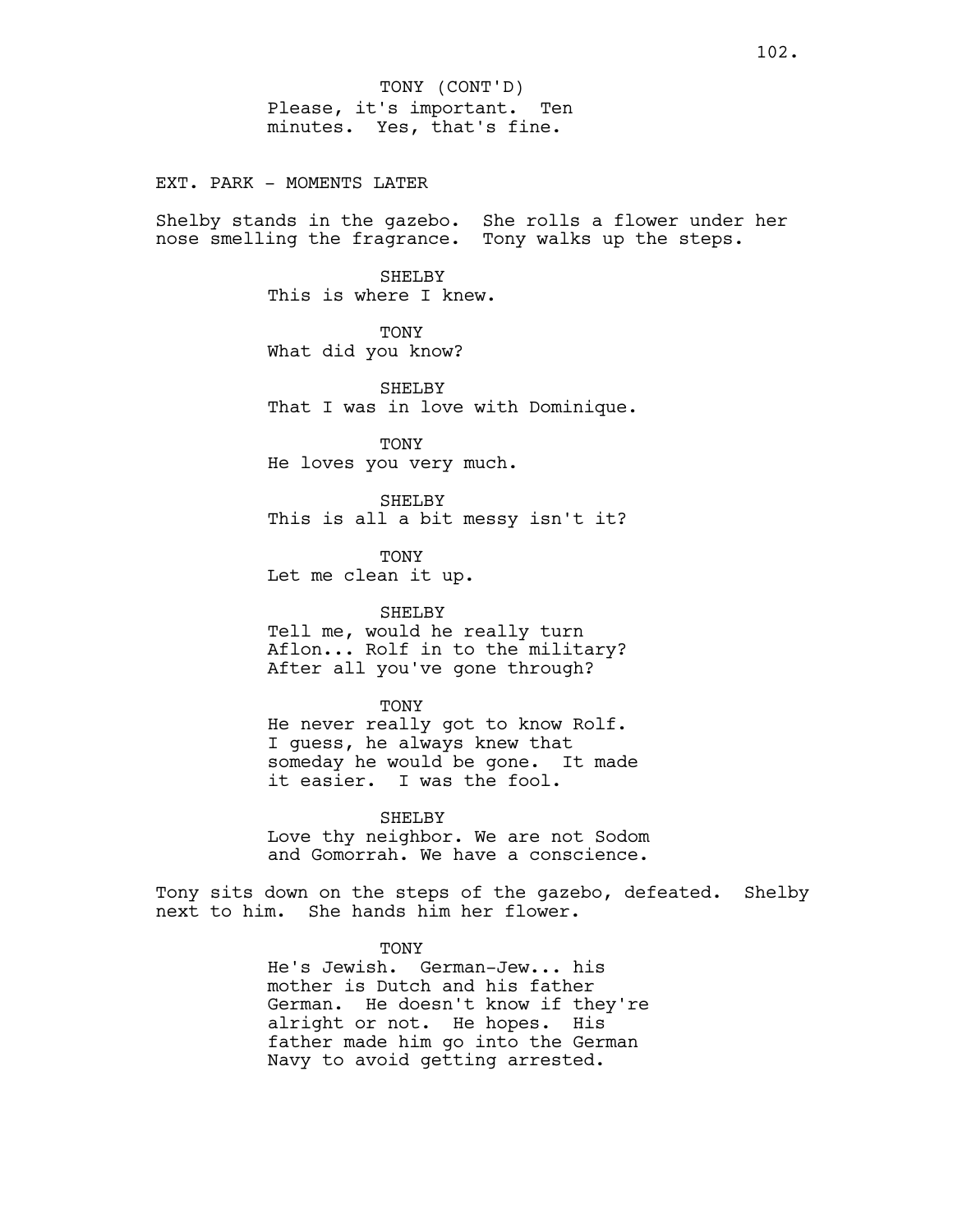EXT. PARK - MOMENTS LATER

Shelby stands in the gazebo. She rolls a flower under her nose smelling the fragrance. Tony walks up the steps.

> SHELBY This is where I knew.

TONY What did you know?

SHELBY That I was in love with Dominique.

**TONY** He loves you very much.

SHELBY This is all a bit messy isn't it?

TONY Let me clean it up.

## SHELBY

Tell me, would he really turn Aflon... Rolf in to the military? After all you've gone through?

#### TONY

He never really got to know Rolf. I guess, he always knew that someday he would be gone. It made it easier. I was the fool.

SHELBY Love thy neighbor. We are not Sodom and Gomorrah. We have a conscience.

Tony sits down on the steps of the gazebo, defeated. Shelby next to him. She hands him her flower.

#### TONY

He's Jewish. German-Jew... his mother is Dutch and his father German. He doesn't know if they're alright or not. He hopes. His father made him go into the German Navy to avoid getting arrested.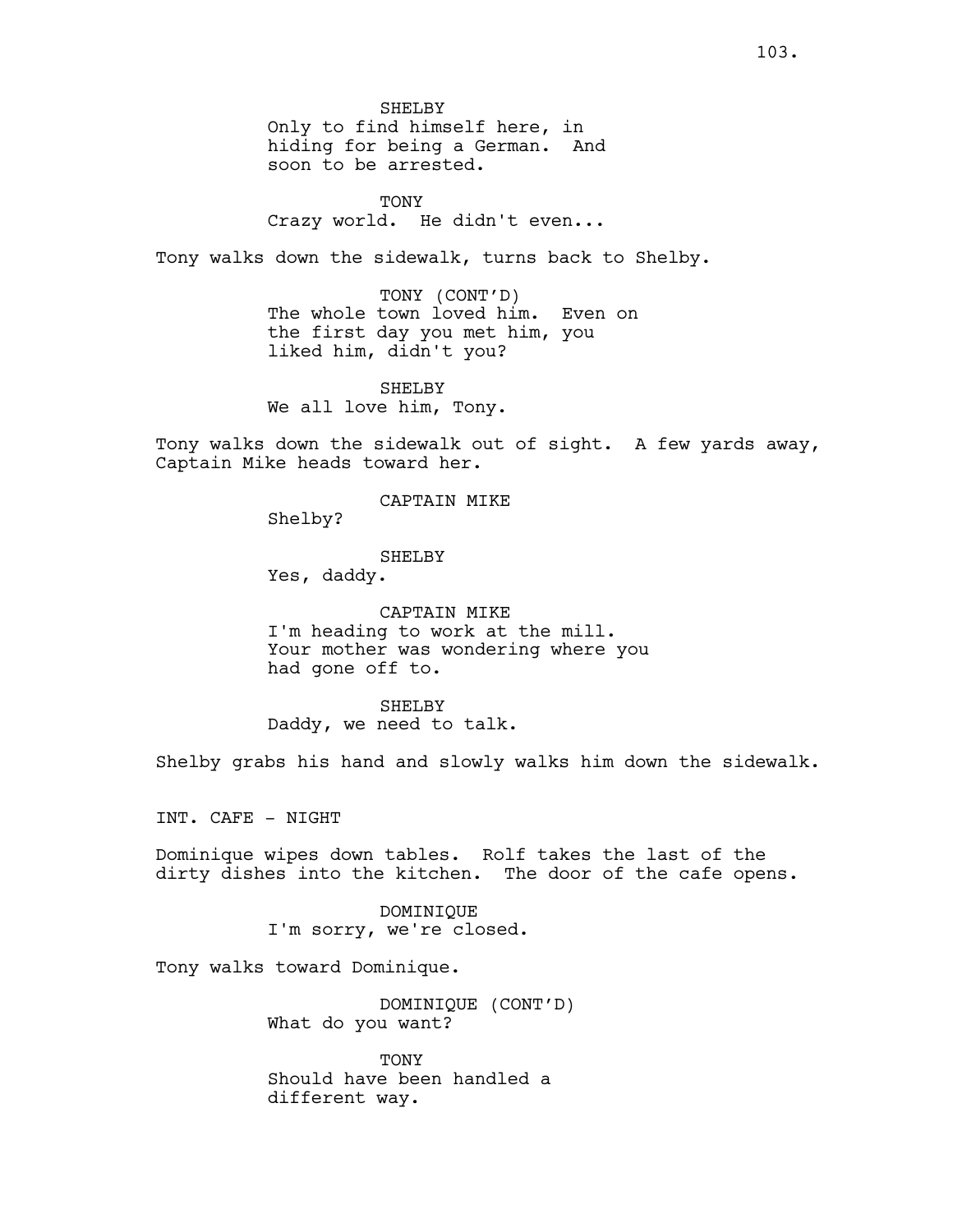SHELBY Only to find himself here, in hiding for being a German. And soon to be arrested.

**TONY** Crazy world. He didn't even...

Tony walks down the sidewalk, turns back to Shelby.

TONY (CONT'D) The whole town loved him. Even on the first day you met him, you liked him, didn't you?

SHELBY We all love him, Tony.

Tony walks down the sidewalk out of sight. A few yards away, Captain Mike heads toward her.

## CAPTAIN MIKE

Shelby?

#### SHELBY

Yes, daddy.

CAPTAIN MIKE I'm heading to work at the mill. Your mother was wondering where you had gone off to.

SHELBY Daddy, we need to talk.

Shelby grabs his hand and slowly walks him down the sidewalk.

INT. CAFE - NIGHT

Dominique wipes down tables. Rolf takes the last of the dirty dishes into the kitchen. The door of the cafe opens.

> DOMINIQUE I'm sorry, we're closed.

Tony walks toward Dominique.

DOMINIQUE (CONT'D) What do you want?

TONY Should have been handled a different way.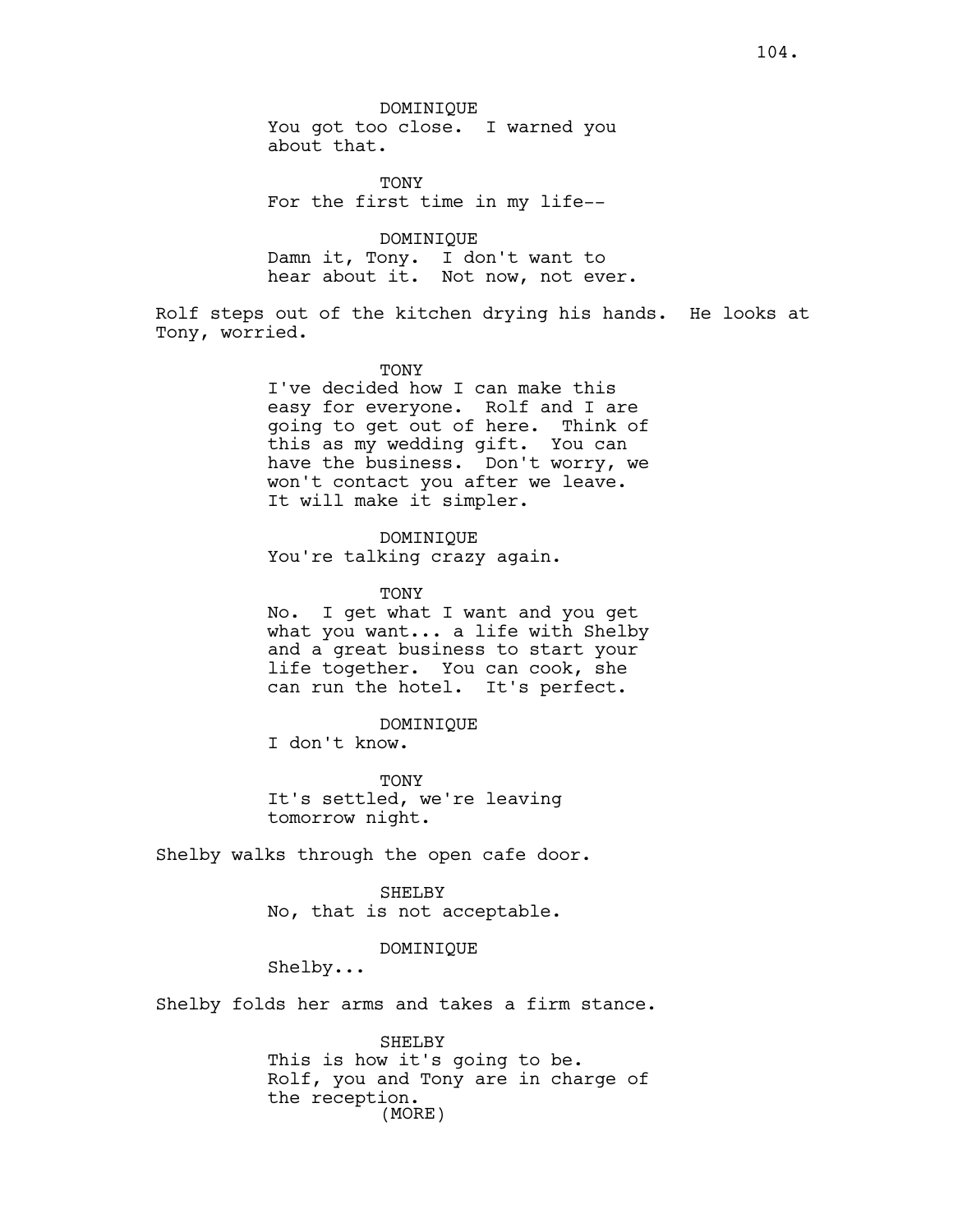DOMINIQUE You got too close. I warned you about that.

**TONY** For the first time in my life--

DOMINIQUE Damn it, Tony. I don't want to hear about it. Not now, not ever.

Rolf steps out of the kitchen drying his hands. He looks at Tony, worried.

> TONY I've decided how I can make this easy for everyone. Rolf and I are going to get out of here. Think of this as my wedding gift. You can have the business. Don't worry, we won't contact you after we leave. It will make it simpler.

DOMINIQUE You're talking crazy again.

TONY No. I get what I want and you get what you want... a life with Shelby and a great business to start your life together. You can cook, she can run the hotel. It's perfect.

TONY It's settled, we're leaving tomorrow night.

DOMINIQUE

Shelby walks through the open cafe door.

I don't know.

SHELBY No, that is not acceptable.

DOMINIQUE

Shelby...

Shelby folds her arms and takes a firm stance.

SHELBY This is how it's going to be. Rolf, you and Tony are in charge of the reception. (MORE)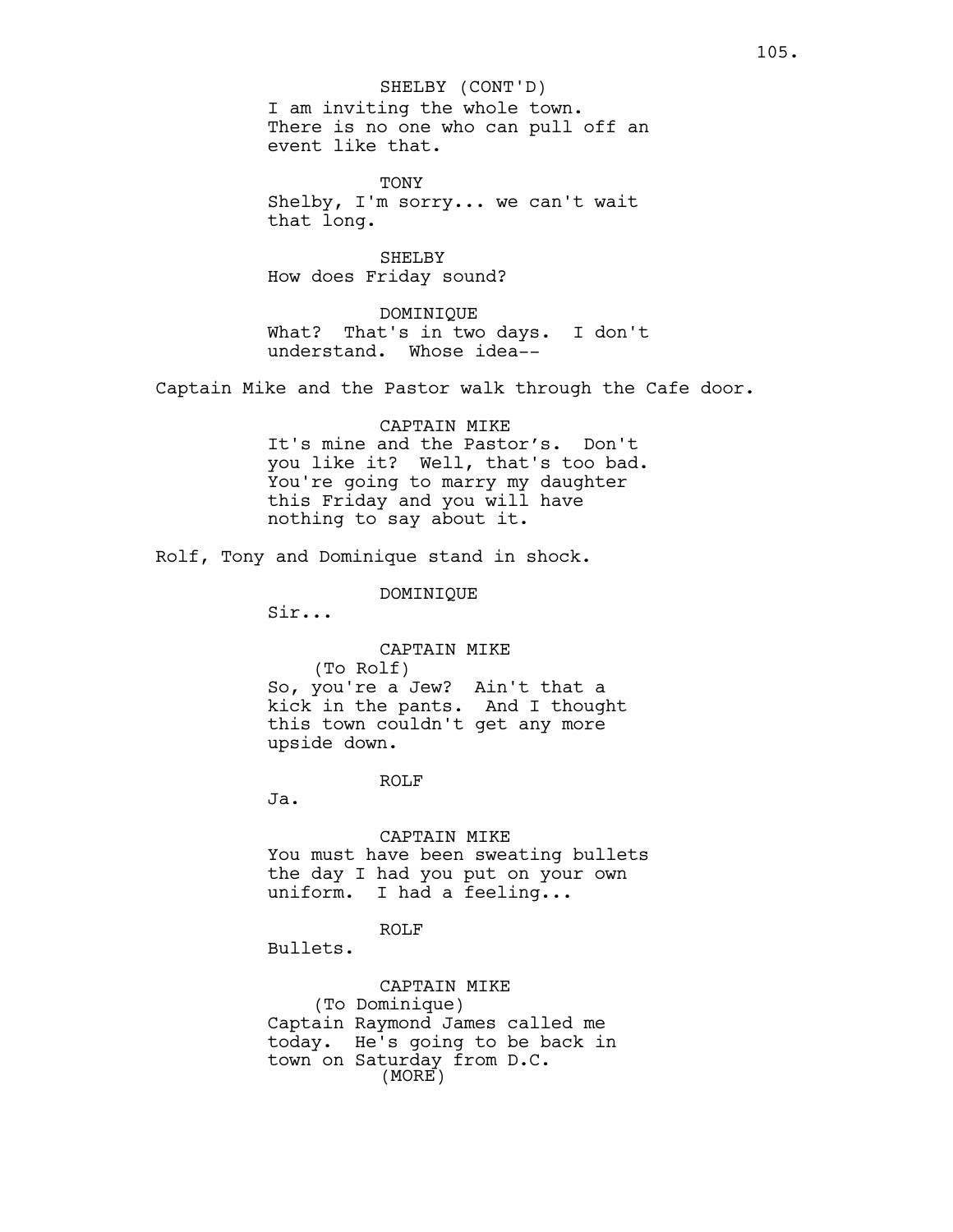I am inviting the whole town. There is no one who can pull off an event like that. SHELBY (CONT'D)

**TONY** Shelby, I'm sorry... we can't wait that long.

SHELBY How does Friday sound?

DOMINIQUE What? That's in two days. I don't understand. Whose idea--

Captain Mike and the Pastor walk through the Cafe door.

# CAPTAIN MIKE It's mine and the Pastor's. Don't you like it? Well, that's too bad. You're going to marry my daughter this Friday and you will have nothing to say about it.

Rolf, Tony and Dominique stand in shock.

DOMINIQUE

Sir...

# CAPTAIN MIKE

(To Rolf) So, you're a Jew? Ain't that a kick in the pants. And I thought this town couldn't get any more upside down.

#### ROLF

Ja.

#### CAPTAIN MIKE

You must have been sweating bullets the day I had you put on your own uniform. I had a feeling...

# ROLF

Bullets.

# CAPTAIN MIKE (To Dominique) Captain Raymond James called me today. He's going to be back in town on Saturday from D.C. (MORE)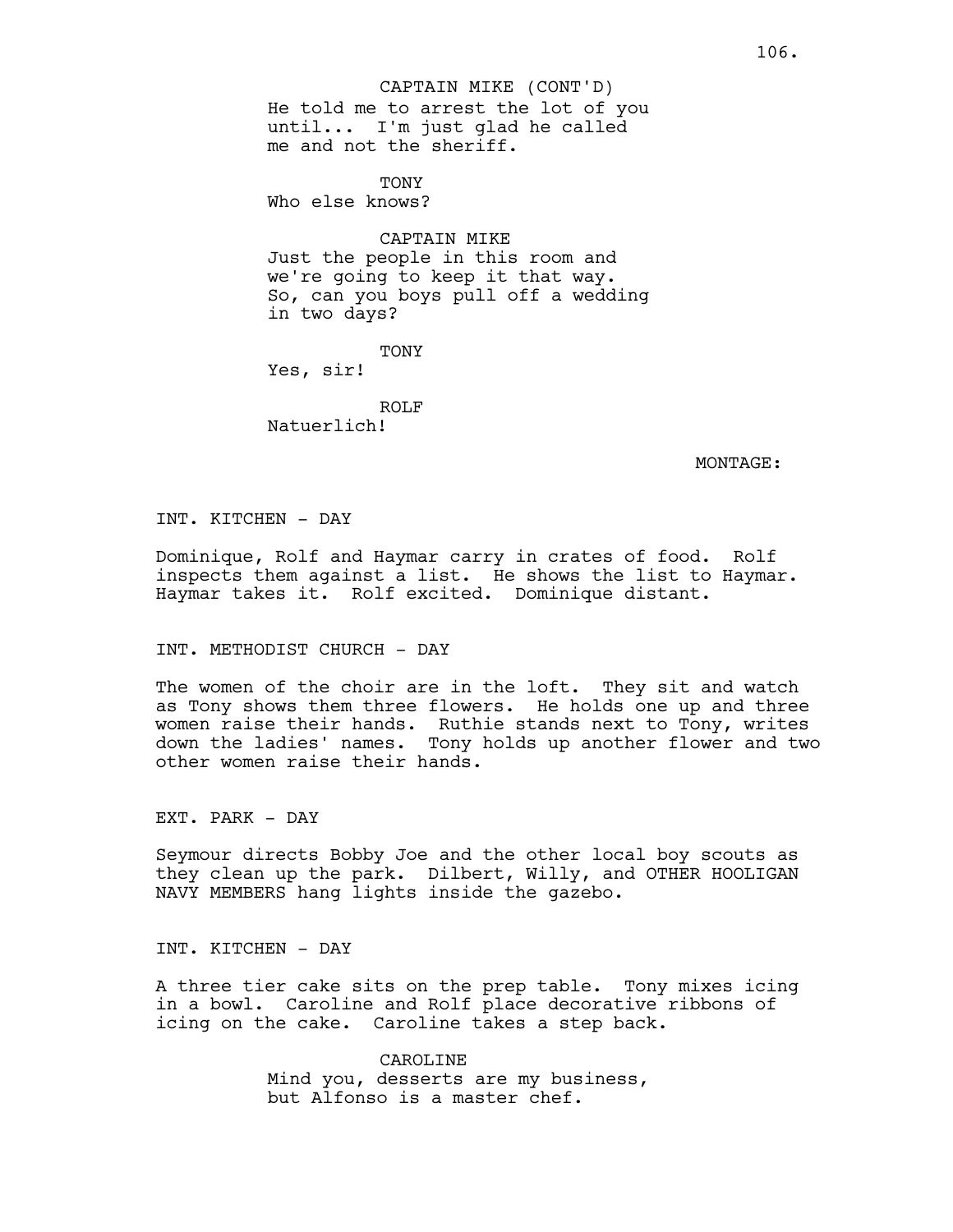He told me to arrest the lot of you until... I'm just glad he called me and not the sheriff. CAPTAIN MIKE (CONT'D)

**TONY** Who else knows?

CAPTAIN MIKE

Just the people in this room and we're going to keep it that way. So, can you boys pull off a wedding in two days?

TONY

Yes, sir!

ROLF Natuerlich!

MONTAGE:

INT. KITCHEN - DAY

Dominique, Rolf and Haymar carry in crates of food. Rolf inspects them against a list. He shows the list to Haymar. Haymar takes it. Rolf excited. Dominique distant.

# INT. METHODIST CHURCH - DAY

The women of the choir are in the loft. They sit and watch as Tony shows them three flowers. He holds one up and three women raise their hands. Ruthie stands next to Tony, writes down the ladies' names. Tony holds up another flower and two other women raise their hands.

EXT. PARK - DAY

Seymour directs Bobby Joe and the other local boy scouts as they clean up the park. Dilbert, Willy, and OTHER HOOLIGAN NAVY MEMBERS hang lights inside the gazebo.

INT. KITCHEN - DAY

A three tier cake sits on the prep table. Tony mixes icing in a bowl. Caroline and Rolf place decorative ribbons of icing on the cake. Caroline takes a step back.

> CAROLINE Mind you, desserts are my business, but Alfonso is a master chef.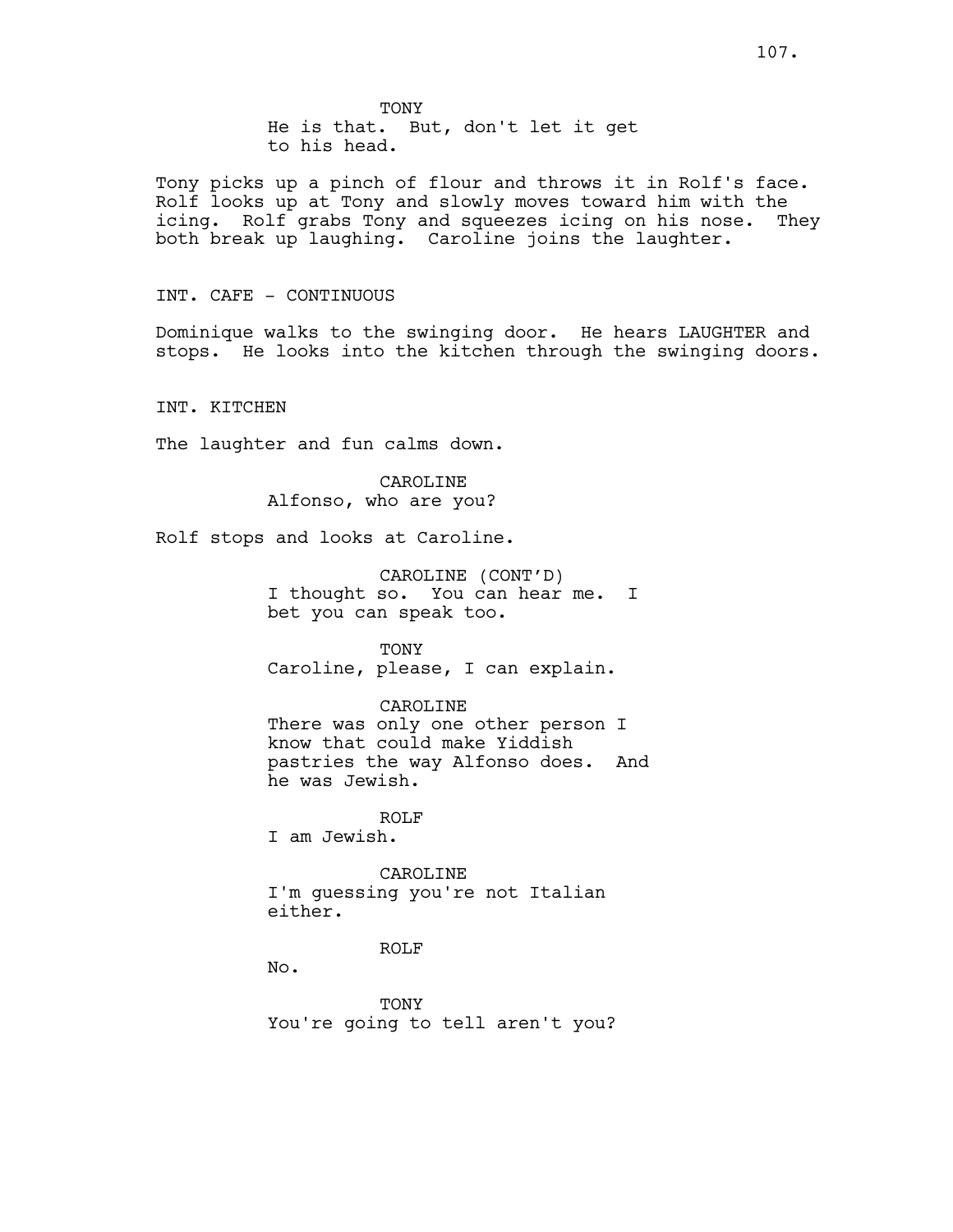TONY He is that. But, don't let it get to his head.

Tony picks up a pinch of flour and throws it in Rolf's face. Rolf looks up at Tony and slowly moves toward him with the icing. Rolf grabs Tony and squeezes icing on his nose. They both break up laughing. Caroline joins the laughter.

INT. CAFE - CONTINUOUS

Dominique walks to the swinging door. He hears LAUGHTER and stops. He looks into the kitchen through the swinging doors.

INT. KITCHEN

The laughter and fun calms down.

CAROLINE Alfonso, who are you?

Rolf stops and looks at Caroline.

CAROLINE (CONT'D) I thought so. You can hear me. I bet you can speak too.

TONY Caroline, please, I can explain.

CAROLINE

There was only one other person I know that could make Yiddish pastries the way Alfonso does. And he was Jewish.

ROLF I am Jewish.

CAROLINE I'm guessing you're not Italian either.

ROLF

No.

TONY You're going to tell aren't you?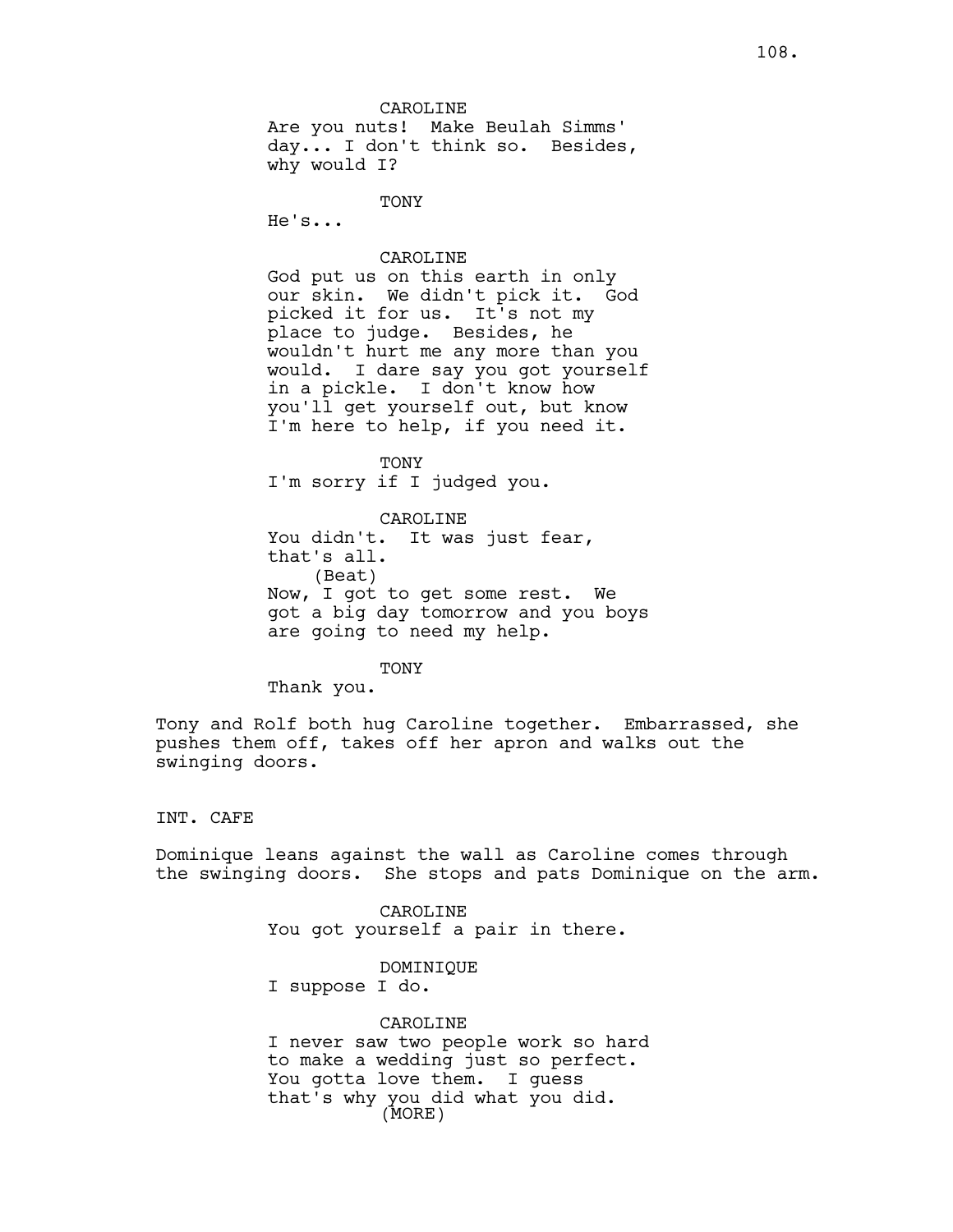**TONY** He's...

### CAROLINE

God put us on this earth in only our skin. We didn't pick it. God picked it for us. It's not my place to judge. Besides, he wouldn't hurt me any more than you would. I dare say you got yourself in a pickle. I don't know how you'll get yourself out, but know I'm here to help, if you need it.

TONY I'm sorry if I judged you.

CAROLINE You didn't. It was just fear, that's all. (Beat) Now, I got to get some rest. We got a big day tomorrow and you boys are going to need my help.

#### TONY

Thank you.

Tony and Rolf both hug Caroline together. Embarrassed, she pushes them off, takes off her apron and walks out the swinging doors.

### INT. CAFE

Dominique leans against the wall as Caroline comes through the swinging doors. She stops and pats Dominique on the arm.

> CAROLINE You got yourself a pair in there.

DOMINIQUE I suppose I do.

CAROLINE I never saw two people work so hard to make a wedding just so perfect. You gotta love them. I guess that's why you did what you did. (MORE)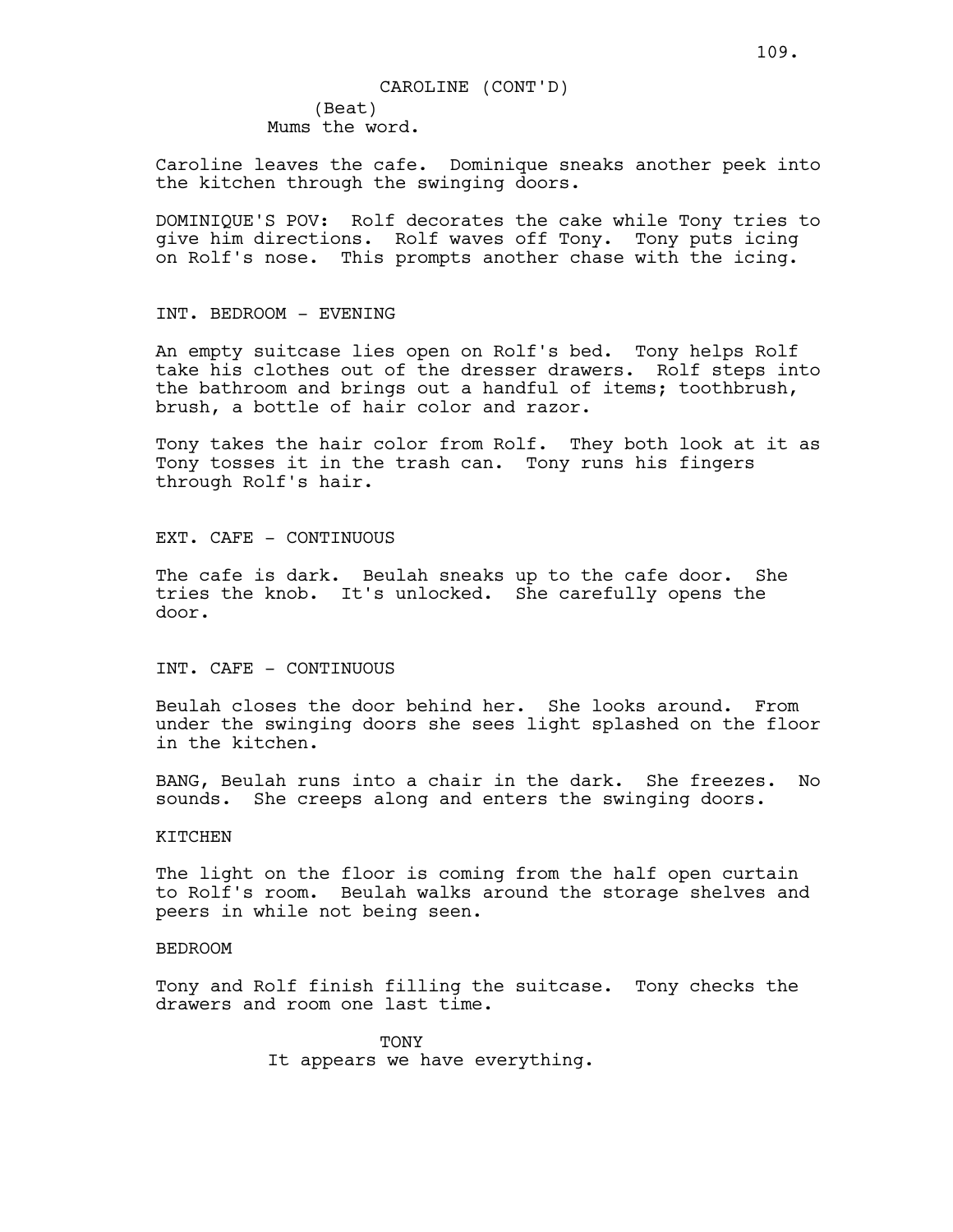# (Beat) Mums the word. CAROLINE (CONT'D)

Caroline leaves the cafe. Dominique sneaks another peek into the kitchen through the swinging doors.

DOMINIQUE'S POV: Rolf decorates the cake while Tony tries to give him directions. Rolf waves off Tony. Tony puts icing on Rolf's nose. This prompts another chase with the icing.

INT. BEDROOM - EVENING

An empty suitcase lies open on Rolf's bed. Tony helps Rolf take his clothes out of the dresser drawers. Rolf steps into the bathroom and brings out a handful of items; toothbrush, brush, a bottle of hair color and razor.

Tony takes the hair color from Rolf. They both look at it as Tony tosses it in the trash can. Tony runs his fingers through Rolf's hair.

EXT. CAFE - CONTINUOUS

The cafe is dark. Beulah sneaks up to the cafe door. She tries the knob. It's unlocked. She carefully opens the door.

INT. CAFE - CONTINUOUS

Beulah closes the door behind her. She looks around. From under the swinging doors she sees light splashed on the floor in the kitchen.

BANG, Beulah runs into a chair in the dark. She freezes. No sounds. She creeps along and enters the swinging doors.

KITCHEN

The light on the floor is coming from the half open curtain to Rolf's room. Beulah walks around the storage shelves and peers in while not being seen.

BEDROOM

Tony and Rolf finish filling the suitcase. Tony checks the drawers and room one last time.

> **TONY** It appears we have everything.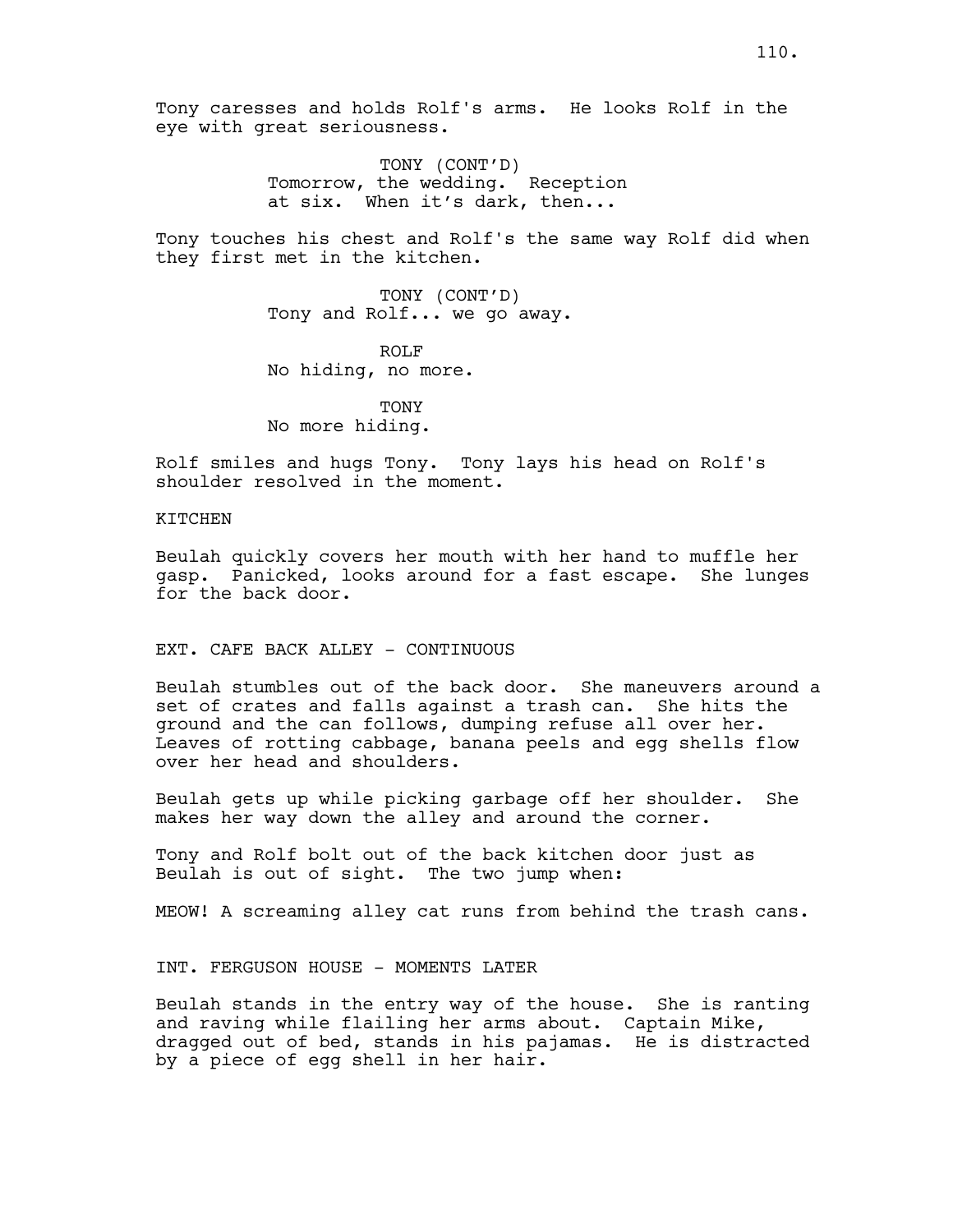TONY (CONT'D) Tomorrow, the wedding. Reception at six. When it's dark, then...

Tony touches his chest and Rolf's the same way Rolf did when they first met in the kitchen.

> TONY (CONT'D) Tony and Rolf... we go away.

ROLF No hiding, no more.

**TONY** No more hiding.

Rolf smiles and hugs Tony. Tony lays his head on Rolf's shoulder resolved in the moment.

### KITCHEN

Beulah quickly covers her mouth with her hand to muffle her gasp. Panicked, looks around for a fast escape. She lunges for the back door.

# EXT. CAFE BACK ALLEY - CONTINUOUS

Beulah stumbles out of the back door. She maneuvers around a set of crates and falls against a trash can. She hits the ground and the can follows, dumping refuse all over her. Leaves of rotting cabbage, banana peels and egg shells flow over her head and shoulders.

Beulah gets up while picking garbage off her shoulder. She makes her way down the alley and around the corner.

Tony and Rolf bolt out of the back kitchen door just as Beulah is out of sight. The two jump when:

MEOW! A screaming alley cat runs from behind the trash cans.

INT. FERGUSON HOUSE - MOMENTS LATER

Beulah stands in the entry way of the house. She is ranting and raving while flailing her arms about. Captain Mike, dragged out of bed, stands in his pajamas. He is distracted by a piece of egg shell in her hair.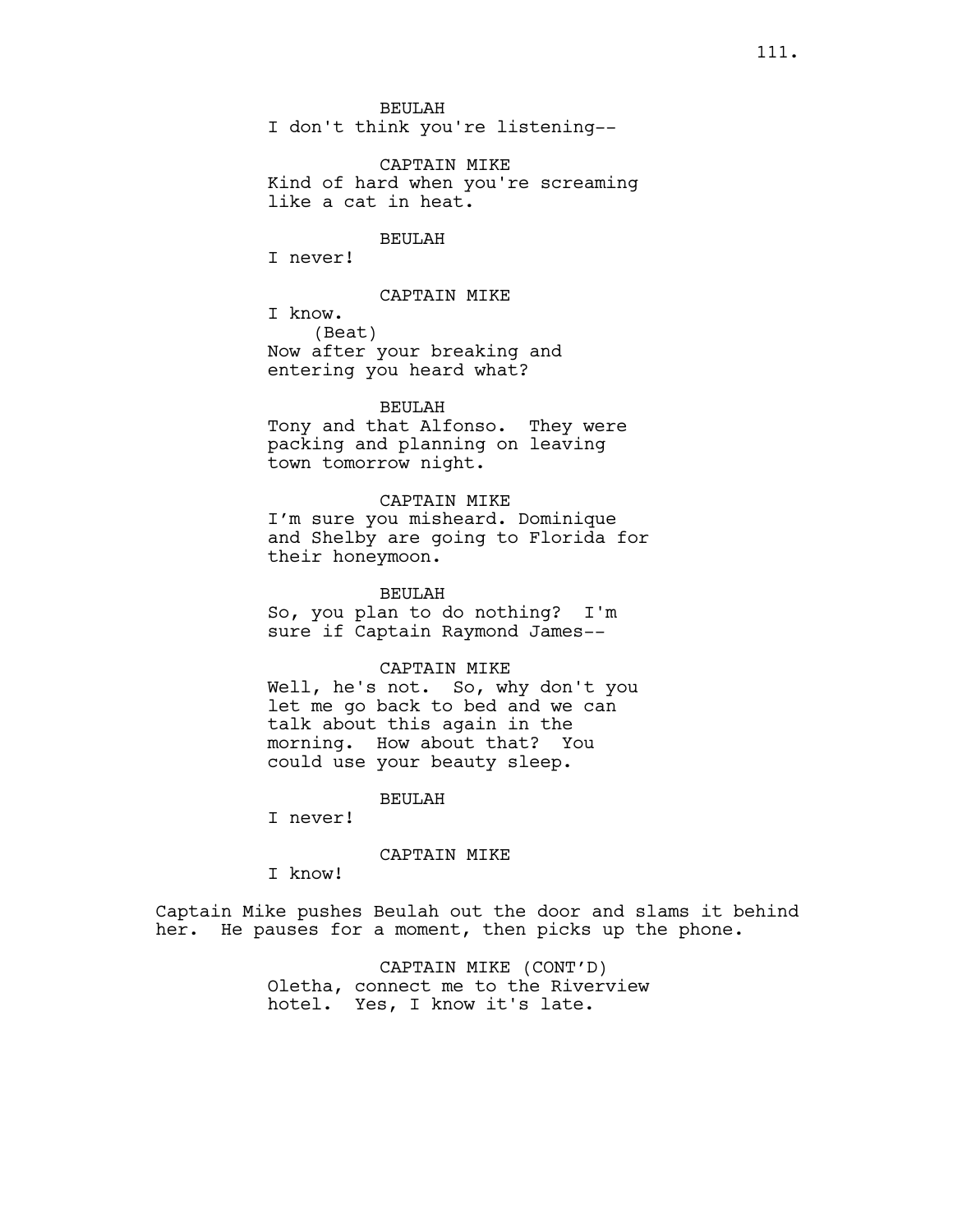BEULAH I don't think you're listening--

CAPTAIN MIKE Kind of hard when you're screaming like a cat in heat.

# BEULAH

I never!

### CAPTAIN MIKE

I know. (Beat) Now after your breaking and entering you heard what?

### BEULAH

Tony and that Alfonso. They were packing and planning on leaving town tomorrow night.

# CAPTAIN MIKE

I'm sure you misheard. Dominique and Shelby are going to Florida for their honeymoon.

BEULAH

So, you plan to do nothing? I'm sure if Captain Raymond James--

#### CAPTAIN MIKE

Well, he's not. So, why don't you let me go back to bed and we can talk about this again in the morning. How about that? You could use your beauty sleep.

#### BEULAH

I never!

### CAPTAIN MIKE

I know!

Captain Mike pushes Beulah out the door and slams it behind her. He pauses for a moment, then picks up the phone.

> CAPTAIN MIKE (CONT'D) Oletha, connect me to the Riverview hotel. Yes, I know it's late.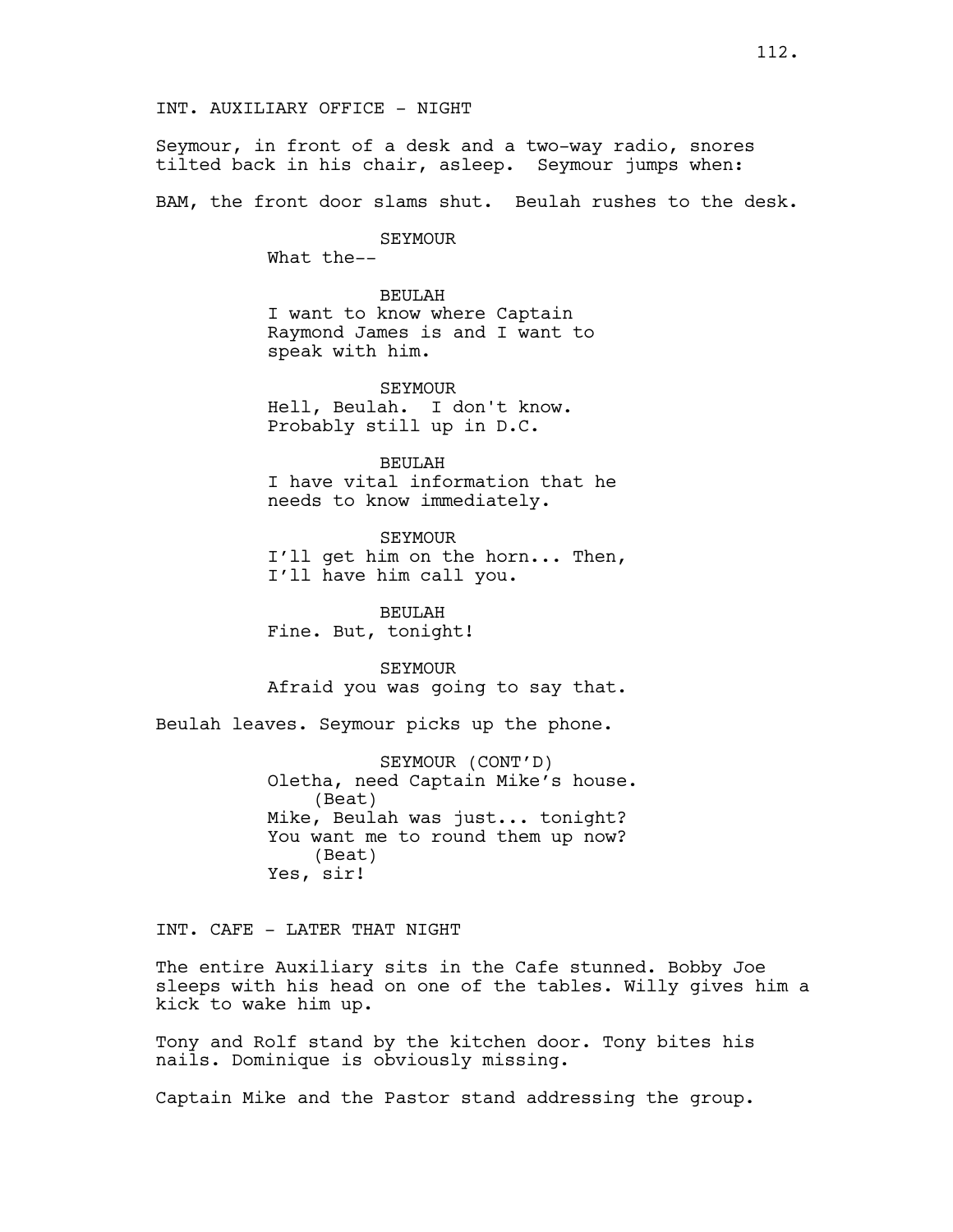Seymour, in front of a desk and a two-way radio, snores tilted back in his chair, asleep. Seymour jumps when:

BAM, the front door slams shut. Beulah rushes to the desk.

SEYMOUR

What the--

BEULAH I want to know where Captain Raymond James is and I want to speak with him.

SEYMOUR Hell, Beulah. I don't know. Probably still up in D.C.

BEULAH I have vital information that he needs to know immediately.

SEYMOUR I'll get him on the horn... Then, I'll have him call you.

BEULAH Fine. But, tonight!

SEYMOUR Afraid you was going to say that.

Beulah leaves. Seymour picks up the phone.

SEYMOUR (CONT'D) Oletha, need Captain Mike's house. (Beat) Mike, Beulah was just... tonight? You want me to round them up now? (Beat) Yes, sir!

INT. CAFE - LATER THAT NIGHT

The entire Auxiliary sits in the Cafe stunned. Bobby Joe sleeps with his head on one of the tables. Willy gives him a kick to wake him up.

Tony and Rolf stand by the kitchen door. Tony bites his nails. Dominique is obviously missing.

Captain Mike and the Pastor stand addressing the group.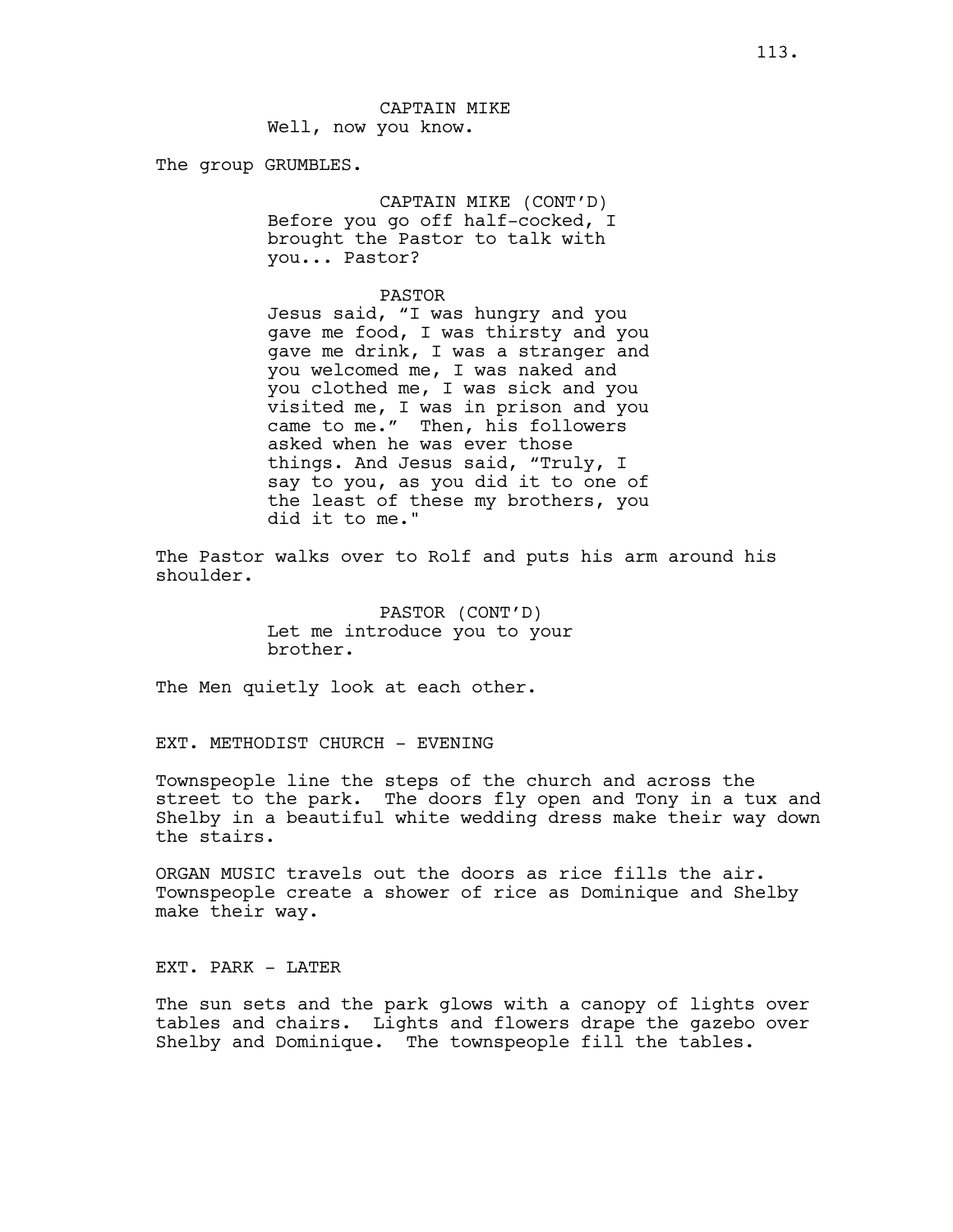The group GRUMBLES.

CAPTAIN MIKE (CONT'D) Before you go off half-cocked, I brought the Pastor to talk with you... Pastor?

### PASTOR

Jesus said, "I was hungry and you gave me food, I was thirsty and you gave me drink, I was a stranger and you welcomed me, I was naked and you clothed me, I was sick and you visited me, I was in prison and you came to me." Then, his followers asked when he was ever those things. And Jesus said, "Truly, I say to you, as you did it to one of the least of these my brothers, you did it to me."

The Pastor walks over to Rolf and puts his arm around his shoulder.

> PASTOR (CONT'D) Let me introduce you to your brother.

The Men quietly look at each other.

EXT. METHODIST CHURCH - EVENING

Townspeople line the steps of the church and across the street to the park. The doors fly open and Tony in a tux and Shelby in a beautiful white wedding dress make their way down the stairs.

ORGAN MUSIC travels out the doors as rice fills the air. Townspeople create a shower of rice as Dominique and Shelby make their way.

EXT. PARK - LATER

The sun sets and the park glows with a canopy of lights over tables and chairs. Lights and flowers drape the gazebo over Shelby and Dominique. The townspeople fill the tables.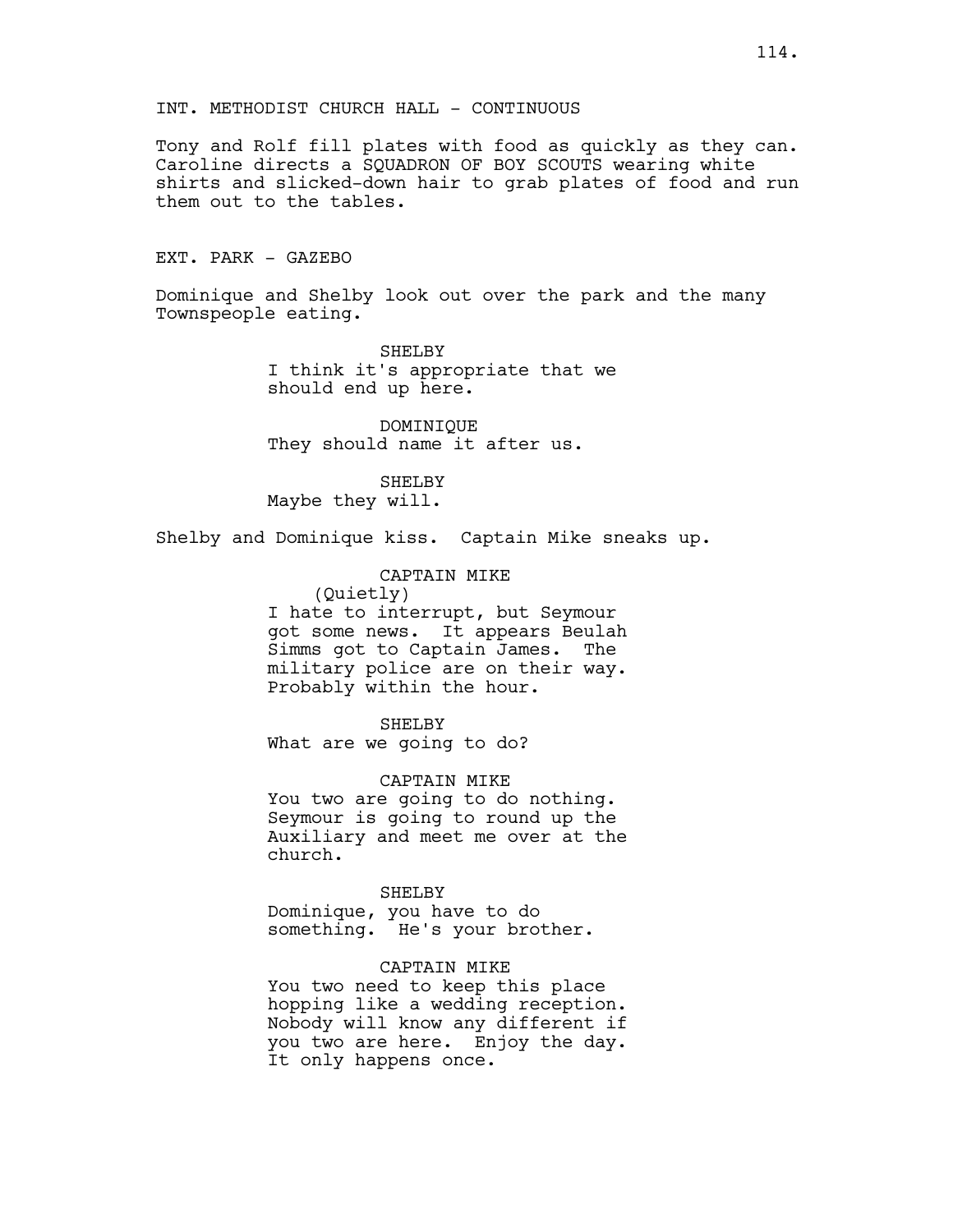Tony and Rolf fill plates with food as quickly as they can. Caroline directs a SQUADRON OF BOY SCOUTS wearing white shirts and slicked-down hair to grab plates of food and run them out to the tables.

# EXT. PARK - GAZEBO

Dominique and Shelby look out over the park and the many Townspeople eating.

> SHELBY I think it's appropriate that we should end up here.

DOMINIQUE They should name it after us.

SHELBY Maybe they will.

Shelby and Dominique kiss. Captain Mike sneaks up.

CAPTAIN MIKE (Quietly) I hate to interrupt, but Seymour got some news. It appears Beulah Simms got to Captain James. The military police are on their way. Probably within the hour.

SHELBY What are we going to do?

CAPTAIN MIKE You two are going to do nothing. Seymour is going to round up the Auxiliary and meet me over at the church.

### SHELBY

Dominique, you have to do something. He's your brother.

# CAPTAIN MIKE

You two need to keep this place hopping like a wedding reception. Nobody will know any different if you two are here. Enjoy the day. It only happens once.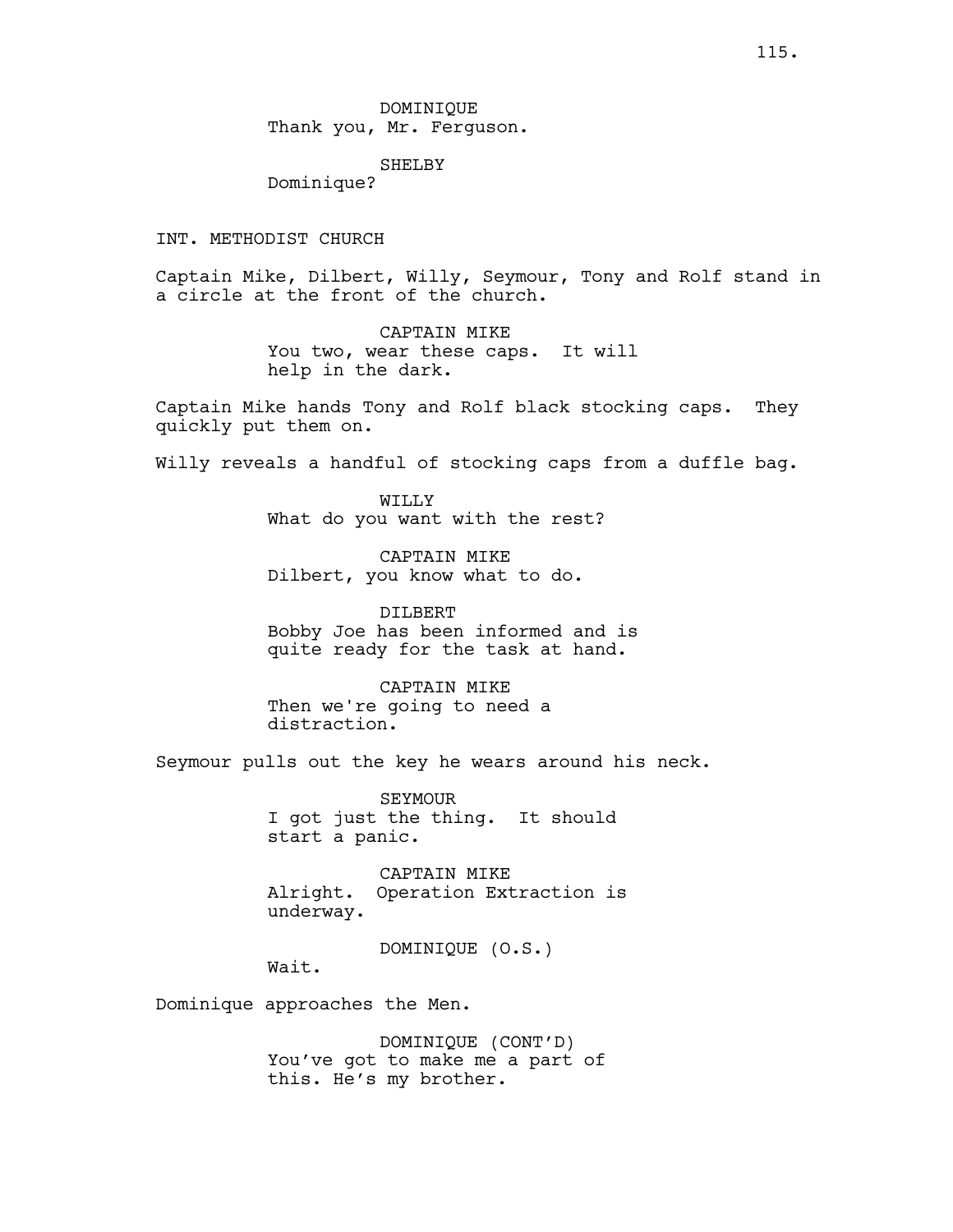### SHELBY

Dominique?

# INT. METHODIST CHURCH

Captain Mike, Dilbert, Willy, Seymour, Tony and Rolf stand in a circle at the front of the church.

> CAPTAIN MIKE You two, wear these caps. It will help in the dark.

Captain Mike hands Tony and Rolf black stocking caps. They quickly put them on.

Willy reveals a handful of stocking caps from a duffle bag.

WILLY What do you want with the rest?

CAPTAIN MIKE Dilbert, you know what to do.

DILBERT Bobby Joe has been informed and is quite ready for the task at hand.

CAPTAIN MIKE Then we're going to need a distraction.

Seymour pulls out the key he wears around his neck.

SEYMOUR I got just the thing. It should start a panic.

CAPTAIN MIKE Alright. Operation Extraction is underway.

DOMINIQUE (O.S.)

Wait.

Dominique approaches the Men.

DOMINIQUE (CONT'D) You've got to make me a part of this. He's my brother.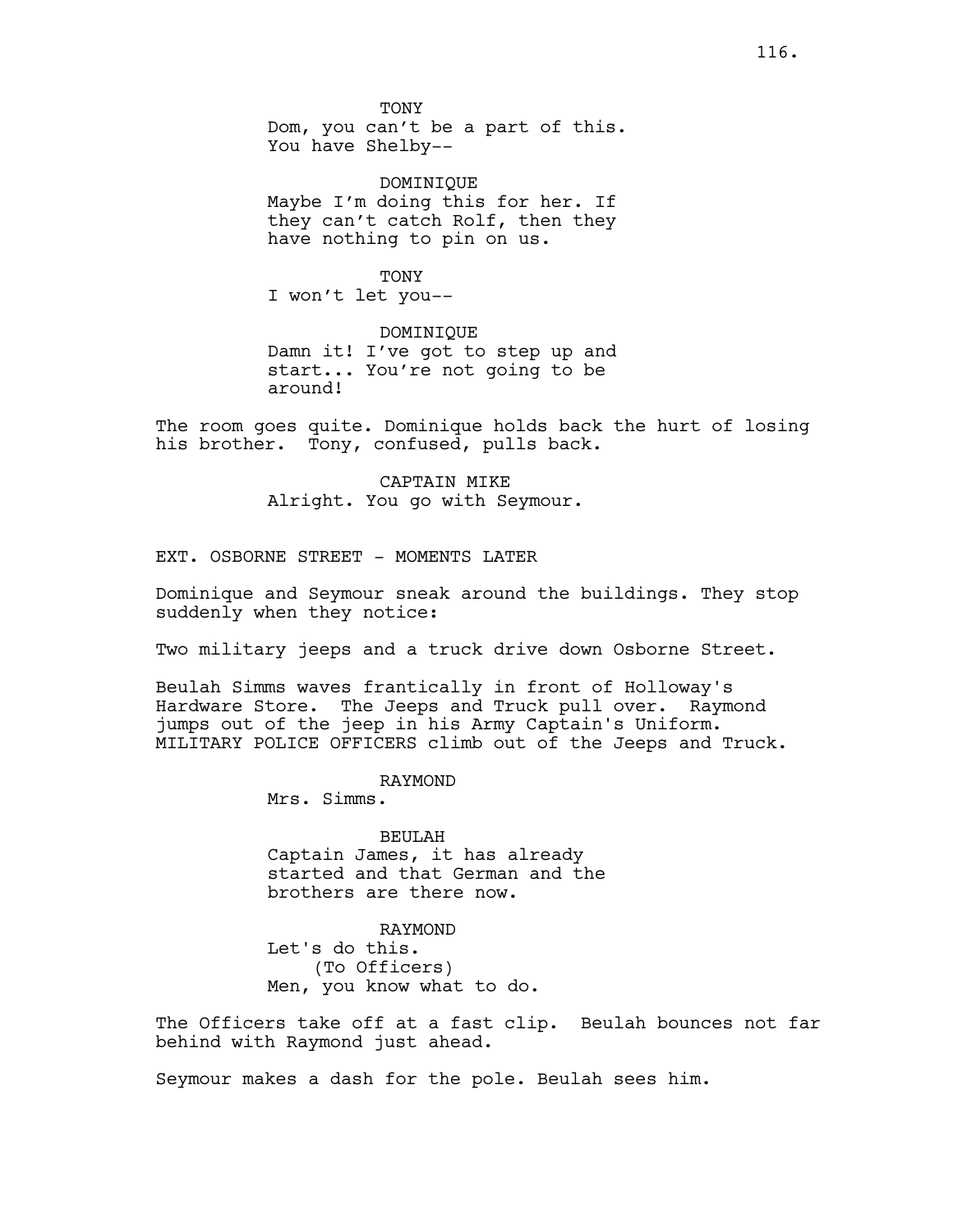DOMINIQUE Maybe I'm doing this for her. If they can't catch Rolf, then they have nothing to pin on us.

TONY I won't let you--

DOMINIQUE Damn it! I've got to step up and start... You're not going to be around!

The room goes quite. Dominique holds back the hurt of losing his brother. Tony, confused, pulls back.

> CAPTAIN MIKE Alright. You go with Seymour.

EXT. OSBORNE STREET - MOMENTS LATER

Dominique and Seymour sneak around the buildings. They stop suddenly when they notice:

Two military jeeps and a truck drive down Osborne Street.

Beulah Simms waves frantically in front of Holloway's Hardware Store. The Jeeps and Truck pull over. Raymond jumps out of the jeep in his Army Captain's Uniform. MILITARY POLICE OFFICERS climb out of the Jeeps and Truck.

RAYMOND

Mrs. Simms.

BEULAH Captain James, it has already started and that German and the brothers are there now.

RAYMOND Let's do this. (To Officers) Men, you know what to do.

The Officers take off at a fast clip. Beulah bounces not far behind with Raymond just ahead.

Seymour makes a dash for the pole. Beulah sees him.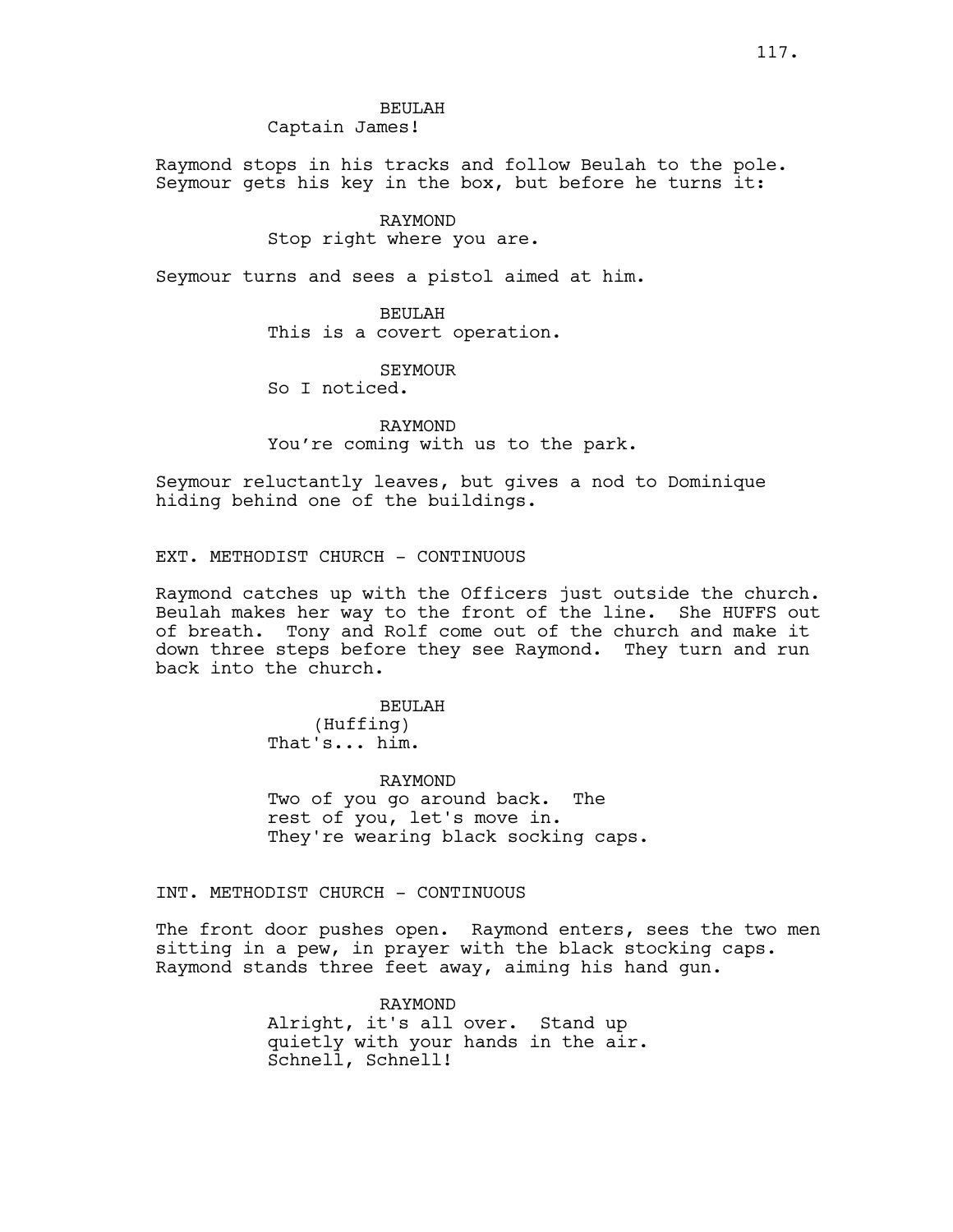BEULAH Captain James!

Raymond stops in his tracks and follow Beulah to the pole. Seymour gets his key in the box, but before he turns it:

## RAYMOND

Stop right where you are.

Seymour turns and sees a pistol aimed at him.

BEULAH This is a covert operation.

SEYMOUR

So I noticed.

RAYMOND You're coming with us to the park.

Seymour reluctantly leaves, but gives a nod to Dominique hiding behind one of the buildings.

EXT. METHODIST CHURCH - CONTINUOUS

Raymond catches up with the Officers just outside the church. Beulah makes her way to the front of the line. She HUFFS out of breath. Tony and Rolf come out of the church and make it down three steps before they see Raymond. They turn and run back into the church.

> BEULAH (Huffing) That's... him.

RAYMOND Two of you go around back. The rest of you, let's move in. They're wearing black socking caps.

INT. METHODIST CHURCH - CONTINUOUS

The front door pushes open. Raymond enters, sees the two men sitting in a pew, in prayer with the black stocking caps. Raymond stands three feet away, aiming his hand gun.

> RAYMOND Alright, it's all over. Stand up quietly with your hands in the air. Schnell, Schnell!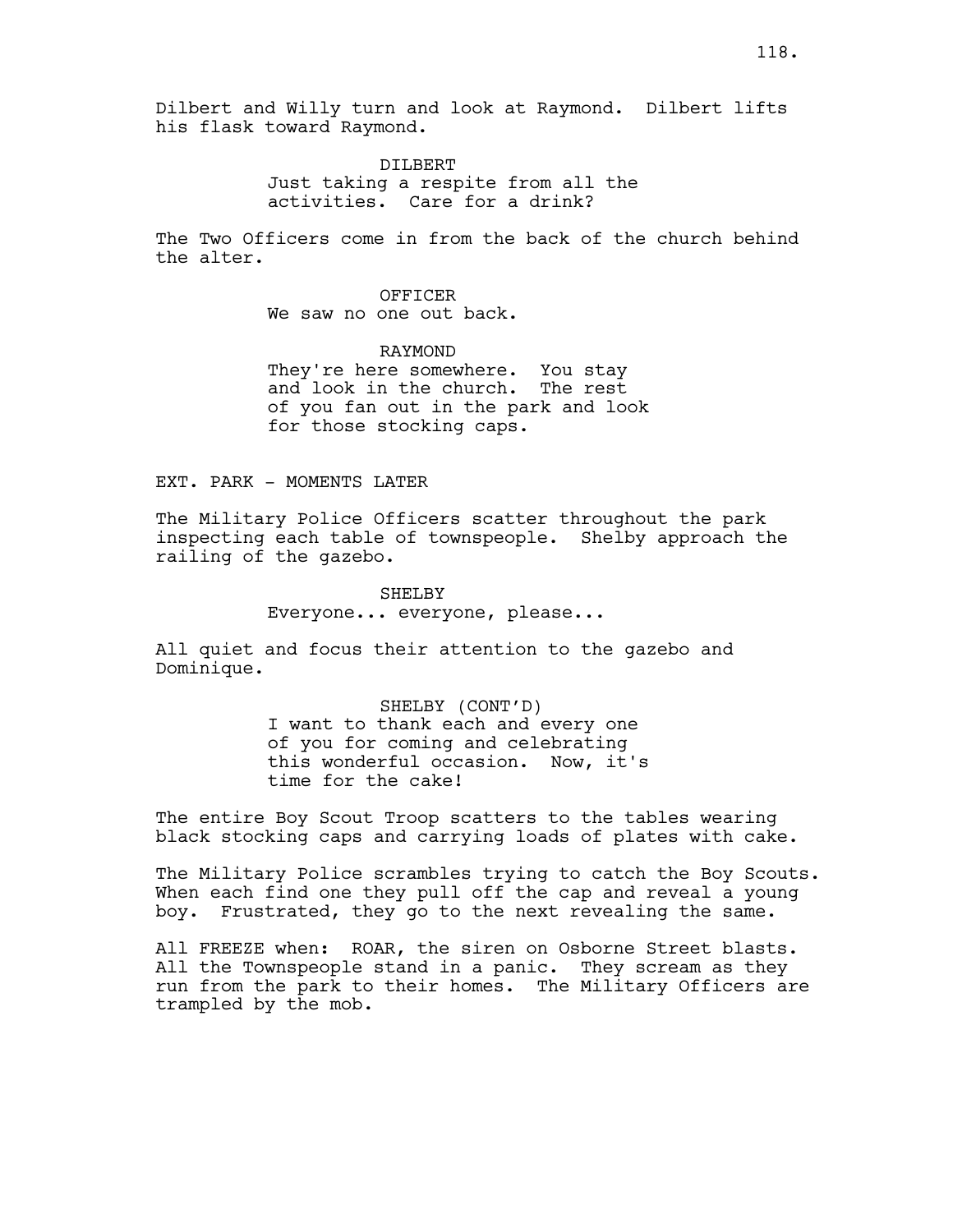DILBERT Just taking a respite from all the activities. Care for a drink?

The Two Officers come in from the back of the church behind the alter.

### OFFICER

We saw no one out back.

RAYMOND They're here somewhere. You stay and look in the church. The rest of you fan out in the park and look for those stocking caps.

EXT. PARK - MOMENTS LATER

The Military Police Officers scatter throughout the park inspecting each table of townspeople. Shelby approach the railing of the gazebo.

# SHELBY Everyone... everyone, please...

All quiet and focus their attention to the gazebo and Dominique.

> SHELBY (CONT'D) I want to thank each and every one of you for coming and celebrating this wonderful occasion. Now, it's time for the cake!

The entire Boy Scout Troop scatters to the tables wearing black stocking caps and carrying loads of plates with cake.

The Military Police scrambles trying to catch the Boy Scouts. When each find one they pull off the cap and reveal a young boy. Frustrated, they go to the next revealing the same.

All FREEZE when: ROAR, the siren on Osborne Street blasts. All the Townspeople stand in a panic. They scream as they run from the park to their homes. The Military Officers are trampled by the mob.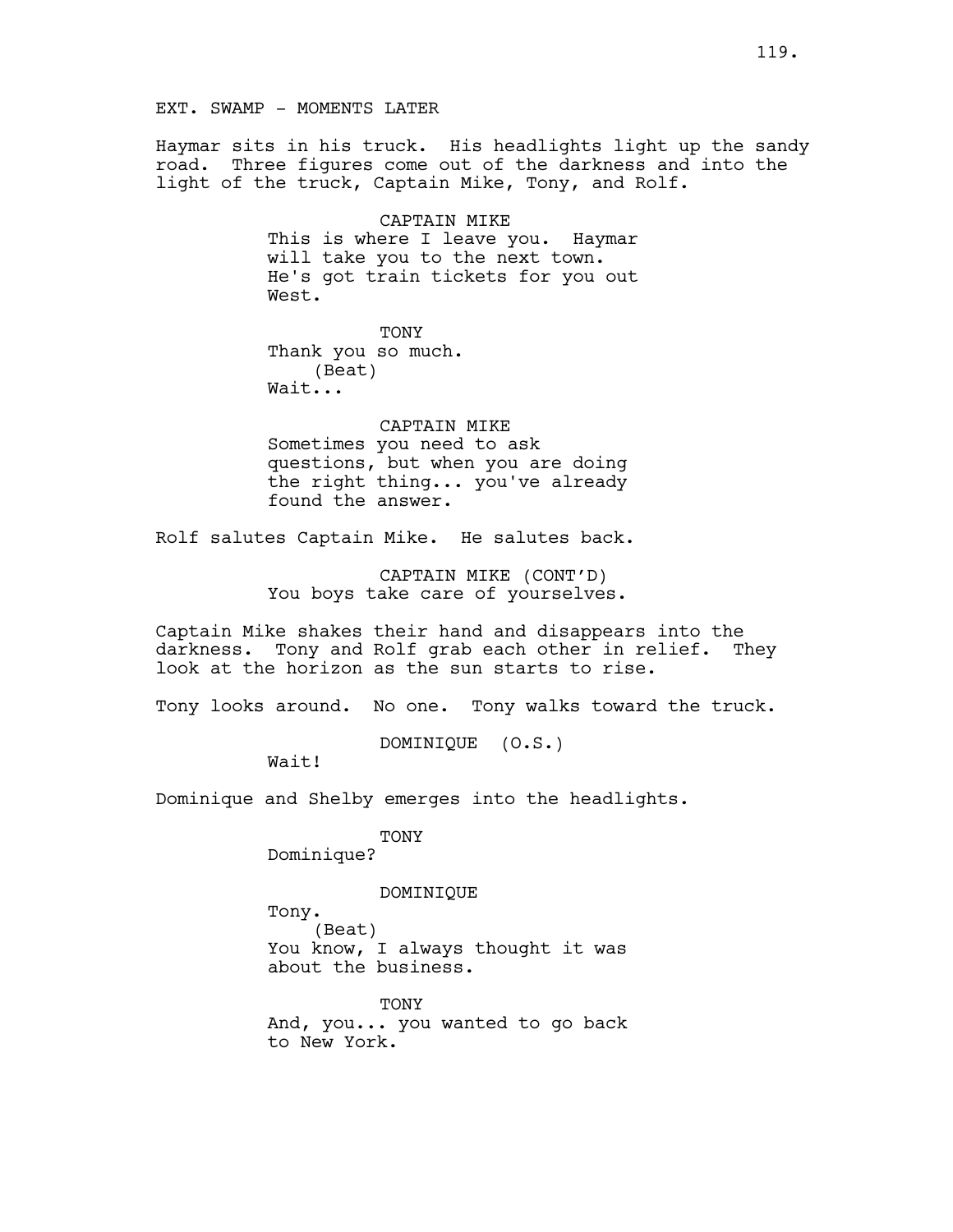EXT. SWAMP - MOMENTS LATER

Haymar sits in his truck. His headlights light up the sandy road. Three figures come out of the darkness and into the light of the truck, Captain Mike, Tony, and Rolf.

> CAPTAIN MIKE This is where I leave you. Haymar will take you to the next town. He's got train tickets for you out West.

TONY Thank you so much.

(Beat) Wait...

CAPTAIN MIKE Sometimes you need to ask questions, but when you are doing the right thing... you've already found the answer.

Rolf salutes Captain Mike. He salutes back.

CAPTAIN MIKE (CONT'D) You boys take care of yourselves.

Captain Mike shakes their hand and disappears into the darkness. Tony and Rolf grab each other in relief. They look at the horizon as the sun starts to rise.

Tony looks around. No one. Tony walks toward the truck.

DOMINIQUE (O.S.)

Wait!

Dominique and Shelby emerges into the headlights.

TONY Dominique?

DOMINIQUE

Tony.

(Beat) You know, I always thought it was about the business.

TONY And, you... you wanted to go back to New York.